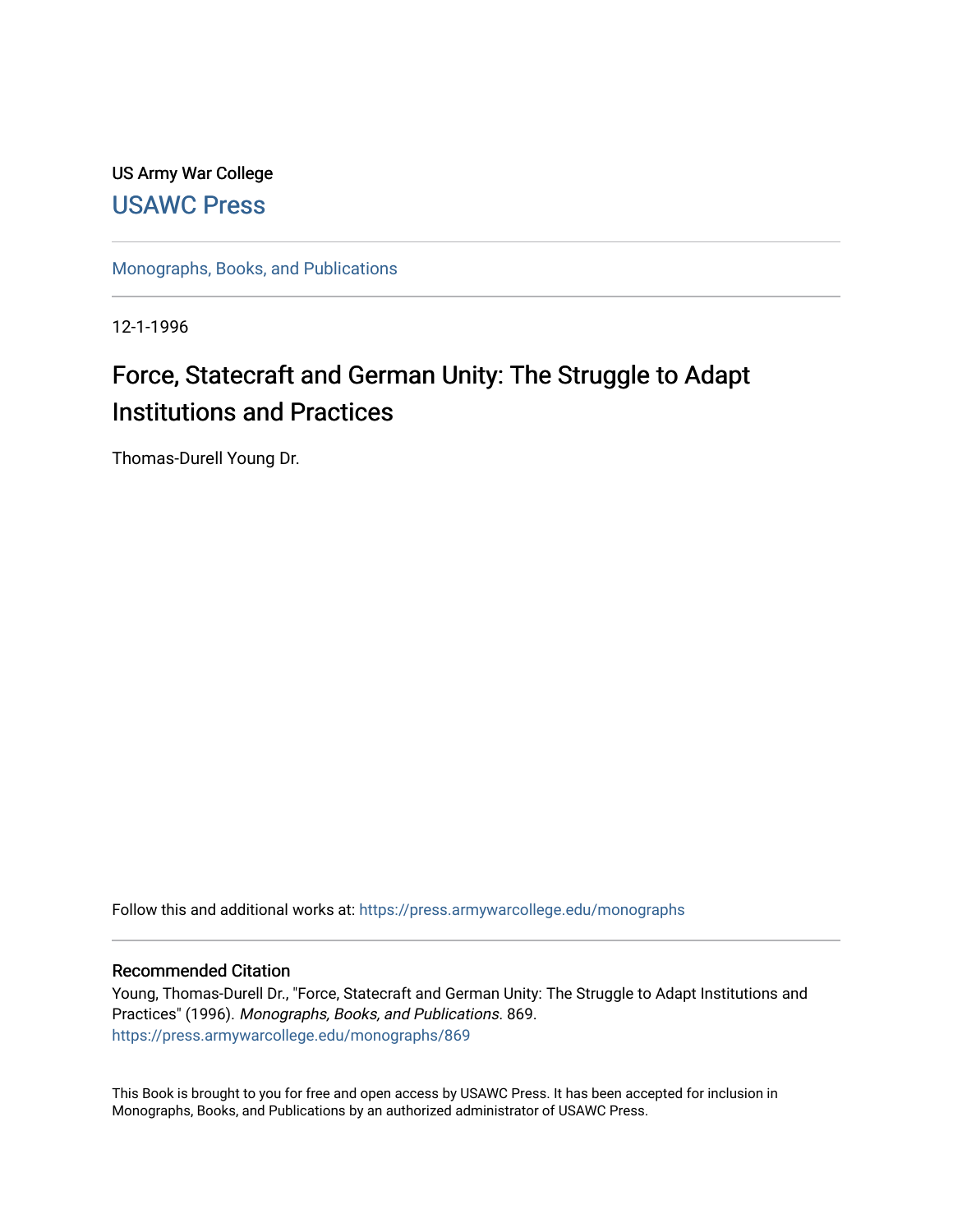# US Army War College [USAWC Press](https://press.armywarcollege.edu/)

[Monographs, Books, and Publications](https://press.armywarcollege.edu/monographs) 

12-1-1996

# Force, Statecraft and German Unity: The Struggle to Adapt Institutions and Practices

Thomas-Durell Young Dr.

Follow this and additional works at: [https://press.armywarcollege.edu/monographs](https://press.armywarcollege.edu/monographs?utm_source=press.armywarcollege.edu%2Fmonographs%2F869&utm_medium=PDF&utm_campaign=PDFCoverPages)

# Recommended Citation

Young, Thomas-Durell Dr., "Force, Statecraft and German Unity: The Struggle to Adapt Institutions and Practices" (1996). Monographs, Books, and Publications. 869. [https://press.armywarcollege.edu/monographs/869](https://press.armywarcollege.edu/monographs/869?utm_source=press.armywarcollege.edu%2Fmonographs%2F869&utm_medium=PDF&utm_campaign=PDFCoverPages)

This Book is brought to you for free and open access by USAWC Press. It has been accepted for inclusion in Monographs, Books, and Publications by an authorized administrator of USAWC Press.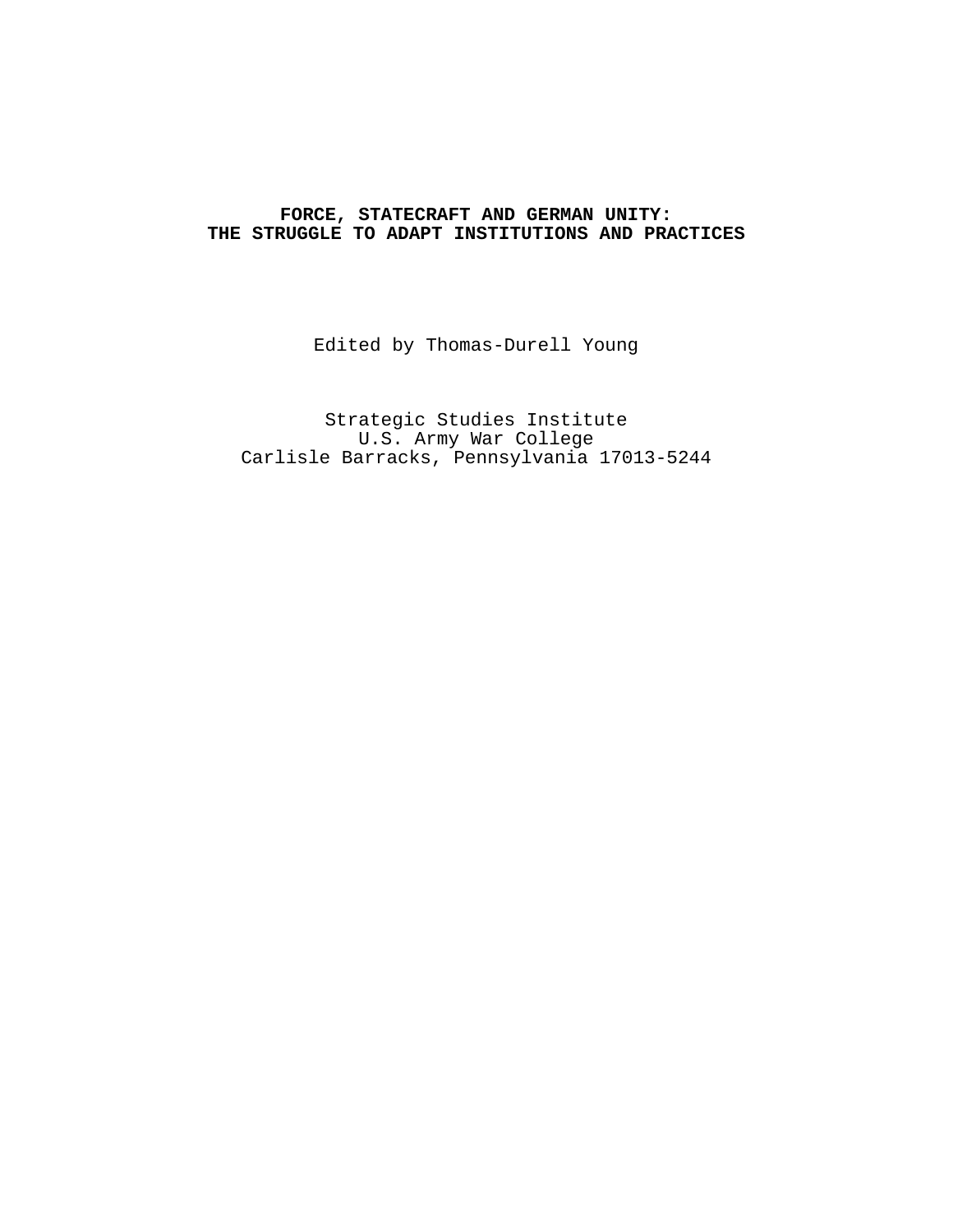# **FORCE, STATECRAFT AND GERMAN UNITY: THE STRUGGLE TO ADAPT INSTITUTIONS AND PRACTICES**

Edited by Thomas-Durell Young

Strategic Studies Institute U.S. Army War College Carlisle Barracks, Pennsylvania 17013-5244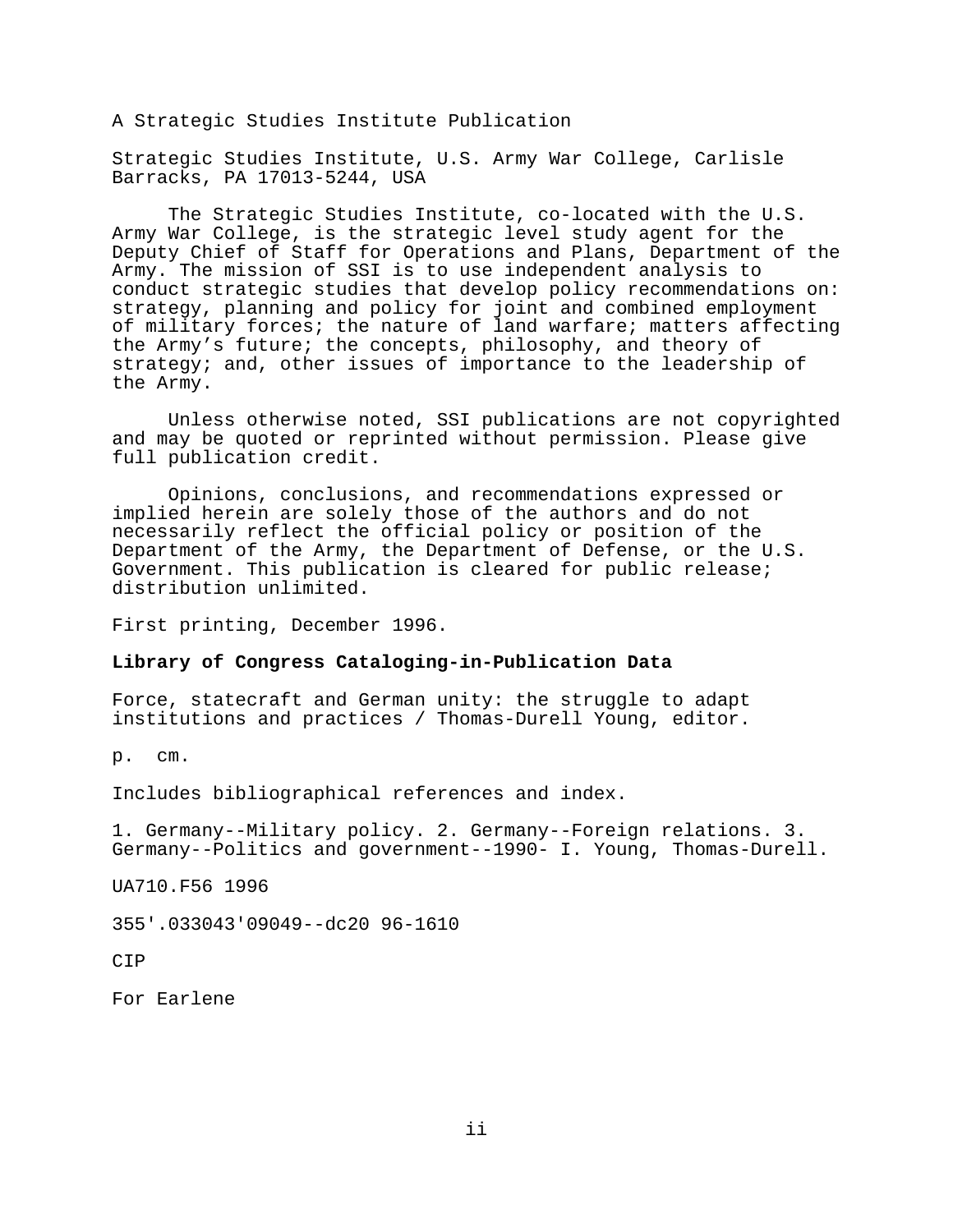A Strategic Studies Institute Publication

Strategic Studies Institute, U.S. Army War College, Carlisle Barracks, PA 17013-5244, USA

The Strategic Studies Institute, co-located with the U.S. Army War College, is the strategic level study agent for the Deputy Chief of Staff for Operations and Plans, Department of the Army. The mission of SSI is to use independent analysis to conduct strategic studies that develop policy recommendations on: strategy, planning and policy for joint and combined employment of military forces; the nature of land warfare; matters affecting the Army's future; the concepts, philosophy, and theory of strategy; and, other issues of importance to the leadership of the Army.

Unless otherwise noted, SSI publications are not copyrighted and may be quoted or reprinted without permission. Please give full publication credit.

Opinions, conclusions, and recommendations expressed or implied herein are solely those of the authors and do not necessarily reflect the official policy or position of the Department of the Army, the Department of Defense, or the U.S. Government. This publication is cleared for public release; distribution unlimited.

First printing, December 1996.

#### **Library of Congress Cataloging-in-Publication Data**

Force, statecraft and German unity: the struggle to adapt institutions and practices / Thomas-Durell Young, editor.

p. cm.

Includes bibliographical references and index.

1. Germany--Military policy. 2. Germany--Foreign relations. 3. Germany--Politics and government--1990- I. Young, Thomas-Durell.

UA710.F56 1996

355'.033043'09049--dc20 96-1610

**CTP** 

For Earlene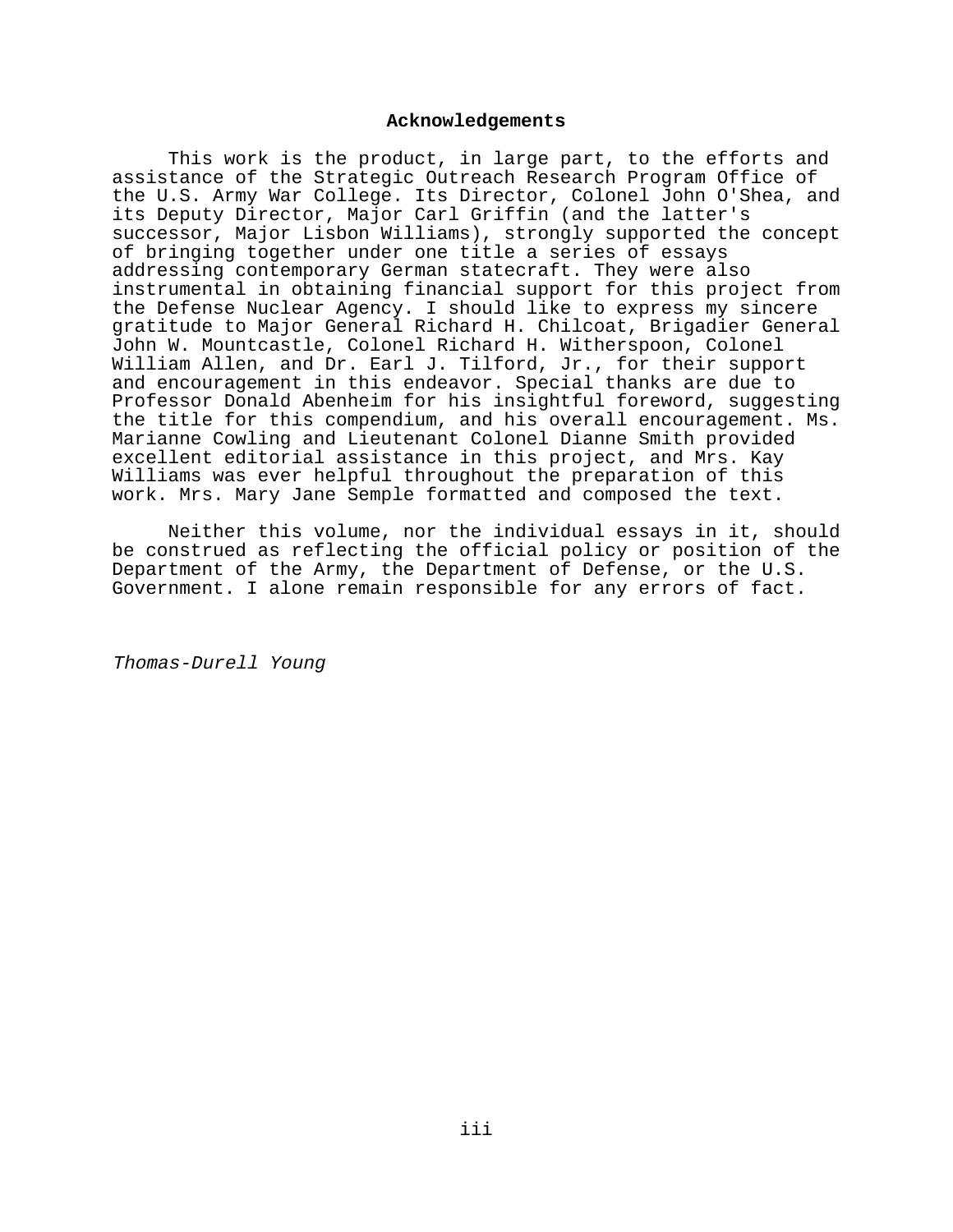#### **Acknowledgements**

This work is the product, in large part, to the efforts and assistance of the Strategic Outreach Research Program Office of the U.S. Army War College. Its Director, Colonel John O'Shea, and its Deputy Director, Major Carl Griffin (and the latter's successor, Major Lisbon Williams), strongly supported the concept of bringing together under one title a series of essays addressing contemporary German statecraft. They were also instrumental in obtaining financial support for this project from the Defense Nuclear Agency. I should like to express my sincere gratitude to Major General Richard H. Chilcoat, Brigadier General John W. Mountcastle, Colonel Richard H. Witherspoon, Colonel William Allen, and Dr. Earl J. Tilford, Jr., for their support and encouragement in this endeavor. Special thanks are due to Professor Donald Abenheim for his insightful foreword, suggesting the title for this compendium, and his overall encouragement. Ms. Marianne Cowling and Lieutenant Colonel Dianne Smith provided excellent editorial assistance in this project, and Mrs. Kay Williams was ever helpful throughout the preparation of this work. Mrs. Mary Jane Semple formatted and composed the text.

Neither this volume, nor the individual essays in it, should be construed as reflecting the official policy or position of the Department of the Army, the Department of Defense, or the U.S. Government. I alone remain responsible for any errors of fact.

Thomas-Durell Young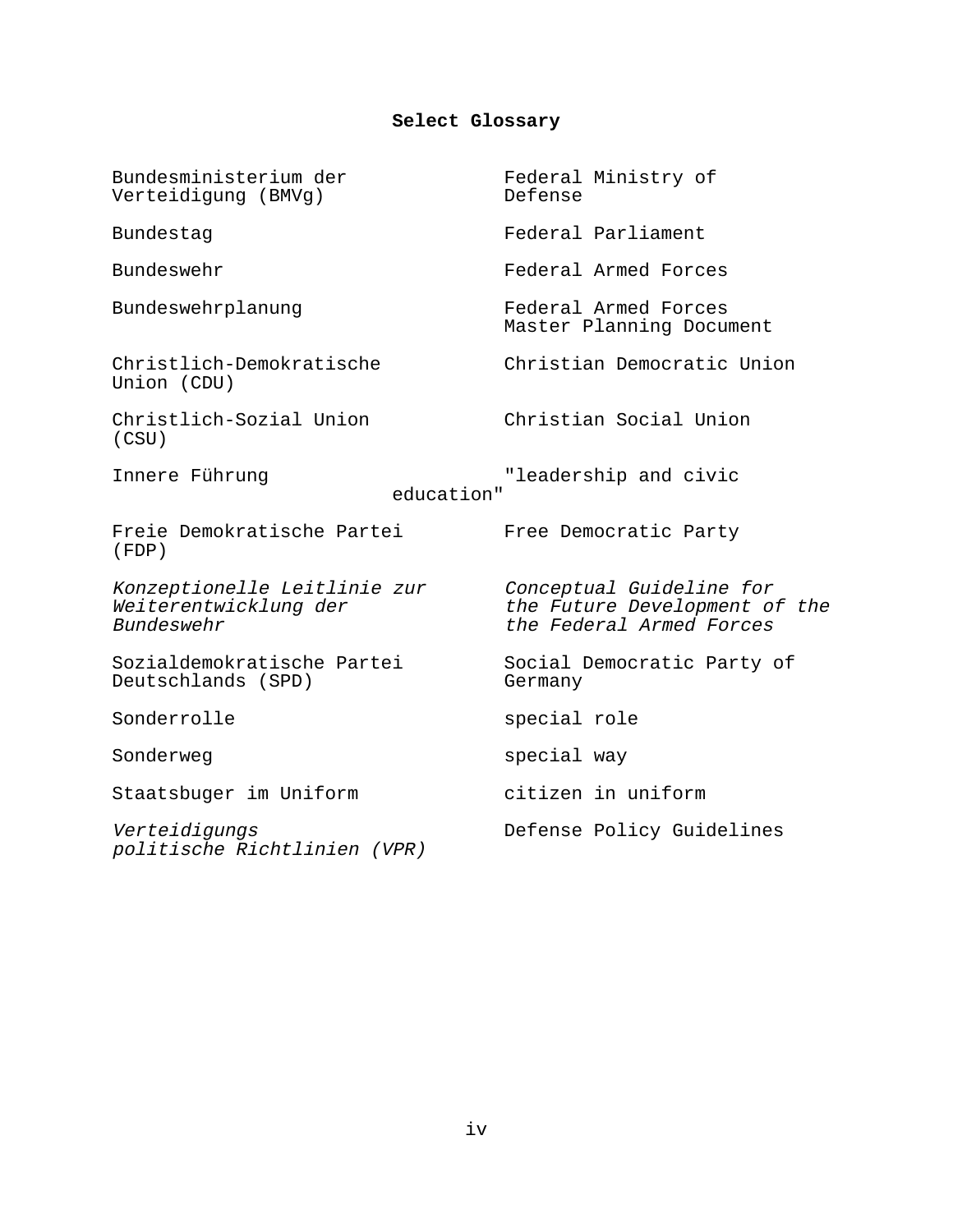# **Select Glossary**

| Bundesministerium der<br>Verteidigung (BMVg)                        | Federal Ministry of<br>Defense                                                        |
|---------------------------------------------------------------------|---------------------------------------------------------------------------------------|
| Bundestag                                                           | Federal Parliament                                                                    |
| Bundeswehr                                                          | Federal Armed Forces                                                                  |
| Bundeswehrplanung                                                   | Federal Armed Forces<br>Master Planning Document                                      |
| Christlich-Demokratische<br>Union (CDU)                             | Christian Democratic Union                                                            |
| Christlich-Sozial Union<br>(CSU)                                    | Christian Social Union                                                                |
| Innere Führung<br>education"                                        | "leadership and civic                                                                 |
| Freie Demokratische Partei<br>(FDP)                                 | Free Democratic Party                                                                 |
| Konzeptionelle Leitlinie zur<br>Weiterentwicklung der<br>Bundeswehr | Conceptual Guideline for<br>the Future Development of the<br>the Federal Armed Forces |
| Sozialdemokratische Partei<br>Deutschlands (SPD)                    | Social Democratic Party of<br>Germany                                                 |
| Sonderrolle                                                         | special role                                                                          |
| Sonderweg                                                           | special way                                                                           |
| Staatsbuger im Uniform                                              | citizen in uniform                                                                    |
| Verteidigungs<br>politische Richtlinien (VPR)                       | Defense Policy Guidelines                                                             |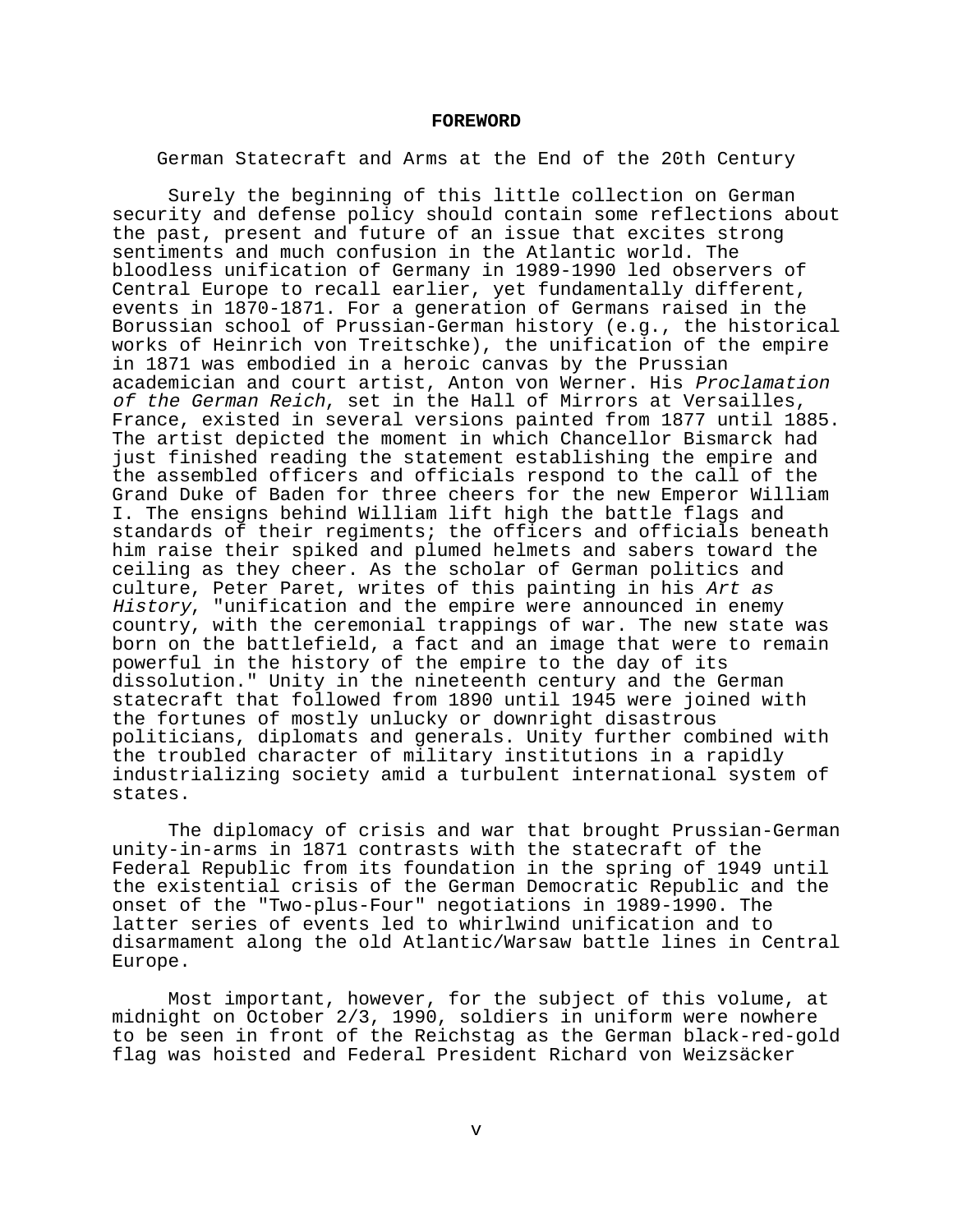#### **FOREWORD**

German Statecraft and Arms at the End of the 20th Century

Surely the beginning of this little collection on German security and defense policy should contain some reflections about the past, present and future of an issue that excites strong sentiments and much confusion in the Atlantic world. The bloodless unification of Germany in 1989-1990 led observers of Central Europe to recall earlier, yet fundamentally different, events in 1870-1871. For a generation of Germans raised in the Borussian school of Prussian-German history (e.g., the historical works of Heinrich von Treitschke), the unification of the empire in 1871 was embodied in a heroic canvas by the Prussian academician and court artist, Anton von Werner. His Proclamation of the German Reich, set in the Hall of Mirrors at Versailles, France, existed in several versions painted from 1877 until 1885. The artist depicted the moment in which Chancellor Bismarck had just finished reading the statement establishing the empire and the assembled officers and officials respond to the call of the Grand Duke of Baden for three cheers for the new Emperor William I. The ensigns behind William lift high the battle flags and standards of their regiments; the officers and officials beneath him raise their spiked and plumed helmets and sabers toward the ceiling as they cheer. As the scholar of German politics and culture, Peter Paret, writes of this painting in his Art as History, "unification and the empire were announced in enemy country, with the ceremonial trappings of war. The new state was born on the battlefield, a fact and an image that were to remain powerful in the history of the empire to the day of its dissolution." Unity in the nineteenth century and the German statecraft that followed from 1890 until 1945 were joined with the fortunes of mostly unlucky or downright disastrous politicians, diplomats and generals. Unity further combined with the troubled character of military institutions in a rapidly industrializing society amid a turbulent international system of states.

The diplomacy of crisis and war that brought Prussian-German unity-in-arms in 1871 contrasts with the statecraft of the Federal Republic from its foundation in the spring of 1949 until the existential crisis of the German Democratic Republic and the onset of the "Two-plus-Four" negotiations in 1989-1990. The latter series of events led to whirlwind unification and to disarmament along the old Atlantic/Warsaw battle lines in Central Europe.

Most important, however, for the subject of this volume, at midnight on October 2/3, 1990, soldiers in uniform were nowhere to be seen in front of the Reichstag as the German black-red-gold flag was hoisted and Federal President Richard von Weizsäcker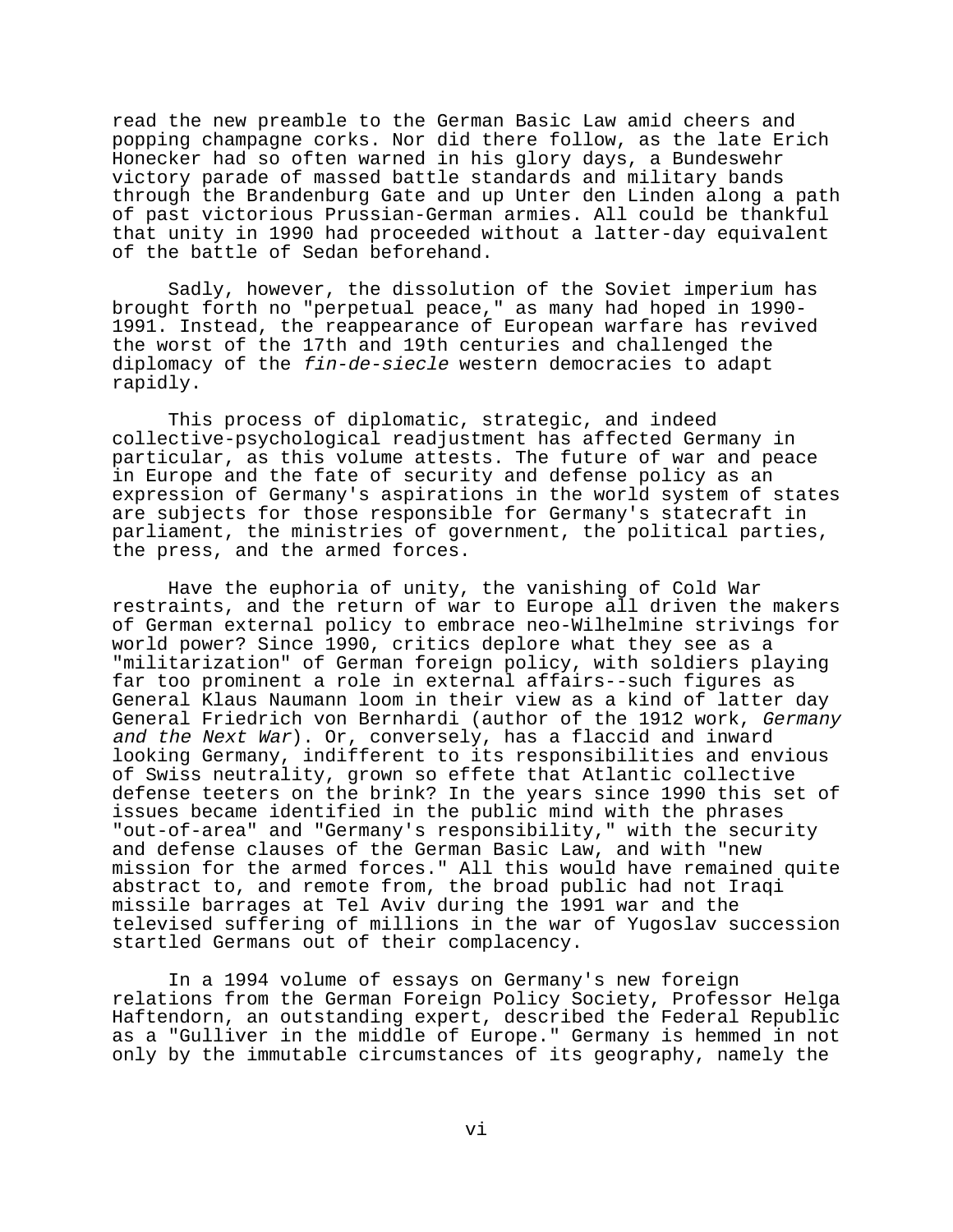read the new preamble to the German Basic Law amid cheers and popping champagne corks. Nor did there follow, as the late Erich Honecker had so often warned in his glory days, a Bundeswehr victory parade of massed battle standards and military bands through the Brandenburg Gate and up Unter den Linden along a path of past victorious Prussian-German armies. All could be thankful that unity in 1990 had proceeded without a latter-day equivalent of the battle of Sedan beforehand.

Sadly, however, the dissolution of the Soviet imperium has brought forth no "perpetual peace," as many had hoped in 1990- 1991. Instead, the reappearance of European warfare has revived the worst of the 17th and 19th centuries and challenged the diplomacy of the fin-de-siecle western democracies to adapt rapidly.

This process of diplomatic, strategic, and indeed collective-psychological readjustment has affected Germany in particular, as this volume attests. The future of war and peace in Europe and the fate of security and defense policy as an expression of Germany's aspirations in the world system of states are subjects for those responsible for Germany's statecraft in parliament, the ministries of government, the political parties, the press, and the armed forces.

Have the euphoria of unity, the vanishing of Cold War restraints, and the return of war to Europe all driven the makers of German external policy to embrace neo-Wilhelmine strivings for world power? Since 1990, critics deplore what they see as a "militarization" of German foreign policy, with soldiers playing far too prominent a role in external affairs--such figures as General Klaus Naumann loom in their view as a kind of latter day General Friedrich von Bernhardi (author of the 1912 work, Germany and the Next War). Or, conversely, has a flaccid and inward looking Germany, indifferent to its responsibilities and envious of Swiss neutrality, grown so effete that Atlantic collective defense teeters on the brink? In the years since 1990 this set of issues became identified in the public mind with the phrases "out-of-area" and "Germany's responsibility," with the security and defense clauses of the German Basic Law, and with "new mission for the armed forces." All this would have remained quite abstract to, and remote from, the broad public had not Iraqi missile barrages at Tel Aviv during the 1991 war and the televised suffering of millions in the war of Yugoslav succession startled Germans out of their complacency.

In a 1994 volume of essays on Germany's new foreign relations from the German Foreign Policy Society, Professor Helga Haftendorn, an outstanding expert, described the Federal Republic as a "Gulliver in the middle of Europe." Germany is hemmed in not only by the immutable circumstances of its geography, namely the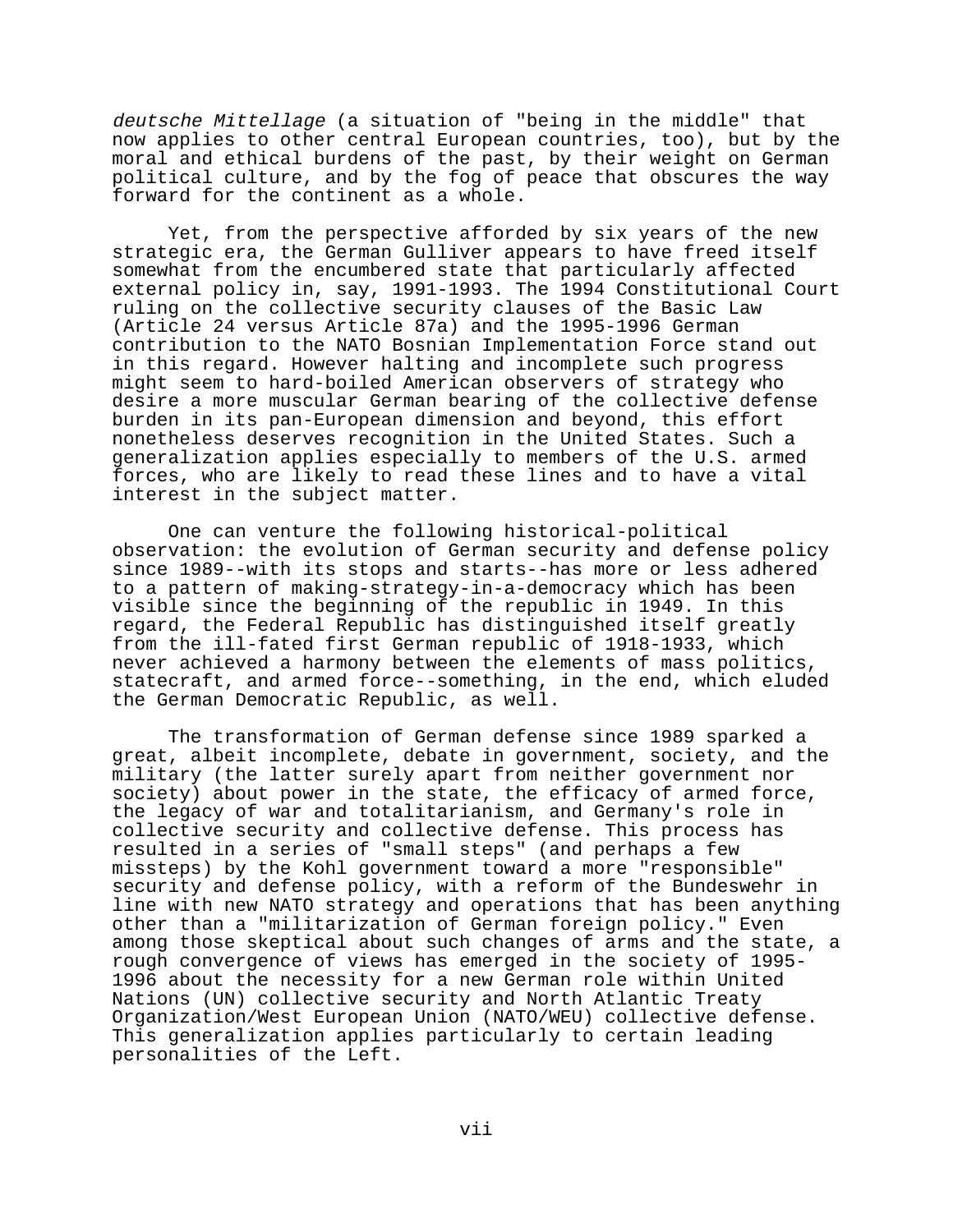deutsche Mittellage (a situation of "being in the middle" that now applies to other central European countries, too), but by the moral and ethical burdens of the past, by their weight on German political culture, and by the fog of peace that obscures the way forward for the continent as a whole.

Yet, from the perspective afforded by six years of the new strategic era, the German Gulliver appears to have freed itself somewhat from the encumbered state that particularly affected external policy in, say, 1991-1993. The 1994 Constitutional Court ruling on the collective security clauses of the Basic Law (Article 24 versus Article 87a) and the 1995-1996 German contribution to the NATO Bosnian Implementation Force stand out in this regard. However halting and incomplete such progress might seem to hard-boiled American observers of strategy who desire a more muscular German bearing of the collective defense burden in its pan-European dimension and beyond, this effort nonetheless deserves recognition in the United States. Such a generalization applies especially to members of the U.S. armed forces, who are likely to read these lines and to have a vital interest in the subject matter.

One can venture the following historical-political observation: the evolution of German security and defense policy since 1989--with its stops and starts--has more or less adhered to a pattern of making-strategy-in-a-democracy which has been visible since the beginning of the republic in 1949. In this regard, the Federal Republic has distinguished itself greatly from the ill-fated first German republic of 1918-1933, which never achieved a harmony between the elements of mass politics, statecraft, and armed force--something, in the end, which eluded the German Democratic Republic, as well.

The transformation of German defense since 1989 sparked a great, albeit incomplete, debate in government, society, and the military (the latter surely apart from neither government nor society) about power in the state, the efficacy of armed force, the legacy of war and totalitarianism, and Germany's role in collective security and collective defense. This process has resulted in a series of "small steps" (and perhaps a few missteps) by the Kohl government toward a more "responsible" security and defense policy, with a reform of the Bundeswehr in line with new NATO strategy and operations that has been anything other than a "militarization of German foreign policy." Even among those skeptical about such changes of arms and the state, a rough convergence of views has emerged in the society of 1995- 1996 about the necessity for a new German role within United Nations (UN) collective security and North Atlantic Treaty Organization/West European Union (NATO/WEU) collective defense. This generalization applies particularly to certain leading personalities of the Left.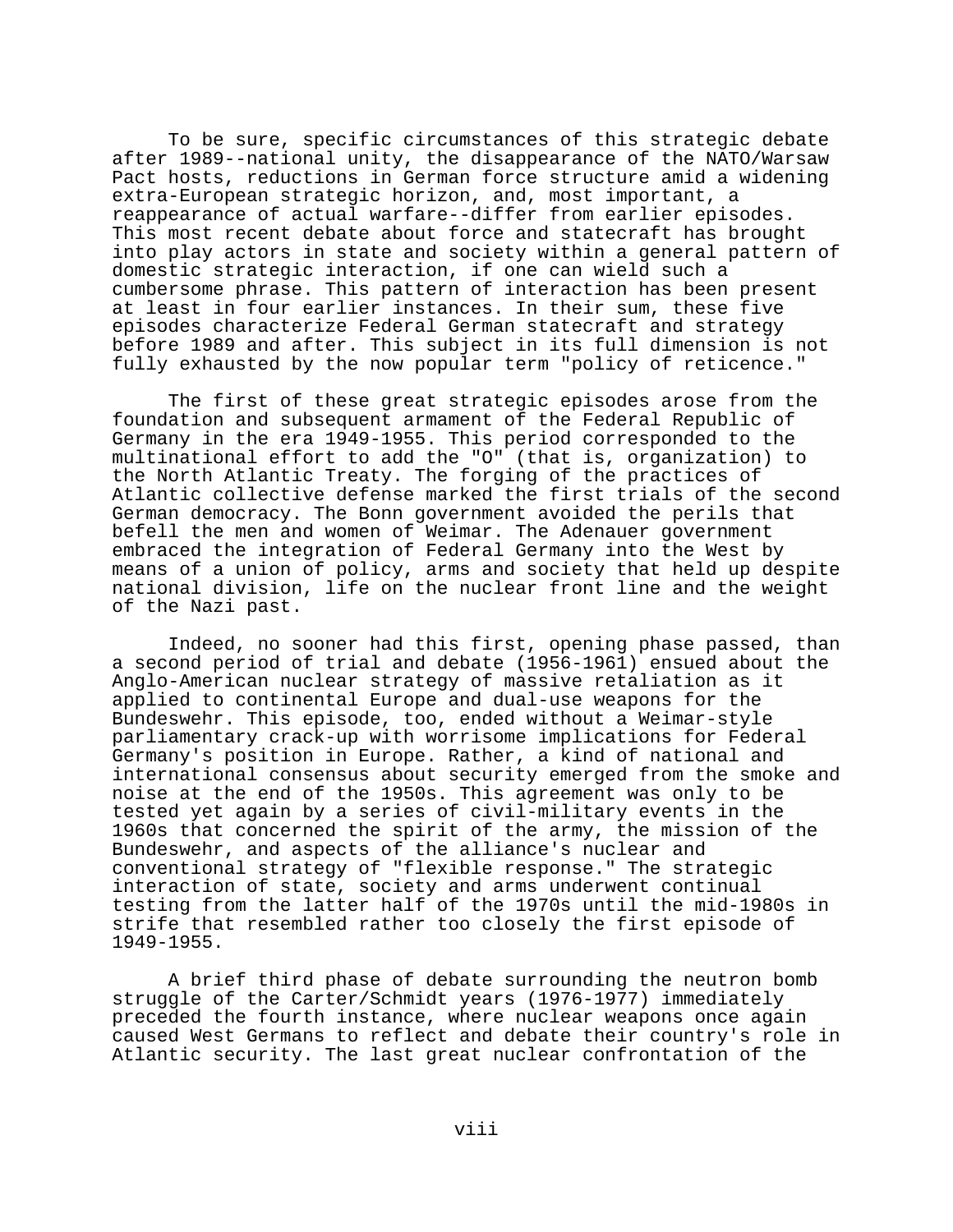To be sure, specific circumstances of this strategic debate after 1989--national unity, the disappearance of the NATO/Warsaw Pact hosts, reductions in German force structure amid a widening extra-European strategic horizon, and, most important, a reappearance of actual warfare--differ from earlier episodes. This most recent debate about force and statecraft has brought into play actors in state and society within a general pattern of domestic strategic interaction, if one can wield such a cumbersome phrase. This pattern of interaction has been present at least in four earlier instances. In their sum, these five episodes characterize Federal German statecraft and strategy before 1989 and after. This subject in its full dimension is not fully exhausted by the now popular term "policy of reticence."

The first of these great strategic episodes arose from the foundation and subsequent armament of the Federal Republic of Germany in the era 1949-1955. This period corresponded to the multinational effort to add the "O" (that is, organization) to the North Atlantic Treaty. The forging of the practices of Atlantic collective defense marked the first trials of the second German democracy. The Bonn government avoided the perils that befell the men and women of Weimar. The Adenauer government embraced the integration of Federal Germany into the West by means of a union of policy, arms and society that held up despite national division, life on the nuclear front line and the weight of the Nazi past.

Indeed, no sooner had this first, opening phase passed, than a second period of trial and debate (1956-1961) ensued about the Anglo-American nuclear strategy of massive retaliation as it applied to continental Europe and dual-use weapons for the Bundeswehr. This episode, too, ended without a Weimar-style parliamentary crack-up with worrisome implications for Federal Germany's position in Europe. Rather, a kind of national and international consensus about security emerged from the smoke and noise at the end of the 1950s. This agreement was only to be tested yet again by a series of civil-military events in the 1960s that concerned the spirit of the army, the mission of the Bundeswehr, and aspects of the alliance's nuclear and conventional strategy of "flexible response." The strategic interaction of state, society and arms underwent continual testing from the latter half of the 1970s until the mid-1980s in strife that resembled rather too closely the first episode of 1949-1955.

A brief third phase of debate surrounding the neutron bomb struggle of the Carter/Schmidt years (1976-1977) immediately preceded the fourth instance, where nuclear weapons once again caused West Germans to reflect and debate their country's role in Atlantic security. The last great nuclear confrontation of the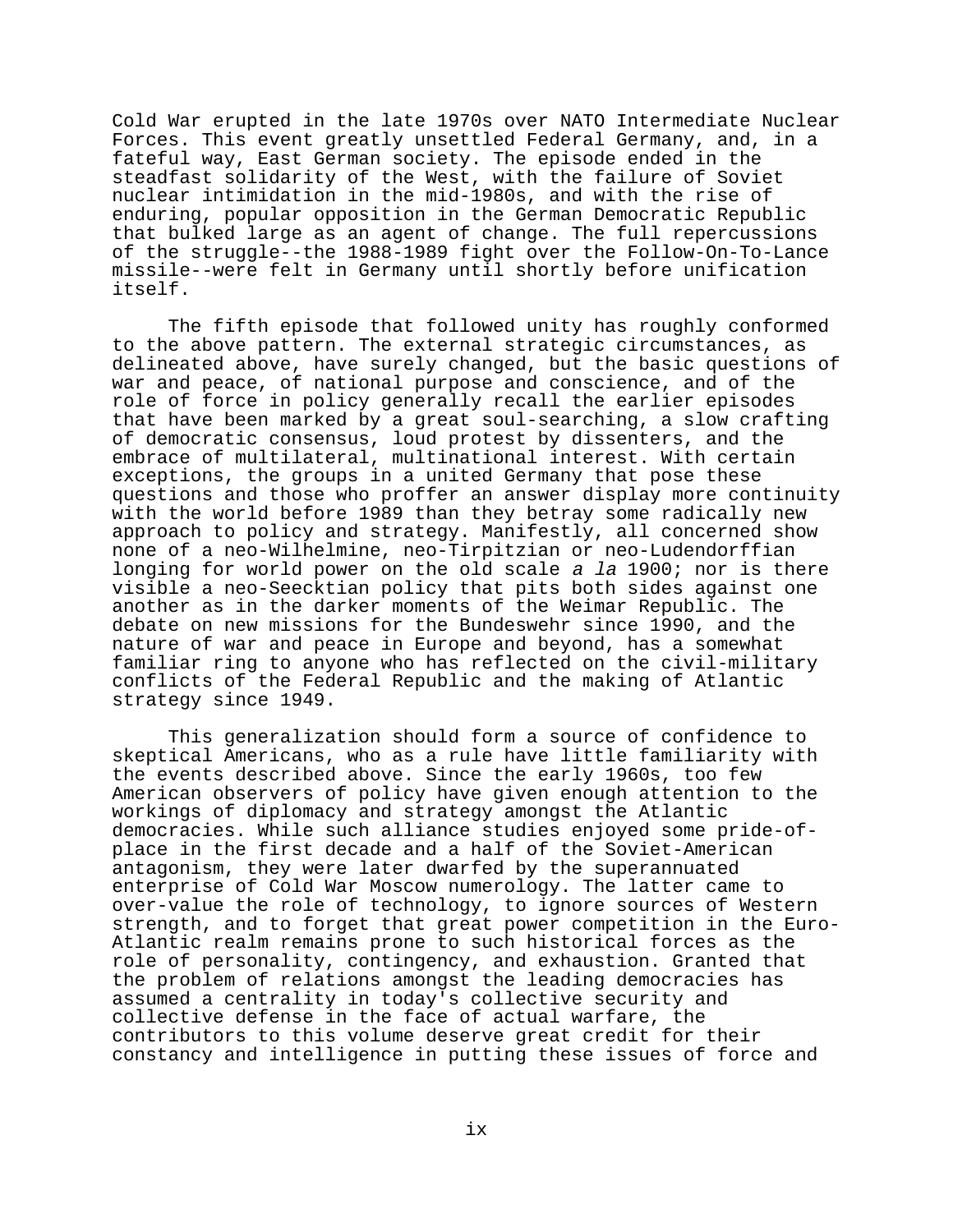Cold War erupted in the late 1970s over NATO Intermediate Nuclear Forces. This event greatly unsettled Federal Germany, and, in a fateful way, East German society. The episode ended in the steadfast solidarity of the West, with the failure of Soviet nuclear intimidation in the mid-1980s, and with the rise of enduring, popular opposition in the German Democratic Republic that bulked large as an agent of change. The full repercussions of the struggle--the 1988-1989 fight over the Follow-On-To-Lance missile--were felt in Germany until shortly before unification itself.

The fifth episode that followed unity has roughly conformed to the above pattern. The external strategic circumstances, as delineated above, have surely changed, but the basic questions of war and peace, of national purpose and conscience, and of the role of force in policy generally recall the earlier episodes that have been marked by a great soul-searching, a slow crafting of democratic consensus, loud protest by dissenters, and the embrace of multilateral, multinational interest. With certain exceptions, the groups in a united Germany that pose these questions and those who proffer an answer display more continuity with the world before 1989 than they betray some radically new approach to policy and strategy. Manifestly, all concerned show none of a neo-Wilhelmine, neo-Tirpitzian or neo-Ludendorffian longing for world power on the old scale a la 1900; nor is there visible a neo-Seecktian policy that pits both sides against one another as in the darker moments of the Weimar Republic. The debate on new missions for the Bundeswehr since 1990, and the nature of war and peace in Europe and beyond, has a somewhat familiar ring to anyone who has reflected on the civil-military conflicts of the Federal Republic and the making of Atlantic strategy since 1949.

This generalization should form a source of confidence to skeptical Americans, who as a rule have little familiarity with the events described above. Since the early 1960s, too few American observers of policy have given enough attention to the workings of diplomacy and strategy amongst the Atlantic democracies. While such alliance studies enjoyed some pride-ofplace in the first decade and a half of the Soviet-American antagonism, they were later dwarfed by the superannuated enterprise of Cold War Moscow numerology. The latter came to over-value the role of technology, to ignore sources of Western strength, and to forget that great power competition in the Euro-Atlantic realm remains prone to such historical forces as the role of personality, contingency, and exhaustion. Granted that the problem of relations amongst the leading democracies has assumed a centrality in today's collective security and collective defense in the face of actual warfare, the contributors to this volume deserve great credit for their constancy and intelligence in putting these issues of force and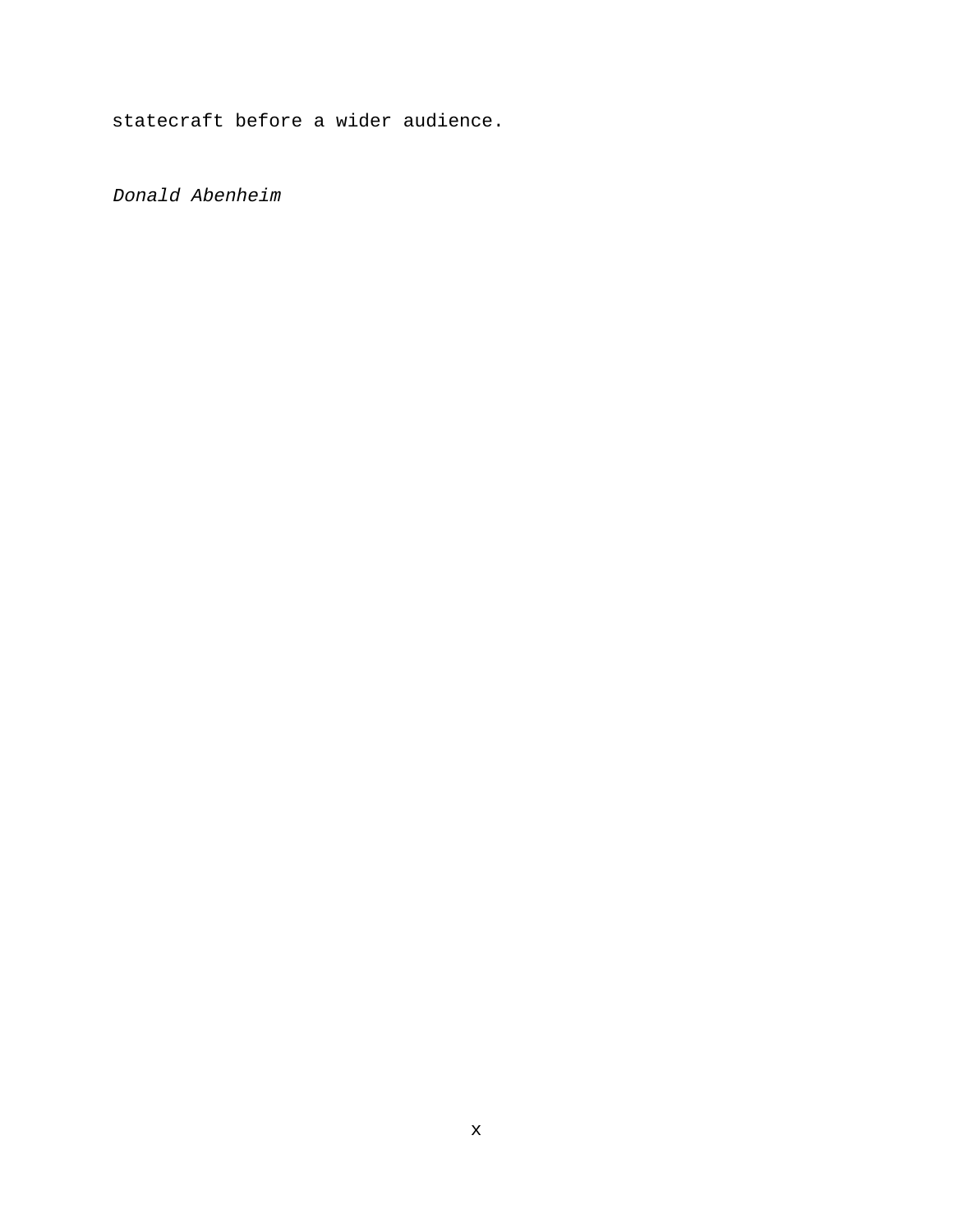statecraft before a wider audience.

Donald Abenheim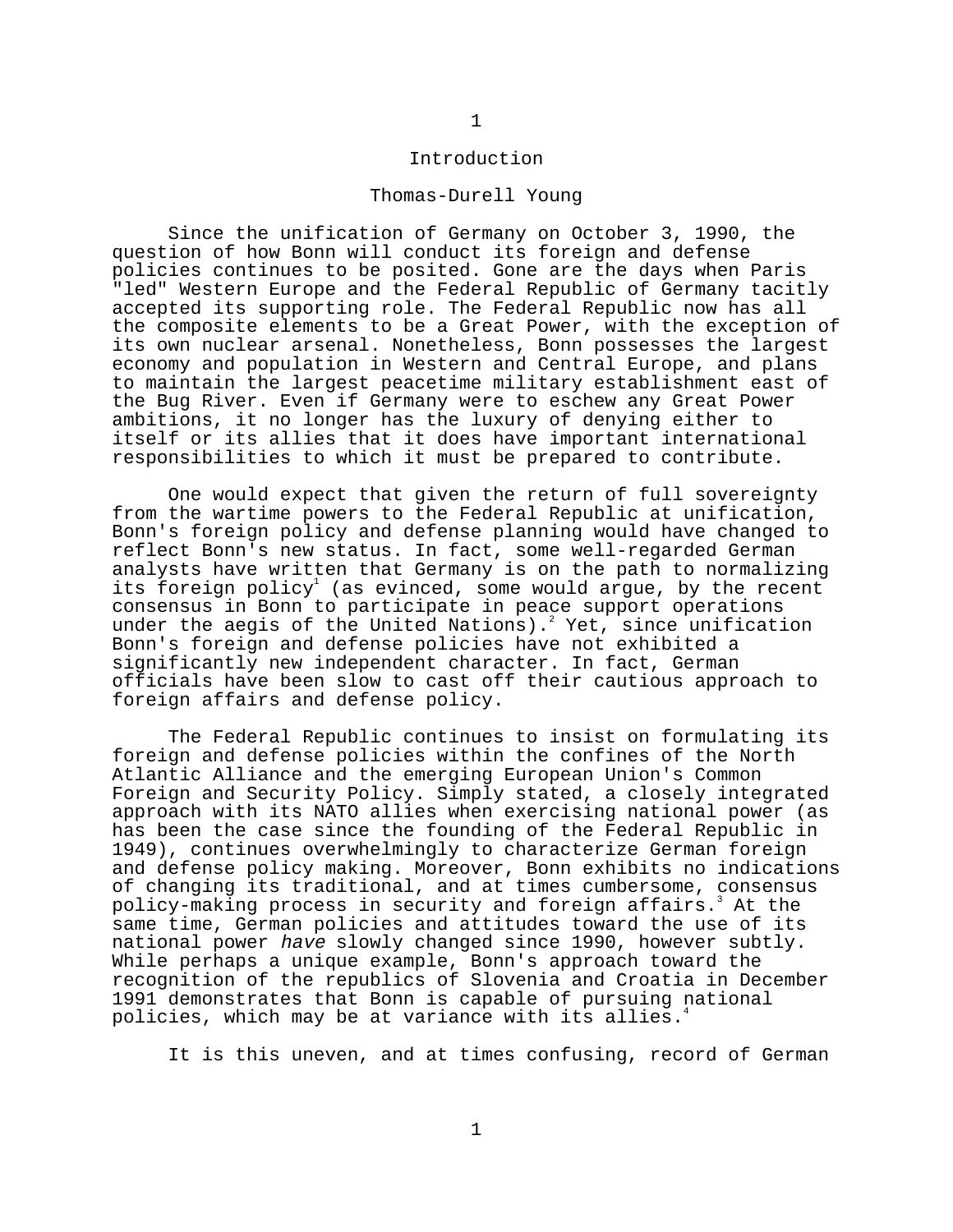#### Introduction

#### Thomas-Durell Young

Since the unification of Germany on October 3, 1990, the question of how Bonn will conduct its foreign and defense policies continues to be posited. Gone are the days when Paris "led" Western Europe and the Federal Republic of Germany tacitly accepted its supporting role. The Federal Republic now has all the composite elements to be a Great Power, with the exception of its own nuclear arsenal. Nonetheless, Bonn possesses the largest economy and population in Western and Central Europe, and plans to maintain the largest peacetime military establishment east of the Bug River. Even if Germany were to eschew any Great Power ambitions, it no longer has the luxury of denying either to itself or its allies that it does have important international responsibilities to which it must be prepared to contribute.

One would expect that given the return of full sovereignty from the wartime powers to the Federal Republic at unification, Bonn's foreign policy and defense planning would have changed to reflect Bonn's new status. In fact, some well-regarded German analysts have written that Germany is on the path to normalizing its foreign policy<sup>1</sup> (as evinced, some would argue, by the recent consensus in Bonn to participate in peace support operations under the aegis of the United Nations).<sup>2</sup> Yet, since unification Bonn's foreign and defense policies have not exhibited a significantly new independent character. In fact, German officials have been slow to cast off their cautious approach to foreign affairs and defense policy.

The Federal Republic continues to insist on formulating its foreign and defense policies within the confines of the North Atlantic Alliance and the emerging European Union's Common Foreign and Security Policy. Simply stated, a closely integrated approach with its NATO allies when exercising national power (as has been the case since the founding of the Federal Republic in 1949), continues overwhelmingly to characterize German foreign and defense policy making. Moreover, Bonn exhibits no indications of changing its traditional, and at times cumbersome, consensus policy-making process in security and foreign affairs. $^3$  At the same time, German policies and attitudes toward the use of its national power have slowly changed since 1990, however subtly. While perhaps a unique example, Bonn's approach toward the recognition of the republics of Slovenia and Croatia in December 1991 demonstrates that Bonn is capable of pursuing national policies, which may be at variance with its allies.<sup>4</sup>

It is this uneven, and at times confusing, record of German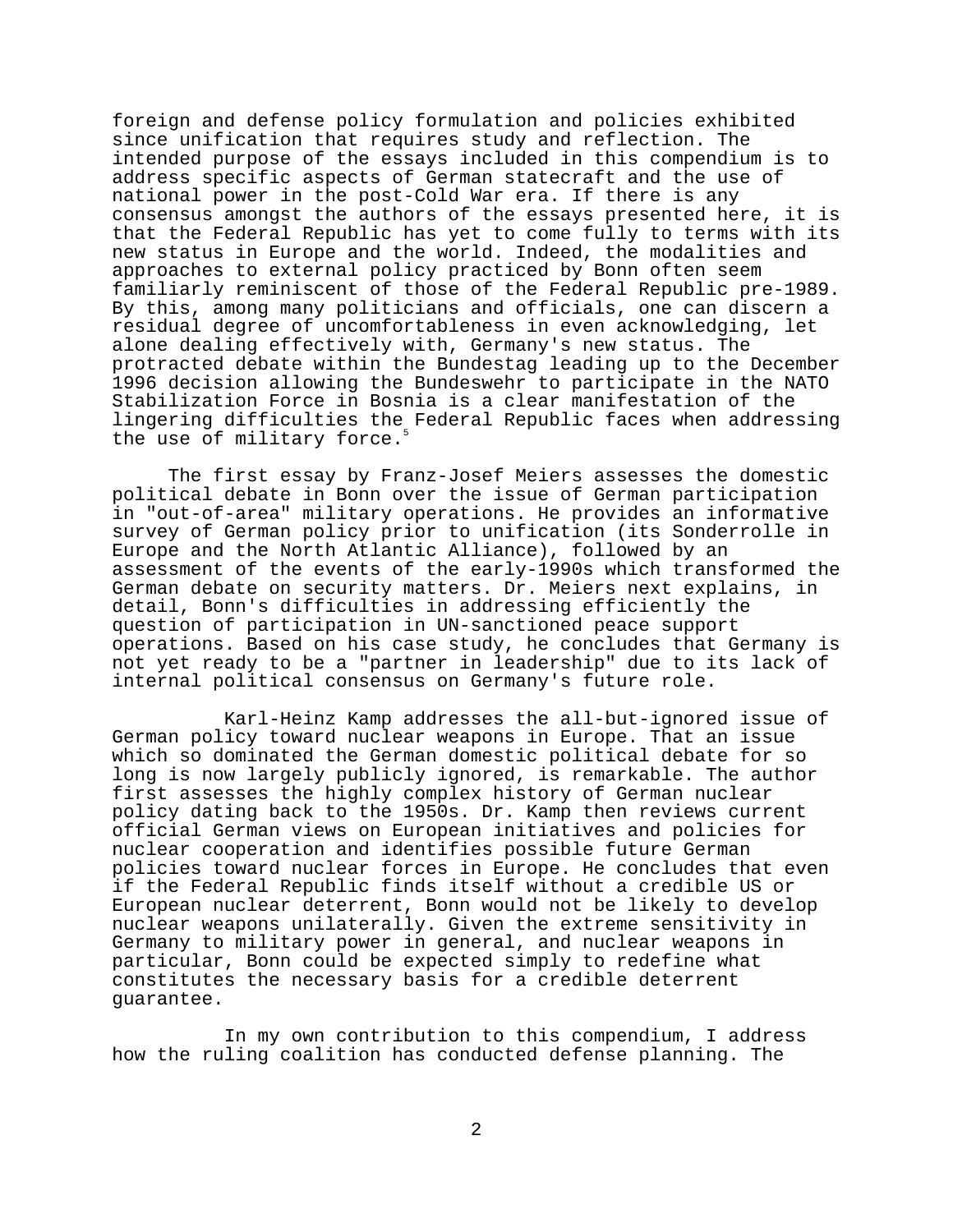foreign and defense policy formulation and policies exhibited since unification that requires study and reflection. The intended purpose of the essays included in this compendium is to address specific aspects of German statecraft and the use of national power in the post-Cold War era. If there is any consensus amongst the authors of the essays presented here, it is that the Federal Republic has yet to come fully to terms with its new status in Europe and the world. Indeed, the modalities and approaches to external policy practiced by Bonn often seem familiarly reminiscent of those of the Federal Republic pre-1989. By this, among many politicians and officials, one can discern a residual degree of uncomfortableness in even acknowledging, let alone dealing effectively with, Germany's new status. The protracted debate within the Bundestag leading up to the December 1996 decision allowing the Bundeswehr to participate in the NATO Stabilization Force in Bosnia is a clear manifestation of the lingering difficulties the Federal Republic faces when addressing the use of military force.<sup>5</sup>

The first essay by Franz-Josef Meiers assesses the domestic political debate in Bonn over the issue of German participation in "out-of-area" military operations. He provides an informative survey of German policy prior to unification (its Sonderrolle in Europe and the North Atlantic Alliance), followed by an assessment of the events of the early-1990s which transformed the German debate on security matters. Dr. Meiers next explains, in detail, Bonn's difficulties in addressing efficiently the question of participation in UN-sanctioned peace support operations. Based on his case study, he concludes that Germany is not yet ready to be a "partner in leadership" due to its lack of internal political consensus on Germany's future role.

Karl-Heinz Kamp addresses the all-but-ignored issue of German policy toward nuclear weapons in Europe. That an issue which so dominated the German domestic political debate for so long is now largely publicly ignored, is remarkable. The author first assesses the highly complex history of German nuclear policy dating back to the 1950s. Dr. Kamp then reviews current official German views on European initiatives and policies for nuclear cooperation and identifies possible future German policies toward nuclear forces in Europe. He concludes that even if the Federal Republic finds itself without a credible US or European nuclear deterrent, Bonn would not be likely to develop nuclear weapons unilaterally. Given the extreme sensitivity in Germany to military power in general, and nuclear weapons in particular, Bonn could be expected simply to redefine what constitutes the necessary basis for a credible deterrent guarantee.

In my own contribution to this compendium, I address how the ruling coalition has conducted defense planning. The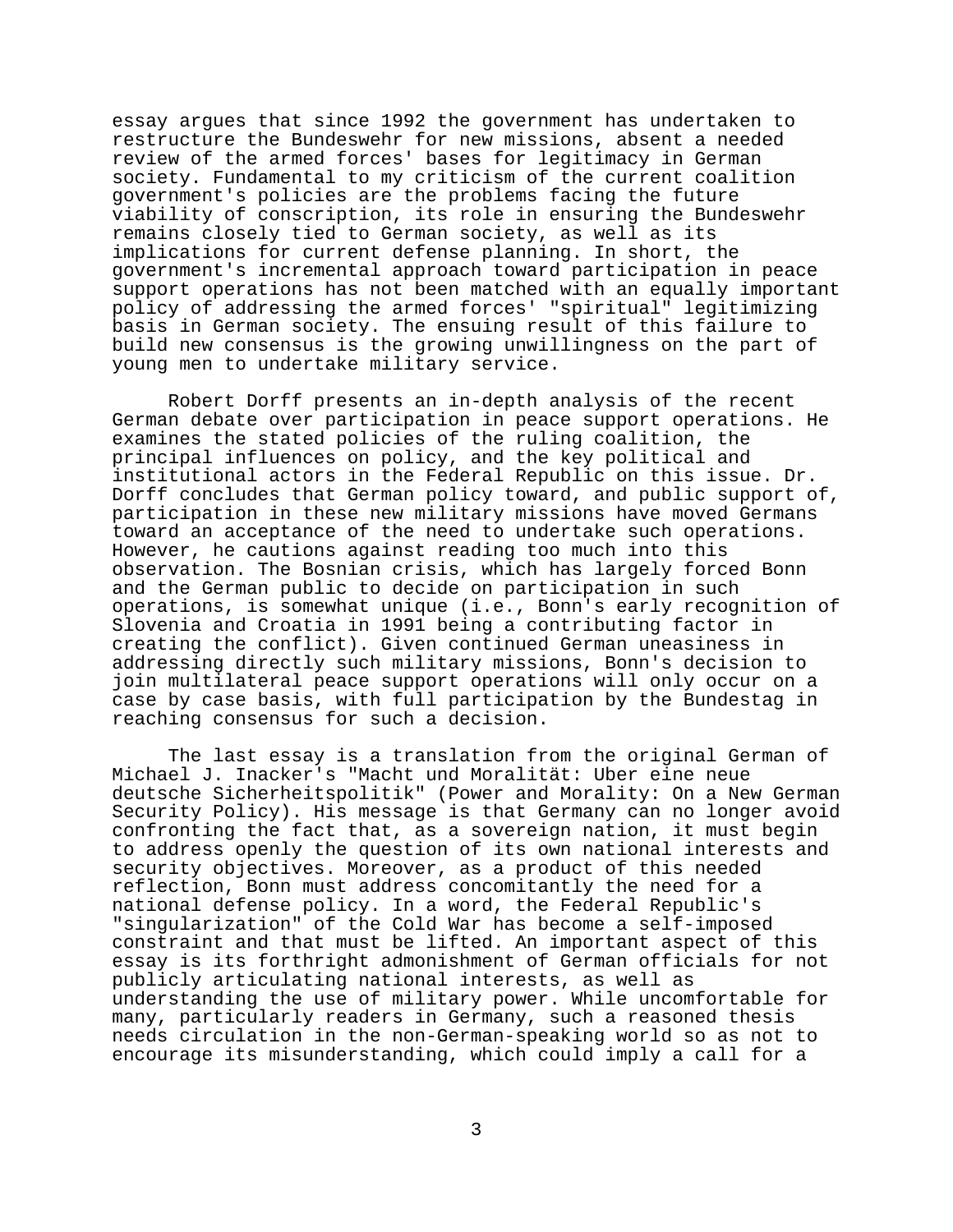essay argues that since 1992 the government has undertaken to restructure the Bundeswehr for new missions, absent a needed review of the armed forces' bases for legitimacy in German society. Fundamental to my criticism of the current coalition government's policies are the problems facing the future viability of conscription, its role in ensuring the Bundeswehr remains closely tied to German society, as well as its implications for current defense planning. In short, the government's incremental approach toward participation in peace support operations has not been matched with an equally important policy of addressing the armed forces' "spiritual" legitimizing basis in German society. The ensuing result of this failure to build new consensus is the growing unwillingness on the part of young men to undertake military service.

Robert Dorff presents an in-depth analysis of the recent German debate over participation in peace support operations. He examines the stated policies of the ruling coalition, the principal influences on policy, and the key political and institutional actors in the Federal Republic on this issue. Dr. Dorff concludes that German policy toward, and public support of, participation in these new military missions have moved Germans toward an acceptance of the need to undertake such operations. However, he cautions against reading too much into this observation. The Bosnian crisis, which has largely forced Bonn and the German public to decide on participation in such operations, is somewhat unique (i.e., Bonn's early recognition of Slovenia and Croatia in 1991 being a contributing factor in creating the conflict). Given continued German uneasiness in addressing directly such military missions, Bonn's decision to join multilateral peace support operations will only occur on a case by case basis, with full participation by the Bundestag in reaching consensus for such a decision.

The last essay is a translation from the original German of Michael J. Inacker's "Macht und Moralität: Uber eine neue deutsche Sicherheitspolitik" (Power and Morality: On a New German Security Policy). His message is that Germany can no longer avoid confronting the fact that, as a sovereign nation, it must begin to address openly the question of its own national interests and security objectives. Moreover, as a product of this needed reflection, Bonn must address concomitantly the need for a national defense policy. In a word, the Federal Republic's "singularization" of the Cold War has become a self-imposed constraint and that must be lifted. An important aspect of this essay is its forthright admonishment of German officials for not publicly articulating national interests, as well as understanding the use of military power. While uncomfortable for many, particularly readers in Germany, such a reasoned thesis needs circulation in the non-German-speaking world so as not to encourage its misunderstanding, which could imply a call for a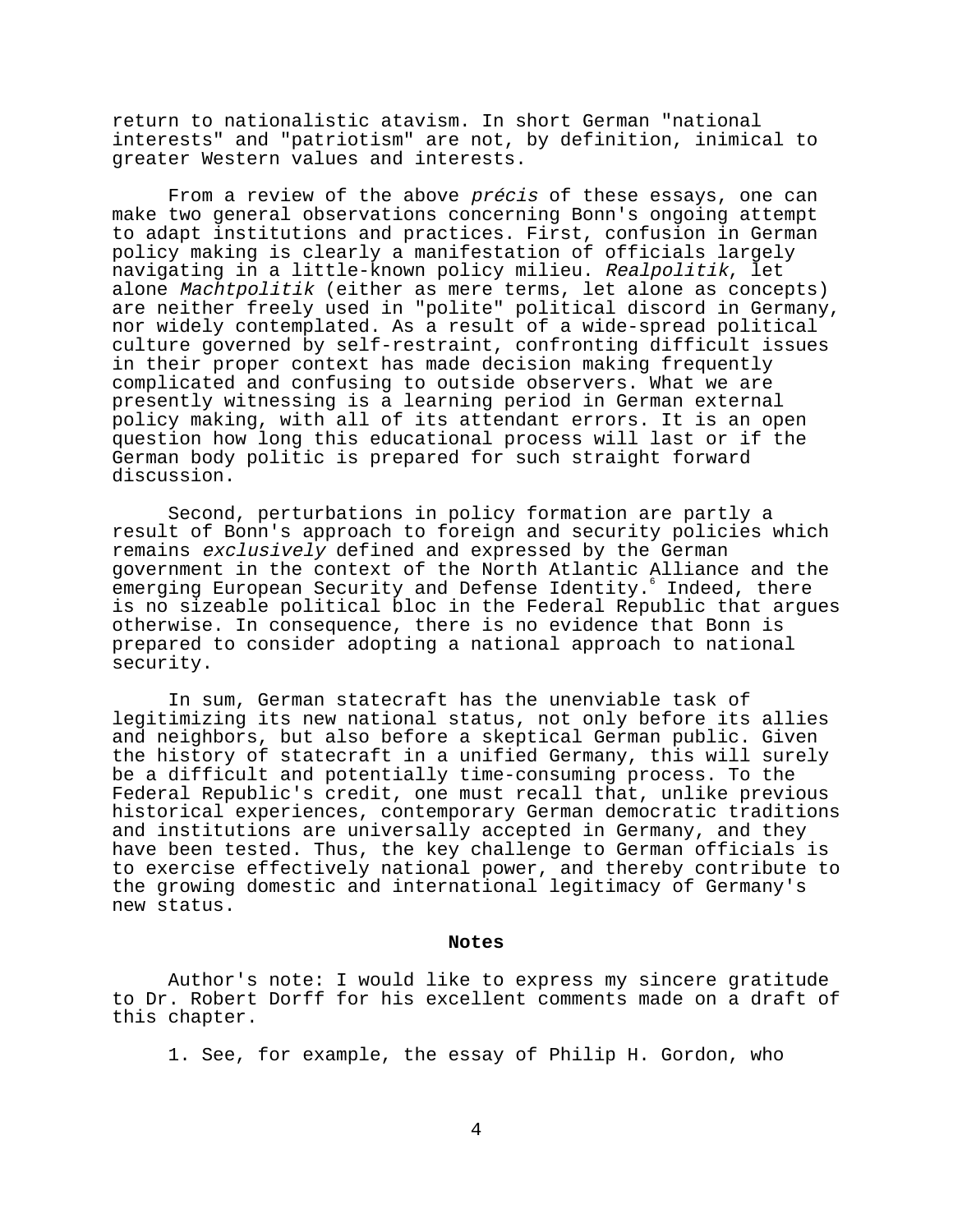return to nationalistic atavism. In short German "national interests" and "patriotism" are not, by definition, inimical to greater Western values and interests.

From a review of the above *précis* of these essays, one can make two general observations concerning Bonn's ongoing attempt to adapt institutions and practices. First, confusion in German policy making is clearly a manifestation of officials largely navigating in a little-known policy milieu. Realpolitik, let alone Machtpolitik (either as mere terms, let alone as concepts) are neither freely used in "polite" political discord in Germany, nor widely contemplated. As a result of a wide-spread political culture governed by self-restraint, confronting difficult issues in their proper context has made decision making frequently complicated and confusing to outside observers. What we are presently witnessing is a learning period in German external policy making, with all of its attendant errors. It is an open question how long this educational process will last or if the German body politic is prepared for such straight forward discussion.

Second, perturbations in policy formation are partly a result of Bonn's approach to foreign and security policies which remains exclusively defined and expressed by the German government in the context of the North Atlantic Alliance and the emerging European Security and Defense Identity. Indeed, there is no sizeable political bloc in the Federal Republic that argues otherwise. In consequence, there is no evidence that Bonn is prepared to consider adopting a national approach to national security.

In sum, German statecraft has the unenviable task of legitimizing its new national status, not only before its allies and neighbors, but also before a skeptical German public. Given the history of statecraft in a unified Germany, this will surely be a difficult and potentially time-consuming process. To the Federal Republic's credit, one must recall that, unlike previous historical experiences, contemporary German democratic traditions and institutions are universally accepted in Germany, and they have been tested. Thus, the key challenge to German officials is to exercise effectively national power, and thereby contribute to the growing domestic and international legitimacy of Germany's new status.

#### **Notes**

Author's note: I would like to express my sincere gratitude to Dr. Robert Dorff for his excellent comments made on a draft of this chapter.

1. See, for example, the essay of Philip H. Gordon, who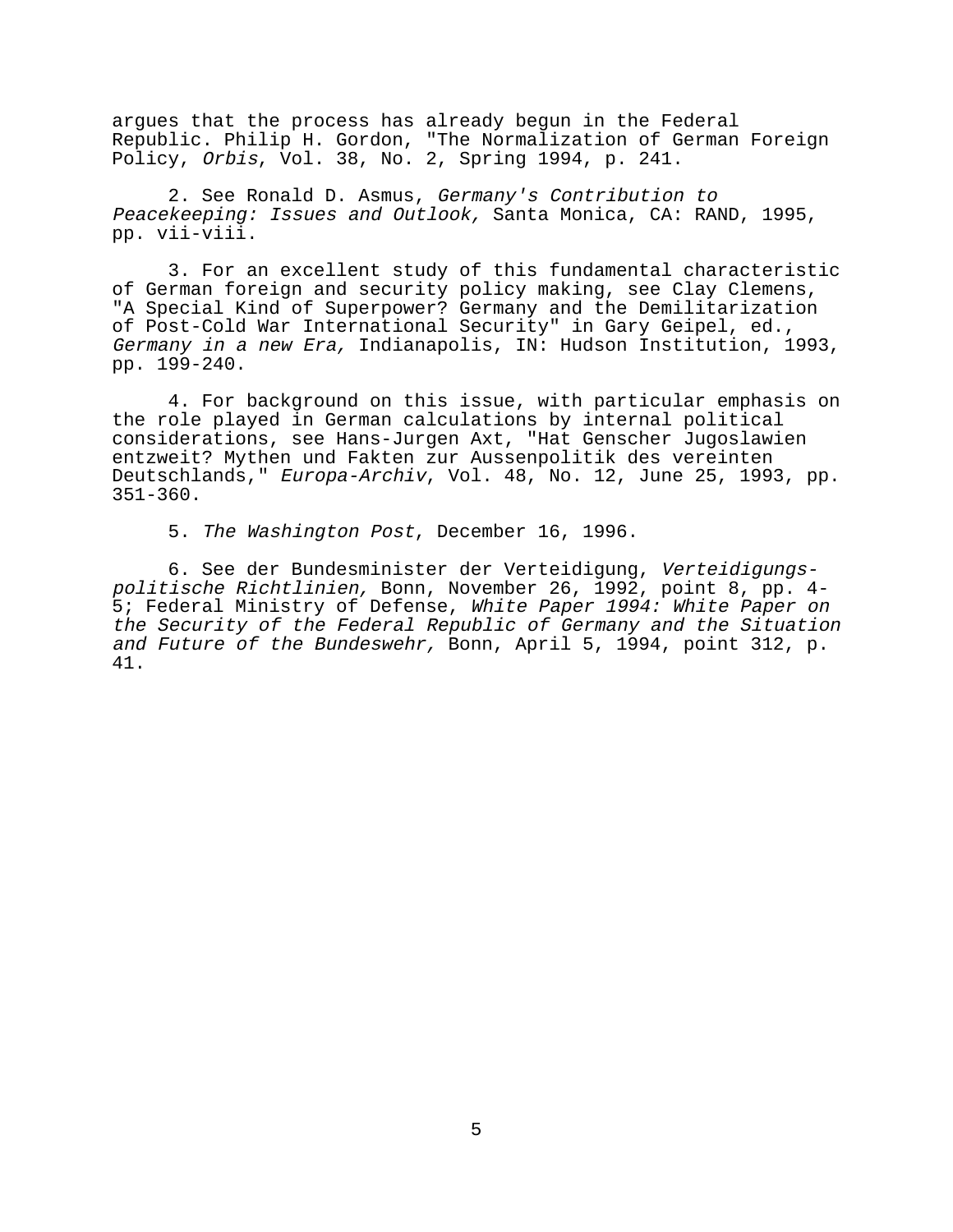argues that the process has already begun in the Federal Republic. Philip H. Gordon, "The Normalization of German Foreign Policy, Orbis, Vol. 38, No. 2, Spring 1994, p. 241.

2. See Ronald D. Asmus, Germany's Contribution to Peacekeeping: Issues and Outlook, Santa Monica, CA: RAND, 1995, pp. vii-viii.

3. For an excellent study of this fundamental characteristic of German foreign and security policy making, see Clay Clemens, "A Special Kind of Superpower? Germany and the Demilitarization of Post-Cold War International Security" in Gary Geipel, ed., Germany in a new Era, Indianapolis, IN: Hudson Institution, 1993, pp. 199-240.

4. For background on this issue, with particular emphasis on the role played in German calculations by internal political considerations, see Hans-Jurgen Axt, "Hat Genscher Jugoslawien entzweit? Mythen und Fakten zur Aussenpolitik des vereinten Deutschlands," Europa-Archiv, Vol. 48, No. 12, June 25, 1993, pp. 351-360.

5. The Washington Post, December 16, 1996.

6. See der Bundesminister der Verteidigung, Verteidigungspolitische Richtlinien, Bonn, November 26, 1992, point 8, pp. 4- 5; Federal Ministry of Defense, White Paper 1994: White Paper on the Security of the Federal Republic of Germany and the Situation and Future of the Bundeswehr, Bonn, April 5, 1994, point 312, p. 41.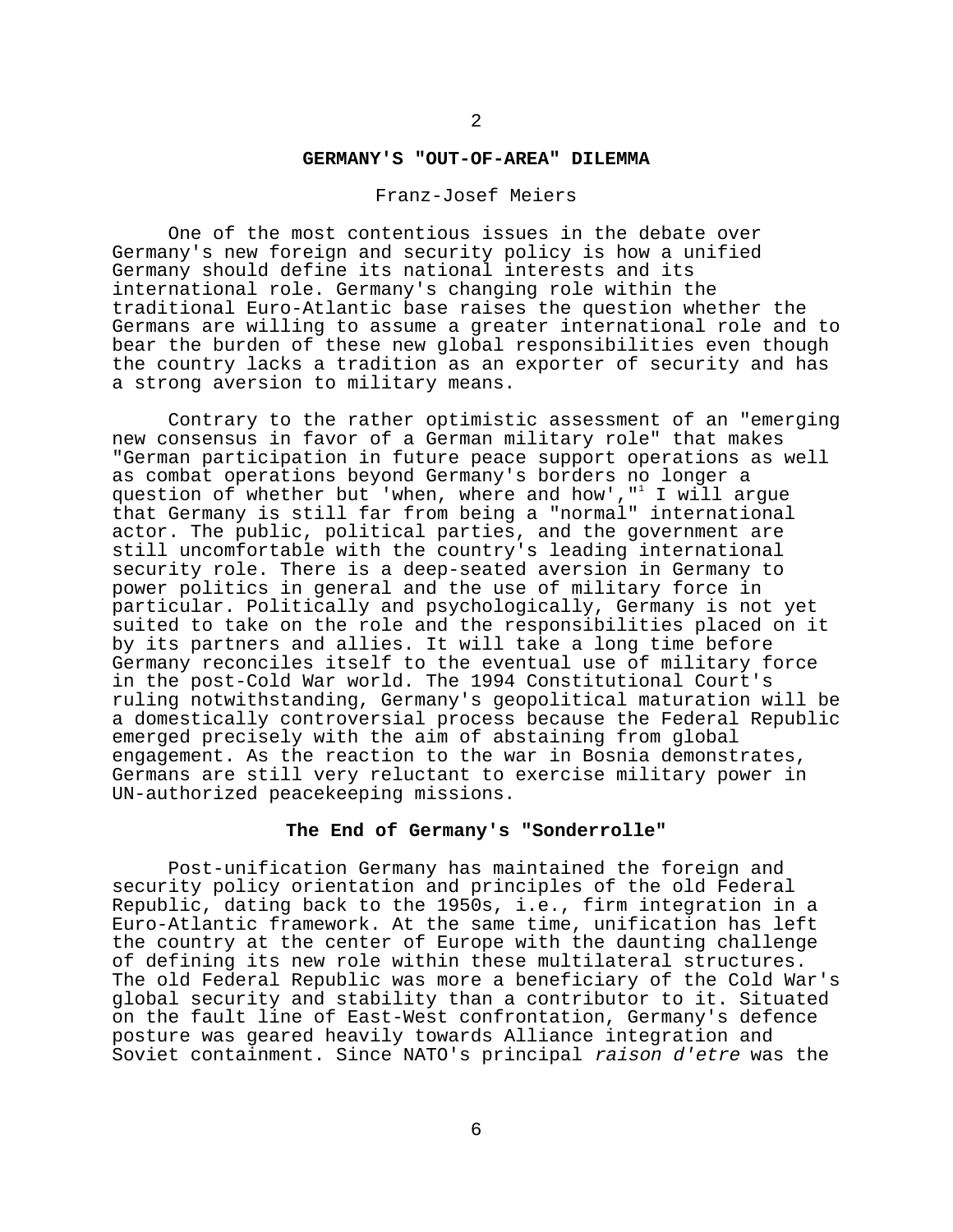# **GERMANY'S "OUT-OF-AREA" DILEMMA**

#### Franz-Josef Meiers

One of the most contentious issues in the debate over Germany's new foreign and security policy is how a unified Germany should define its national interests and its international role. Germany's changing role within the traditional Euro-Atlantic base raises the question whether the Germans are willing to assume a greater international role and to bear the burden of these new global responsibilities even though the country lacks a tradition as an exporter of security and has a strong aversion to military means.

Contrary to the rather optimistic assessment of an "emerging new consensus in favor of a German military role" that makes "German participation in future peace support operations as well as combat operations beyond Germany's borders no longer a question of whether but 'when, where and how',"<sup>1</sup> I will argue that Germany is still far from being a "normal" international actor. The public, political parties, and the government are still uncomfortable with the country's leading international security role. There is a deep-seated aversion in Germany to power politics in general and the use of military force in particular. Politically and psychologically, Germany is not yet suited to take on the role and the responsibilities placed on it by its partners and allies. It will take a long time before Germany reconciles itself to the eventual use of military force in the post-Cold War world. The 1994 Constitutional Court's ruling notwithstanding, Germany's geopolitical maturation will be a domestically controversial process because the Federal Republic emerged precisely with the aim of abstaining from global engagement. As the reaction to the war in Bosnia demonstrates, Germans are still very reluctant to exercise military power in UN-authorized peacekeeping missions.

## **The End of Germany's "Sonderrolle"**

Post-unification Germany has maintained the foreign and security policy orientation and principles of the old Federal Republic, dating back to the 1950s, i.e., firm integration in a Euro-Atlantic framework. At the same time, unification has left the country at the center of Europe with the daunting challenge of defining its new role within these multilateral structures. The old Federal Republic was more a beneficiary of the Cold War's global security and stability than a contributor to it. Situated on the fault line of East-West confrontation, Germany's defence posture was geared heavily towards Alliance integration and Soviet containment. Since NATO's principal raison d'etre was the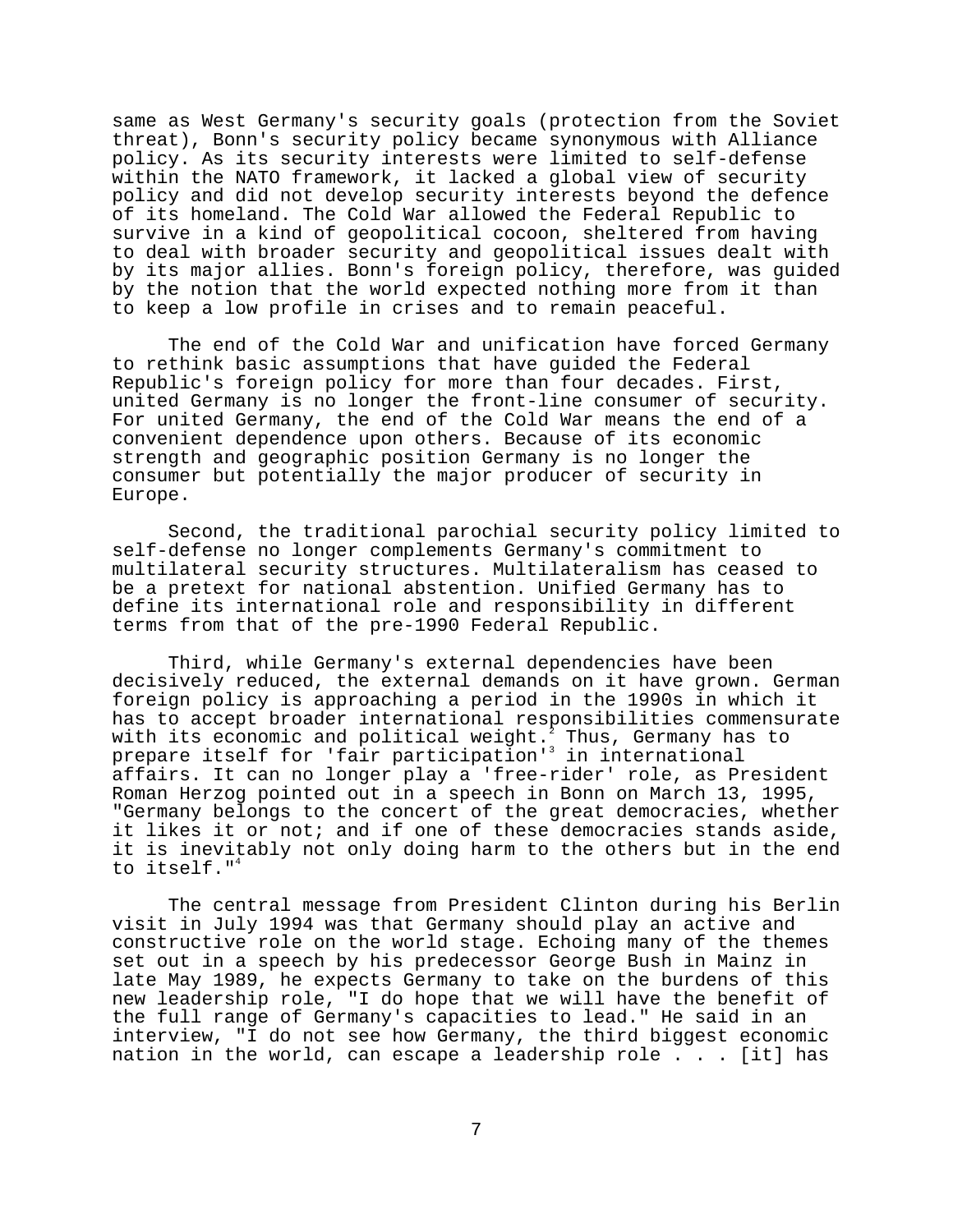same as West Germany's security goals (protection from the Soviet threat), Bonn's security policy became synonymous with Alliance policy. As its security interests were limited to self-defense within the NATO framework, it lacked a global view of security policy and did not develop security interests beyond the defence of its homeland. The Cold War allowed the Federal Republic to survive in a kind of geopolitical cocoon, sheltered from having to deal with broader security and geopolitical issues dealt with by its major allies. Bonn's foreign policy, therefore, was guided by the notion that the world expected nothing more from it than to keep a low profile in crises and to remain peaceful.

The end of the Cold War and unification have forced Germany to rethink basic assumptions that have guided the Federal Republic's foreign policy for more than four decades. First, united Germany is no longer the front-line consumer of security. For united Germany, the end of the Cold War means the end of a convenient dependence upon others. Because of its economic strength and geographic position Germany is no longer the consumer but potentially the major producer of security in Europe.

Second, the traditional parochial security policy limited to self-defense no longer complements Germany's commitment to multilateral security structures. Multilateralism has ceased to be a pretext for national abstention. Unified Germany has to define its international role and responsibility in different terms from that of the pre-1990 Federal Republic.

Third, while Germany's external dependencies have been decisively reduced, the external demands on it have grown. German foreign policy is approaching a period in the 1990s in which it has to accept broader international responsibilities commensurate with its economic and political weight. $^{\text{7}}$  Thus, Germany has to prepare itself for 'fair participation'<sup>3</sup> in international affairs. It can no longer play a 'free-rider' role, as President Roman Herzog pointed out in a speech in Bonn on March 13, 1995, "Germany belongs to the concert of the great democracies, whether it likes it or not; and if one of these democracies stands aside, it is inevitably not only doing harm to the others but in the end to itself."<sup>4</sup>

The central message from President Clinton during his Berlin visit in July 1994 was that Germany should play an active and constructive role on the world stage. Echoing many of the themes set out in a speech by his predecessor George Bush in Mainz in late May 1989, he expects Germany to take on the burdens of this new leadership role, "I do hope that we will have the benefit of the full range of Germany's capacities to lead." He said in an interview, "I do not see how Germany, the third biggest economic nation in the world, can escape a leadership role . . . [it] has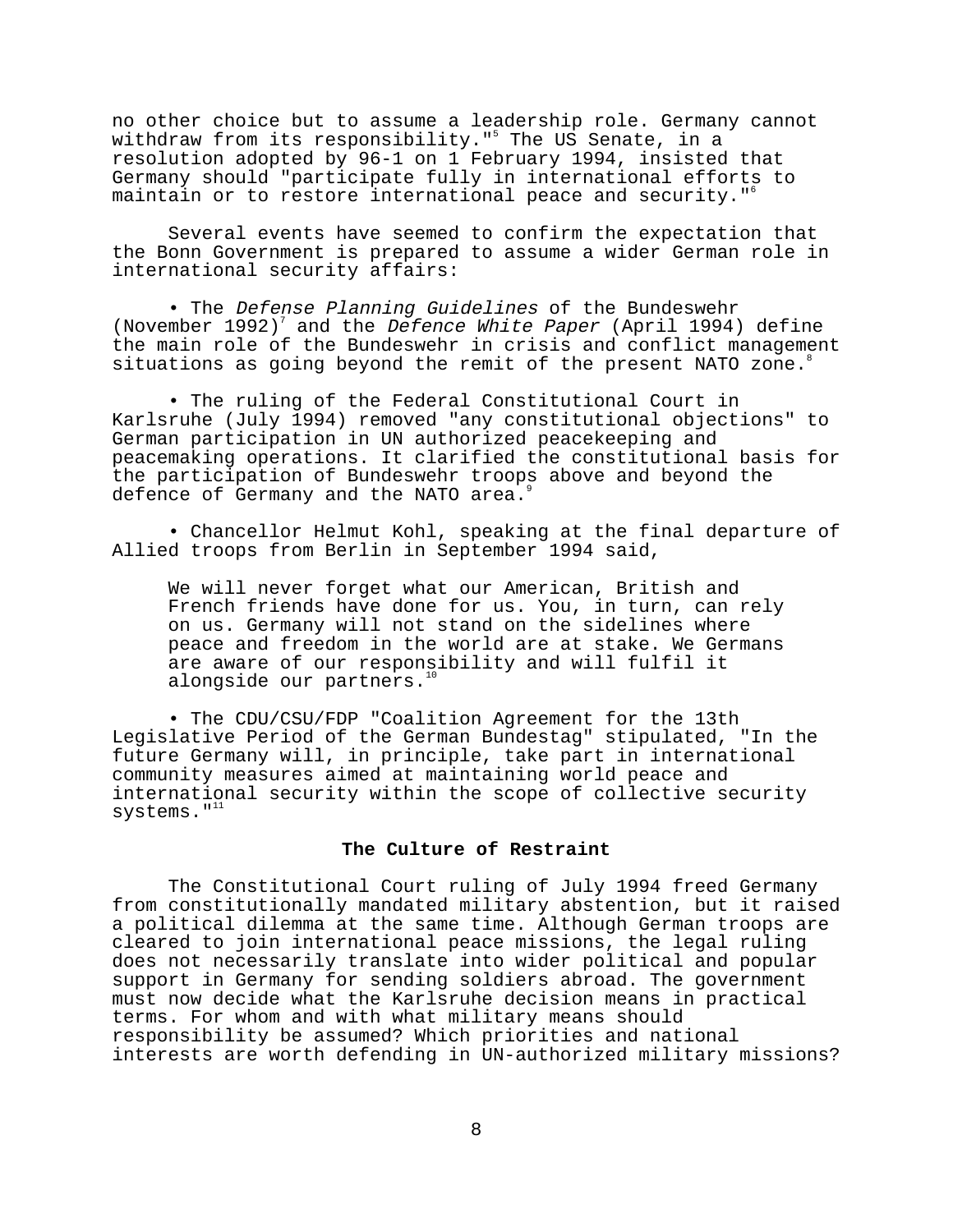no other choice but to assume a leadership role. Germany cannot withdraw from its responsibility."<sup>5</sup> The US Senate, in a resolution adopted by 96-1 on 1 February 1994, insisted that Germany should "participate fully in international efforts to maintain or to restore international peace and security."<sup>6</sup>

Several events have seemed to confirm the expectation that the Bonn Government is prepared to assume a wider German role in international security affairs:

• The Defense Planning Guidelines of the Bundeswehr (November 1992)<sup>7</sup> and the Defence White Paper (April 1994) define the main role of the Bundeswehr in crisis and conflict management situations as going beyond the remit of the present NATO zone.

• The ruling of the Federal Constitutional Court in Karlsruhe (July 1994) removed "any constitutional objections" to German participation in UN authorized peacekeeping and peacemaking operations. It clarified the constitutional basis for the participation of Bundeswehr troops above and beyond the defence of Germany and the NATO area.<sup>9</sup>

• Chancellor Helmut Kohl, speaking at the final departure of Allied troops from Berlin in September 1994 said,

We will never forget what our American, British and French friends have done for us. You, in turn, can rely on us. Germany will not stand on the sidelines where peace and freedom in the world are at stake. We Germans are aware of our responsibility and will fulfil it alongside our partners.<sup>1</sup>

• The CDU/CSU/FDP "Coalition Agreement for the 13th Legislative Period of the German Bundestag" stipulated, "In the future Germany will, in principle, take part in international community measures aimed at maintaining world peace and international security within the scope of collective security systems."<sup>11</sup>

## **The Culture of Restraint**

The Constitutional Court ruling of July 1994 freed Germany from constitutionally mandated military abstention, but it raised a political dilemma at the same time. Although German troops are cleared to join international peace missions, the legal ruling does not necessarily translate into wider political and popular support in Germany for sending soldiers abroad. The government must now decide what the Karlsruhe decision means in practical terms. For whom and with what military means should responsibility be assumed? Which priorities and national interests are worth defending in UN-authorized military missions?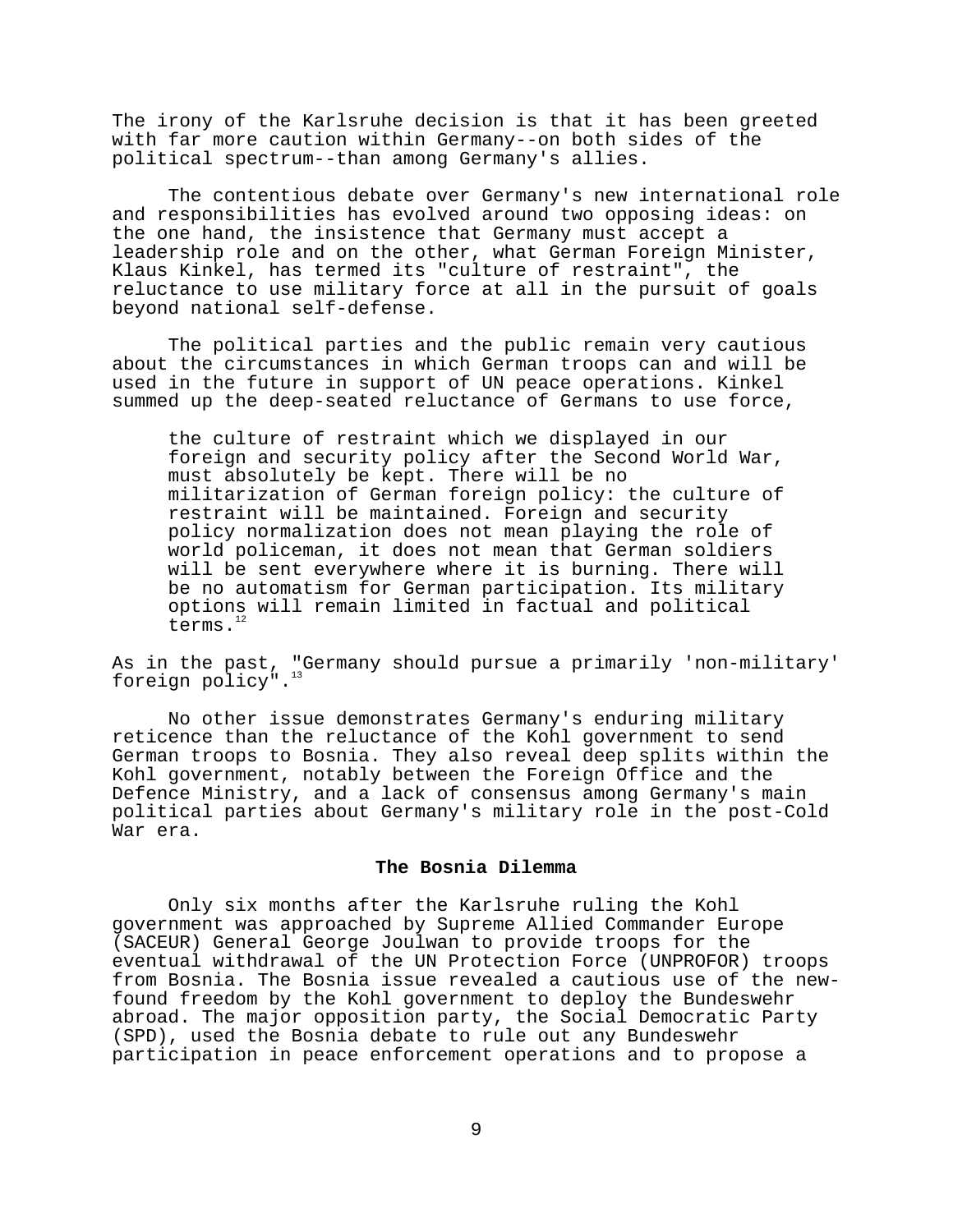The irony of the Karlsruhe decision is that it has been greeted with far more caution within Germany--on both sides of the political spectrum--than among Germany's allies.

The contentious debate over Germany's new international role and responsibilities has evolved around two opposing ideas: on the one hand, the insistence that Germany must accept a leadership role and on the other, what German Foreign Minister, Klaus Kinkel, has termed its "culture of restraint", the reluctance to use military force at all in the pursuit of goals beyond national self-defense.

The political parties and the public remain very cautious about the circumstances in which German troops can and will be used in the future in support of UN peace operations. Kinkel summed up the deep-seated reluctance of Germans to use force,

the culture of restraint which we displayed in our foreign and security policy after the Second World War, must absolutely be kept. There will be no militarization of German foreign policy: the culture of restraint will be maintained. Foreign and security policy normalization does not mean playing the role of world policeman, it does not mean that German soldiers will be sent everywhere where it is burning. There will be no automatism for German participation. Its military options will remain limited in factual and political terms.<sup>12</sup>

As in the past, "Germany should pursue a primarily 'non-military' foreign policy".<sup>13</sup>

No other issue demonstrates Germany's enduring military reticence than the reluctance of the Kohl government to send German troops to Bosnia. They also reveal deep splits within the Kohl government, notably between the Foreign Office and the Defence Ministry, and a lack of consensus among Germany's main political parties about Germany's military role in the post-Cold War era.

## **The Bosnia Dilemma**

Only six months after the Karlsruhe ruling the Kohl government was approached by Supreme Allied Commander Europe (SACEUR) General George Joulwan to provide troops for the eventual withdrawal of the UN Protection Force (UNPROFOR) troops from Bosnia. The Bosnia issue revealed a cautious use of the newfound freedom by the Kohl government to deploy the Bundeswehr abroad. The major opposition party, the Social Democratic Party (SPD), used the Bosnia debate to rule out any Bundeswehr participation in peace enforcement operations and to propose a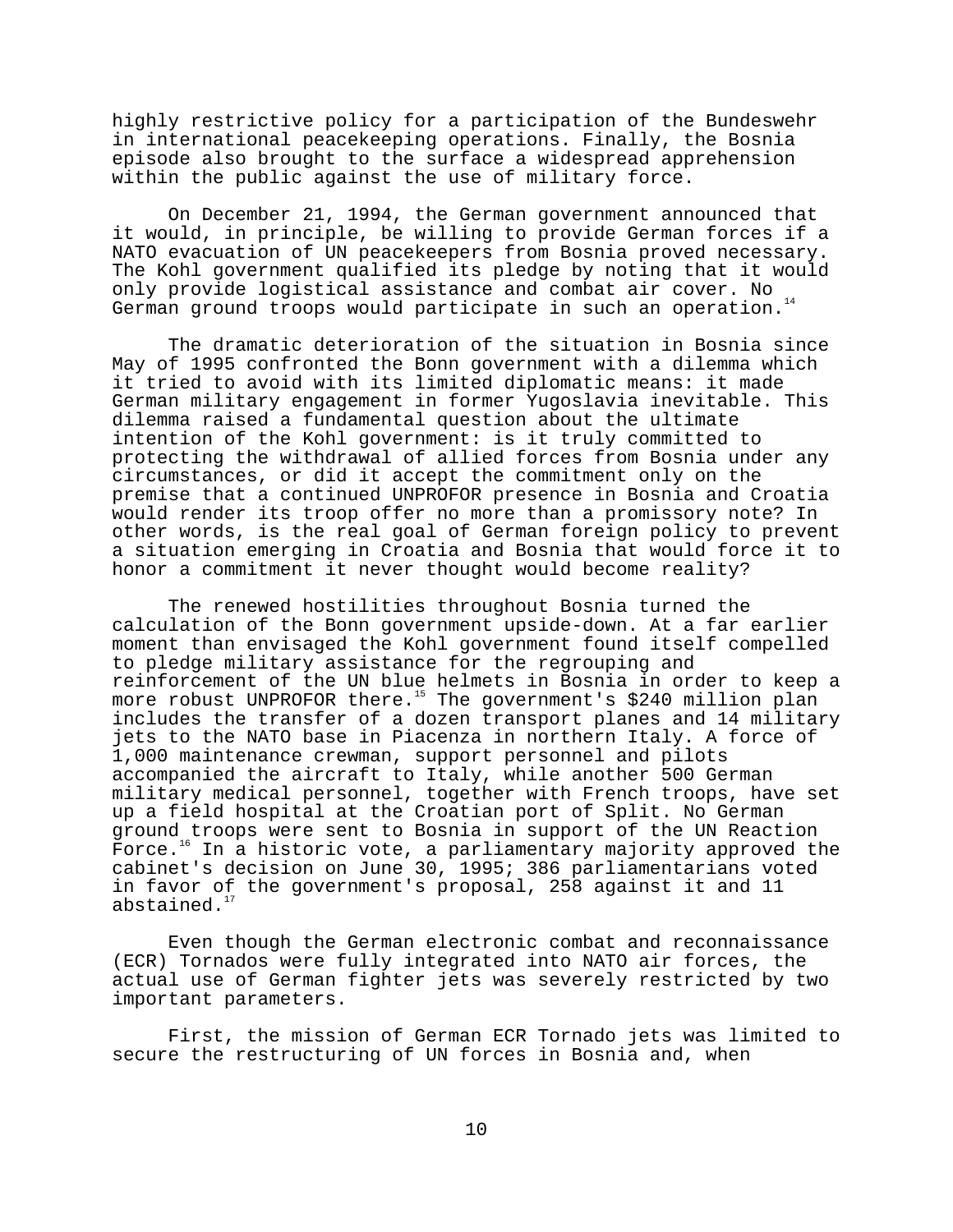highly restrictive policy for a participation of the Bundeswehr in international peacekeeping operations. Finally, the Bosnia episode also brought to the surface a widespread apprehension within the public against the use of military force.

On December 21, 1994, the German government announced that it would, in principle, be willing to provide German forces if a NATO evacuation of UN peacekeepers from Bosnia proved necessary. The Kohl government qualified its pledge by noting that it would only provide logistical assistance and combat air cover. No German ground troops would participate in such an operation.<sup>14</sup>

The dramatic deterioration of the situation in Bosnia since May of 1995 confronted the Bonn government with a dilemma which it tried to avoid with its limited diplomatic means: it made German military engagement in former Yugoslavia inevitable. This dilemma raised a fundamental question about the ultimate intention of the Kohl government: is it truly committed to protecting the withdrawal of allied forces from Bosnia under any circumstances, or did it accept the commitment only on the premise that a continued UNPROFOR presence in Bosnia and Croatia would render its troop offer no more than a promissory note? In other words, is the real goal of German foreign policy to prevent a situation emerging in Croatia and Bosnia that would force it to honor a commitment it never thought would become reality?

The renewed hostilities throughout Bosnia turned the calculation of the Bonn government upside-down. At a far earlier moment than envisaged the Kohl government found itself compelled to pledge military assistance for the regrouping and reinforcement of the UN blue helmets in Bosnia in order to keep a more robust UNPROFOR there.<sup>15</sup> The government's \$240 million plan includes the transfer of a dozen transport planes and 14 military jets to the NATO base in Piacenza in northern Italy. A force of 1,000 maintenance crewman, support personnel and pilots accompanied the aircraft to Italy, while another 500 German military medical personnel, together with French troops, have set up a field hospital at the Croatian port of Split. No German ground troops were sent to Bosnia in support of the UN Reaction Force.<sup>16</sup> In a historic vote, a parliamentary majority approved the cabinet's decision on June 30, 1995; 386 parliamentarians voted in favor of the government's proposal, 258 against it and 11 abstained.

Even though the German electronic combat and reconnaissance (ECR) Tornados were fully integrated into NATO air forces, the actual use of German fighter jets was severely restricted by two important parameters.

First, the mission of German ECR Tornado jets was limited to secure the restructuring of UN forces in Bosnia and, when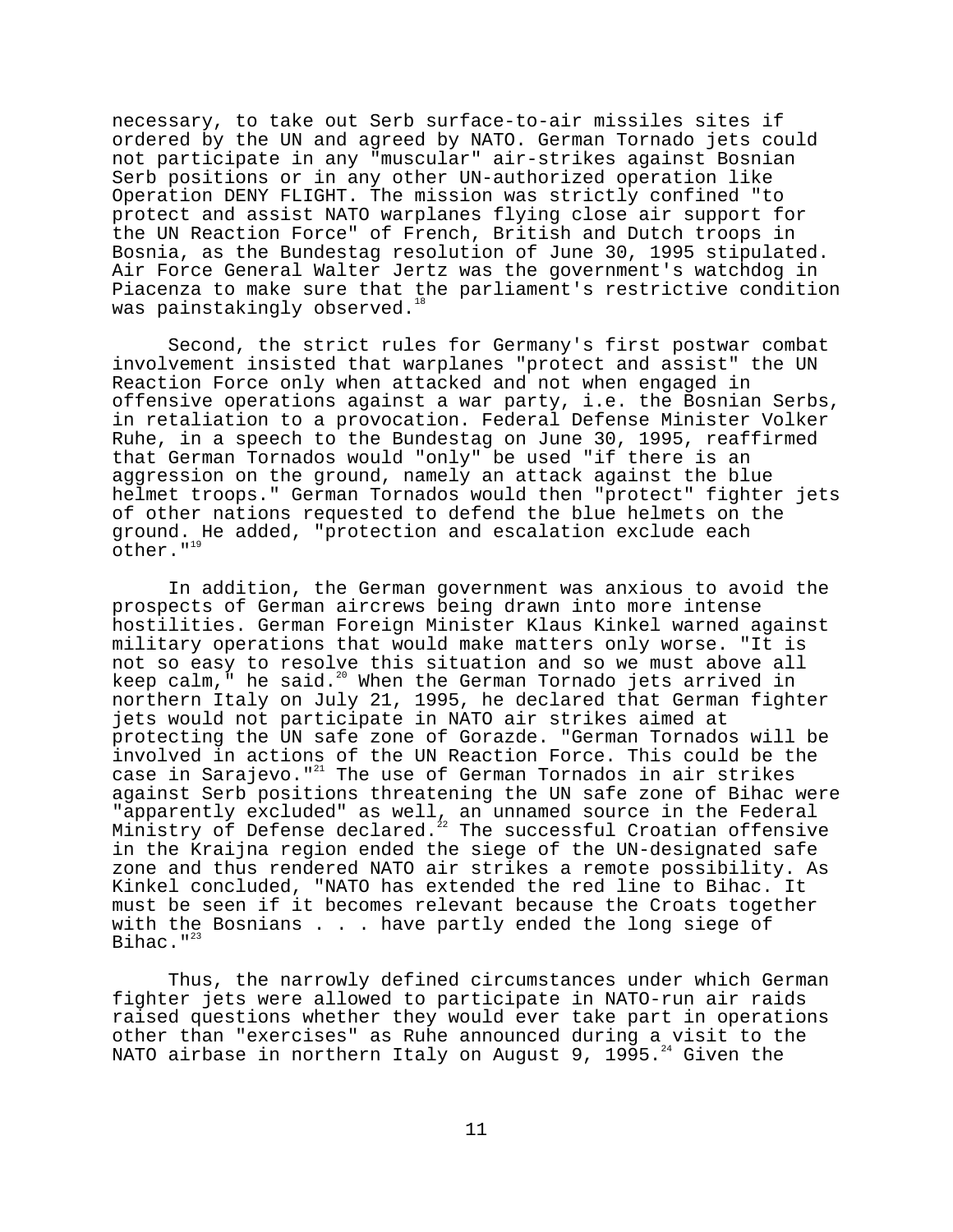necessary, to take out Serb surface-to-air missiles sites if ordered by the UN and agreed by NATO. German Tornado jets could not participate in any "muscular" air-strikes against Bosnian Serb positions or in any other UN-authorized operation like Operation DENY FLIGHT. The mission was strictly confined "to protect and assist NATO warplanes flying close air support for the UN Reaction Force" of French, British and Dutch troops in Bosnia, as the Bundestag resolution of June 30, 1995 stipulated. Air Force General Walter Jertz was the government's watchdog in Piacenza to make sure that the parliament's restrictive condition was painstakingly observed.

Second, the strict rules for Germany's first postwar combat involvement insisted that warplanes "protect and assist" the UN Reaction Force only when attacked and not when engaged in offensive operations against a war party, i.e. the Bosnian Serbs, in retaliation to a provocation. Federal Defense Minister Volker Ruhe, in a speech to the Bundestag on June 30, 1995, reaffirmed that German Tornados would "only" be used "if there is an aggression on the ground, namely an attack against the blue helmet troops." German Tornados would then "protect" fighter jets of other nations requested to defend the blue helmets on the ground. He added, "protection and escalation exclude each other." $19$ 

In addition, the German government was anxious to avoid the prospects of German aircrews being drawn into more intense hostilities. German Foreign Minister Klaus Kinkel warned against military operations that would make matters only worse. "It is not so easy to resolve this situation and so we must above all keep calm, $\overline{\phantom{a}}$  he said.<sup>20</sup> When the German Tornado jets arrived in northern Italy on July 21, 1995, he declared that German fighter jets would not participate in NATO air strikes aimed at protecting the UN safe zone of Gorazde. "German Tornados will be involved in actions of the UN Reaction Force. This could be the case in Sarajevo."<sup>21</sup> The use of German Tornados in air strikes against Serb positions threatening the UN safe zone of Bihac were "apparently excluded" as well, an unnamed source in the Federal Ministry of Defense declared. $^{22}$  The successful Croatian offensive in the Kraijna region ended the siege of the UN-designated safe zone and thus rendered NATO air strikes a remote possibility. As Kinkel concluded, "NATO has extended the red line to Bihac. It must be seen if it becomes relevant because the Croats together with the Bosnians . . . have partly ended the long siege of Bihac." $^{23}$ 

Thus, the narrowly defined circumstances under which German fighter jets were allowed to participate in NATO-run air raids raised questions whether they would ever take part in operations other than "exercises" as Ruhe announced during a visit to the NATO airbase in northern Italy on August 9, 1995.<sup>24</sup> Given the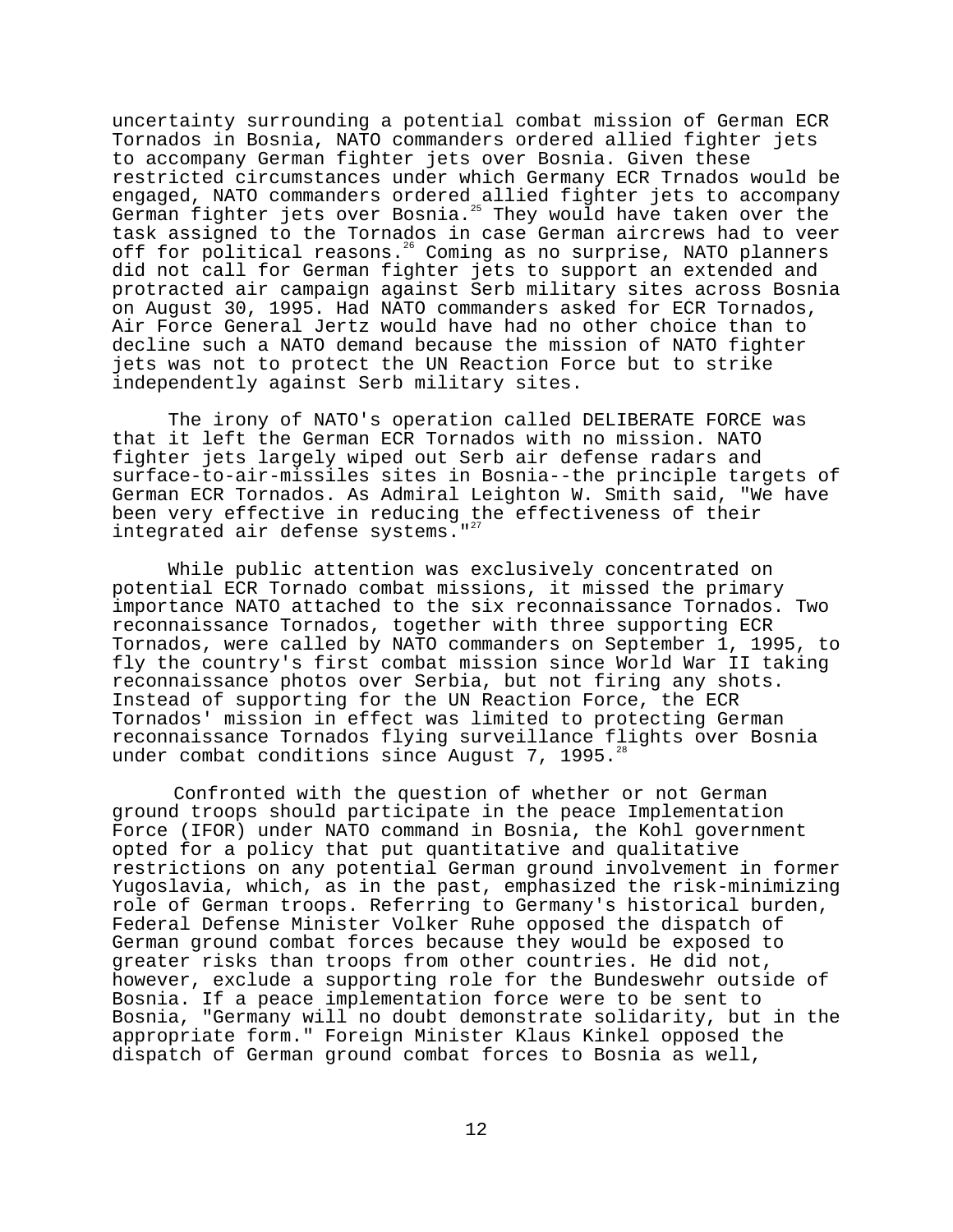uncertainty surrounding a potential combat mission of German ECR Tornados in Bosnia, NATO commanders ordered allied fighter jets to accompany German fighter jets over Bosnia. Given these restricted circumstances under which Germany ECR Trnados would be engaged, NATO commanders ordered allied fighter jets to accompany German fighter jets over Bosnia.<sup>25</sup> They would have taken over the task assigned to the Tornados in case German aircrews had to veer off for political reasons.<sup>26</sup> Coming as no surprise, NATO planners did not call for German fighter jets to support an extended and protracted air campaign against Serb military sites across Bosnia on August 30, 1995. Had NATO commanders asked for ECR Tornados, Air Force General Jertz would have had no other choice than to decline such a NATO demand because the mission of NATO fighter jets was not to protect the UN Reaction Force but to strike independently against Serb military sites.

The irony of NATO's operation called DELIBERATE FORCE was that it left the German ECR Tornados with no mission. NATO fighter jets largely wiped out Serb air defense radars and surface-to-air-missiles sites in Bosnia--the principle targets of German ECR Tornados. As Admiral Leighton W. Smith said, "We have been very effective in reducing the effectiveness of their integrated air defense systems."<sup>27</sup>

While public attention was exclusively concentrated on potential ECR Tornado combat missions, it missed the primary importance NATO attached to the six reconnaissance Tornados. Two reconnaissance Tornados, together with three supporting ECR Tornados, were called by NATO commanders on September 1, 1995, to fly the country's first combat mission since World War II taking reconnaissance photos over Serbia, but not firing any shots. Instead of supporting for the UN Reaction Force, the ECR Tornados' mission in effect was limited to protecting German reconnaissance Tornados flying surveillance flights over Bosnia under combat conditions since August 7, 1995.<sup>28</sup>

Confronted with the question of whether or not German ground troops should participate in the peace Implementation Force (IFOR) under NATO command in Bosnia, the Kohl government opted for a policy that put quantitative and qualitative restrictions on any potential German ground involvement in former Yugoslavia, which, as in the past, emphasized the risk-minimizing role of German troops. Referring to Germany's historical burden, Federal Defense Minister Volker Ruhe opposed the dispatch of German ground combat forces because they would be exposed to greater risks than troops from other countries. He did not, however, exclude a supporting role for the Bundeswehr outside of Bosnia. If a peace implementation force were to be sent to Bosnia, "Germany will no doubt demonstrate solidarity, but in the appropriate form." Foreign Minister Klaus Kinkel opposed the dispatch of German ground combat forces to Bosnia as well,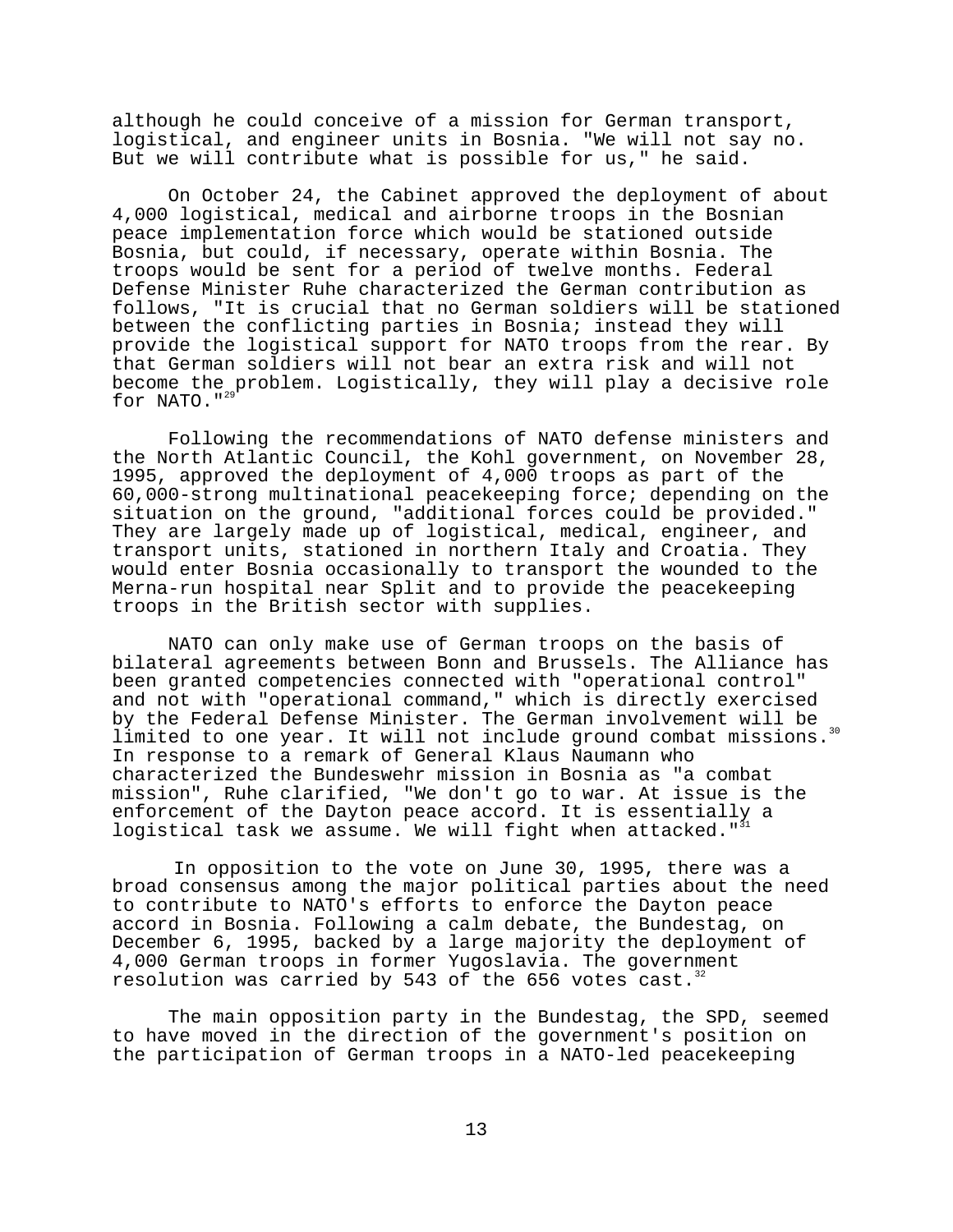although he could conceive of a mission for German transport, logistical, and engineer units in Bosnia. "We will not say no. But we will contribute what is possible for us," he said.

On October 24, the Cabinet approved the deployment of about 4,000 logistical, medical and airborne troops in the Bosnian peace implementation force which would be stationed outside Bosnia, but could, if necessary, operate within Bosnia. The troops would be sent for a period of twelve months. Federal Defense Minister Ruhe characterized the German contribution as follows, "It is crucial that no German soldiers will be stationed between the conflicting parties in Bosnia; instead they will provide the logistical support for NATO troops from the rear. By that German soldiers will not bear an extra risk and will not become the problem. Logistically, they will play a decisive role for NATO." $^{29}$ 

Following the recommendations of NATO defense ministers and the North Atlantic Council, the Kohl government, on November 28, 1995, approved the deployment of 4,000 troops as part of the 60,000-strong multinational peacekeeping force; depending on the situation on the ground, "additional forces could be provided." They are largely made up of logistical, medical, engineer, and transport units, stationed in northern Italy and Croatia. They would enter Bosnia occasionally to transport the wounded to the Merna-run hospital near Split and to provide the peacekeeping troops in the British sector with supplies.

NATO can only make use of German troops on the basis of bilateral agreements between Bonn and Brussels. The Alliance has been granted competencies connected with "operational control" and not with "operational command," which is directly exercised by the Federal Defense Minister. The German involvement will be limited to one year. It will not include ground combat missions.<sup>30</sup> In response to a remark of General Klaus Naumann who characterized the Bundeswehr mission in Bosnia as "a combat mission", Ruhe clarified, "We don't go to war. At issue is the enforcement of the Dayton peace accord. It is essentially a logistical task we assume. We will fight when attacked."

In opposition to the vote on June 30, 1995, there was a broad consensus among the major political parties about the need to contribute to NATO's efforts to enforce the Dayton peace accord in Bosnia. Following a calm debate, the Bundestag, on December 6, 1995, backed by a large majority the deployment of 4,000 German troops in former Yugoslavia. The government resolution was carried by 543 of the 656 votes cast.<sup>32</sup>

The main opposition party in the Bundestag, the SPD, seemed to have moved in the direction of the government's position on the participation of German troops in a NATO-led peacekeeping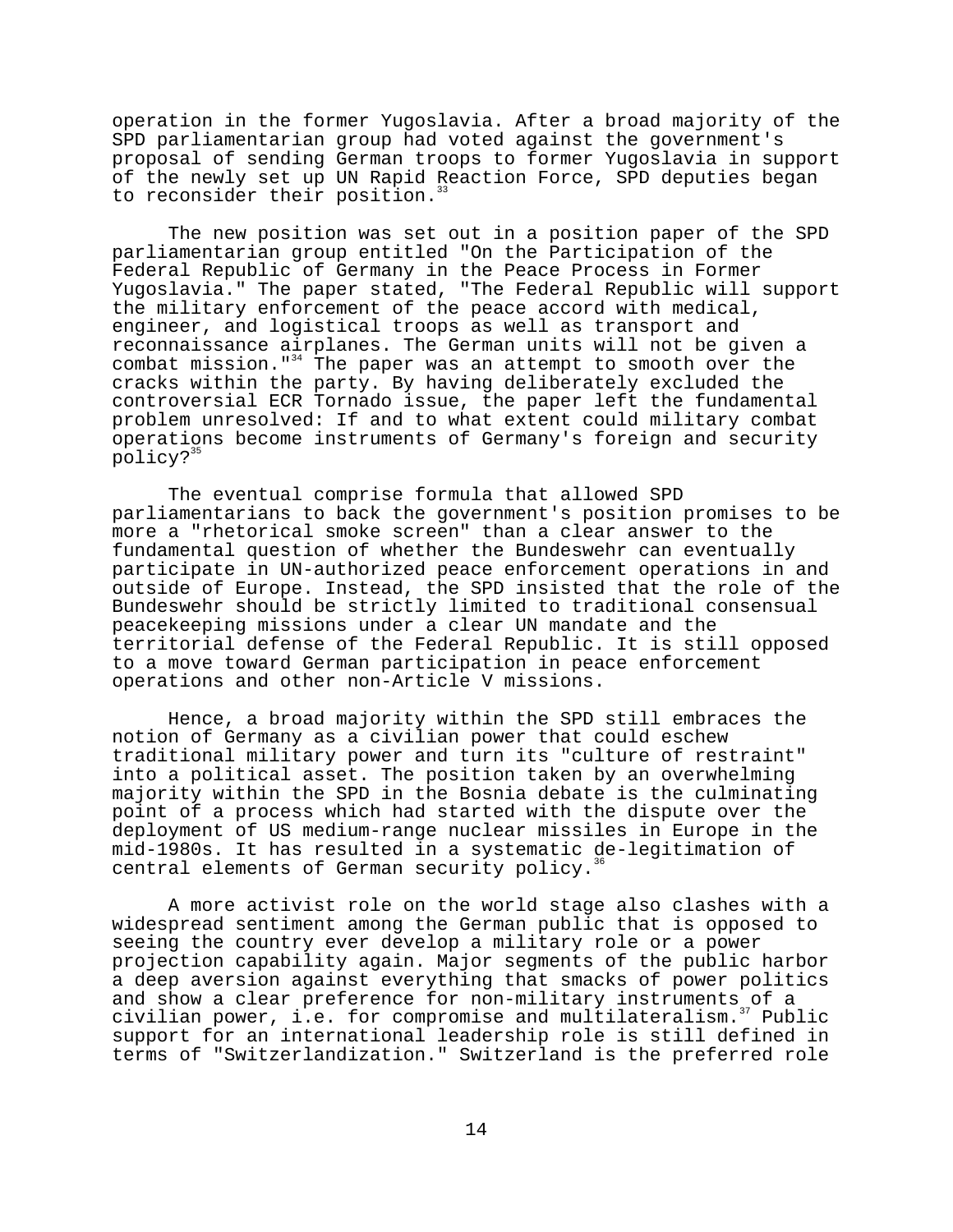operation in the former Yugoslavia. After a broad majority of the SPD parliamentarian group had voted against the government's proposal of sending German troops to former Yugoslavia in support of the newly set up UN Rapid Reaction Force, SPD deputies began to reconsider their position.<sup>3</sup>

The new position was set out in a position paper of the SPD parliamentarian group entitled "On the Participation of the Federal Republic of Germany in the Peace Process in Former Yugoslavia." The paper stated, "The Federal Republic will support the military enforcement of the peace accord with medical, engineer, and logistical troops as well as transport and reconnaissance airplanes. The German units will not be given a combat mission."<sup>34</sup> The paper was an attempt to smooth over the cracks within the party. By having deliberately excluded the controversial ECR Tornado issue, the paper left the fundamental problem unresolved: If and to what extent could military combat operations become instruments of Germany's foreign and security policy?<sup>35</sup>

The eventual comprise formula that allowed SPD parliamentarians to back the government's position promises to be more a "rhetorical smoke screen" than a clear answer to the fundamental question of whether the Bundeswehr can eventually participate in UN-authorized peace enforcement operations in and outside of Europe. Instead, the SPD insisted that the role of the Bundeswehr should be strictly limited to traditional consensual peacekeeping missions under a clear UN mandate and the territorial defense of the Federal Republic. It is still opposed to a move toward German participation in peace enforcement operations and other non-Article V missions.

Hence, a broad majority within the SPD still embraces the notion of Germany as a civilian power that could eschew traditional military power and turn its "culture of restraint" into a political asset. The position taken by an overwhelming majority within the SPD in the Bosnia debate is the culminating point of a process which had started with the dispute over the deployment of US medium-range nuclear missiles in Europe in the mid-1980s. It has resulted in a systematic de-legitimation of central elements of German security policy.<sup>3</sup>

A more activist role on the world stage also clashes with a widespread sentiment among the German public that is opposed to seeing the country ever develop a military role or a power projection capability again. Major segments of the public harbor a deep aversion against everything that smacks of power politics and show a clear preference for non-military instruments of a civilian power, i.e. for compromise and multilateralism. $37$  Public support for an international leadership role is still defined in terms of "Switzerlandization." Switzerland is the preferred role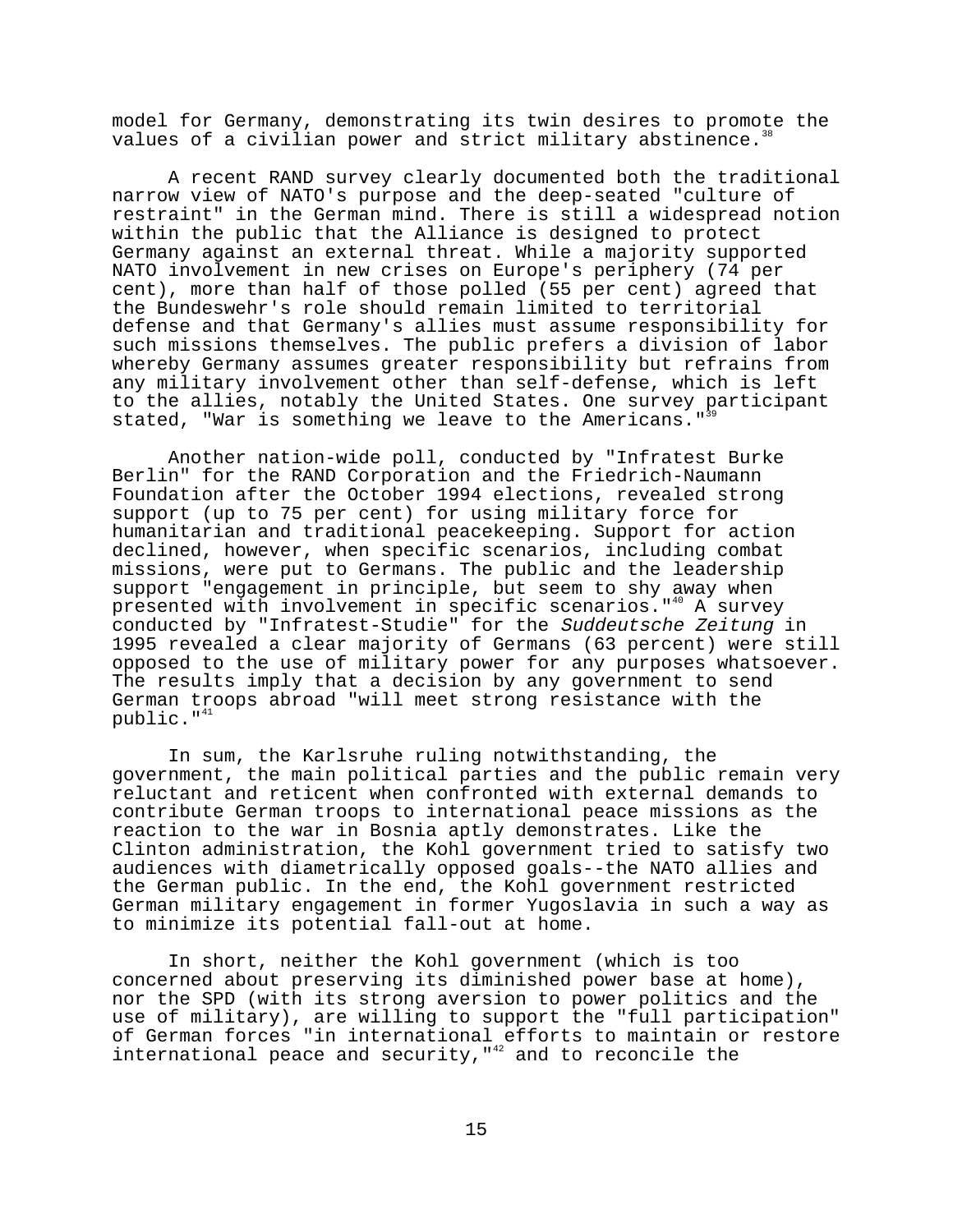model for Germany, demonstrating its twin desires to promote the values of a civilian power and strict military abstinence.<sup>36</sup>

A recent RAND survey clearly documented both the traditional narrow view of NATO's purpose and the deep-seated "culture of restraint" in the German mind. There is still a widespread notion within the public that the Alliance is designed to protect Germany against an external threat. While a majority supported NATO involvement in new crises on Europe's periphery (74 per cent), more than half of those polled (55 per cent) agreed that the Bundeswehr's role should remain limited to territorial defense and that Germany's allies must assume responsibility for such missions themselves. The public prefers a division of labor whereby Germany assumes greater responsibility but refrains from any military involvement other than self-defense, which is left to the allies, notably the United States. One survey participant stated, "War is something we leave to the Americans."<sup>39</sup>

Another nation-wide poll, conducted by "Infratest Burke Berlin" for the RAND Corporation and the Friedrich-Naumann Foundation after the October 1994 elections, revealed strong support (up to 75 per cent) for using military force for humanitarian and traditional peacekeeping. Support for action declined, however, when specific scenarios, including combat missions, were put to Germans. The public and the leadership support "engagement in principle, but seem to shy away when presented with involvement in specific scenarios."<sup>40</sup> A survey conducted by "Infratest-Studie" for the Suddeutsche Zeitung in 1995 revealed a clear majority of Germans (63 percent) were still opposed to the use of military power for any purposes whatsoever. The results imply that a decision by any government to send German troops abroad "will meet strong resistance with the public."<sup>41</sup>

In sum, the Karlsruhe ruling notwithstanding, the government, the main political parties and the public remain very reluctant and reticent when confronted with external demands to contribute German troops to international peace missions as the reaction to the war in Bosnia aptly demonstrates. Like the Clinton administration, the Kohl government tried to satisfy two audiences with diametrically opposed goals--the NATO allies and the German public. In the end, the Kohl government restricted German military engagement in former Yugoslavia in such a way as to minimize its potential fall-out at home.

In short, neither the Kohl government (which is too concerned about preserving its diminished power base at home), nor the SPD (with its strong aversion to power politics and the use of military), are willing to support the "full participation" of German forces "in international efforts to maintain or restore international peace and security,  $142$  and to reconcile the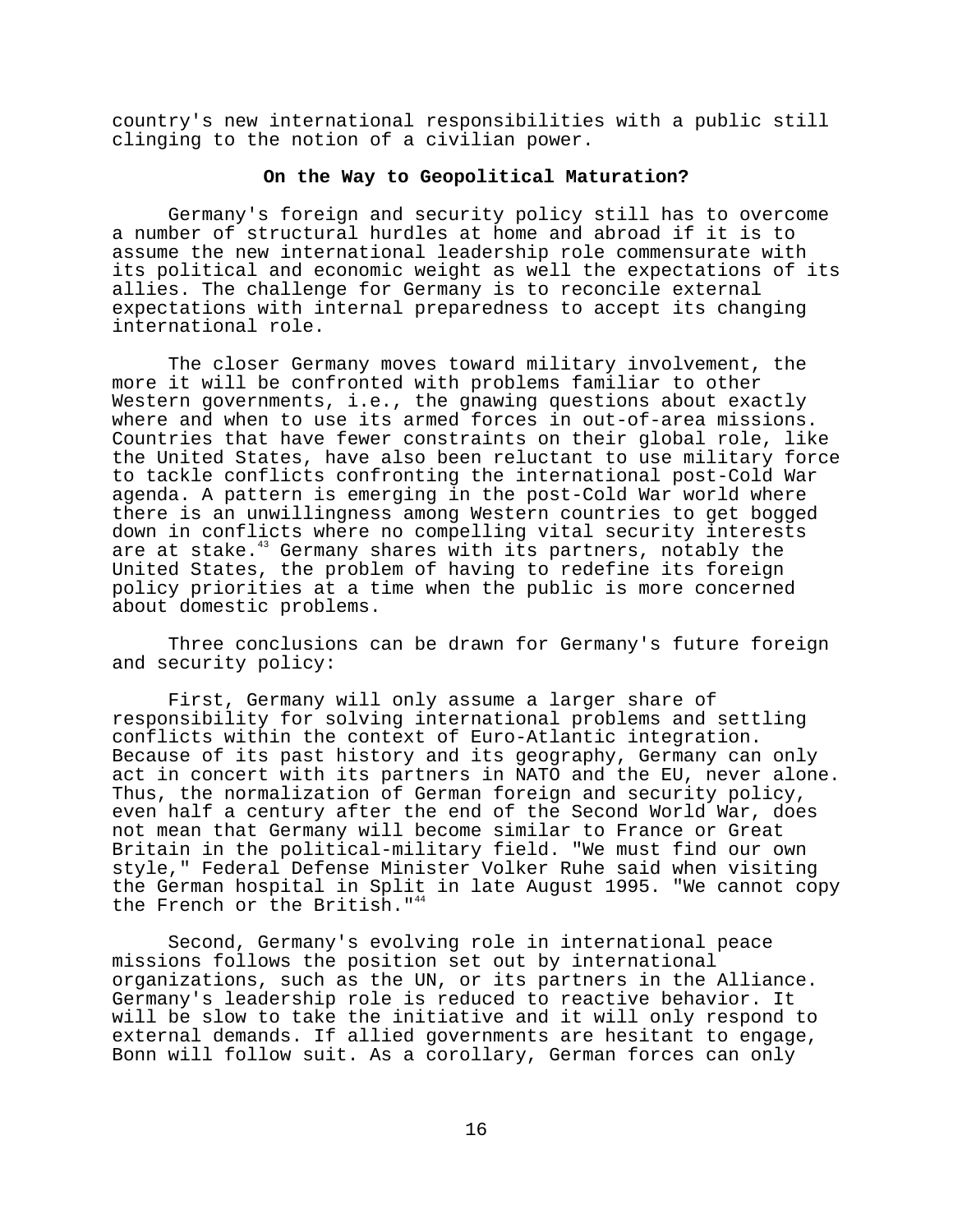country's new international responsibilities with a public still clinging to the notion of a civilian power.

#### **On the Way to Geopolitical Maturation?**

Germany's foreign and security policy still has to overcome a number of structural hurdles at home and abroad if it is to assume the new international leadership role commensurate with its political and economic weight as well the expectations of its allies. The challenge for Germany is to reconcile external expectations with internal preparedness to accept its changing international role.

The closer Germany moves toward military involvement, the more it will be confronted with problems familiar to other Western governments, i.e., the gnawing questions about exactly where and when to use its armed forces in out-of-area missions. Countries that have fewer constraints on their global role, like the United States, have also been reluctant to use military force to tackle conflicts confronting the international post-Cold War agenda. A pattern is emerging in the post-Cold War world where there is an unwillingness among Western countries to get bogged down in conflicts where no compelling vital security interests are at stake.<sup>43</sup> Germany shares with its partners, notably the United States, the problem of having to redefine its foreign policy priorities at a time when the public is more concerned about domestic problems.

Three conclusions can be drawn for Germany's future foreign and security policy:

First, Germany will only assume a larger share of responsibility for solving international problems and settling conflicts within the context of Euro-Atlantic integration. Because of its past history and its geography, Germany can only act in concert with its partners in NATO and the EU, never alone. Thus, the normalization of German foreign and security policy, even half a century after the end of the Second World War, does not mean that Germany will become similar to France or Great Britain in the political-military field. "We must find our own style," Federal Defense Minister Volker Ruhe said when visiting the German hospital in Split in late August 1995. "We cannot copy the French or the British."<sup>44</sup>

Second, Germany's evolving role in international peace missions follows the position set out by international organizations, such as the UN, or its partners in the Alliance. Germany's leadership role is reduced to reactive behavior. It will be slow to take the initiative and it will only respond to external demands. If allied governments are hesitant to engage, Bonn will follow suit. As a corollary, German forces can only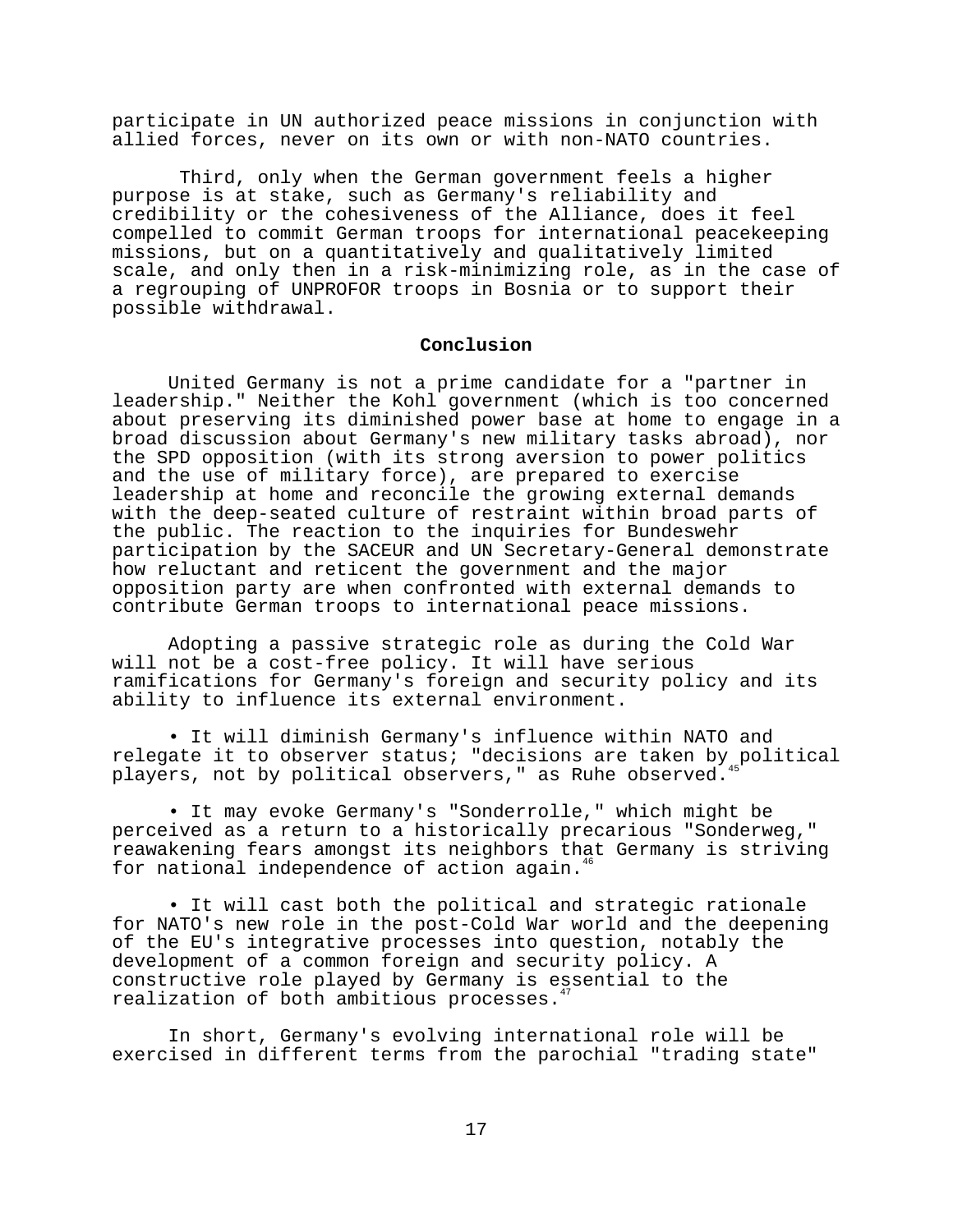participate in UN authorized peace missions in conjunction with allied forces, never on its own or with non-NATO countries.

 Third, only when the German government feels a higher purpose is at stake, such as Germany's reliability and credibility or the cohesiveness of the Alliance, does it feel compelled to commit German troops for international peacekeeping missions, but on a quantitatively and qualitatively limited scale, and only then in a risk-minimizing role, as in the case of a regrouping of UNPROFOR troops in Bosnia or to support their possible withdrawal.

#### **Conclusion**

United Germany is not a prime candidate for a "partner in leadership." Neither the Kohl government (which is too concerned about preserving its diminished power base at home to engage in a broad discussion about Germany's new military tasks abroad), nor the SPD opposition (with its strong aversion to power politics and the use of military force), are prepared to exercise leadership at home and reconcile the growing external demands with the deep-seated culture of restraint within broad parts of the public. The reaction to the inquiries for Bundeswehr participation by the SACEUR and UN Secretary-General demonstrate how reluctant and reticent the government and the major opposition party are when confronted with external demands to contribute German troops to international peace missions.

Adopting a passive strategic role as during the Cold War will not be a cost-free policy. It will have serious ramifications for Germany's foreign and security policy and its ability to influence its external environment.

• It will diminish Germany's influence within NATO and relegate it to observer status; "decisions are taken by political players, not by political observers," as Ruhe observed.<sup>4</sup>

• It may evoke Germany's "Sonderrolle," which might be perceived as a return to a historically precarious "Sonderweg," reawakening fears amongst its neighbors that Germany is striving for national independence of action again.<sup>4</sup>

• It will cast both the political and strategic rationale for NATO's new role in the post-Cold War world and the deepening of the EU's integrative processes into question, notably the development of a common foreign and security policy. A constructive role played by Germany is essential to the realization of both ambitious processes.<sup>4</sup>

In short, Germany's evolving international role will be exercised in different terms from the parochial "trading state"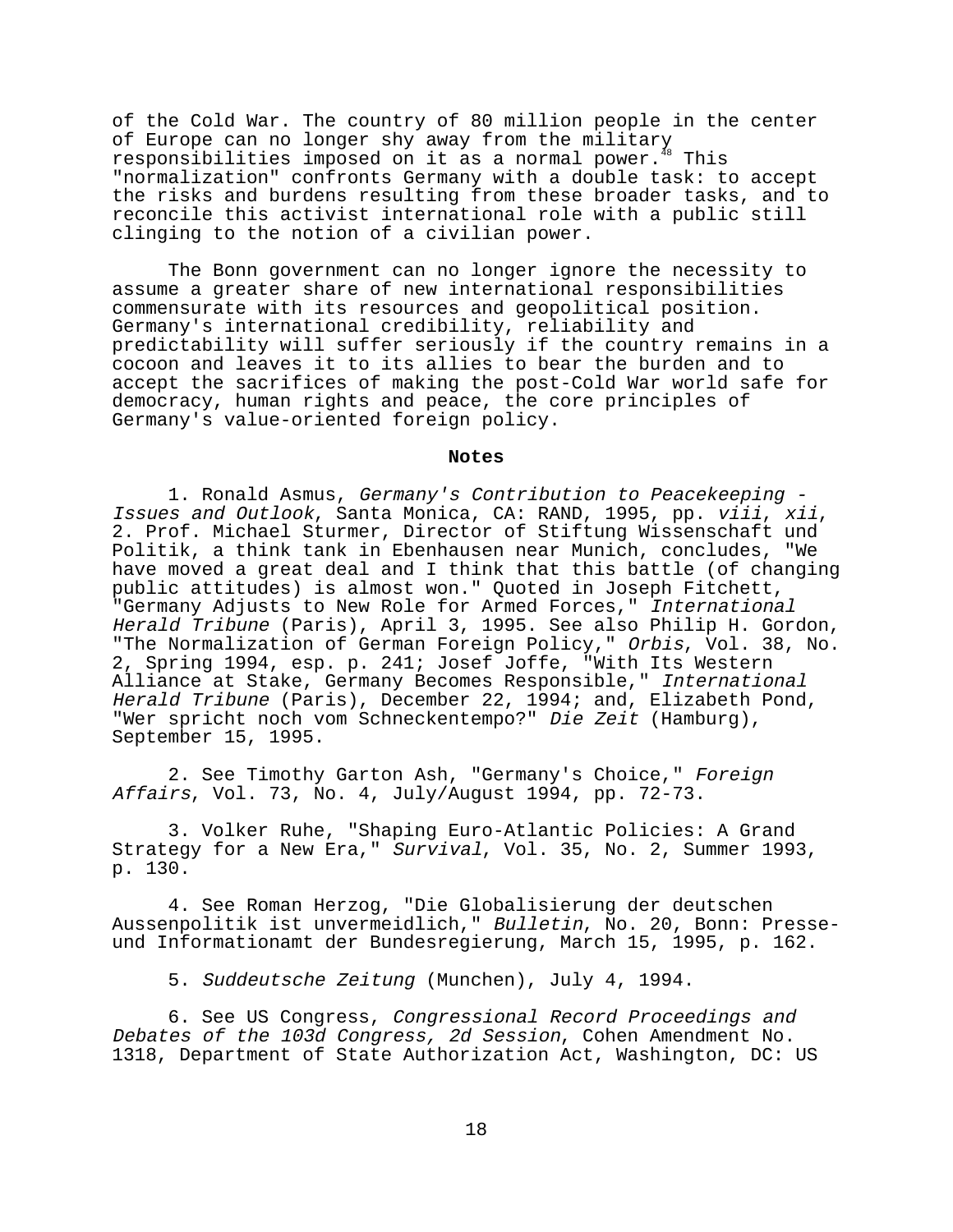of the Cold War. The country of 80 million people in the center of Europe can no longer shy away from the military responsibilities imposed on it as a normal power.<sup>48</sup> This "normalization" confronts Germany with a double task: to accept the risks and burdens resulting from these broader tasks, and to reconcile this activist international role with a public still clinging to the notion of a civilian power.

The Bonn government can no longer ignore the necessity to assume a greater share of new international responsibilities commensurate with its resources and geopolitical position. Germany's international credibility, reliability and predictability will suffer seriously if the country remains in a cocoon and leaves it to its allies to bear the burden and to accept the sacrifices of making the post-Cold War world safe for democracy, human rights and peace, the core principles of Germany's value-oriented foreign policy.

#### **Notes**

1. Ronald Asmus, Germany's Contribution to Peacekeeping - Issues and Outlook, Santa Monica, CA: RAND, 1995, pp. viii, xii, 2. Prof. Michael Sturmer, Director of Stiftung Wissenschaft und Politik, a think tank in Ebenhausen near Munich, concludes, "We have moved a great deal and I think that this battle (of changing public attitudes) is almost won." Quoted in Joseph Fitchett, "Germany Adjusts to New Role for Armed Forces," International Herald Tribune (Paris), April 3, 1995. See also Philip H. Gordon, "The Normalization of German Foreign Policy," Orbis, Vol. 38, No. 2, Spring 1994, esp. p. 241; Josef Joffe, "With Its Western Alliance at Stake, Germany Becomes Responsible," International Herald Tribune (Paris), December 22, 1994; and, Elizabeth Pond, "Wer spricht noch vom Schneckentempo?" Die Zeit (Hamburg), September 15, 1995.

2. See Timothy Garton Ash, "Germany's Choice," Foreign Affairs, Vol. 73, No. 4, July/August 1994, pp. 72-73.

3. Volker Ruhe, "Shaping Euro-Atlantic Policies: A Grand Strategy for a New Era," Survival, Vol. 35, No. 2, Summer 1993, p. 130.

4. See Roman Herzog, "Die Globalisierung der deutschen Aussenpolitik ist unvermeidlich," Bulletin, No. 20, Bonn: Presseund Informationamt der Bundesregierung, March 15, 1995, p. 162.

5. Suddeutsche Zeitung (Munchen), July 4, 1994.

6. See US Congress, Congressional Record Proceedings and Debates of the 103d Congress, 2d Session, Cohen Amendment No. 1318, Department of State Authorization Act, Washington, DC: US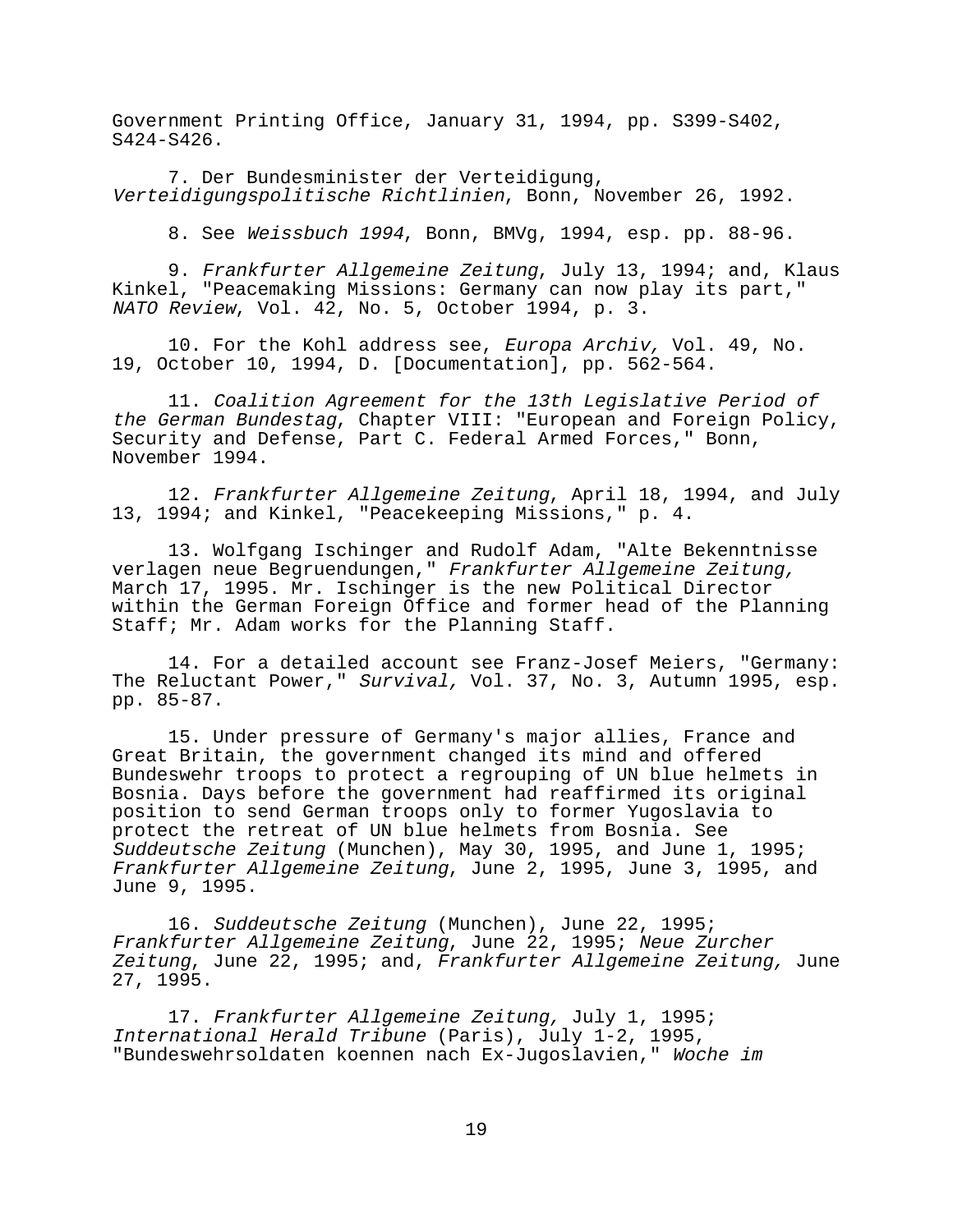Government Printing Office, January 31, 1994, pp. S399-S402, S424-S426.

7. Der Bundesminister der Verteidigung, Verteidigungspolitische Richtlinien, Bonn, November 26, 1992.

8. See Weissbuch 1994, Bonn, BMVg, 1994, esp. pp. 88-96.

9. Frankfurter Allgemeine Zeitung, July 13, 1994; and, Klaus Kinkel, "Peacemaking Missions: Germany can now play its part," NATO Review, Vol. 42, No. 5, October 1994, p. 3.

10. For the Kohl address see, Europa Archiv, Vol. 49, No. 19, October 10, 1994, D. [Documentation], pp. 562-564.

11. Coalition Agreement for the 13th Legislative Period of the German Bundestag, Chapter VIII: "European and Foreign Policy, Security and Defense, Part C. Federal Armed Forces," Bonn, November 1994.

12. Frankfurter Allgemeine Zeitung, April 18, 1994, and July 13, 1994; and Kinkel, "Peacekeeping Missions," p. 4.

13. Wolfgang Ischinger and Rudolf Adam, "Alte Bekenntnisse verlagen neue Begruendungen," Frankfurter Allgemeine Zeitung, March 17, 1995. Mr. Ischinger is the new Political Director within the German Foreign Office and former head of the Planning Staff; Mr. Adam works for the Planning Staff.

14. For a detailed account see Franz-Josef Meiers, "Germany: The Reluctant Power," Survival, Vol. 37, No. 3, Autumn 1995, esp. pp. 85-87.

15. Under pressure of Germany's major allies, France and Great Britain, the government changed its mind and offered Bundeswehr troops to protect a regrouping of UN blue helmets in Bosnia. Days before the government had reaffirmed its original position to send German troops only to former Yugoslavia to protect the retreat of UN blue helmets from Bosnia. See Suddeutsche Zeitung (Munchen), May 30, 1995, and June 1, 1995; Frankfurter Allgemeine Zeitung, June 2, 1995, June 3, 1995, and June 9, 1995.

16. Suddeutsche Zeitung (Munchen), June 22, 1995; Frankfurter Allgemeine Zeitung, June 22, 1995; Neue Zurcher Zeitung, June 22, 1995; and, Frankfurter Allgemeine Zeitung, June 27, 1995.

17. Frankfurter Allgemeine Zeitung, July 1, 1995; International Herald Tribune (Paris), July 1-2, 1995, "Bundeswehrsoldaten koennen nach Ex-Jugoslavien," Woche im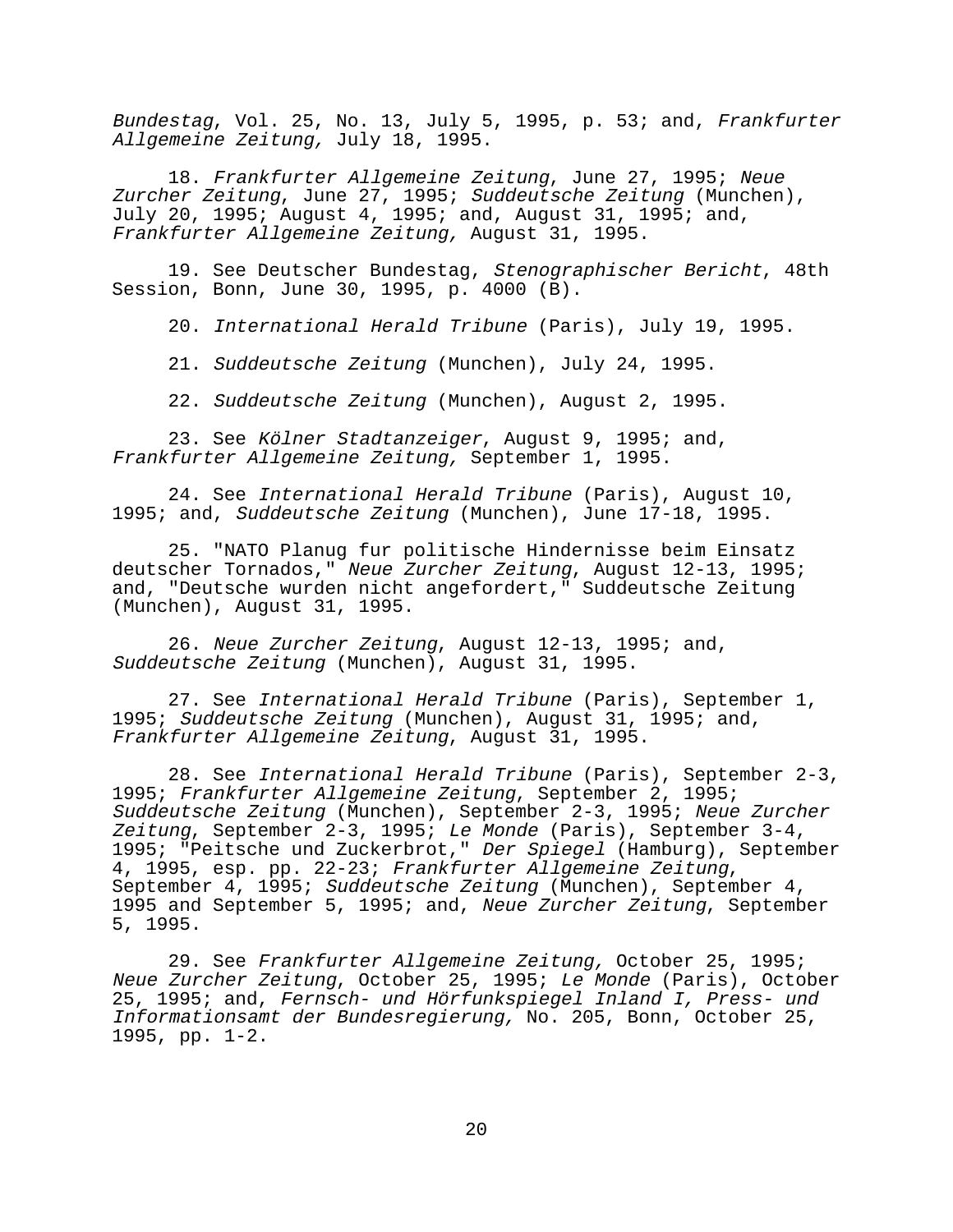Bundestag, Vol. 25, No. 13, July 5, 1995, p. 53; and, Frankfurter Allgemeine Zeitung, July 18, 1995.

18. Frankfurter Allgemeine Zeitung, June 27, 1995; Neue Zurcher Zeitung, June 27, 1995; Suddeutsche Zeitung (Munchen), July 20, 1995; August 4, 1995; and, August 31, 1995; and, Frankfurter Allgemeine Zeitung, August 31, 1995.

19. See Deutscher Bundestag, Stenographischer Bericht, 48th Session, Bonn, June 30, 1995, p. 4000 (B).

20. International Herald Tribune (Paris), July 19, 1995.

21. Suddeutsche Zeitung (Munchen), July 24, 1995.

22. Suddeutsche Zeitung (Munchen), August 2, 1995.

23. See Kölner Stadtanzeiger, August 9, 1995; and, Frankfurter Allgemeine Zeitung, September 1, 1995.

24. See International Herald Tribune (Paris), August 10, 1995; and, Suddeutsche Zeitung (Munchen), June 17-18, 1995.

25. "NATO Planug fur politische Hindernisse beim Einsatz deutscher Tornados," Neue Zurcher Zeitung, August 12-13, 1995; and, "Deutsche wurden nicht angefordert," Suddeutsche Zeitung (Munchen), August 31, 1995.

26. Neue Zurcher Zeitung, August 12-13, 1995; and, Suddeutsche Zeitung (Munchen), August 31, 1995.

27. See International Herald Tribune (Paris), September 1, 1995; Suddeutsche Zeitung (Munchen), August 31, 1995; and, Frankfurter Allgemeine Zeitung, August 31, 1995.

28. See International Herald Tribune (Paris), September 2-3, 1995; Frankfurter Allgemeine Zeitung, September 2, 1995; Suddeutsche Zeitung (Munchen), September 2-3, 1995; Neue Zurcher Zeitung, September 2-3, 1995; Le Monde (Paris), September 3-4, 1995; "Peitsche und Zuckerbrot," Der Spiegel (Hamburg), September<br>4, 1995, esp. pp. 22-23; Frankfurter Allgemeine Zeitung, September 4, 1995; Suddeutsche Zeitung (Munchen), September 4, 1995 and September 5, 1995; and, Neue Zurcher Zeitung, September 5, 1995.

29. See Frankfurter Allgemeine Zeitung, October 25, 1995; Neue Zurcher Zeitung, October 25, 1995; Le Monde (Paris), October 25, 1995; and, Fernsch- und Hörfunkspiegel Inland I, Press- und Informationsamt der Bundesregierung, No. 205, Bonn, October 25, 1995, pp. 1-2.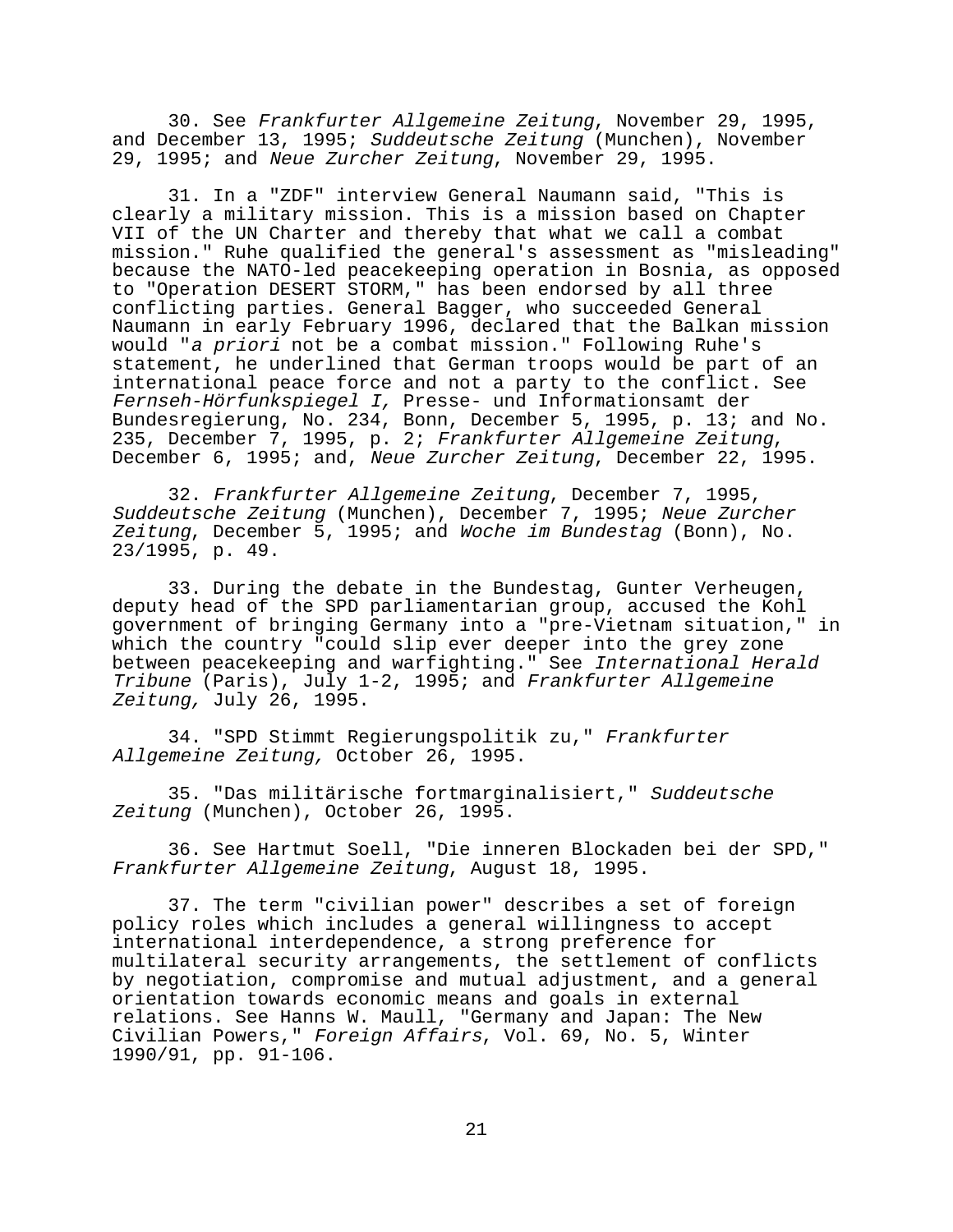30. See Frankfurter Allgemeine Zeitung, November 29, 1995, and December 13, 1995; Suddeutsche Zeitung (Munchen), November 29, 1995; and Neue Zurcher Zeitung, November 29, 1995.

31. In a "ZDF" interview General Naumann said, "This is clearly a military mission. This is a mission based on Chapter VII of the UN Charter and thereby that what we call a combat mission." Ruhe qualified the general's assessment as "misleading" because the NATO-led peacekeeping operation in Bosnia, as opposed to "Operation DESERT STORM," has been endorsed by all three conflicting parties. General Bagger, who succeeded General Naumann in early February 1996, declared that the Balkan mission would "a priori not be a combat mission." Following Ruhe's statement, he underlined that German troops would be part of an international peace force and not a party to the conflict. See Fernseh-Hörfunkspiegel I, Presse- und Informationsamt der Bundesregierung, No. 234, Bonn, December 5, 1995, p. 13; and No. 235, December 7, 1995, p. 2; Frankfurter Allgemeine Zeitung, December 6, 1995; and, Neue Zurcher Zeitung, December 22, 1995.

32. Frankfurter Allgemeine Zeitung, December 7, 1995, Suddeutsche Zeitung (Munchen), December 7, 1995; Neue Zurcher Zeitung, December 5, 1995; and Woche im Bundestag (Bonn), No. 23/1995, p. 49.

33. During the debate in the Bundestag, Gunter Verheugen, deputy head of the SPD parliamentarian group, accused the Kohl government of bringing Germany into a "pre-Vietnam situation," in which the country "could slip ever deeper into the grey zone between peacekeeping and warfighting." See International Herald Tribune (Paris), July 1-2, 1995; and Frankfurter Allgemeine Zeitung, July 26, 1995.

34. "SPD Stimmt Regierungspolitik zu," Frankfurter Allgemeine Zeitung, October 26, 1995.

35. "Das militärische fortmarginalisiert," Suddeutsche Zeitung (Munchen), October 26, 1995.

36. See Hartmut Soell, "Die inneren Blockaden bei der SPD," Frankfurter Allgemeine Zeitung, August 18, 1995.

37. The term "civilian power" describes a set of foreign policy roles which includes a general willingness to accept international interdependence, a strong preference for multilateral security arrangements, the settlement of conflicts by negotiation, compromise and mutual adjustment, and a general orientation towards economic means and goals in external relations. See Hanns W. Maull, "Germany and Japan: The New Civilian Powers," Foreign Affairs, Vol. 69, No. 5, Winter 1990/91, pp. 91-106.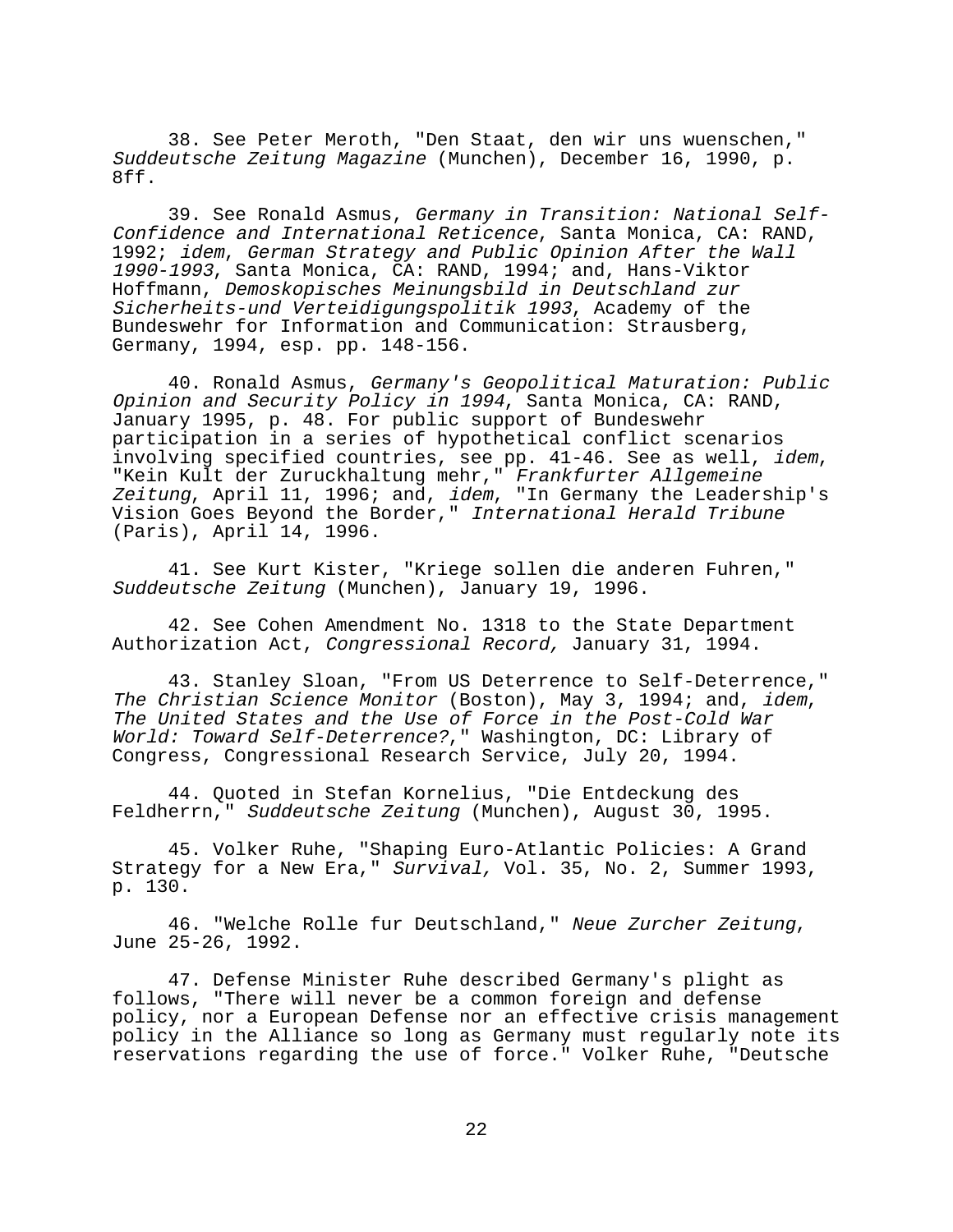38. See Peter Meroth, "Den Staat, den wir uns wuenschen," Suddeutsche Zeitung Magazine (Munchen), December 16, 1990, p. 8ff.

39. See Ronald Asmus, Germany in Transition: National Self-Confidence and International Reticence, Santa Monica, CA: RAND, 1992; idem, German Strategy and Public Opinion After the Wall 1990-1993, Santa Monica, CA: RAND, 1994; and, Hans-Viktor Hoffmann, Demoskopisches Meinungsbild in Deutschland zur Sicherheits-und Verteidigungspolitik 1993, Academy of the Bundeswehr for Information and Communication: Strausberg, Germany, 1994, esp. pp. 148-156.

40. Ronald Asmus, Germany's Geopolitical Maturation: Public Opinion and Security Policy in 1994, Santa Monica, CA: RAND, January 1995, p. 48. For public support of Bundeswehr participation in a series of hypothetical conflict scenarios involving specified countries, see pp. 41-46. See as well, idem, "Kein Kult der Zuruckhaltung mehr," Frankfurter Allgemeine Zeitung, April 11, 1996; and, idem, "In Germany the Leadership's Vision Goes Beyond the Border," International Herald Tribune (Paris), April 14, 1996.

41. See Kurt Kister, "Kriege sollen die anderen Fuhren," Suddeutsche Zeitung (Munchen), January 19, 1996.

42. See Cohen Amendment No. 1318 to the State Department Authorization Act, Congressional Record, January 31, 1994.

43. Stanley Sloan, "From US Deterrence to Self-Deterrence," The Christian Science Monitor (Boston), May 3, 1994; and, idem, The United States and the Use of Force in the Post-Cold War World: Toward Self-Deterrence?," Washington, DC: Library of Congress, Congressional Research Service, July 20, 1994.

44. Quoted in Stefan Kornelius, "Die Entdeckung des Feldherrn," Suddeutsche Zeitung (Munchen), August 30, 1995.

45. Volker Ruhe, "Shaping Euro-Atlantic Policies: A Grand Strategy for a New Era," Survival, Vol. 35, No. 2, Summer 1993, p. 130.

46. "Welche Rolle fur Deutschland," Neue Zurcher Zeitung, June 25-26, 1992.

47. Defense Minister Ruhe described Germany's plight as follows, "There will never be a common foreign and defense policy, nor a European Defense nor an effective crisis management policy in the Alliance so long as Germany must regularly note its reservations regarding the use of force." Volker Ruhe, "Deutsche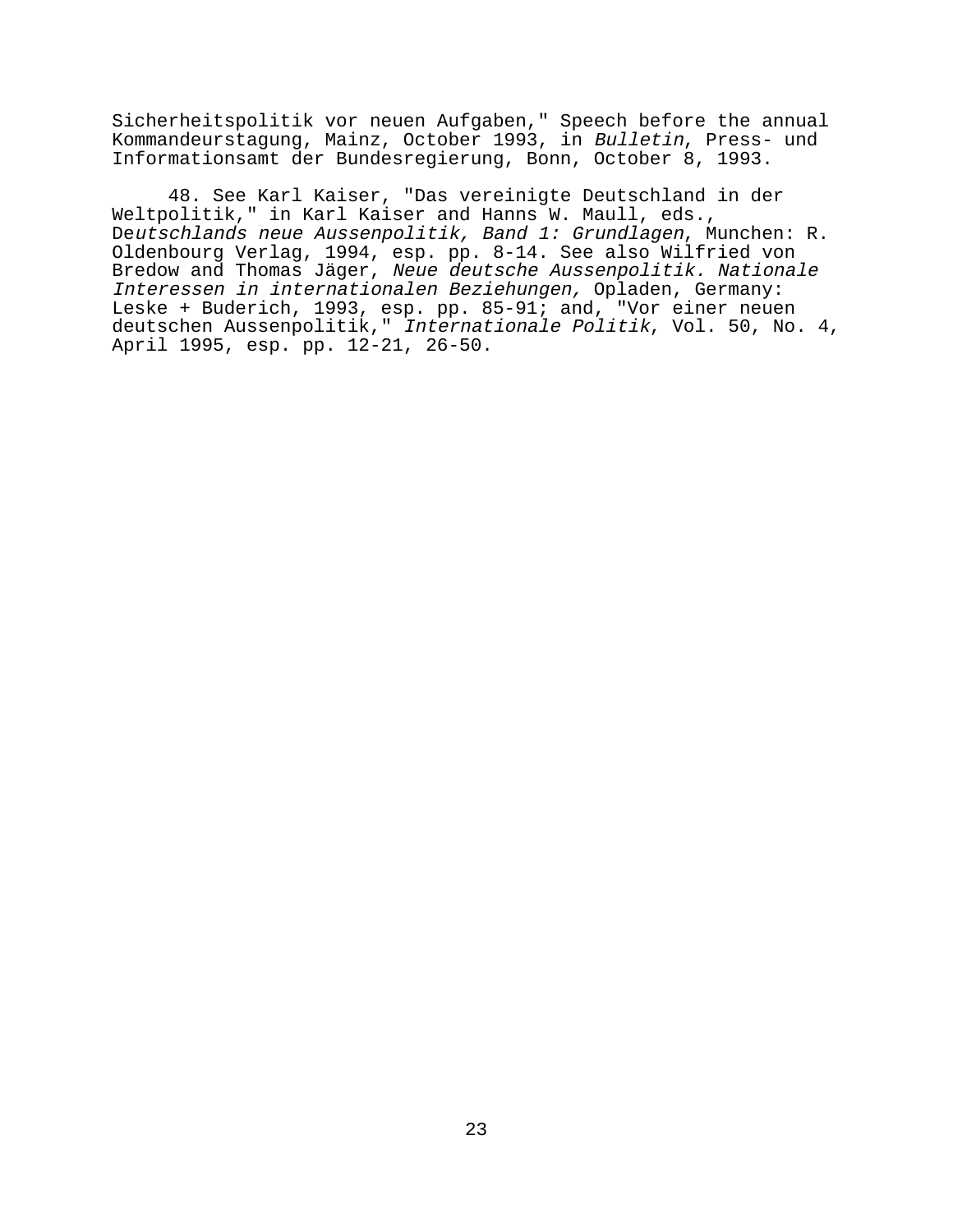Sicherheitspolitik vor neuen Aufgaben," Speech before the annual Kommandeurstagung, Mainz, October 1993, in Bulletin, Press- und Informationsamt der Bundesregierung, Bonn, October 8, 1993.

48. See Karl Kaiser, "Das vereinigte Deutschland in der Weltpolitik," in Karl Kaiser and Hanns W. Maull, eds., Deutschlands neue Aussenpolitik, Band 1: Grundlagen, Munchen: R. Oldenbourg Verlag, 1994, esp. pp. 8-14. See also Wilfried von Bredow and Thomas Jäger, Neue deutsche Aussenpolitik. Nationale Interessen in internationalen Beziehungen, Opladen, Germany: Leske + Buderich, 1993, esp. pp. 85-91; and, "Vor einer neuen deutschen Aussenpolitik," Internationale Politik, Vol. 50, No. 4, April 1995, esp. pp. 12-21, 26-50.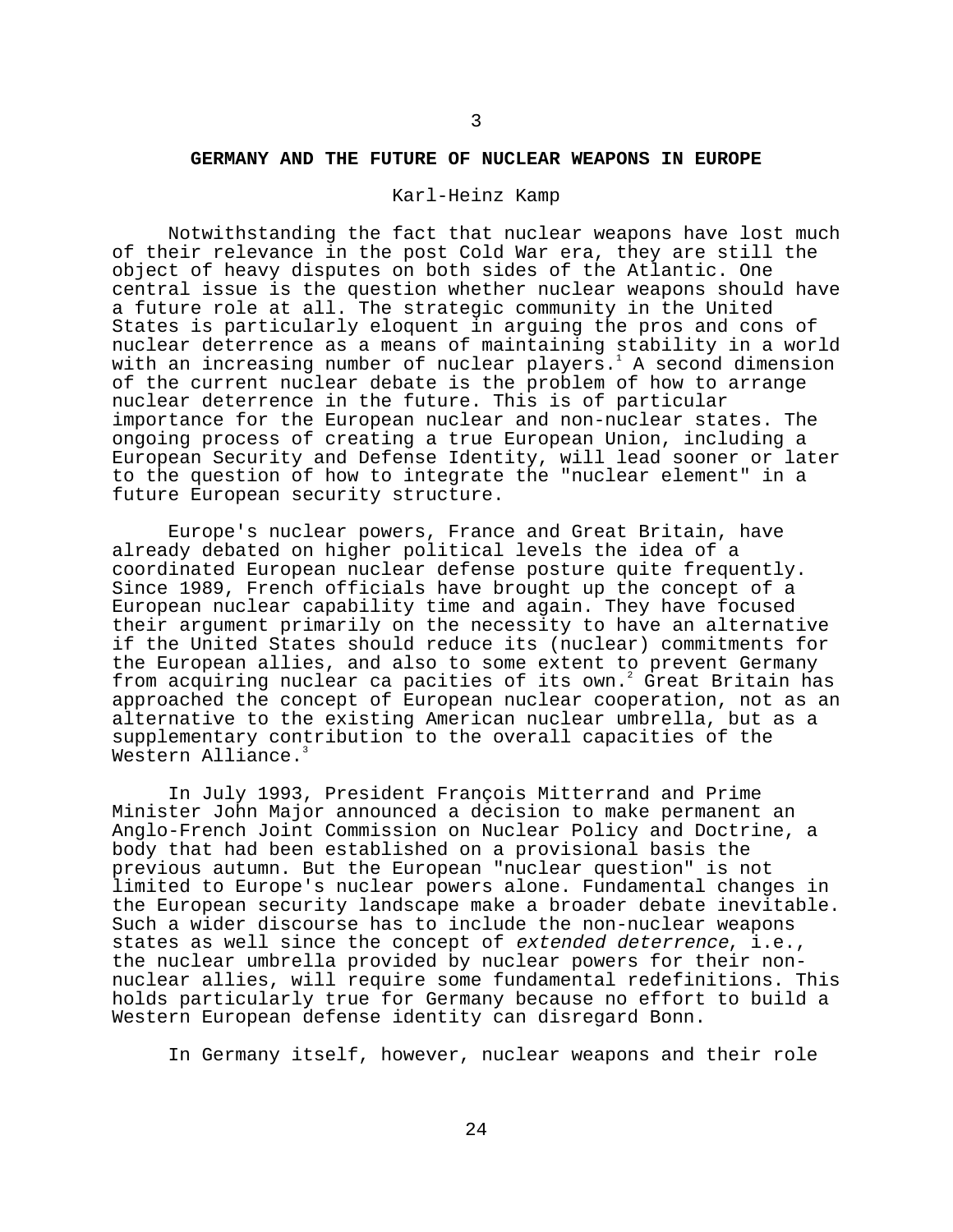#### **GERMANY AND THE FUTURE OF NUCLEAR WEAPONS IN EUROPE**

#### Karl-Heinz Kamp

Notwithstanding the fact that nuclear weapons have lost much of their relevance in the post Cold War era, they are still the object of heavy disputes on both sides of the Atlantic. One central issue is the question whether nuclear weapons should have a future role at all. The strategic community in the United States is particularly eloquent in arguing the pros and cons of nuclear deterrence as a means of maintaining stability in a world with an increasing number of nuclear players. $^{\rm l}$  A second dimension of the current nuclear debate is the problem of how to arrange nuclear deterrence in the future. This is of particular importance for the European nuclear and non-nuclear states. The ongoing process of creating a true European Union, including a European Security and Defense Identity, will lead sooner or later to the question of how to integrate the "nuclear element" in a future European security structure.

Europe's nuclear powers, France and Great Britain, have already debated on higher political levels the idea of a coordinated European nuclear defense posture quite frequently. Since 1989, French officials have brought up the concept of a European nuclear capability time and again. They have focused their argument primarily on the necessity to have an alternative if the United States should reduce its (nuclear) commitments for the European allies, and also to some extent to prevent Germany from acquiring nuclear ca pacities of its own.<sup>2</sup> Great Britain has approached the concept of European nuclear cooperation, not as an alternative to the existing American nuclear umbrella, but as a supplementary contribution to the overall capacities of the Western Alliance.

In July 1993, President François Mitterrand and Prime Minister John Major announced a decision to make permanent an Anglo-French Joint Commission on Nuclear Policy and Doctrine, a body that had been established on a provisional basis the previous autumn. But the European "nuclear question" is not limited to Europe's nuclear powers alone. Fundamental changes in the European security landscape make a broader debate inevitable. Such a wider discourse has to include the non-nuclear weapons states as well since the concept of extended deterrence, i.e., the nuclear umbrella provided by nuclear powers for their nonnuclear allies, will require some fundamental redefinitions. This holds particularly true for Germany because no effort to build a Western European defense identity can disregard Bonn.

In Germany itself, however, nuclear weapons and their role

3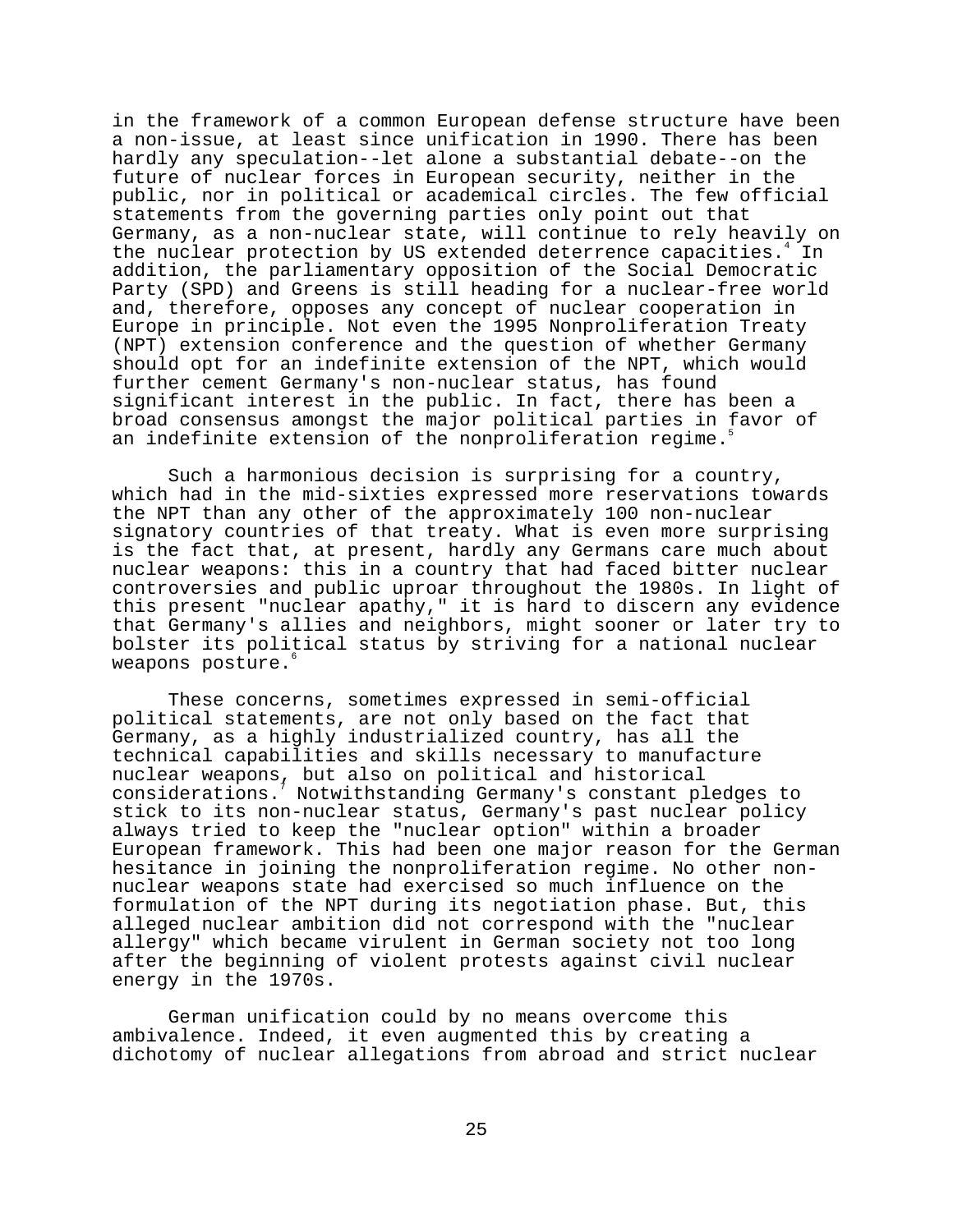in the framework of a common European defense structure have been a non-issue, at least since unification in 1990. There has been hardly any speculation--let alone a substantial debate--on the future of nuclear forces in European security, neither in the public, nor in political or academical circles. The few official statements from the governing parties only point out that Germany, as a non-nuclear state, will continue to rely heavily on the nuclear protection by US extended deterrence capacities.<sup>4</sup> In addition, the parliamentary opposition of the Social Democratic Party (SPD) and Greens is still heading for a nuclear-free world and, therefore, opposes any concept of nuclear cooperation in Europe in principle. Not even the 1995 Nonproliferation Treaty (NPT) extension conference and the question of whether Germany should opt for an indefinite extension of the NPT, which would further cement Germany's non-nuclear status, has found significant interest in the public. In fact, there has been a broad consensus amongst the major political parties in favor of an indefinite extension of the nonproliferation regime.

Such a harmonious decision is surprising for a country, which had in the mid-sixties expressed more reservations towards the NPT than any other of the approximately 100 non-nuclear signatory countries of that treaty. What is even more surprising is the fact that, at present, hardly any Germans care much about nuclear weapons: this in a country that had faced bitter nuclear controversies and public uproar throughout the 1980s. In light of this present "nuclear apathy," it is hard to discern any evidence that Germany's allies and neighbors, might sooner or later try to bolster its political status by striving for a national nuclear weapons posture.<sup>6</sup>

These concerns, sometimes expressed in semi-official political statements, are not only based on the fact that Germany, as a highly industrialized country, has all the technical capabilities and skills necessary to manufacture nuclear weapons, but also on political and historical considerations.7 Notwithstanding Germany's constant pledges to stick to its non-nuclear status, Germany's past nuclear policy always tried to keep the "nuclear option" within a broader European framework. This had been one major reason for the German hesitance in joining the nonproliferation regime. No other nonnuclear weapons state had exercised so much influence on the formulation of the NPT during its negotiation phase. But, this alleged nuclear ambition did not correspond with the "nuclear allergy" which became virulent in German society not too long after the beginning of violent protests against civil nuclear energy in the 1970s.

German unification could by no means overcome this ambivalence. Indeed, it even augmented this by creating a dichotomy of nuclear allegations from abroad and strict nuclear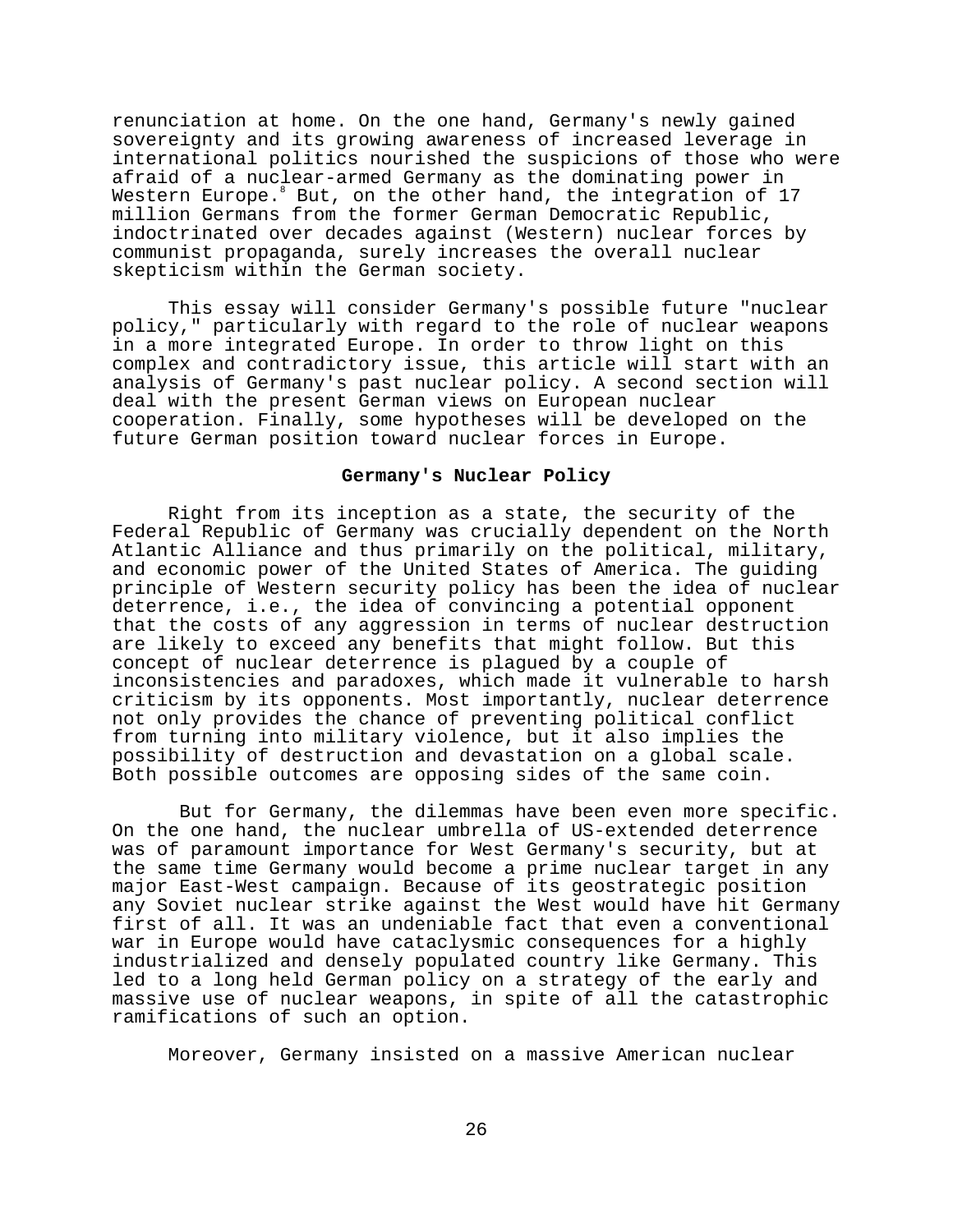renunciation at home. On the one hand, Germany's newly gained sovereignty and its growing awareness of increased leverage in international politics nourished the suspicions of those who were afraid of a nuclear-armed Germany as the dominating power in Western Europe. But, on the other hand, the integration of 17 million Germans from the former German Democratic Republic, indoctrinated over decades against (Western) nuclear forces by communist propaganda, surely increases the overall nuclear skepticism within the German society.

This essay will consider Germany's possible future "nuclear policy," particularly with regard to the role of nuclear weapons in a more integrated Europe. In order to throw light on this complex and contradictory issue, this article will start with an analysis of Germany's past nuclear policy. A second section will deal with the present German views on European nuclear cooperation. Finally, some hypotheses will be developed on the future German position toward nuclear forces in Europe.

# **Germany's Nuclear Policy**

Right from its inception as a state, the security of the Federal Republic of Germany was crucially dependent on the North Atlantic Alliance and thus primarily on the political, military, and economic power of the United States of America. The guiding principle of Western security policy has been the idea of nuclear deterrence, i.e., the idea of convincing a potential opponent that the costs of any aggression in terms of nuclear destruction are likely to exceed any benefits that might follow. But this concept of nuclear deterrence is plagued by a couple of inconsistencies and paradoxes, which made it vulnerable to harsh criticism by its opponents. Most importantly, nuclear deterrence not only provides the chance of preventing political conflict from turning into military violence, but it also implies the possibility of destruction and devastation on a global scale. Both possible outcomes are opposing sides of the same coin.

 But for Germany, the dilemmas have been even more specific. On the one hand, the nuclear umbrella of US-extended deterrence was of paramount importance for West Germany's security, but at the same time Germany would become a prime nuclear target in any major East-West campaign. Because of its geostrategic position any Soviet nuclear strike against the West would have hit Germany first of all. It was an undeniable fact that even a conventional war in Europe would have cataclysmic consequences for a highly industrialized and densely populated country like Germany. This led to a long held German policy on a strategy of the early and massive use of nuclear weapons, in spite of all the catastrophic ramifications of such an option.

Moreover, Germany insisted on a massive American nuclear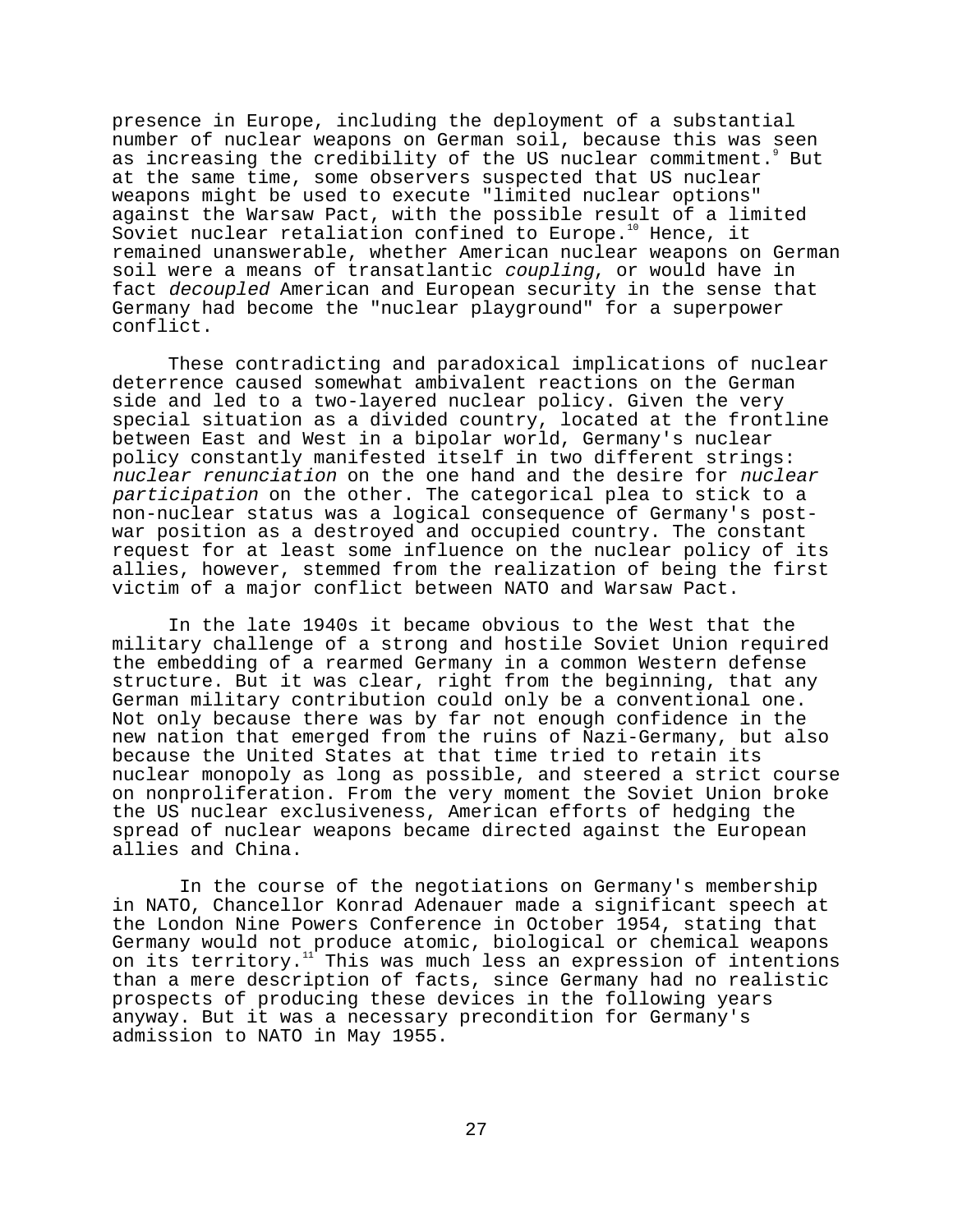presence in Europe, including the deployment of a substantial number of nuclear weapons on German soil, because this was seen as increasing the credibility of the US nuclear commitment. But at the same time, some observers suspected that US nuclear weapons might be used to execute "limited nuclear options" against the Warsaw Pact, with the possible result of a limited Soviet nuclear retaliation confined to Europe.<sup>10</sup> Hence, it remained unanswerable, whether American nuclear weapons on German soil were a means of transatlantic coupling, or would have in fact decoupled American and European security in the sense that Germany had become the "nuclear playground" for a superpower conflict.

These contradicting and paradoxical implications of nuclear deterrence caused somewhat ambivalent reactions on the German side and led to a two-layered nuclear policy. Given the very special situation as a divided country, located at the frontline between East and West in a bipolar world, Germany's nuclear policy constantly manifested itself in two different strings: nuclear renunciation on the one hand and the desire for nuclear participation on the other. The categorical plea to stick to a non-nuclear status was a logical consequence of Germany's postwar position as a destroyed and occupied country. The constant request for at least some influence on the nuclear policy of its allies, however, stemmed from the realization of being the first victim of a major conflict between NATO and Warsaw Pact.

In the late 1940s it became obvious to the West that the military challenge of a strong and hostile Soviet Union required the embedding of a rearmed Germany in a common Western defense structure. But it was clear, right from the beginning, that any German military contribution could only be a conventional one. Not only because there was by far not enough confidence in the new nation that emerged from the ruins of Nazi-Germany, but also because the United States at that time tried to retain its nuclear monopoly as long as possible, and steered a strict course on nonproliferation. From the very moment the Soviet Union broke the US nuclear exclusiveness, American efforts of hedging the spread of nuclear weapons became directed against the European allies and China.

 In the course of the negotiations on Germany's membership in NATO, Chancellor Konrad Adenauer made a significant speech at the London Nine Powers Conference in October 1954, stating that Germany would not produce atomic, biological or chemical weapons on its territory.<sup>11</sup> This was much less an expression of intentions than a mere description of facts, since Germany had no realistic prospects of producing these devices in the following years anyway. But it was a necessary precondition for Germany's admission to NATO in May 1955.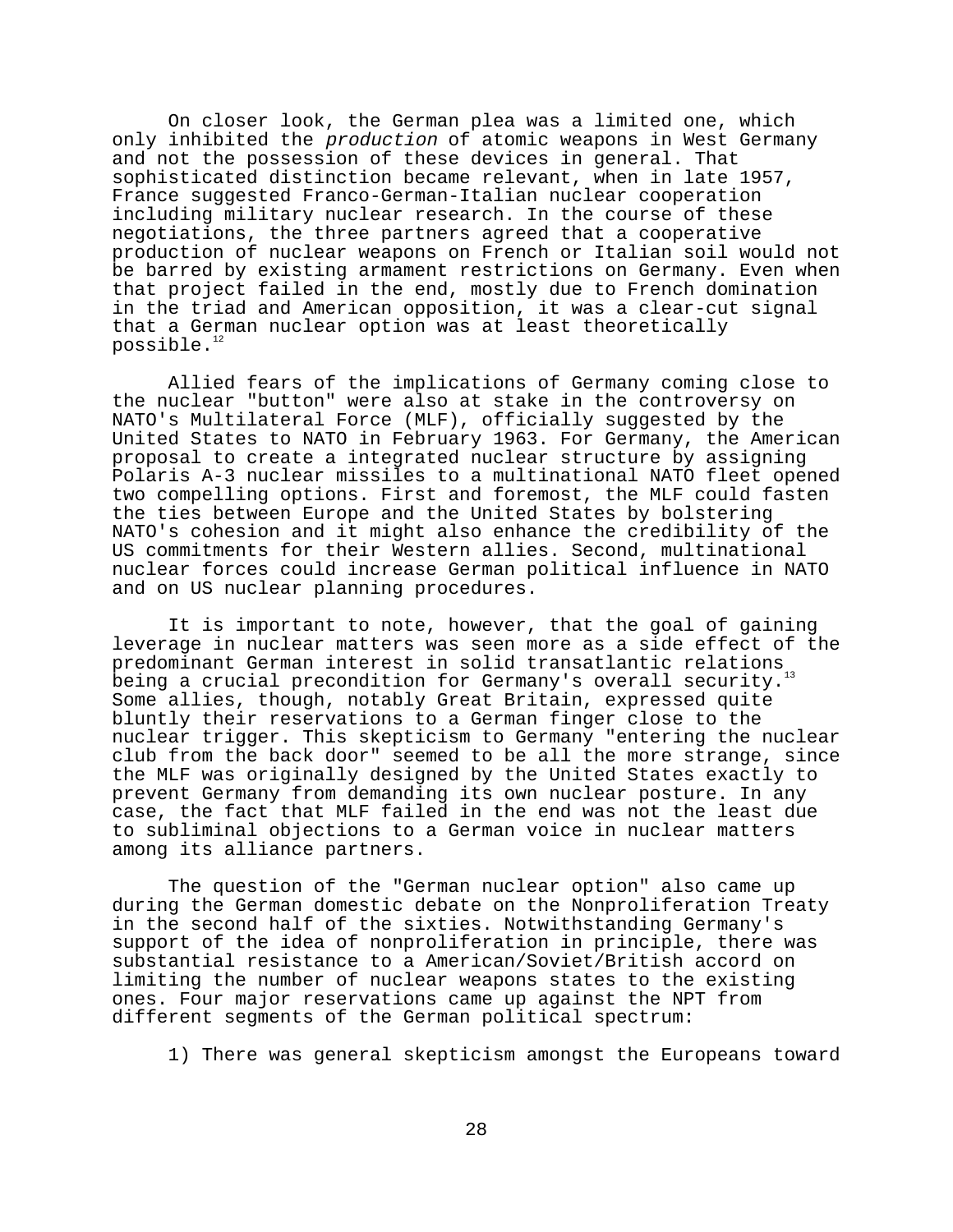On closer look, the German plea was a limited one, which only inhibited the production of atomic weapons in West Germany and not the possession of these devices in general. That sophisticated distinction became relevant, when in late 1957, France suggested Franco-German-Italian nuclear cooperation including military nuclear research. In the course of these negotiations, the three partners agreed that a cooperative production of nuclear weapons on French or Italian soil would not be barred by existing armament restrictions on Germany. Even when that project failed in the end, mostly due to French domination in the triad and American opposition, it was a clear-cut signal that a German nuclear option was at least theoretically possible.<sup>12</sup>

Allied fears of the implications of Germany coming close to the nuclear "button" were also at stake in the controversy on NATO's Multilateral Force (MLF), officially suggested by the United States to NATO in February 1963. For Germany, the American proposal to create a integrated nuclear structure by assigning Polaris A-3 nuclear missiles to a multinational NATO fleet opened two compelling options. First and foremost, the MLF could fasten the ties between Europe and the United States by bolstering NATO's cohesion and it might also enhance the credibility of the US commitments for their Western allies. Second, multinational nuclear forces could increase German political influence in NATO and on US nuclear planning procedures.

It is important to note, however, that the goal of gaining leverage in nuclear matters was seen more as a side effect of the predominant German interest in solid transatlantic relations being a crucial precondition for Germany's overall security. Some allies, though, notably Great Britain, expressed quite bluntly their reservations to a German finger close to the nuclear trigger. This skepticism to Germany "entering the nuclear club from the back door" seemed to be all the more strange, since the MLF was originally designed by the United States exactly to prevent Germany from demanding its own nuclear posture. In any case, the fact that MLF failed in the end was not the least due to subliminal objections to a German voice in nuclear matters among its alliance partners.

The question of the "German nuclear option" also came up during the German domestic debate on the Nonproliferation Treaty in the second half of the sixties. Notwithstanding Germany's support of the idea of nonproliferation in principle, there was substantial resistance to a American/Soviet/British accord on limiting the number of nuclear weapons states to the existing ones. Four major reservations came up against the NPT from different segments of the German political spectrum:

1) There was general skepticism amongst the Europeans toward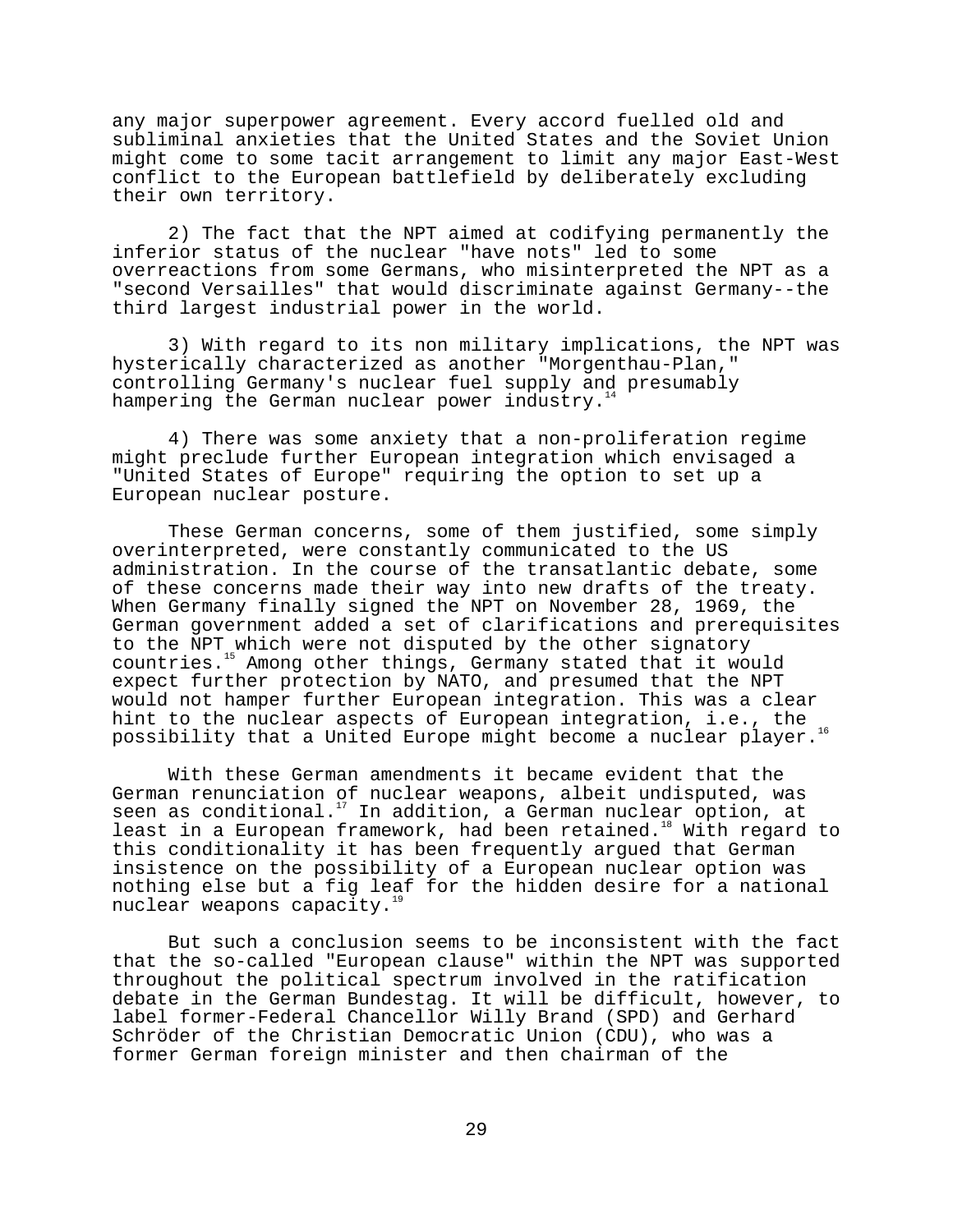any major superpower agreement. Every accord fuelled old and subliminal anxieties that the United States and the Soviet Union might come to some tacit arrangement to limit any major East-West conflict to the European battlefield by deliberately excluding their own territory.

2) The fact that the NPT aimed at codifying permanently the inferior status of the nuclear "have nots" led to some overreactions from some Germans, who misinterpreted the NPT as a "second Versailles" that would discriminate against Germany--the third largest industrial power in the world.

3) With regard to its non military implications, the NPT was hysterically characterized as another "Morgenthau-Plan," controlling Germany's nuclear fuel supply and presumably hampering the German nuclear power industry.<sup>1</sup>

4) There was some anxiety that a non-proliferation regime might preclude further European integration which envisaged a "United States of Europe" requiring the option to set up a European nuclear posture.

These German concerns, some of them justified, some simply overinterpreted, were constantly communicated to the US administration. In the course of the transatlantic debate, some of these concerns made their way into new drafts of the treaty. When Germany finally signed the NPT on November 28, 1969, the German government added a set of clarifications and prerequisites to the NPT which were not disputed by the other signatory countries.<sup>15</sup> Among other things, Germany stated that it would expect further protection by NATO, and presumed that the NPT would not hamper further European integration. This was a clear hint to the nuclear aspects of European integration, i.e., the possibility that a United Europe might become a nuclear player.16

With these German amendments it became evident that the German renunciation of nuclear weapons, albeit undisputed, was seen as conditional.<sup>17</sup> In addition, a German nuclear option, at least in a European framework, had been retained.<sup>18</sup> With regard to this conditionality it has been frequently argued that German insistence on the possibility of a European nuclear option was nothing else but a fig leaf for the hidden desire for a national nuclear weapons capacity.<sup>1</sup>

But such a conclusion seems to be inconsistent with the fact that the so-called "European clause" within the NPT was supported throughout the political spectrum involved in the ratification debate in the German Bundestag. It will be difficult, however, to label former-Federal Chancellor Willy Brand (SPD) and Gerhard Schröder of the Christian Democratic Union (CDU), who was a former German foreign minister and then chairman of the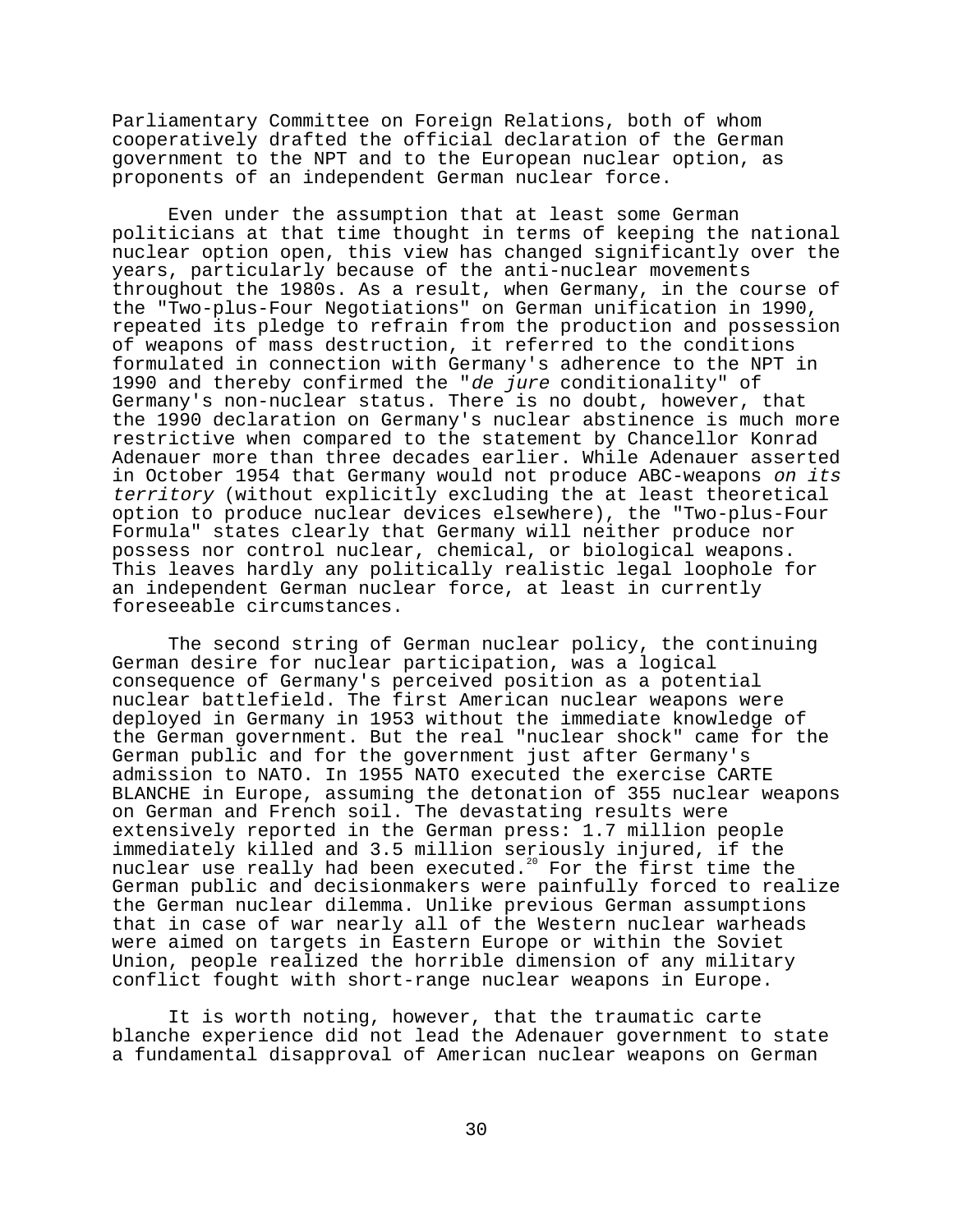Parliamentary Committee on Foreign Relations, both of whom cooperatively drafted the official declaration of the German government to the NPT and to the European nuclear option, as proponents of an independent German nuclear force.

Even under the assumption that at least some German politicians at that time thought in terms of keeping the national nuclear option open, this view has changed significantly over the years, particularly because of the anti-nuclear movements throughout the 1980s. As a result, when Germany, in the course of the "Two-plus-Four Negotiations" on German unification in 1990, repeated its pledge to refrain from the production and possession of weapons of mass destruction, it referred to the conditions formulated in connection with Germany's adherence to the NPT in 1990 and thereby confirmed the "de jure conditionality" of Germany's non-nuclear status. There is no doubt, however, that the 1990 declaration on Germany's nuclear abstinence is much more restrictive when compared to the statement by Chancellor Konrad Adenauer more than three decades earlier. While Adenauer asserted in October 1954 that Germany would not produce ABC-weapons on its territory (without explicitly excluding the at least theoretical option to produce nuclear devices elsewhere), the "Two-plus-Four Formula" states clearly that Germany will neither produce nor possess nor control nuclear, chemical, or biological weapons. This leaves hardly any politically realistic legal loophole for an independent German nuclear force, at least in currently foreseeable circumstances.

The second string of German nuclear policy, the continuing German desire for nuclear participation, was a logical consequence of Germany's perceived position as a potential nuclear battlefield. The first American nuclear weapons were deployed in Germany in 1953 without the immediate knowledge of the German government. But the real "nuclear shock" came for the German public and for the government just after Germany's admission to NATO. In 1955 NATO executed the exercise CARTE BLANCHE in Europe, assuming the detonation of 355 nuclear weapons on German and French soil. The devastating results were extensively reported in the German press: 1.7 million people immediately killed and 3.5 million seriously injured, if the nuclear use really had been executed.<sup>20</sup> For the first time the German public and decisionmakers were painfully forced to realize the German nuclear dilemma. Unlike previous German assumptions that in case of war nearly all of the Western nuclear warheads were aimed on targets in Eastern Europe or within the Soviet Union, people realized the horrible dimension of any military conflict fought with short-range nuclear weapons in Europe.

It is worth noting, however, that the traumatic carte blanche experience did not lead the Adenauer government to state a fundamental disapproval of American nuclear weapons on German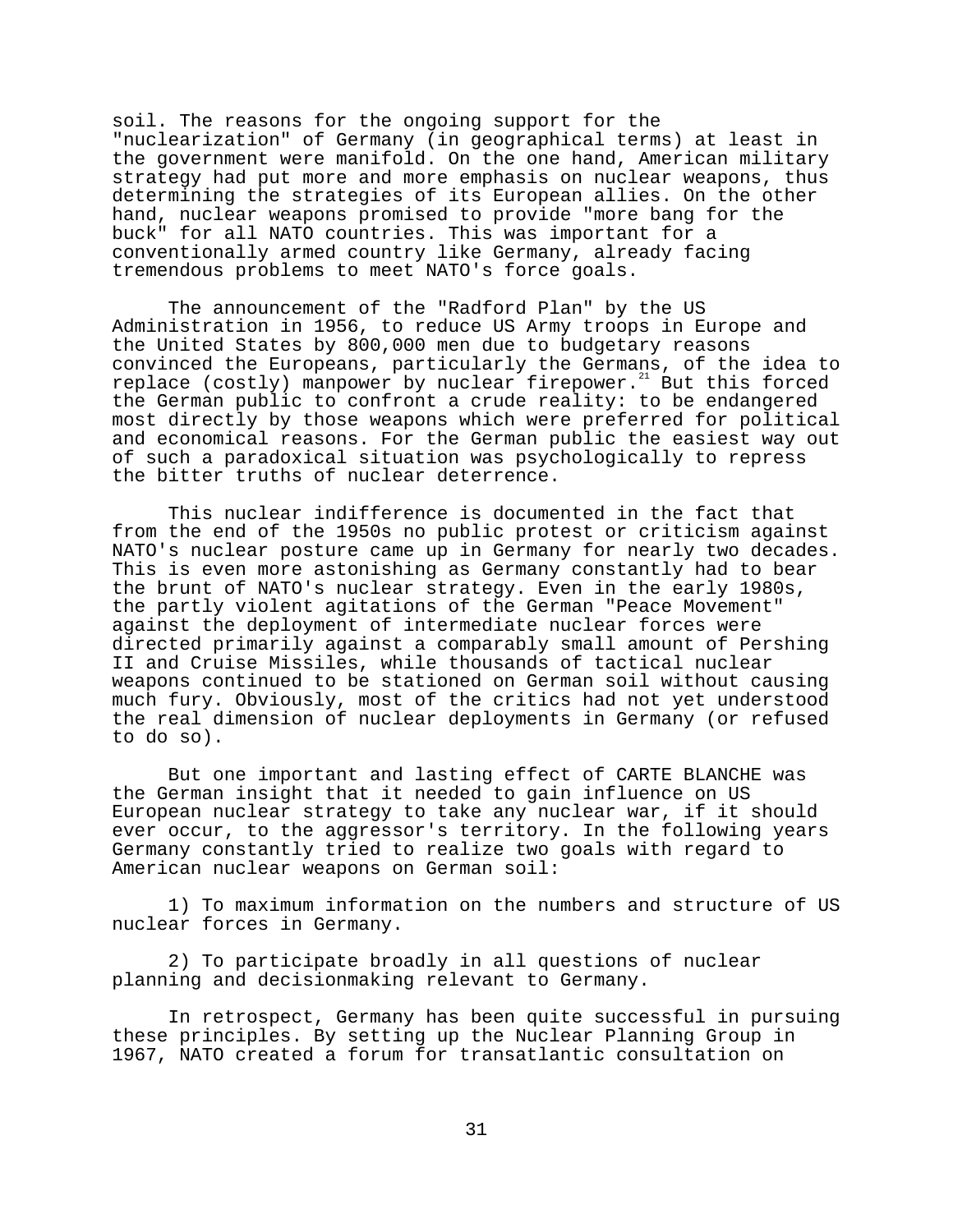soil. The reasons for the ongoing support for the "nuclearization" of Germany (in geographical terms) at least in the government were manifold. On the one hand, American military strategy had put more and more emphasis on nuclear weapons, thus determining the strategies of its European allies. On the other hand, nuclear weapons promised to provide "more bang for the buck" for all NATO countries. This was important for a conventionally armed country like Germany, already facing tremendous problems to meet NATO's force goals.

The announcement of the "Radford Plan" by the US Administration in 1956, to reduce US Army troops in Europe and the United States by 800,000 men due to budgetary reasons convinced the Europeans, particularly the Germans, of the idea to replace (costly) manpower by nuclear firepower. $^{21}$  But this forced the German public to confront a crude reality: to be endangered most directly by those weapons which were preferred for political and economical reasons. For the German public the easiest way out of such a paradoxical situation was psychologically to repress the bitter truths of nuclear deterrence.

This nuclear indifference is documented in the fact that from the end of the 1950s no public protest or criticism against NATO's nuclear posture came up in Germany for nearly two decades. This is even more astonishing as Germany constantly had to bear the brunt of NATO's nuclear strategy. Even in the early 1980s, the partly violent agitations of the German "Peace Movement" against the deployment of intermediate nuclear forces were directed primarily against a comparably small amount of Pershing II and Cruise Missiles, while thousands of tactical nuclear weapons continued to be stationed on German soil without causing much fury. Obviously, most of the critics had not yet understood the real dimension of nuclear deployments in Germany (or refused to do so).

But one important and lasting effect of CARTE BLANCHE was the German insight that it needed to gain influence on US European nuclear strategy to take any nuclear war, if it should ever occur, to the aggressor's territory. In the following years Germany constantly tried to realize two goals with regard to American nuclear weapons on German soil:

1) To maximum information on the numbers and structure of US nuclear forces in Germany.

2) To participate broadly in all questions of nuclear planning and decisionmaking relevant to Germany.

In retrospect, Germany has been quite successful in pursuing these principles. By setting up the Nuclear Planning Group in 1967, NATO created a forum for transatlantic consultation on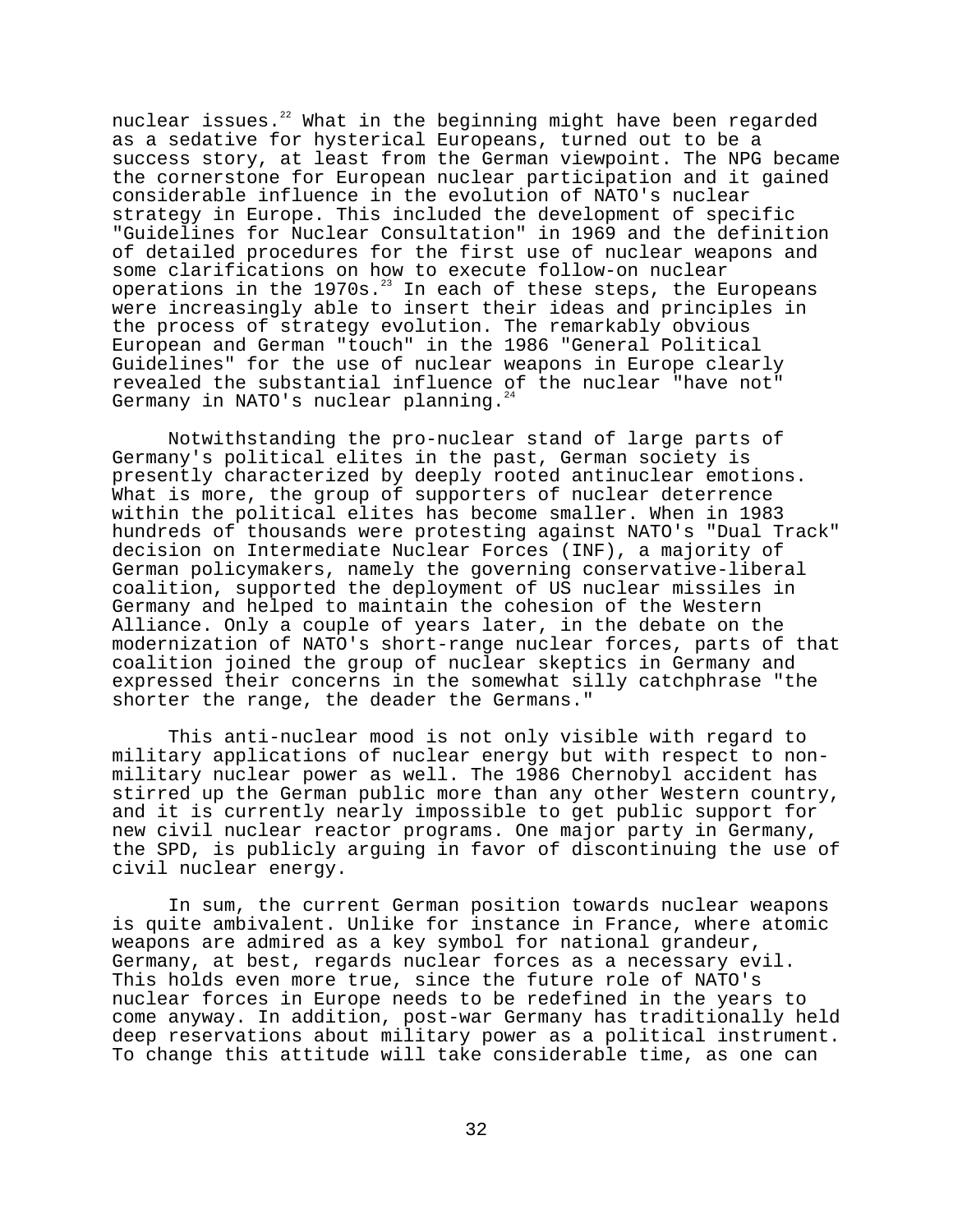nuclear issues.<sup>22</sup> What in the beginning might have been regarded as a sedative for hysterical Europeans, turned out to be a success story, at least from the German viewpoint. The NPG became the cornerstone for European nuclear participation and it gained considerable influence in the evolution of NATO's nuclear strategy in Europe. This included the development of specific "Guidelines for Nuclear Consultation" in 1969 and the definition of detailed procedures for the first use of nuclear weapons and some clarifications on how to execute follow-on nuclear operations in the 1970s. $^{23}$  In each of these steps, the Europeans were increasingly able to insert their ideas and principles in the process of strategy evolution. The remarkably obvious European and German "touch" in the 1986 "General Political Guidelines" for the use of nuclear weapons in Europe clearly revealed the substantial influence of the nuclear "have not" Germany in NATO's nuclear planning. $^{24}$ 

Notwithstanding the pro-nuclear stand of large parts of Germany's political elites in the past, German society is presently characterized by deeply rooted antinuclear emotions. What is more, the group of supporters of nuclear deterrence within the political elites has become smaller. When in 1983 hundreds of thousands were protesting against NATO's "Dual Track" decision on Intermediate Nuclear Forces (INF), a majority of German policymakers, namely the governing conservative-liberal coalition, supported the deployment of US nuclear missiles in Germany and helped to maintain the cohesion of the Western Alliance. Only a couple of years later, in the debate on the modernization of NATO's short-range nuclear forces, parts of that coalition joined the group of nuclear skeptics in Germany and expressed their concerns in the somewhat silly catchphrase "the shorter the range, the deader the Germans."

This anti-nuclear mood is not only visible with regard to military applications of nuclear energy but with respect to nonmilitary nuclear power as well. The 1986 Chernobyl accident has stirred up the German public more than any other Western country, and it is currently nearly impossible to get public support for new civil nuclear reactor programs. One major party in Germany, the SPD, is publicly arguing in favor of discontinuing the use of civil nuclear energy.

In sum, the current German position towards nuclear weapons is quite ambivalent. Unlike for instance in France, where atomic weapons are admired as a key symbol for national grandeur, Germany, at best, regards nuclear forces as a necessary evil. This holds even more true, since the future role of NATO's nuclear forces in Europe needs to be redefined in the years to come anyway. In addition, post-war Germany has traditionally held deep reservations about military power as a political instrument. To change this attitude will take considerable time, as one can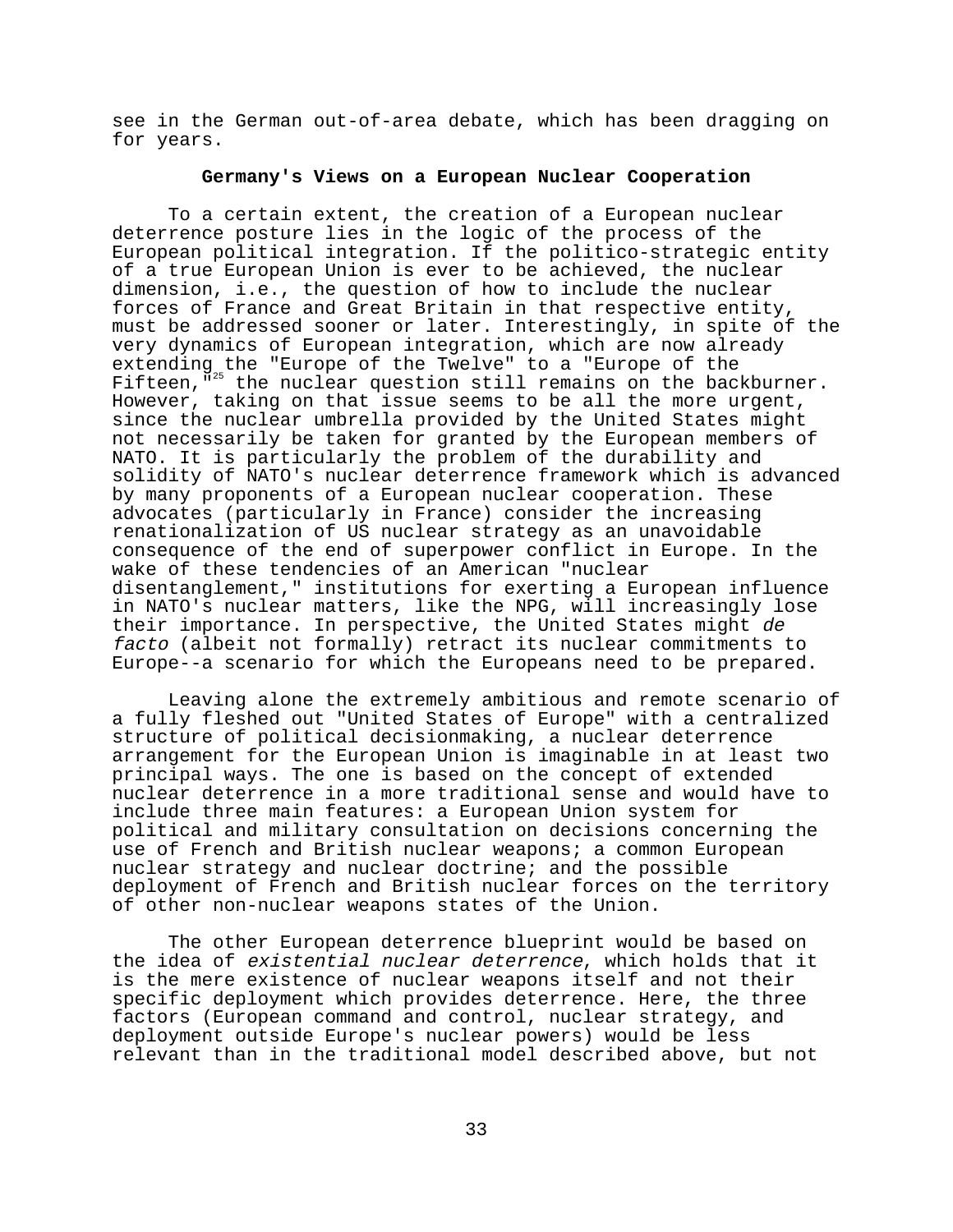see in the German out-of-area debate, which has been dragging on for years.

# **Germany's Views on a European Nuclear Cooperation**

To a certain extent, the creation of a European nuclear deterrence posture lies in the logic of the process of the European political integration. If the politico-strategic entity of a true European Union is ever to be achieved, the nuclear dimension, i.e., the question of how to include the nuclear forces of France and Great Britain in that respective entity, must be addressed sooner or later. Interestingly, in spite of the very dynamics of European integration, which are now already extending the "Europe of the Twelve" to a "Europe of the Fifteen,"<sup>25</sup> the nuclear question still remains on the backburner. However, taking on that issue seems to be all the more urgent, since the nuclear umbrella provided by the United States might not necessarily be taken for granted by the European members of NATO. It is particularly the problem of the durability and solidity of NATO's nuclear deterrence framework which is advanced by many proponents of a European nuclear cooperation. These advocates (particularly in France) consider the increasing renationalization of US nuclear strategy as an unavoidable consequence of the end of superpower conflict in Europe. In the wake of these tendencies of an American "nuclear disentanglement," institutions for exerting a European influence in NATO's nuclear matters, like the NPG, will increasingly lose their importance. In perspective, the United States might de facto (albeit not formally) retract its nuclear commitments to Europe--a scenario for which the Europeans need to be prepared.

Leaving alone the extremely ambitious and remote scenario of a fully fleshed out "United States of Europe" with a centralized structure of political decisionmaking, a nuclear deterrence arrangement for the European Union is imaginable in at least two principal ways. The one is based on the concept of extended nuclear deterrence in a more traditional sense and would have to include three main features: a European Union system for political and military consultation on decisions concerning the use of French and British nuclear weapons; a common European nuclear strategy and nuclear doctrine; and the possible deployment of French and British nuclear forces on the territory of other non-nuclear weapons states of the Union.

The other European deterrence blueprint would be based on the idea of existential nuclear deterrence, which holds that it is the mere existence of nuclear weapons itself and not their specific deployment which provides deterrence. Here, the three factors (European command and control, nuclear strategy, and deployment outside Europe's nuclear powers) would be less relevant than in the traditional model described above, but not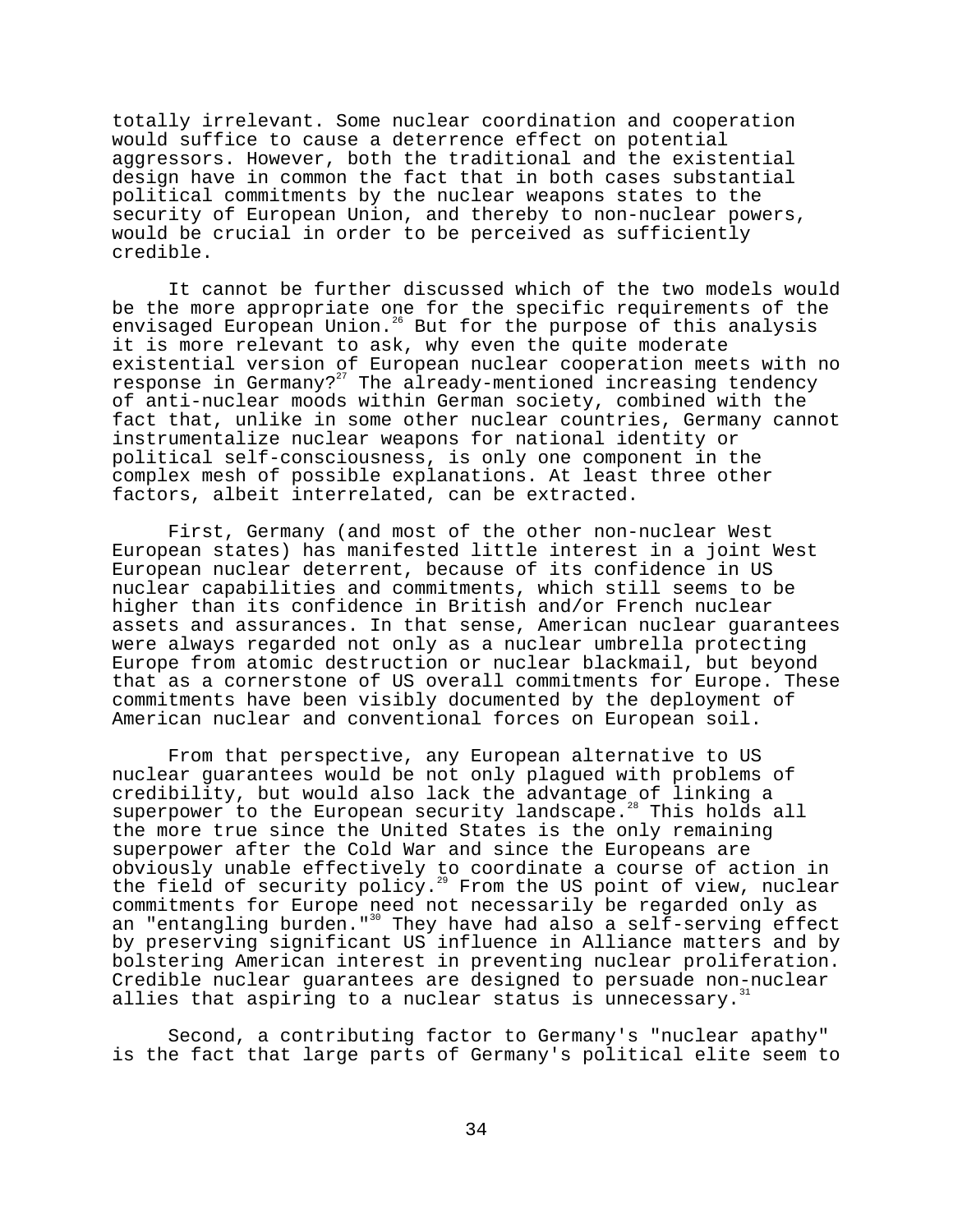totally irrelevant. Some nuclear coordination and cooperation would suffice to cause a deterrence effect on potential aggressors. However, both the traditional and the existential design have in common the fact that in both cases substantial political commitments by the nuclear weapons states to the security of European Union, and thereby to non-nuclear powers, would be crucial in order to be perceived as sufficiently credible.

It cannot be further discussed which of the two models would be the more appropriate one for the specific requirements of the envisaged European Union.<sup>26</sup> But for the purpose of this analysis it is more relevant to ask, why even the quite moderate existential version of European nuclear cooperation meets with no response in Germany?<sup>27</sup> The already-mentioned increasing tendency of anti-nuclear moods within German society, combined with the fact that, unlike in some other nuclear countries, Germany cannot instrumentalize nuclear weapons for national identity or political self-consciousness, is only one component in the complex mesh of possible explanations. At least three other factors, albeit interrelated, can be extracted.

First, Germany (and most of the other non-nuclear West European states) has manifested little interest in a joint West European nuclear deterrent, because of its confidence in US nuclear capabilities and commitments, which still seems to be higher than its confidence in British and/or French nuclear assets and assurances. In that sense, American nuclear guarantees were always regarded not only as a nuclear umbrella protecting Europe from atomic destruction or nuclear blackmail, but beyond that as a cornerstone of US overall commitments for Europe. These commitments have been visibly documented by the deployment of American nuclear and conventional forces on European soil.

From that perspective, any European alternative to US nuclear guarantees would be not only plagued with problems of credibility, but would also lack the advantage of linking a superpower to the European security landscape.<sup>28</sup> This holds all the more true since the United States is the only remaining superpower after the Cold War and since the Europeans are obviously unable effectively to coordinate a course of action in the field of security policy.<sup>29</sup> From the US point of view, nuclear commitments for Europe need not necessarily be regarded only as an "entangling burden."<sup>30</sup> They have had also a self-serving effect by preserving significant US influence in Alliance matters and by bolstering American interest in preventing nuclear proliferation. Credible nuclear guarantees are designed to persuade non-nuclear allies that aspiring to a nuclear status is unnecessary.<sup>3</sup>

Second, a contributing factor to Germany's "nuclear apathy" is the fact that large parts of Germany's political elite seem to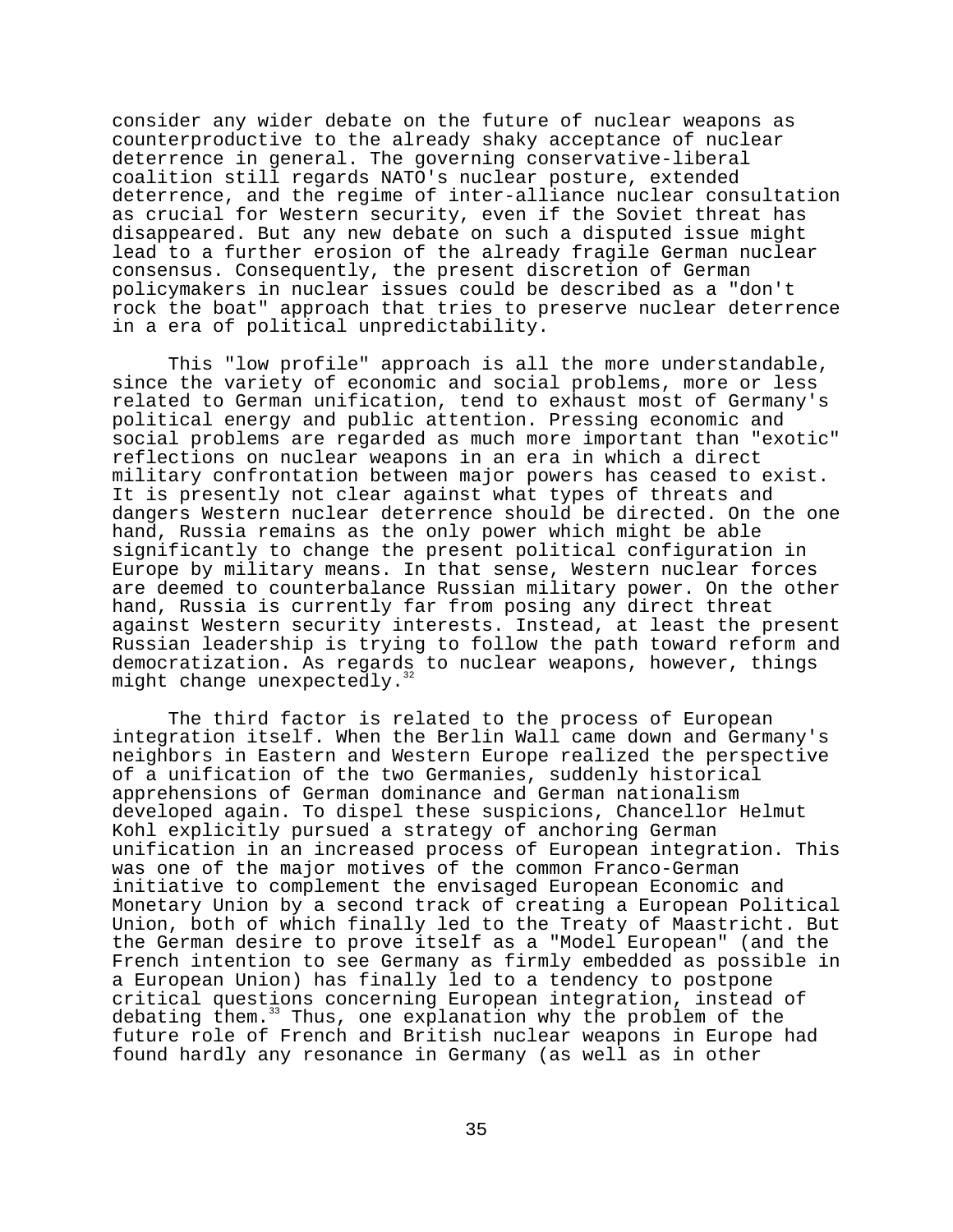consider any wider debate on the future of nuclear weapons as counterproductive to the already shaky acceptance of nuclear deterrence in general. The governing conservative-liberal coalition still regards NATO's nuclear posture, extended deterrence, and the regime of inter-alliance nuclear consultation as crucial for Western security, even if the Soviet threat has disappeared. But any new debate on such a disputed issue might lead to a further erosion of the already fragile German nuclear consensus. Consequently, the present discretion of German policymakers in nuclear issues could be described as a "don't rock the boat" approach that tries to preserve nuclear deterrence in a era of political unpredictability.

This "low profile" approach is all the more understandable, since the variety of economic and social problems, more or less related to German unification, tend to exhaust most of Germany's political energy and public attention. Pressing economic and social problems are regarded as much more important than "exotic" reflections on nuclear weapons in an era in which a direct military confrontation between major powers has ceased to exist. It is presently not clear against what types of threats and dangers Western nuclear deterrence should be directed. On the one hand, Russia remains as the only power which might be able significantly to change the present political configuration in Europe by military means. In that sense, Western nuclear forces are deemed to counterbalance Russian military power. On the other hand, Russia is currently far from posing any direct threat against Western security interests. Instead, at least the present Russian leadership is trying to follow the path toward reform and democratization. As regards to nuclear weapons, however, things might change unexpectedly.<sup>3</sup>

The third factor is related to the process of European integration itself. When the Berlin Wall came down and Germany's neighbors in Eastern and Western Europe realized the perspective of a unification of the two Germanies, suddenly historical apprehensions of German dominance and German nationalism developed again. To dispel these suspicions, Chancellor Helmut Kohl explicitly pursued a strategy of anchoring German unification in an increased process of European integration. This was one of the major motives of the common Franco-German initiative to complement the envisaged European Economic and Monetary Union by a second track of creating a European Political Union, both of which finally led to the Treaty of Maastricht. But the German desire to prove itself as a "Model European" (and the French intention to see Germany as firmly embedded as possible in a European Union) has finally led to a tendency to postpone critical questions concerning European integration, instead of debating them.<sup>33</sup> Thus, one explanation why the problem of the future role of French and British nuclear weapons in Europe had found hardly any resonance in Germany (as well as in other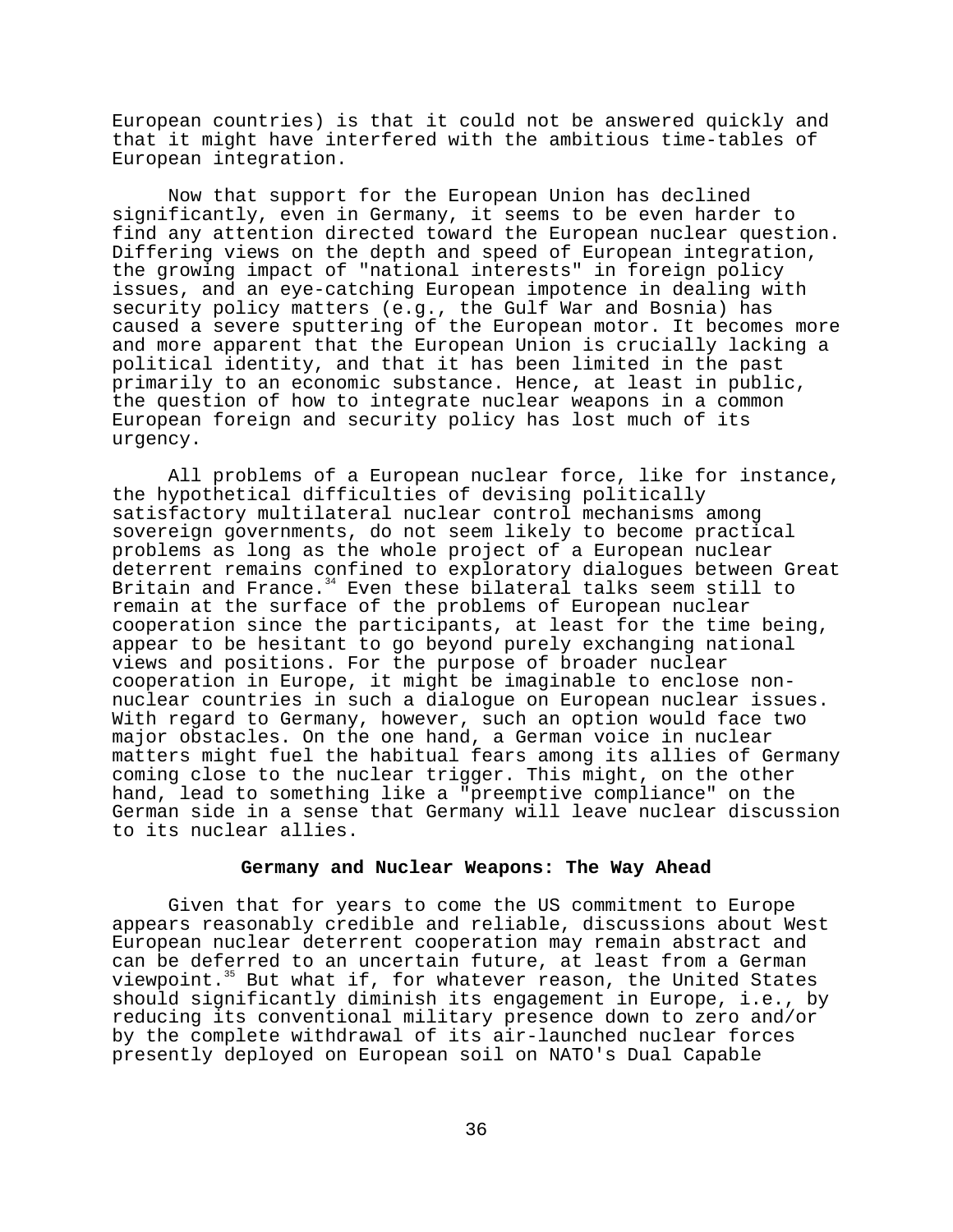European countries) is that it could not be answered quickly and that it might have interfered with the ambitious time-tables of European integration.

Now that support for the European Union has declined significantly, even in Germany, it seems to be even harder to find any attention directed toward the European nuclear question. Differing views on the depth and speed of European integration, the growing impact of "national interests" in foreign policy issues, and an eye-catching European impotence in dealing with security policy matters (e.g., the Gulf War and Bosnia) has caused a severe sputtering of the European motor. It becomes more and more apparent that the European Union is crucially lacking a political identity, and that it has been limited in the past primarily to an economic substance. Hence, at least in public, the question of how to integrate nuclear weapons in a common European foreign and security policy has lost much of its urgency.

All problems of a European nuclear force, like for instance, the hypothetical difficulties of devising politically satisfactory multilateral nuclear control mechanisms among sovereign governments, do not seem likely to become practical problems as long as the whole project of a European nuclear deterrent remains confined to exploratory dialogues between Great Britain and France.<sup>34</sup> Even these bilateral talks seem still to remain at the surface of the problems of European nuclear cooperation since the participants, at least for the time being, appear to be hesitant to go beyond purely exchanging national views and positions. For the purpose of broader nuclear cooperation in Europe, it might be imaginable to enclose nonnuclear countries in such a dialogue on European nuclear issues. With regard to Germany, however, such an option would face two major obstacles. On the one hand, a German voice in nuclear matters might fuel the habitual fears among its allies of Germany coming close to the nuclear trigger. This might, on the other hand, lead to something like a "preemptive compliance" on the German side in a sense that Germany will leave nuclear discussion to its nuclear allies.

#### **Germany and Nuclear Weapons: The Way Ahead**

Given that for years to come the US commitment to Europe appears reasonably credible and reliable, discussions about West European nuclear deterrent cooperation may remain abstract and can be deferred to an uncertain future, at least from a German viewpoint.<sup>35</sup> But what if, for whatever reason, the United States should significantly diminish its engagement in Europe, i.e., by reducing its conventional military presence down to zero and/or by the complete withdrawal of its air-launched nuclear forces presently deployed on European soil on NATO's Dual Capable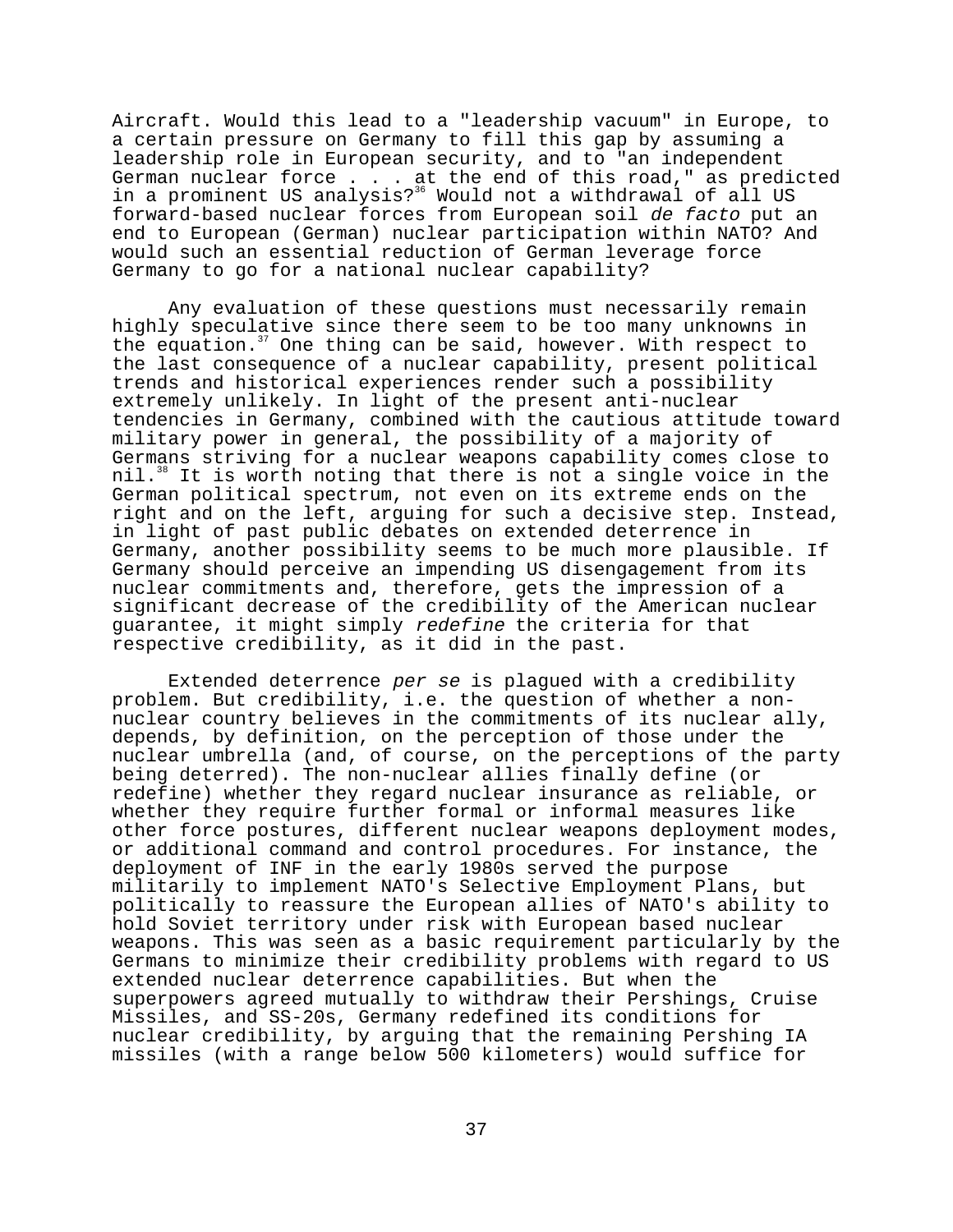Aircraft. Would this lead to a "leadership vacuum" in Europe, to a certain pressure on Germany to fill this gap by assuming a leadership role in European security, and to "an independent German nuclear force . . . at the end of this road," as predicted in a prominent US analysis?<sup>36</sup> Would not a withdrawal of all US forward-based nuclear forces from European soil de facto put an end to European (German) nuclear participation within NATO? And would such an essential reduction of German leverage force Germany to go for a national nuclear capability?

Any evaluation of these questions must necessarily remain highly speculative since there seem to be too many unknowns in the equation.<sup>37</sup> One thing can be said, however. With respect to the last consequence of a nuclear capability, present political trends and historical experiences render such a possibility extremely unlikely. In light of the present anti-nuclear tendencies in Germany, combined with the cautious attitude toward military power in general, the possibility of a majority of Germans striving for a nuclear weapons capability comes close to nil.<sup>38</sup> It is worth noting that there is not a single voice in the German political spectrum, not even on its extreme ends on the right and on the left, arguing for such a decisive step. Instead, in light of past public debates on extended deterrence in Germany, another possibility seems to be much more plausible. If Germany should perceive an impending US disengagement from its nuclear commitments and, therefore, gets the impression of a significant decrease of the credibility of the American nuclear guarantee, it might simply redefine the criteria for that respective credibility, as it did in the past.

Extended deterrence per se is plagued with a credibility problem. But credibility, i.e. the question of whether a nonnuclear country believes in the commitments of its nuclear ally, depends, by definition, on the perception of those under the nuclear umbrella (and, of course, on the perceptions of the party being deterred). The non-nuclear allies finally define (or redefine) whether they regard nuclear insurance as reliable, or whether they require further formal or informal measures like other force postures, different nuclear weapons deployment modes, or additional command and control procedures. For instance, the deployment of INF in the early 1980s served the purpose militarily to implement NATO's Selective Employment Plans, but politically to reassure the European allies of NATO's ability to hold Soviet territory under risk with European based nuclear weapons. This was seen as a basic requirement particularly by the Germans to minimize their credibility problems with regard to US extended nuclear deterrence capabilities. But when the superpowers agreed mutually to withdraw their Pershings, Cruise Missiles, and SS-20s, Germany redefined its conditions for nuclear credibility, by arguing that the remaining Pershing IA missiles (with a range below 500 kilometers) would suffice for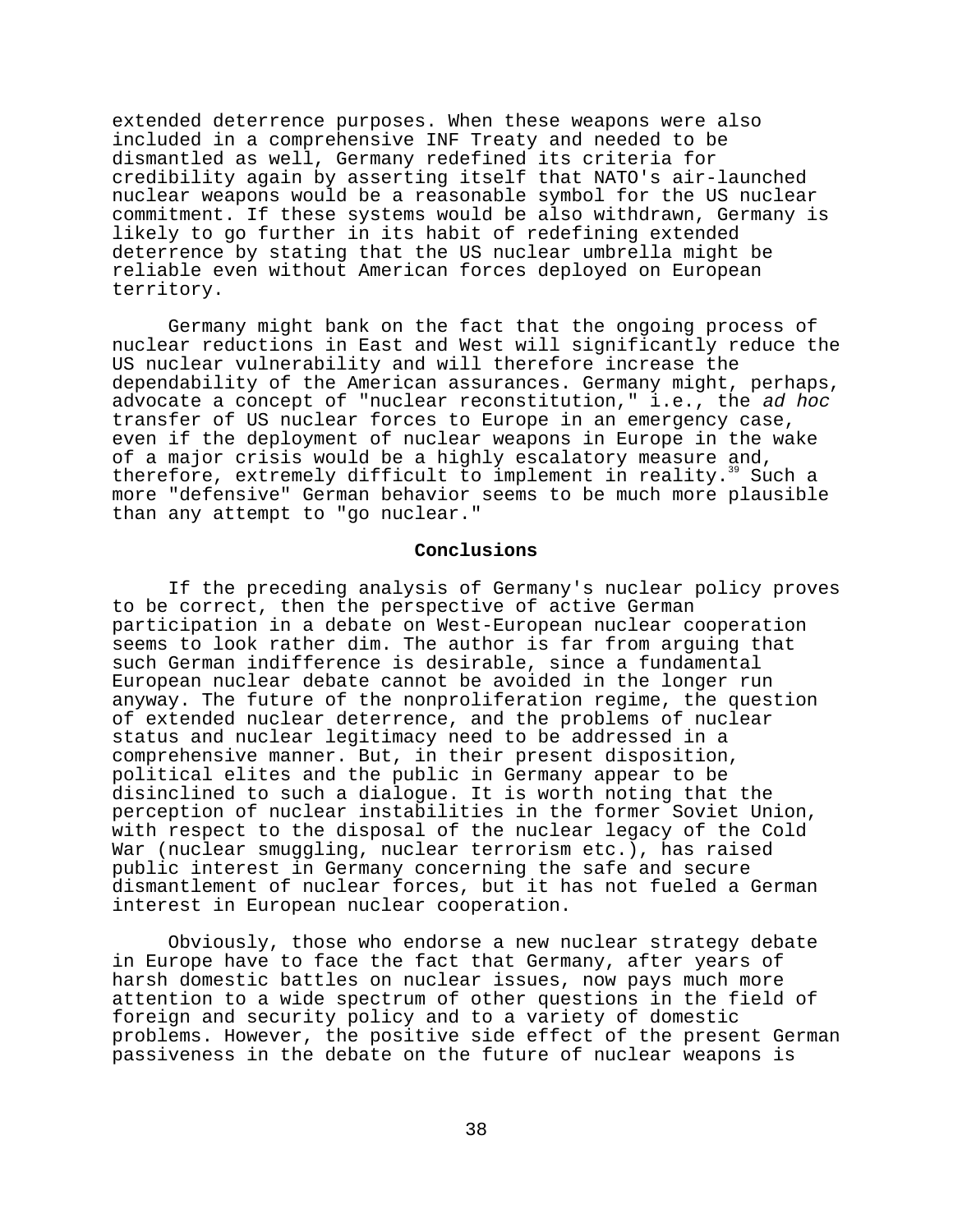extended deterrence purposes. When these weapons were also included in a comprehensive INF Treaty and needed to be dismantled as well, Germany redefined its criteria for credibility again by asserting itself that NATO's air-launched nuclear weapons would be a reasonable symbol for the US nuclear commitment. If these systems would be also withdrawn, Germany is likely to go further in its habit of redefining extended deterrence by stating that the US nuclear umbrella might be reliable even without American forces deployed on European territory.

Germany might bank on the fact that the ongoing process of nuclear reductions in East and West will significantly reduce the US nuclear vulnerability and will therefore increase the dependability of the American assurances. Germany might, perhaps, advocate a concept of "nuclear reconstitution," i.e., the ad hoc transfer of US nuclear forces to Europe in an emergency case, even if the deployment of nuclear weapons in Europe in the wake of a major crisis would be a highly escalatory measure and, therefore, extremely difficult to implement in reality.<sup>39</sup> Such a more "defensive" German behavior seems to be much more plausible than any attempt to "go nuclear."

# **Conclusions**

If the preceding analysis of Germany's nuclear policy proves to be correct, then the perspective of active German participation in a debate on West-European nuclear cooperation seems to look rather dim. The author is far from arguing that such German indifference is desirable, since a fundamental European nuclear debate cannot be avoided in the longer run anyway. The future of the nonproliferation regime, the question of extended nuclear deterrence, and the problems of nuclear status and nuclear legitimacy need to be addressed in a comprehensive manner. But, in their present disposition, political elites and the public in Germany appear to be disinclined to such a dialogue. It is worth noting that the perception of nuclear instabilities in the former Soviet Union, with respect to the disposal of the nuclear legacy of the Cold War (nuclear smuggling, nuclear terrorism etc.), has raised public interest in Germany concerning the safe and secure dismantlement of nuclear forces, but it has not fueled a German interest in European nuclear cooperation.

Obviously, those who endorse a new nuclear strategy debate in Europe have to face the fact that Germany, after years of harsh domestic battles on nuclear issues, now pays much more attention to a wide spectrum of other questions in the field of foreign and security policy and to a variety of domestic problems. However, the positive side effect of the present German passiveness in the debate on the future of nuclear weapons is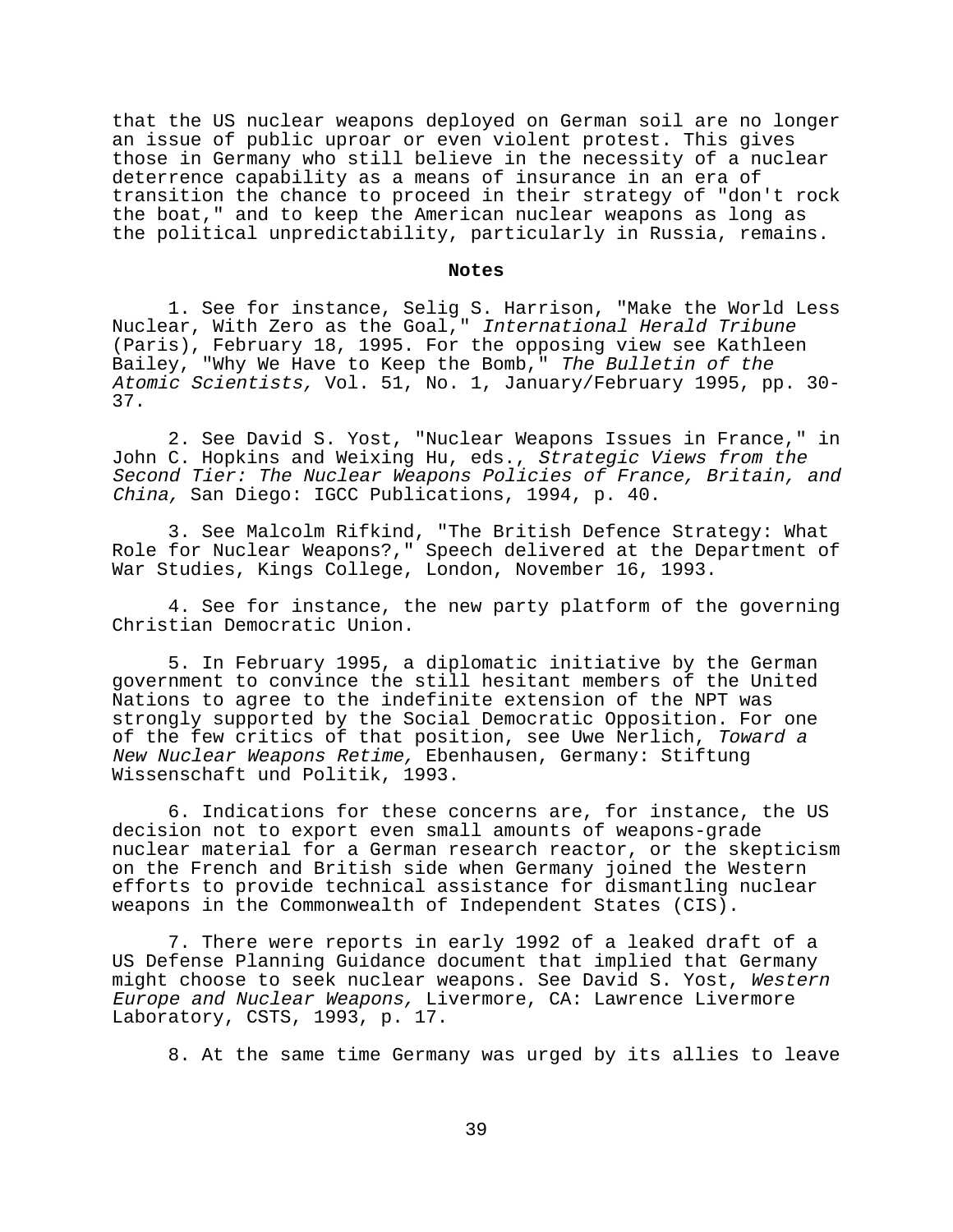that the US nuclear weapons deployed on German soil are no longer an issue of public uproar or even violent protest. This gives those in Germany who still believe in the necessity of a nuclear deterrence capability as a means of insurance in an era of transition the chance to proceed in their strategy of "don't rock the boat," and to keep the American nuclear weapons as long as the political unpredictability, particularly in Russia, remains.

#### **Notes**

1. See for instance, Selig S. Harrison, "Make the World Less Nuclear, With Zero as the Goal," International Herald Tribune (Paris), February 18, 1995. For the opposing view see Kathleen Bailey, "Why We Have to Keep the Bomb," The Bulletin of the Atomic Scientists, Vol. 51, No. 1, January/February 1995, pp. 30- 37.

2. See David S. Yost, "Nuclear Weapons Issues in France," in John C. Hopkins and Weixing Hu, eds., Strategic Views from the Second Tier: The Nuclear Weapons Policies of France, Britain, and China, San Diego: IGCC Publications, 1994, p. 40.

3. See Malcolm Rifkind, "The British Defence Strategy: What Role for Nuclear Weapons?," Speech delivered at the Department of War Studies, Kings College, London, November 16, 1993.

4. See for instance, the new party platform of the governing Christian Democratic Union.

5. In February 1995, a diplomatic initiative by the German government to convince the still hesitant members of the United Nations to agree to the indefinite extension of the NPT was strongly supported by the Social Democratic Opposition. For one of the few critics of that position, see Uwe Nerlich, Toward a New Nuclear Weapons Retime, Ebenhausen, Germany: Stiftung Wissenschaft und Politik, 1993.

6. Indications for these concerns are, for instance, the US decision not to export even small amounts of weapons-grade nuclear material for a German research reactor, or the skepticism on the French and British side when Germany joined the Western efforts to provide technical assistance for dismantling nuclear weapons in the Commonwealth of Independent States (CIS).

7. There were reports in early 1992 of a leaked draft of a US Defense Planning Guidance document that implied that Germany might choose to seek nuclear weapons. See David S. Yost, Western Europe and Nuclear Weapons, Livermore, CA: Lawrence Livermore Laboratory, CSTS, 1993, p. 17.

8. At the same time Germany was urged by its allies to leave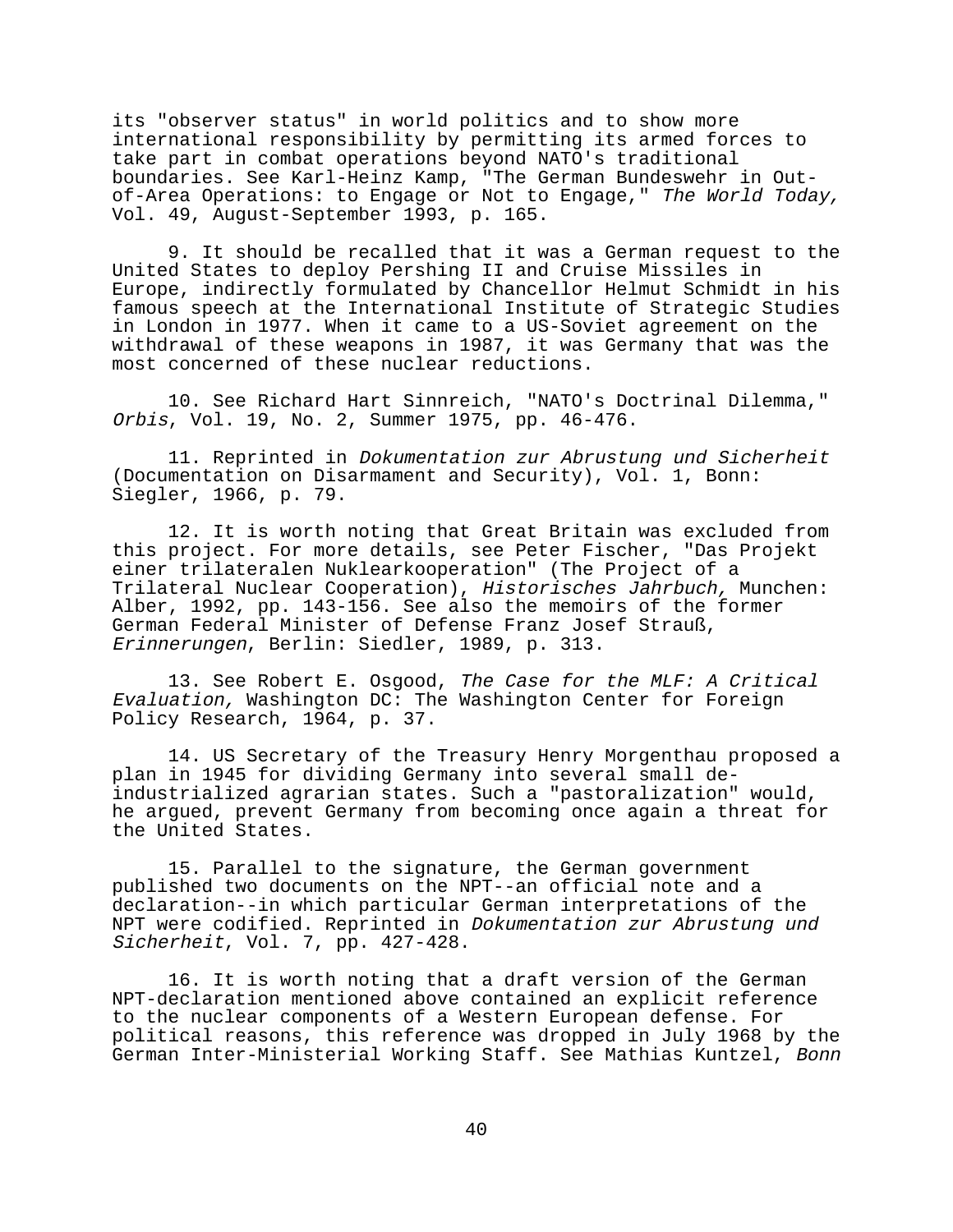its "observer status" in world politics and to show more international responsibility by permitting its armed forces to take part in combat operations beyond NATO's traditional boundaries. See Karl-Heinz Kamp, "The German Bundeswehr in Outof-Area Operations: to Engage or Not to Engage," The World Today, Vol. 49, August-September 1993, p. 165.

9. It should be recalled that it was a German request to the United States to deploy Pershing II and Cruise Missiles in Europe, indirectly formulated by Chancellor Helmut Schmidt in his famous speech at the International Institute of Strategic Studies in London in 1977. When it came to a US-Soviet agreement on the withdrawal of these weapons in 1987, it was Germany that was the most concerned of these nuclear reductions.

10. See Richard Hart Sinnreich, "NATO's Doctrinal Dilemma," Orbis, Vol. 19, No. 2, Summer 1975, pp. 46-476.

11. Reprinted in Dokumentation zur Abrustung und Sicherheit (Documentation on Disarmament and Security), Vol. 1, Bonn: Siegler, 1966, p. 79.

12. It is worth noting that Great Britain was excluded from this project. For more details, see Peter Fischer, "Das Projekt einer trilateralen Nuklearkooperation" (The Project of a Trilateral Nuclear Cooperation), Historisches Jahrbuch, Munchen: Alber, 1992, pp. 143-156. See also the memoirs of the former German Federal Minister of Defense Franz Josef Strauß, Erinnerungen, Berlin: Siedler, 1989, p. 313.

13. See Robert E. Osgood, The Case for the MLF: A Critical Evaluation, Washington DC: The Washington Center for Foreign Policy Research, 1964, p. 37.

14. US Secretary of the Treasury Henry Morgenthau proposed a plan in 1945 for dividing Germany into several small deindustrialized agrarian states. Such a "pastoralization" would, he argued, prevent Germany from becoming once again a threat for the United States.

15. Parallel to the signature, the German government published two documents on the NPT--an official note and a declaration--in which particular German interpretations of the NPT were codified. Reprinted in Dokumentation zur Abrustung und Sicherheit, Vol. 7, pp. 427-428.

16. It is worth noting that a draft version of the German NPT-declaration mentioned above contained an explicit reference to the nuclear components of a Western European defense. For political reasons, this reference was dropped in July 1968 by the German Inter-Ministerial Working Staff. See Mathias Kuntzel, Bonn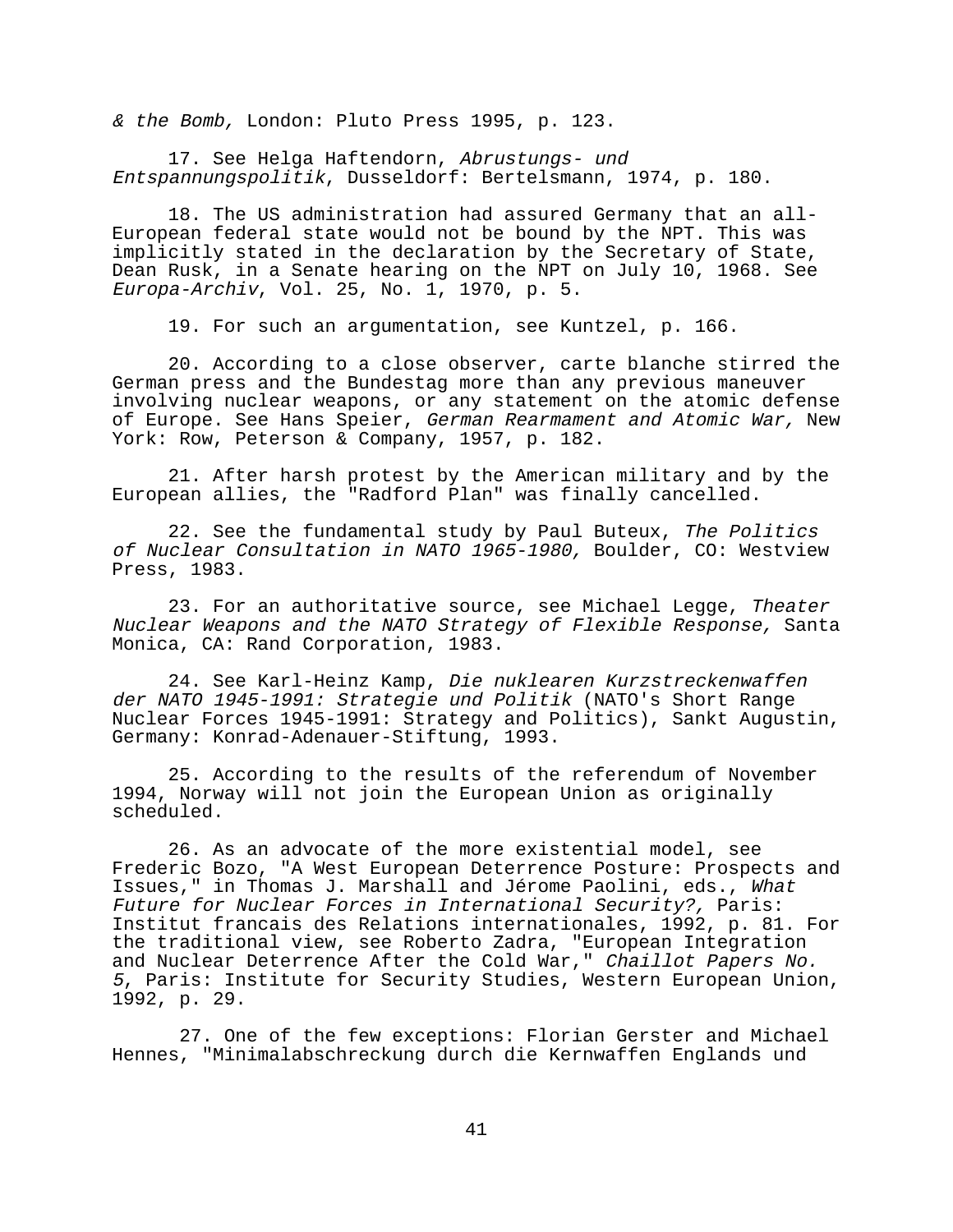& the Bomb, London: Pluto Press 1995, p. 123.

17. See Helga Haftendorn, Abrustungs- und Entspannungspolitik, Dusseldorf: Bertelsmann, 1974, p. 180.

18. The US administration had assured Germany that an all-European federal state would not be bound by the NPT. This was implicitly stated in the declaration by the Secretary of State, Dean Rusk, in a Senate hearing on the NPT on July 10, 1968. See Europa-Archiv, Vol. 25, No. 1, 1970, p. 5.

19. For such an argumentation, see Kuntzel, p. 166.

20. According to a close observer, carte blanche stirred the German press and the Bundestag more than any previous maneuver involving nuclear weapons, or any statement on the atomic defense of Europe. See Hans Speier, German Rearmament and Atomic War, New York: Row, Peterson & Company, 1957, p. 182.

21. After harsh protest by the American military and by the European allies, the "Radford Plan" was finally cancelled.

22. See the fundamental study by Paul Buteux, The Politics of Nuclear Consultation in NATO 1965-1980, Boulder, CO: Westview Press, 1983.

23. For an authoritative source, see Michael Legge, Theater Nuclear Weapons and the NATO Strategy of Flexible Response, Santa Monica, CA: Rand Corporation, 1983.

24. See Karl-Heinz Kamp, Die nuklearen Kurzstreckenwaffen der NATO 1945-1991: Strategie und Politik (NATO's Short Range Nuclear Forces 1945-1991: Strategy and Politics), Sankt Augustin, Germany: Konrad-Adenauer-Stiftung, 1993.

25. According to the results of the referendum of November 1994, Norway will not join the European Union as originally scheduled.

26. As an advocate of the more existential model, see Frederic Bozo, "A West European Deterrence Posture: Prospects and Issues," in Thomas J. Marshall and Jérome Paolini, eds., What Future for Nuclear Forces in International Security?, Paris: Institut francais des Relations internationales, 1992, p. 81. For the traditional view, see Roberto Zadra, "European Integration and Nuclear Deterrence After the Cold War," Chaillot Papers No. <sup>5</sup>, Paris: Institute for Security Studies, Western European Union, 1992, p. 29.

 27. One of the few exceptions: Florian Gerster and Michael Hennes, "Minimalabschreckung durch die Kernwaffen Englands und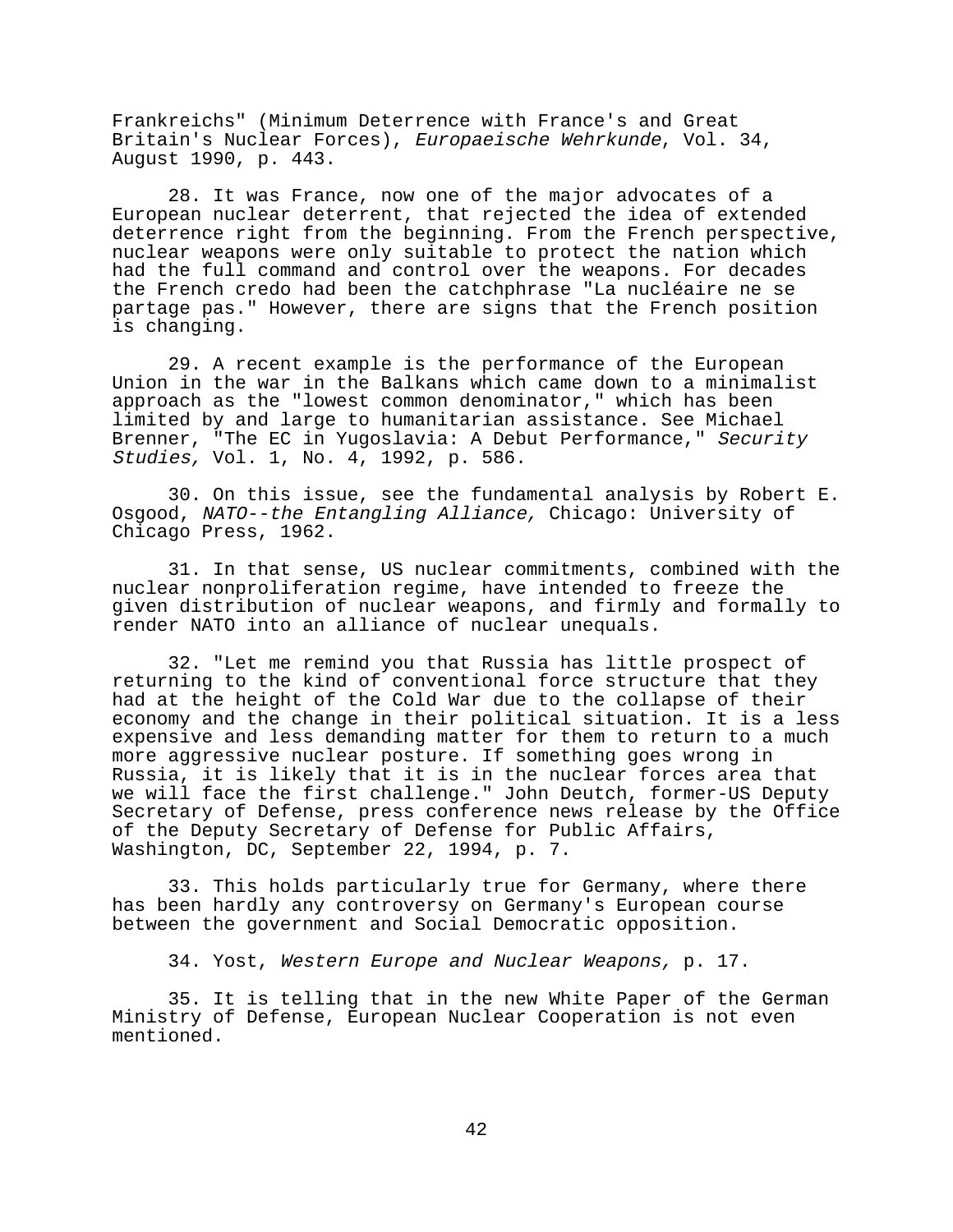Frankreichs" (Minimum Deterrence with France's and Great Britain's Nuclear Forces), Europaeische Wehrkunde, Vol. 34, August 1990, p. 443.

28. It was France, now one of the major advocates of a European nuclear deterrent, that rejected the idea of extended deterrence right from the beginning. From the French perspective, nuclear weapons were only suitable to protect the nation which had the full command and control over the weapons. For decades the French credo had been the catchphrase "La nucléaire ne se partage pas." However, there are signs that the French position is changing.

29. A recent example is the performance of the European Union in the war in the Balkans which came down to a minimalist approach as the "lowest common denominator," which has been limited by and large to humanitarian assistance. See Michael Brenner, "The EC in Yugoslavia: A Debut Performance," Security Studies, Vol. 1, No. 4, 1992, p. 586.

30. On this issue, see the fundamental analysis by Robert E. Osgood, NATO--the Entangling Alliance, Chicago: University of Chicago Press, 1962.

31. In that sense, US nuclear commitments, combined with the nuclear nonproliferation regime, have intended to freeze the given distribution of nuclear weapons, and firmly and formally to render NATO into an alliance of nuclear unequals.

32. "Let me remind you that Russia has little prospect of returning to the kind of conventional force structure that they had at the height of the Cold War due to the collapse of their economy and the change in their political situation. It is a less expensive and less demanding matter for them to return to a much more aggressive nuclear posture. If something goes wrong in Russia, it is likely that it is in the nuclear forces area that we will face the first challenge." John Deutch, former-US Deputy Secretary of Defense, press conference news release by the Office of the Deputy Secretary of Defense for Public Affairs, Washington, DC, September 22, 1994, p. 7.

33. This holds particularly true for Germany, where there has been hardly any controversy on Germany's European course between the government and Social Democratic opposition.

34. Yost, Western Europe and Nuclear Weapons, p. 17.

35. It is telling that in the new White Paper of the German Ministry of Defense, European Nuclear Cooperation is not even mentioned.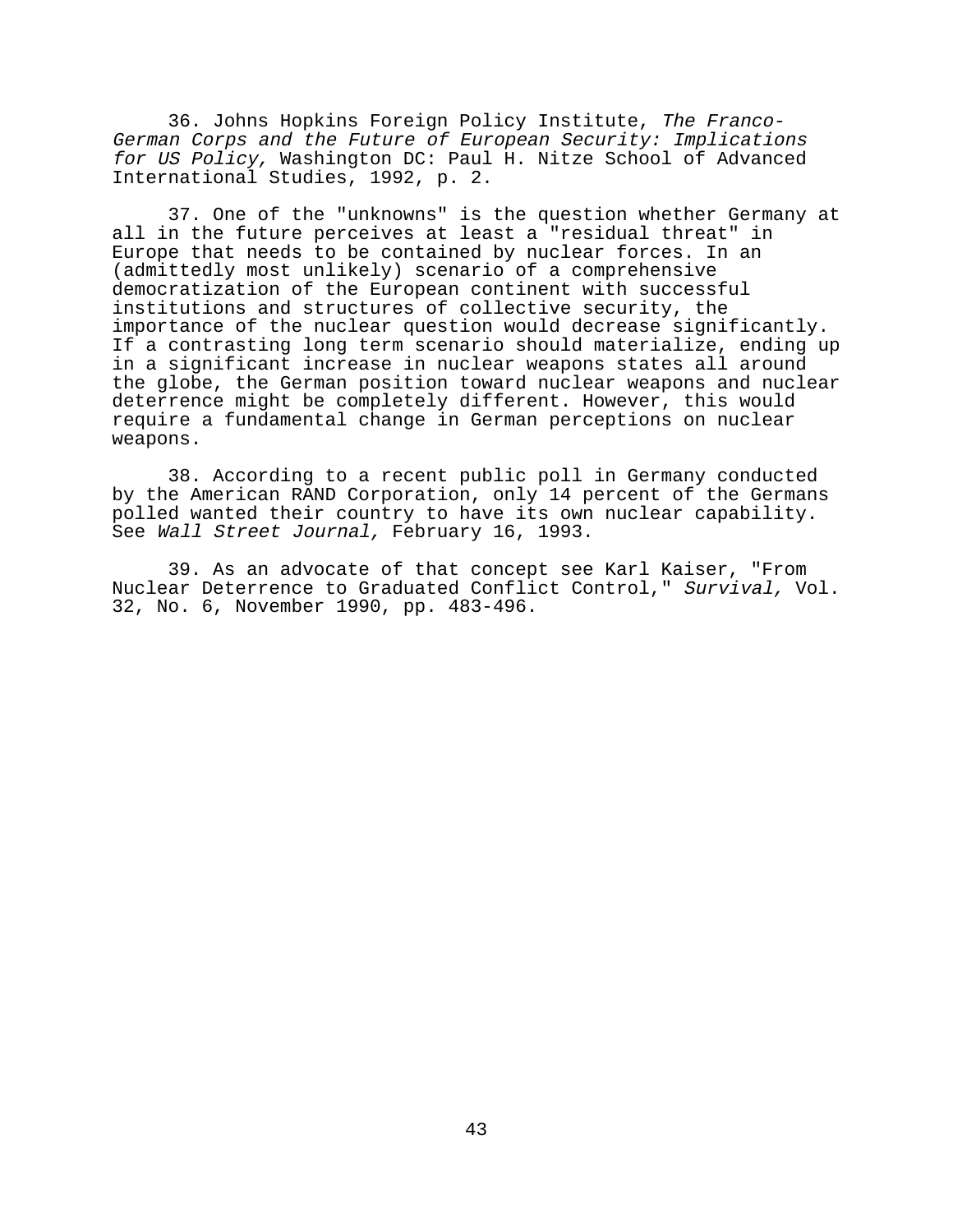36. Johns Hopkins Foreign Policy Institute, The Franco-German Corps and the Future of European Security: Implications for US Policy, Washington DC: Paul H. Nitze School of Advanced International Studies, 1992, p. 2.

37. One of the "unknowns" is the question whether Germany at all in the future perceives at least a "residual threat" in Europe that needs to be contained by nuclear forces. In an (admittedly most unlikely) scenario of a comprehensive democratization of the European continent with successful institutions and structures of collective security, the importance of the nuclear question would decrease significantly. If a contrasting long term scenario should materialize, ending up in a significant increase in nuclear weapons states all around the globe, the German position toward nuclear weapons and nuclear deterrence might be completely different. However, this would require a fundamental change in German perceptions on nuclear weapons.

38. According to a recent public poll in Germany conducted by the American RAND Corporation, only 14 percent of the Germans polled wanted their country to have its own nuclear capability. See Wall Street Journal, February 16, 1993.

39. As an advocate of that concept see Karl Kaiser, "From Nuclear Deterrence to Graduated Conflict Control," Survival, Vol. 32, No. 6, November 1990, pp. 483-496.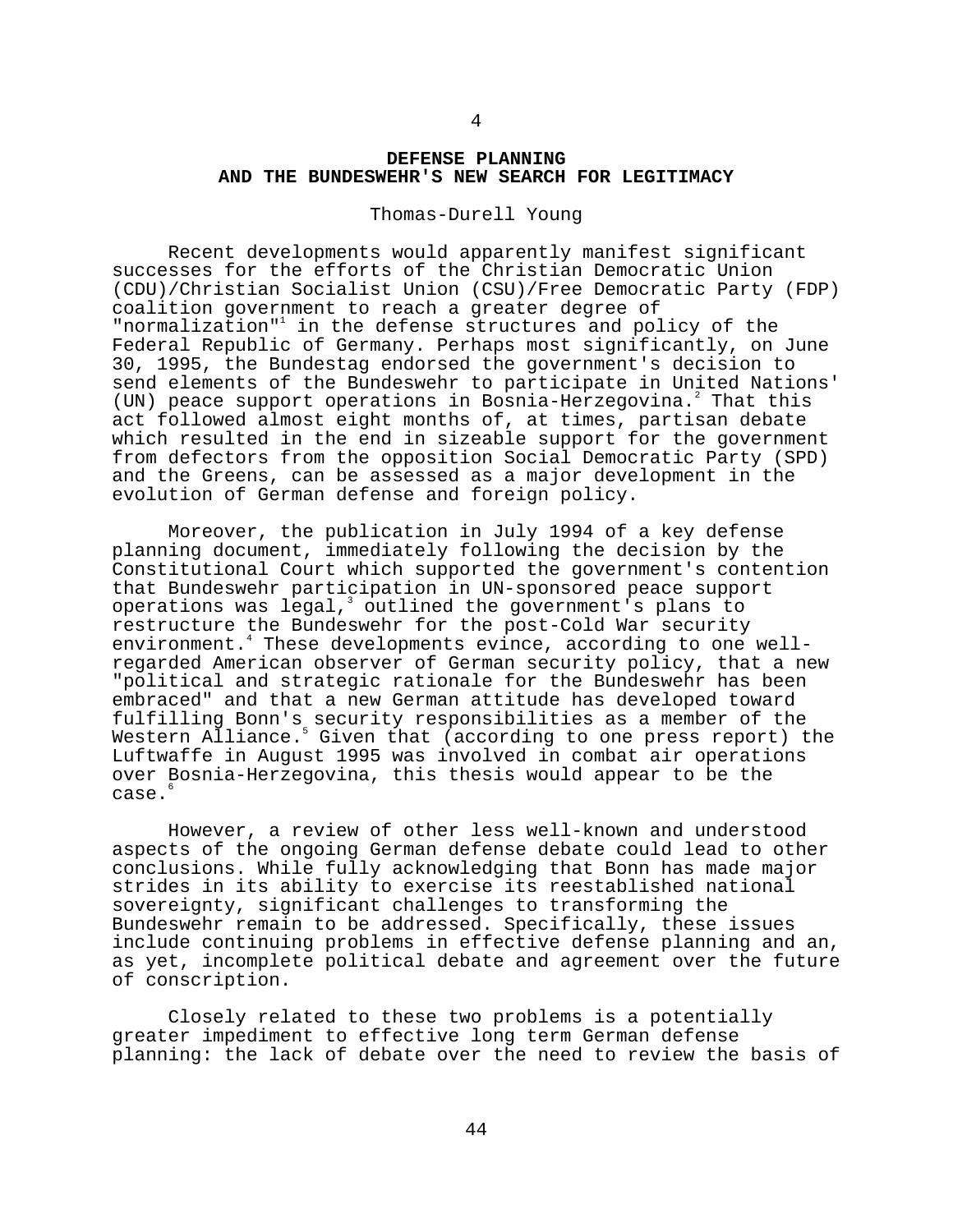## **DEFENSE PLANNING AND THE BUNDESWEHR'S NEW SEARCH FOR LEGITIMACY**

#### Thomas-Durell Young

Recent developments would apparently manifest significant successes for the efforts of the Christian Democratic Union (CDU)/Christian Socialist Union (CSU)/Free Democratic Party (FDP) coalition government to reach a greater degree of "normalization"<sup>1</sup> in the defense structures and policy of the Federal Republic of Germany. Perhaps most significantly, on June 30, 1995, the Bundestag endorsed the government's decision to send elements of the Bundeswehr to participate in United Nations' (UN) peace support operations in Bosnia-Herzegovina.<sup>2</sup> That this act followed almost eight months of, at times, partisan debate which resulted in the end in sizeable support for the government from defectors from the opposition Social Democratic Party (SPD) and the Greens, can be assessed as a major development in the evolution of German defense and foreign policy.

Moreover, the publication in July 1994 of a key defense planning document, immediately following the decision by the Constitutional Court which supported the government's contention that Bundeswehr participation in UN-sponsored peace support operations was legal, outlined the government's plans to restructure the Bundeswehr for the post-Cold War security environment.<sup>4</sup> These developments evince, according to one wellregarded American observer of German security policy, that a new "political and strategic rationale for the Bundeswehr has been embraced" and that a new German attitude has developed toward fulfilling Bonn's security responsibilities as a member of the Western Alliance.<sup>5</sup> Given that (according to one press report) the Luftwaffe in August 1995 was involved in combat air operations over Bosnia-Herzegovina, this thesis would appear to be the case.<sup>6</sup>

However, a review of other less well-known and understood aspects of the ongoing German defense debate could lead to other conclusions. While fully acknowledging that Bonn has made major strides in its ability to exercise its reestablished national sovereignty, significant challenges to transforming the Bundeswehr remain to be addressed. Specifically, these issues include continuing problems in effective defense planning and an, as yet, incomplete political debate and agreement over the future of conscription.

Closely related to these two problems is a potentially greater impediment to effective long term German defense planning: the lack of debate over the need to review the basis of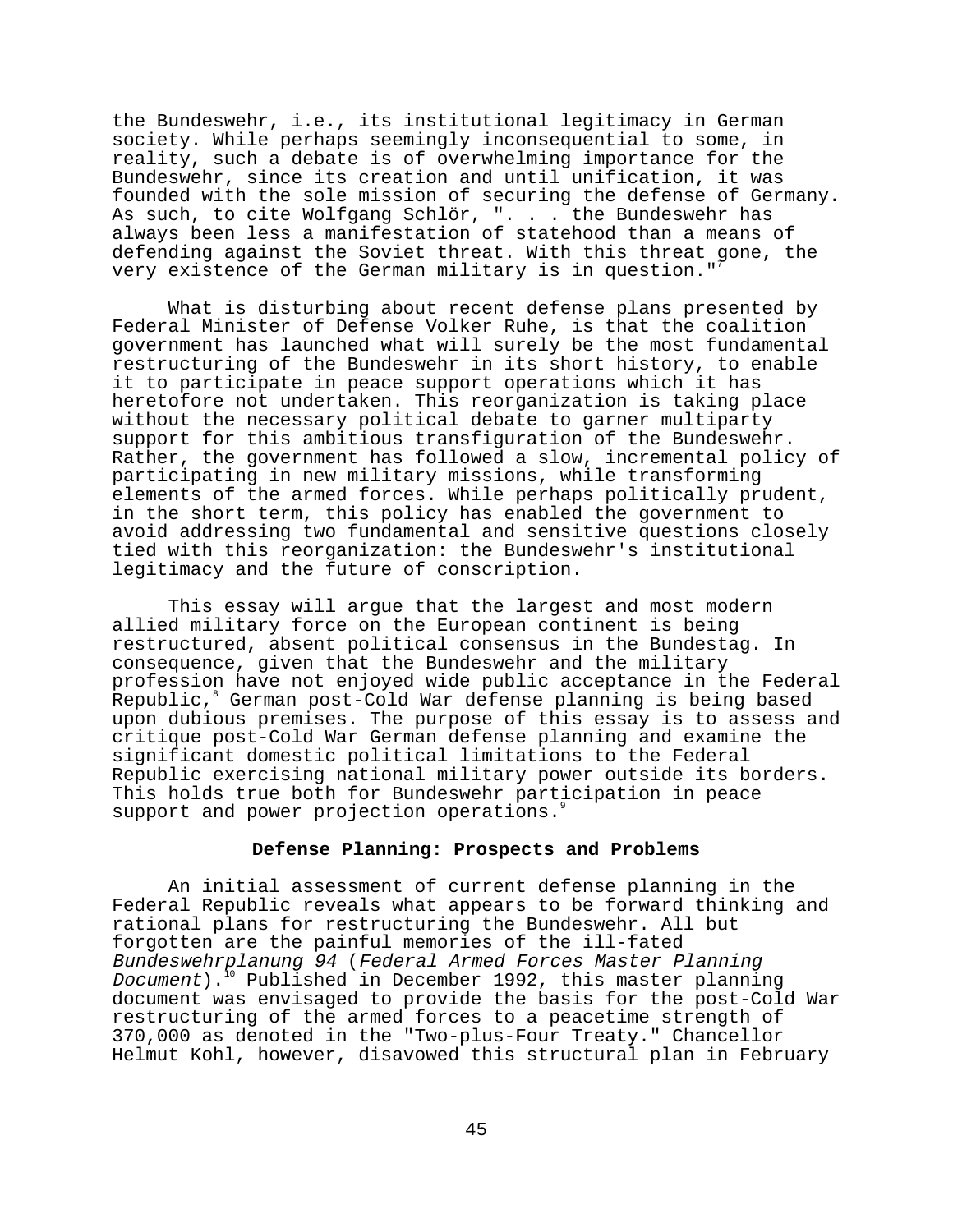the Bundeswehr, i.e., its institutional legitimacy in German society. While perhaps seemingly inconsequential to some, in reality, such a debate is of overwhelming importance for the Bundeswehr, since its creation and until unification, it was founded with the sole mission of securing the defense of Germany. As such, to cite Wolfgang Schlör, ". . . the Bundeswehr has always been less a manifestation of statehood than a means of defending against the Soviet threat. With this threat gone, the very existence of the German military is in question."

What is disturbing about recent defense plans presented by Federal Minister of Defense Volker Ruhe, is that the coalition government has launched what will surely be the most fundamental restructuring of the Bundeswehr in its short history, to enable it to participate in peace support operations which it has heretofore not undertaken. This reorganization is taking place without the necessary political debate to garner multiparty support for this ambitious transfiguration of the Bundeswehr. Rather, the government has followed a slow, incremental policy of participating in new military missions, while transforming elements of the armed forces. While perhaps politically prudent, in the short term, this policy has enabled the government to avoid addressing two fundamental and sensitive questions closely tied with this reorganization: the Bundeswehr's institutional legitimacy and the future of conscription.

This essay will argue that the largest and most modern allied military force on the European continent is being restructured, absent political consensus in the Bundestag. In consequence, given that the Bundeswehr and the military profession have not enjoyed wide public acceptance in the Federal Republic,8 German post-Cold War defense planning is being based upon dubious premises. The purpose of this essay is to assess and critique post-Cold War German defense planning and examine the significant domestic political limitations to the Federal Republic exercising national military power outside its borders. This holds true both for Bundeswehr participation in peace support and power projection operations.

### **Defense Planning: Prospects and Problems**

An initial assessment of current defense planning in the Federal Republic reveals what appears to be forward thinking and rational plans for restructuring the Bundeswehr. All but forgotten are the painful memories of the ill-fated Bundeswehrplanung 94 (Federal Armed Forces Master Planning Document).<sup>10</sup> Published in December 1992, this master planning document was envisaged to provide the basis for the post-Cold War restructuring of the armed forces to a peacetime strength of 370,000 as denoted in the "Two-plus-Four Treaty." Chancellor Helmut Kohl, however, disavowed this structural plan in February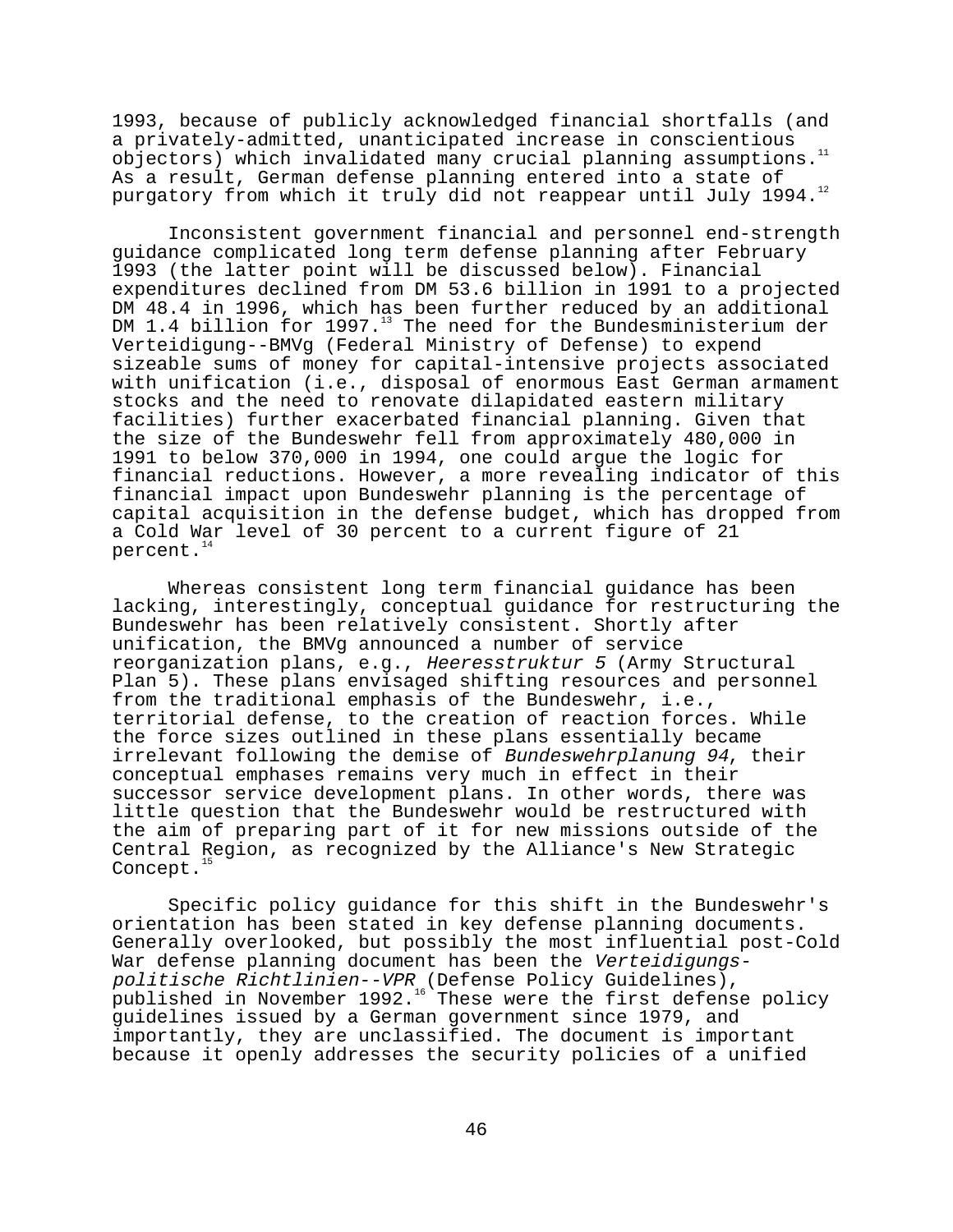1993, because of publicly acknowledged financial shortfalls (and a privately-admitted, unanticipated increase in conscientious objectors) which invalidated many crucial planning assumptions.11 As a result, German defense planning entered into a state of purgatory from which it truly did not reappear until July 1994.<sup>12</sup>

Inconsistent government financial and personnel end-strength guidance complicated long term defense planning after February 1993 (the latter point will be discussed below). Financial expenditures declined from DM 53.6 billion in 1991 to a projected DM 48.4 in 1996, which has been further reduced by an additional DM 1.4 billion for 1997.<sup>13</sup> The need for the Bundesministerium der Verteidigung--BMVg (Federal Ministry of Defense) to expend sizeable sums of money for capital-intensive projects associated with unification (i.e., disposal of enormous East German armament stocks and the need to renovate dilapidated eastern military facilities) further exacerbated financial planning. Given that the size of the Bundeswehr fell from approximately 480,000 in 1991 to below 370,000 in 1994, one could argue the logic for financial reductions. However, a more revealing indicator of this financial impact upon Bundeswehr planning is the percentage of capital acquisition in the defense budget, which has dropped from a Cold War level of 30 percent to a current figure of 21 percent.<sup>14</sup>

Whereas consistent long term financial guidance has been lacking, interestingly, conceptual guidance for restructuring the Bundeswehr has been relatively consistent. Shortly after unification, the BMVg announced a number of service reorganization plans, e.g., Heeresstruktur 5 (Army Structural Plan 5). These plans envisaged shifting resources and personnel from the traditional emphasis of the Bundeswehr, i.e., territorial defense, to the creation of reaction forces. While the force sizes outlined in these plans essentially became irrelevant following the demise of Bundeswehrplanung 94, their conceptual emphases remains very much in effect in their successor service development plans. In other words, there was little question that the Bundeswehr would be restructured with the aim of preparing part of it for new missions outside of the Central Region, as recognized by the Alliance's New Strategic Concept. $<sup>1</sup>$ </sup>

Specific policy guidance for this shift in the Bundeswehr's orientation has been stated in key defense planning documents. Generally overlooked, but possibly the most influential post-Cold War defense planning document has been the Verteidigungspolitische Richtlinien--VPR (Defense Policy Guidelines), published in November 1992. $^{16}$  These were the first defense policy guidelines issued by a German government since 1979, and importantly, they are unclassified. The document is important because it openly addresses the security policies of a unified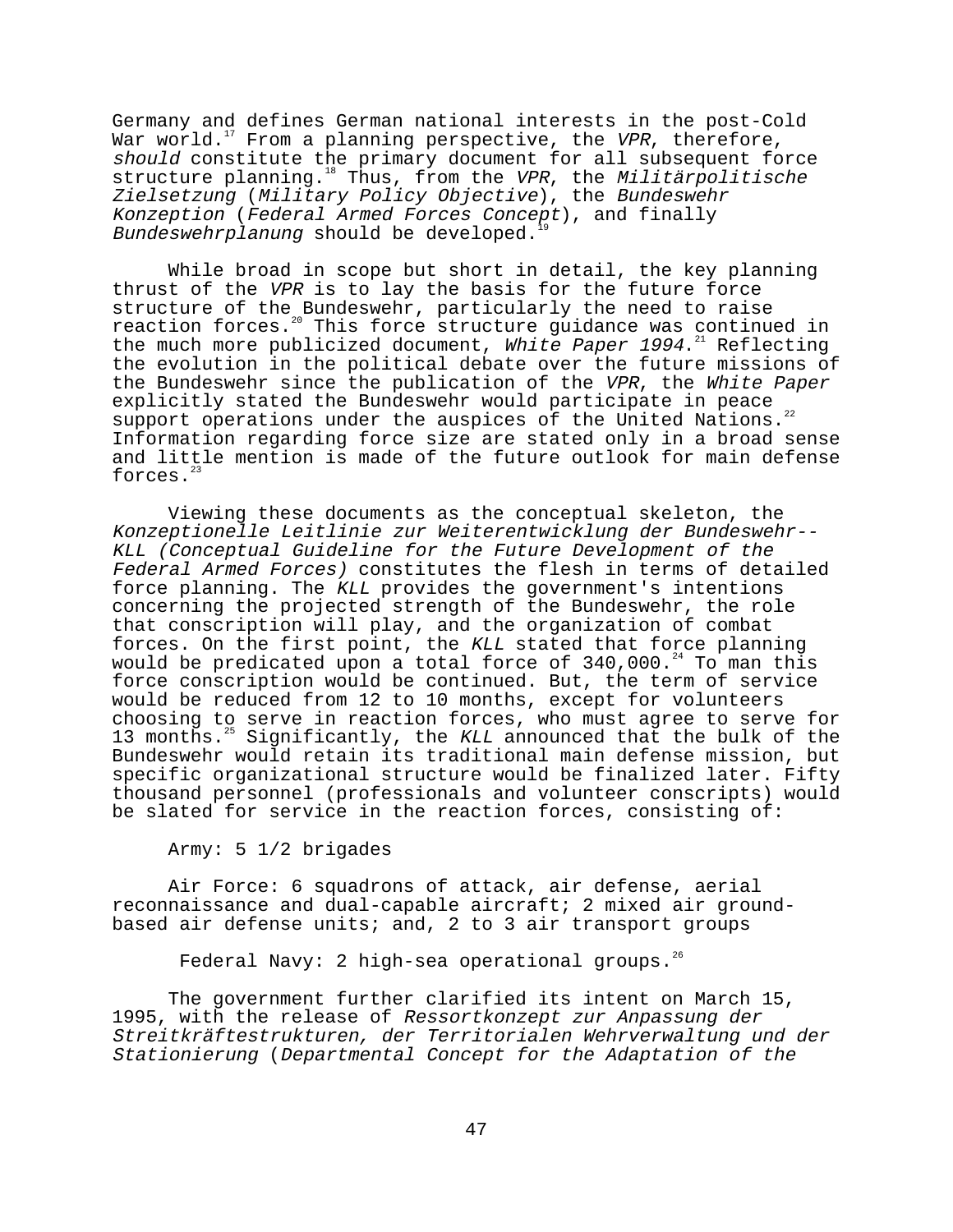Germany and defines German national interests in the post-Cold War world.<sup>17</sup> From a planning perspective, the VPR, therefore, should constitute the primary document for all subsequent force structure planning.<sup>18</sup> Thus, from the VPR, the Militärpolitische Zielsetzung (Military Policy Objective), the Bundeswehr Konzeption (Federal Armed Forces Concept), and finally Bundeswehrplanung should be developed.

While broad in scope but short in detail, the key planning thrust of the VPR is to lay the basis for the future force structure of the Bundeswehr, particularly the need to raise reaction forces.<sup>20</sup> This force structure quidance was continued in the much more publicized document, White Paper  $1994.^{21}$  Reflecting the evolution in the political debate over the future missions of the Bundeswehr since the publication of the VPR, the White Paper explicitly stated the Bundeswehr would participate in peace support operations under the auspices of the United Nations.<sup>22</sup> Information regarding force size are stated only in a broad sense and little mention is made of the future outlook for main defense forces.<sup>23</sup>

Viewing these documents as the conceptual skeleton, the Konzeptionelle Leitlinie zur Weiterentwicklung der Bundeswehr-- KLL (Conceptual Guideline for the Future Development of the Federal Armed Forces) constitutes the flesh in terms of detailed force planning. The KLL provides the government's intentions concerning the projected strength of the Bundeswehr, the role that conscription will play, and the organization of combat forces. On the first point, the KLL stated that force planning would be predicated upon a total force of  $340,000.^{24}$  To man this force conscription would be continued. But, the term of service would be reduced from 12 to 10 months, except for volunteers choosing to serve in reaction forces, who must agree to serve for 13 months.<sup>25</sup> Significantly, the KLL announced that the bulk of the Bundeswehr would retain its traditional main defense mission, but specific organizational structure would be finalized later. Fifty thousand personnel (professionals and volunteer conscripts) would be slated for service in the reaction forces, consisting of:

# Army: 5 1/2 brigades

Air Force: 6 squadrons of attack, air defense, aerial reconnaissance and dual-capable aircraft; 2 mixed air groundbased air defense units; and, 2 to 3 air transport groups

Federal Navy: 2 high-sea operational groups.<sup>26</sup>

The government further clarified its intent on March 15, 1995, with the release of Ressortkonzept zur Anpassung der Streitkräftestrukturen, der Territorialen Wehrverwaltung und der Stationierung (Departmental Concept for the Adaptation of the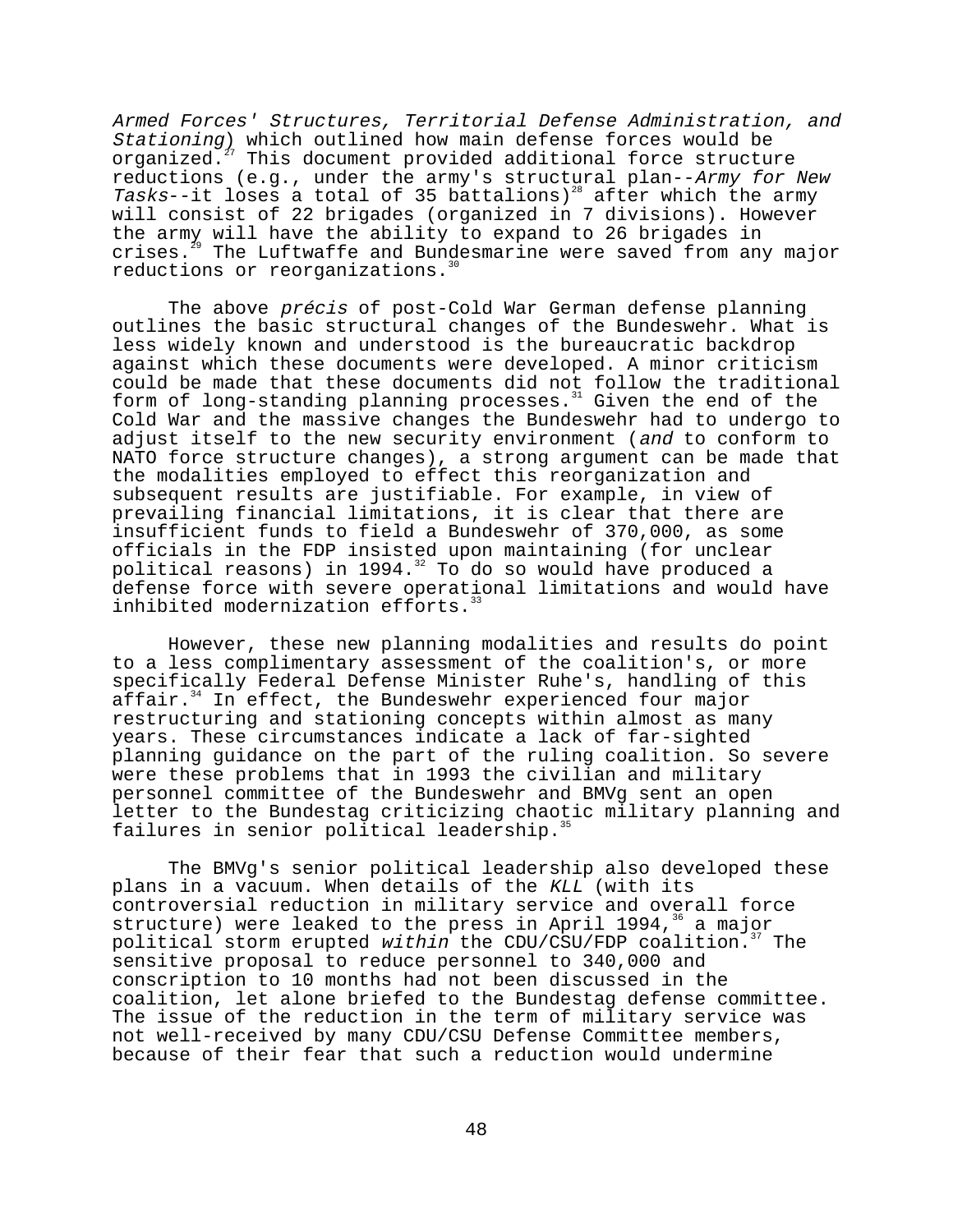Armed Forces' Structures, Territorial Defense Administration, and Stationing) which outlined how main defense forces would be organized.<sup>27</sup> This document provided additional force structure reductions (e.g., under the army's structural plan--Army for New Teductions (c.g., and the dimensional contract of the army will consist of 22 brigades (organized in 7 divisions). However the army will have the ability to expand to 26 brigades in crises. $^{29}$  The Luftwaffe and Bundesmarine were saved from any major reductions or reorganizations.<sup>30</sup>

The above *précis* of post-Cold War German defense planning outlines the basic structural changes of the Bundeswehr. What is less widely known and understood is the bureaucratic backdrop against which these documents were developed. A minor criticism could be made that these documents did not follow the traditional form of long-standing planning processes.<sup>31</sup> Given the end of the Cold War and the massive changes the Bundeswehr had to undergo to adjust itself to the new security environment (and to conform to NATO force structure changes), a strong argument can be made that the modalities employed to effect this reorganization and subsequent results are justifiable. For example, in view of prevailing financial limitations, it is clear that there are insufficient funds to field a Bundeswehr of 370,000, as some officials in the FDP insisted upon maintaining (for unclear political reasons) in 1994. $32$  To do so would have produced a defense force with severe operational limitations and would have inhibited modernization efforts.<sup>3</sup>

However, these new planning modalities and results do point to a less complimentary assessment of the coalition's, or more specifically Federal Defense Minister Ruhe's, handling of this affair.<sup>34</sup> In effect, the Bundeswehr experienced four major restructuring and stationing concepts within almost as many years. These circumstances indicate a lack of far-sighted planning guidance on the part of the ruling coalition. So severe were these problems that in 1993 the civilian and military personnel committee of the Bundeswehr and BMVg sent an open letter to the Bundestag criticizing chaotic military planning and failures in senior political leadership.<sup>3</sup>

The BMVg's senior political leadership also developed these plans in a vacuum. When details of the KLL (with its controversial reduction in military service and overall force structure) were leaked to the press in April 1994, $36$  a major political storm erupted within the CDU/CSU/FDP coalition.<sup>37</sup> The sensitive proposal to reduce personnel to 340,000 and conscription to 10 months had not been discussed in the coalition, let alone briefed to the Bundestag defense committee. The issue of the reduction in the term of military service was not well-received by many CDU/CSU Defense Committee members, because of their fear that such a reduction would undermine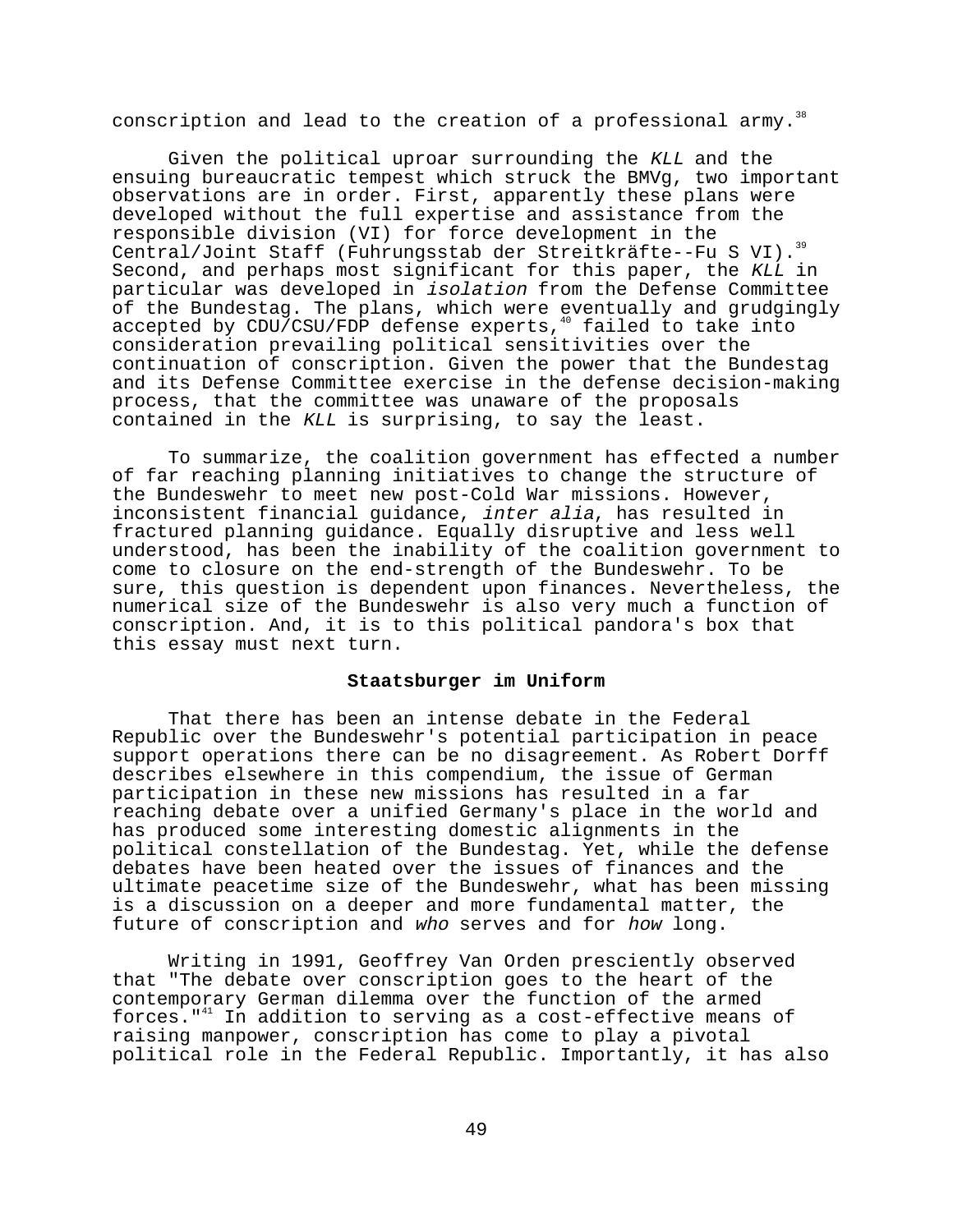conscription and lead to the creation of a professional army.<sup>38</sup>

Given the political uproar surrounding the KLL and the ensuing bureaucratic tempest which struck the BMVg, two important observations are in order. First, apparently these plans were developed without the full expertise and assistance from the responsible division (VI) for force development in the Central/Joint Staff (Fuhrungsstab der Streitkräfte--Fu S VI).<sup>39</sup> Second, and perhaps most significant for this paper, the KLL in particular was developed in isolation from the Defense Committee of the Bundestag. The plans, which were eventually and grudgingly<br>accepted by CDU/CSU/FDP defense experts,<sup>40</sup> failed to take into accepted by CDU/CSU/FDP defense experts, $4$ consideration prevailing political sensitivities over the continuation of conscription. Given the power that the Bundestag and its Defense Committee exercise in the defense decision-making process, that the committee was unaware of the proposals contained in the KLL is surprising, to say the least.

To summarize, the coalition government has effected a number of far reaching planning initiatives to change the structure of the Bundeswehr to meet new post-Cold War missions. However, inconsistent financial guidance, inter alia, has resulted in fractured planning guidance. Equally disruptive and less well understood, has been the inability of the coalition government to come to closure on the end-strength of the Bundeswehr. To be sure, this question is dependent upon finances. Nevertheless, the numerical size of the Bundeswehr is also very much a function of conscription. And, it is to this political pandora's box that this essay must next turn.

# **Staatsburger im Uniform**

That there has been an intense debate in the Federal Republic over the Bundeswehr's potential participation in peace support operations there can be no disagreement. As Robert Dorff describes elsewhere in this compendium, the issue of German participation in these new missions has resulted in a far reaching debate over a unified Germany's place in the world and has produced some interesting domestic alignments in the political constellation of the Bundestag. Yet, while the defense debates have been heated over the issues of finances and the ultimate peacetime size of the Bundeswehr, what has been missing is a discussion on a deeper and more fundamental matter, the future of conscription and who serves and for how long.

Writing in 1991, Geoffrey Van Orden presciently observed that "The debate over conscription goes to the heart of the contemporary German dilemma over the function of the armed forces." $41$  In addition to serving as a cost-effective means of raising manpower, conscription has come to play a pivotal political role in the Federal Republic. Importantly, it has also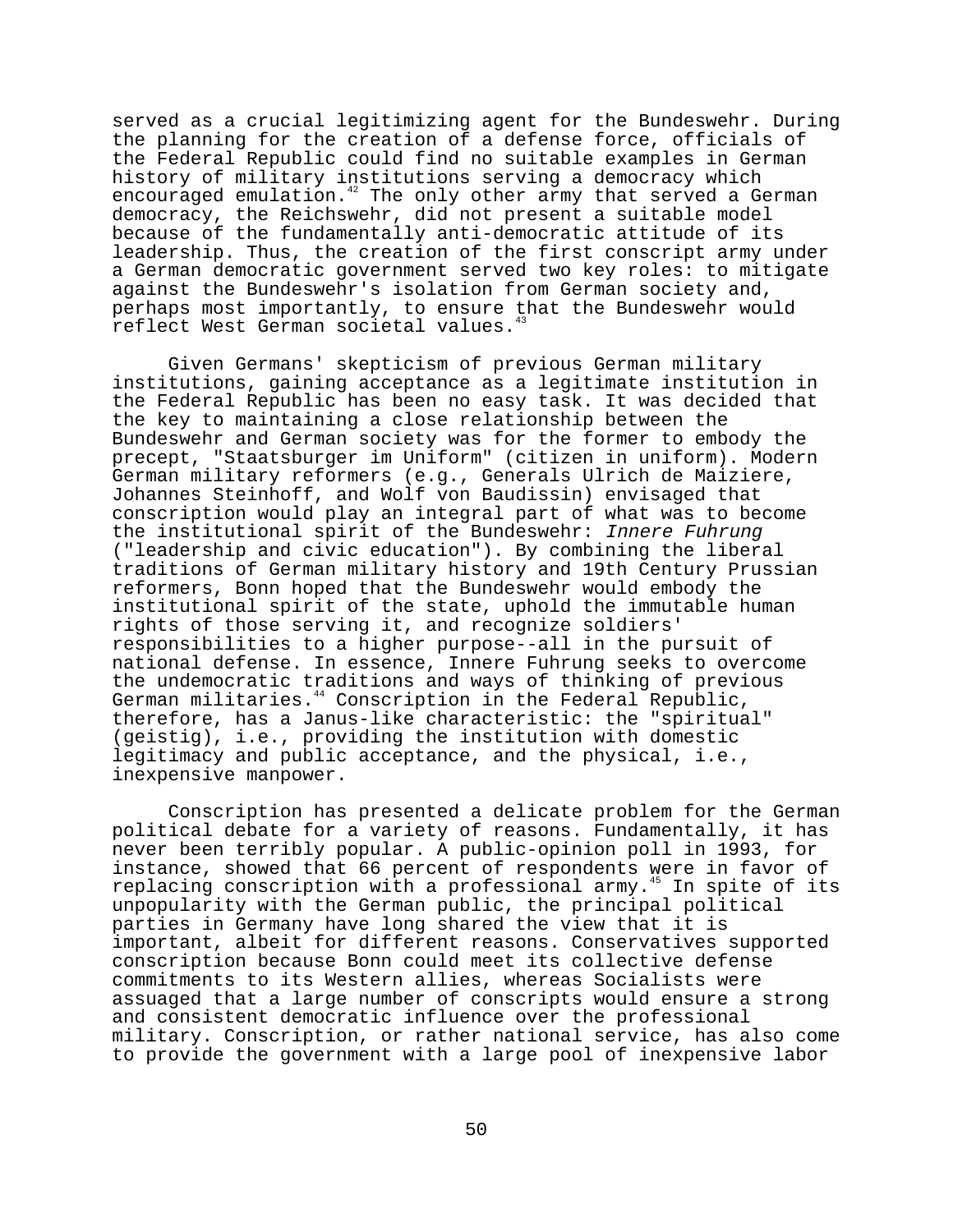served as a crucial legitimizing agent for the Bundeswehr. During the planning for the creation of a defense force, officials of the Federal Republic could find no suitable examples in German history of military institutions serving a democracy which encouraged emulation.<sup>42</sup> The only other army that served a German democracy, the Reichswehr, did not present a suitable model because of the fundamentally anti-democratic attitude of its leadership. Thus, the creation of the first conscript army under a German democratic government served two key roles: to mitigate against the Bundeswehr's isolation from German society and, perhaps most importantly, to ensure that the Bundeswehr would reflect West German societal values.<sup>4</sup>

Given Germans' skepticism of previous German military institutions, gaining acceptance as a legitimate institution in the Federal Republic has been no easy task. It was decided that the key to maintaining a close relationship between the Bundeswehr and German society was for the former to embody the precept, "Staatsburger im Uniform" (citizen in uniform). Modern German military reformers (e.g., Generals Ulrich de Maiziere, Johannes Steinhoff, and Wolf von Baudissin) envisaged that conscription would play an integral part of what was to become the institutional spirit of the Bundeswehr: Innere Fuhrung ("leadership and civic education"). By combining the liberal traditions of German military history and 19th Century Prussian reformers, Bonn hoped that the Bundeswehr would embody the institutional spirit of the state, uphold the immutable human rights of those serving it, and recognize soldiers' responsibilities to a higher purpose--all in the pursuit of national defense. In essence, Innere Fuhrung seeks to overcome the undemocratic traditions and ways of thinking of previous German militaries.<sup>44</sup> Conscription in the Federal Republic, therefore, has a Janus-like characteristic: the "spiritual" (geistig), i.e., providing the institution with domestic legitimacy and public acceptance, and the physical, i.e., inexpensive manpower.

Conscription has presented a delicate problem for the German political debate for a variety of reasons. Fundamentally, it has never been terribly popular. A public-opinion poll in 1993, for instance, showed that 66 percent of respondents were in favor of replacing conscription with a professional army.<sup>45</sup> In spite of its unpopularity with the German public, the principal political parties in Germany have long shared the view that it is important, albeit for different reasons. Conservatives supported conscription because Bonn could meet its collective defense commitments to its Western allies, whereas Socialists were assuaged that a large number of conscripts would ensure a strong and consistent democratic influence over the professional military. Conscription, or rather national service, has also come to provide the government with a large pool of inexpensive labor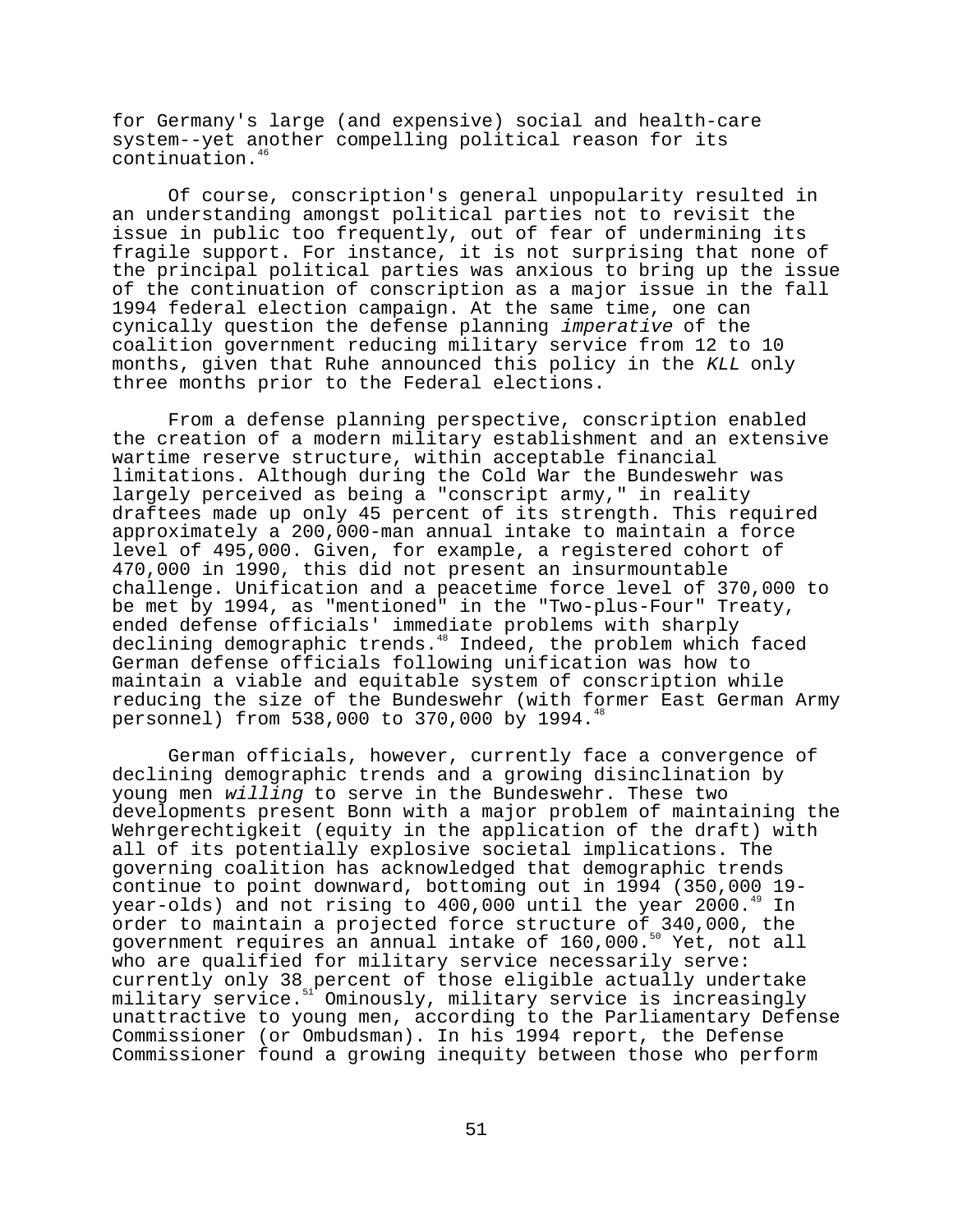for Germany's large (and expensive) social and health-care system--yet another compelling political reason for its continuation.<sup>46</sup>

Of course, conscription's general unpopularity resulted in an understanding amongst political parties not to revisit the issue in public too frequently, out of fear of undermining its fragile support. For instance, it is not surprising that none of the principal political parties was anxious to bring up the issue of the continuation of conscription as a major issue in the fall 1994 federal election campaign. At the same time, one can cynically question the defense planning imperative of the coalition government reducing military service from 12 to 10 months, given that Ruhe announced this policy in the KLL only three months prior to the Federal elections.

From a defense planning perspective, conscription enabled the creation of a modern military establishment and an extensive wartime reserve structure, within acceptable financial limitations. Although during the Cold War the Bundeswehr was largely perceived as being a "conscript army," in reality draftees made up only 45 percent of its strength. This required approximately a 200,000-man annual intake to maintain a force level of 495,000. Given, for example, a registered cohort of 470,000 in 1990, this did not present an insurmountable challenge. Unification and a peacetime force level of 370,000 to be met by 1994, as "mentioned" in the "Two-plus-Four" Treaty, ended defense officials' immediate problems with sharply declining demographic trends.<sup>48</sup> Indeed, the problem which faced German defense officials following unification was how to maintain a viable and equitable system of conscription while reducing the size of the Bundeswehr (with former East German Army personnel) from 538,000 to 370,000 by 1994.<sup>4</sup>

German officials, however, currently face a convergence of declining demographic trends and a growing disinclination by young men willing to serve in the Bundeswehr. These two developments present Bonn with a major problem of maintaining the Wehrgerechtigkeit (equity in the application of the draft) with all of its potentially explosive societal implications. The governing coalition has acknowledged that demographic trends continue to point downward, bottoming out in 1994 (350,000 19 year-olds) and not rising to  $400,000$  until the year  $2000.^4$ order to maintain a projected force structure of 340,000, the government requires an annual intake of 160,000.<sup>50</sup> Yet, not all who are qualified for military service necessarily serve: currently only 38 percent of those eligible actually undertake military service.<sup>51</sup> Ominously, military service is increasingly unattractive to young men, according to the Parliamentary Defense Commissioner (or Ombudsman). In his 1994 report, the Defense Commissioner found a growing inequity between those who perform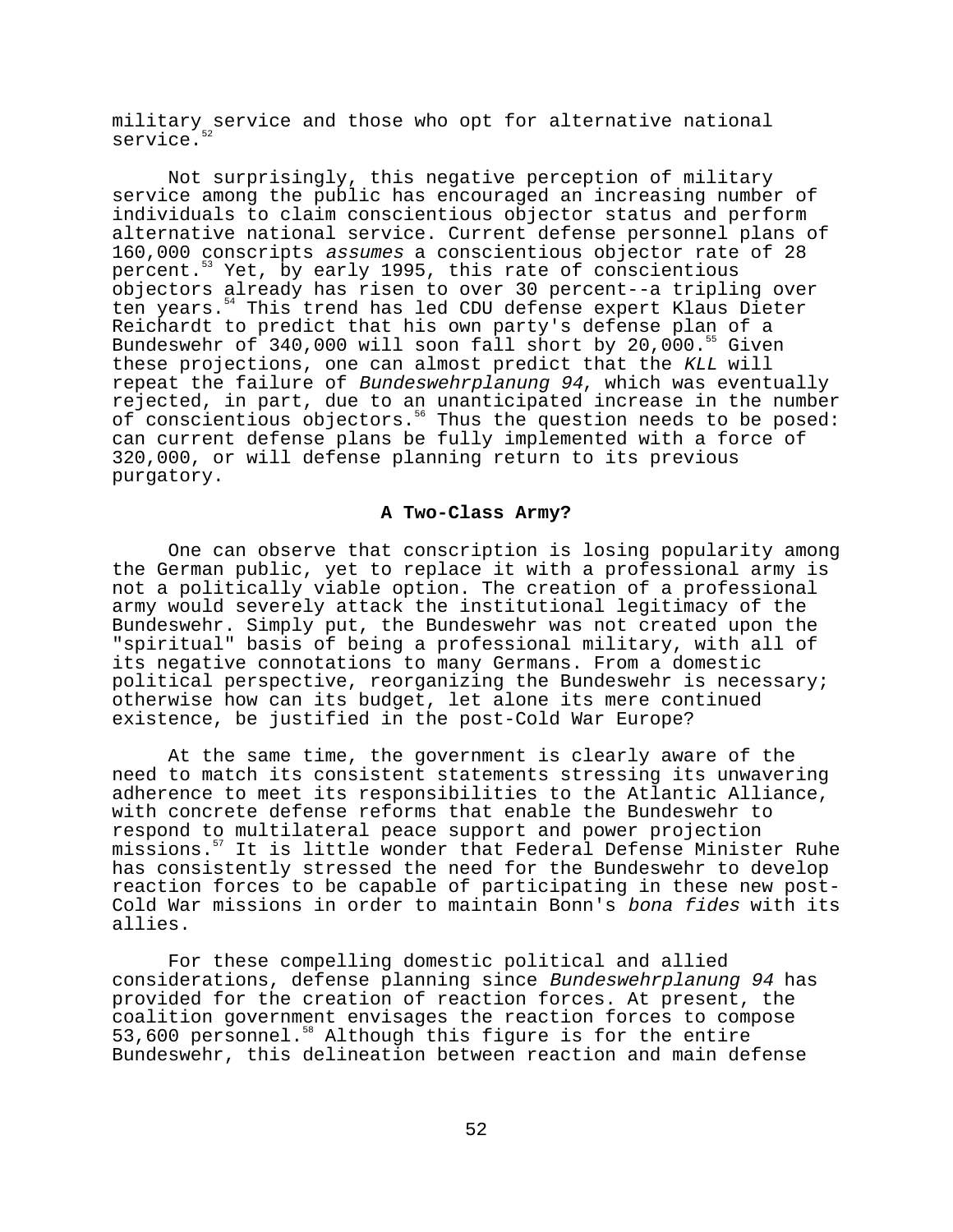military service and those who opt for alternative national service.

Not surprisingly, this negative perception of military service among the public has encouraged an increasing number of individuals to claim conscientious objector status and perform alternative national service. Current defense personnel plans of 160,000 conscripts assumes a conscientious objector rate of 28 percent.53 Yet, by early 1995, this rate of conscientious objectors already has risen to over 30 percent--a tripling over ten years.<sup>54</sup> This trend has led CDU defense expert Klaus Dieter Reichardt to predict that his own party's defense plan of a Bundeswehr of 340,000 will soon fall short by 20,000.<sup>55</sup> Given these projections, one can almost predict that the KLL will repeat the failure of Bundeswehrplanung 94, which was eventually rejected, in part, due to an unanticipated increase in the number of conscientious objectors.<sup>56</sup> Thus the question needs to be posed: can current defense plans be fully implemented with a force of 320,000, or will defense planning return to its previous purgatory.

# **A Two-Class Army?**

One can observe that conscription is losing popularity among the German public, yet to replace it with a professional army is not a politically viable option. The creation of a professional army would severely attack the institutional legitimacy of the Bundeswehr. Simply put, the Bundeswehr was not created upon the "spiritual" basis of being a professional military, with all of its negative connotations to many Germans. From a domestic political perspective, reorganizing the Bundeswehr is necessary; otherwise how can its budget, let alone its mere continued existence, be justified in the post-Cold War Europe?

At the same time, the government is clearly aware of the need to match its consistent statements stressing its unwavering adherence to meet its responsibilities to the Atlantic Alliance, with concrete defense reforms that enable the Bundeswehr to respond to multilateral peace support and power projection missions.57 It is little wonder that Federal Defense Minister Ruhe has consistently stressed the need for the Bundeswehr to develop reaction forces to be capable of participating in these new post-Cold War missions in order to maintain Bonn's bona fides with its allies.

For these compelling domestic political and allied considerations, defense planning since Bundeswehrplanung 94 has provided for the creation of reaction forces. At present, the coalition government envisages the reaction forces to compose 53,600 personnel.<sup>58</sup> Although this figure is for the entire Bundeswehr, this delineation between reaction and main defense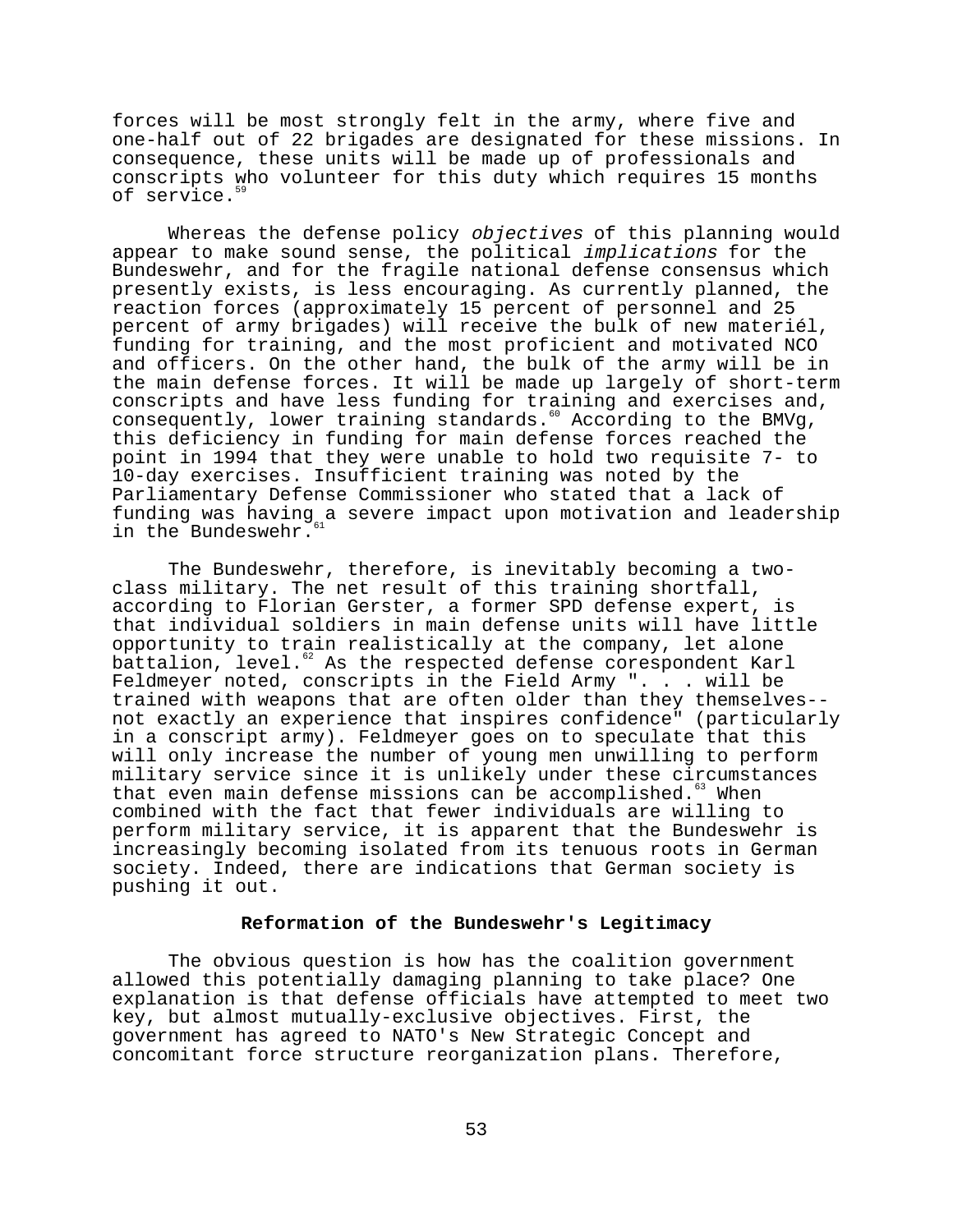forces will be most strongly felt in the army, where five and one-half out of 22 brigades are designated for these missions. In consequence, these units will be made up of professionals and conscripts who volunteer for this duty which requires 15 months of service.<sup>59</sup>

Whereas the defense policy objectives of this planning would appear to make sound sense, the political implications for the Bundeswehr, and for the fragile national defense consensus which presently exists, is less encouraging. As currently planned, the reaction forces (approximately 15 percent of personnel and 25 percent of army brigades) will receive the bulk of new materiél, funding for training, and the most proficient and motivated NCO and officers. On the other hand, the bulk of the army will be in the main defense forces. It will be made up largely of short-term conscripts and have less funding for training and exercises and, consequently, lower training standards.<sup>60</sup> According to the BMVg, this deficiency in funding for main defense forces reached the point in 1994 that they were unable to hold two requisite 7- to 10-day exercises. Insufficient training was noted by the Parliamentary Defense Commissioner who stated that a lack of funding was having a severe impact upon motivation and leadership in the Bundeswehr.

The Bundeswehr, therefore, is inevitably becoming a twoclass military. The net result of this training shortfall, according to Florian Gerster, a former SPD defense expert, is that individual soldiers in main defense units will have little opportunity to train realistically at the company, let alone battalion, level.<sup>62</sup> As the respected defense corespondent Karl Feldmeyer noted, conscripts in the Field Army ". . . will be trained with weapons that are often older than they themselves- not exactly an experience that inspires confidence" (particularly in a conscript army). Feldmeyer goes on to speculate that this will only increase the number of young men unwilling to perform military service since it is unlikely under these circumstances that even main defense missions can be accomplished. $63$  When combined with the fact that fewer individuals are willing to perform military service, it is apparent that the Bundeswehr is increasingly becoming isolated from its tenuous roots in German society. Indeed, there are indications that German society is pushing it out.

# **Reformation of the Bundeswehr's Legitimacy**

The obvious question is how has the coalition government allowed this potentially damaging planning to take place? One explanation is that defense officials have attempted to meet two key, but almost mutually-exclusive objectives. First, the government has agreed to NATO's New Strategic Concept and concomitant force structure reorganization plans. Therefore,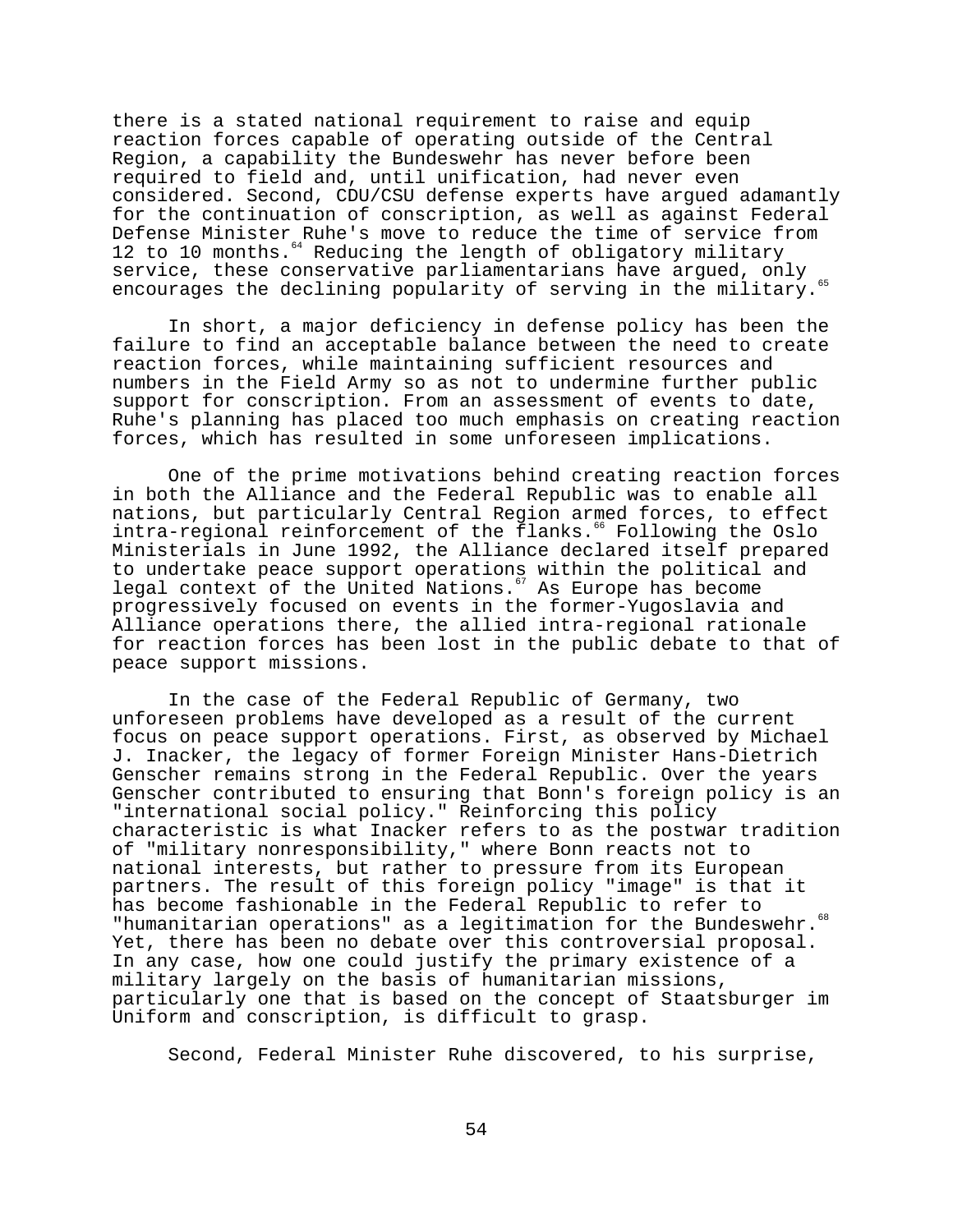there is a stated national requirement to raise and equip reaction forces capable of operating outside of the Central Region, a capability the Bundeswehr has never before been required to field and, until unification, had never even considered. Second, CDU/CSU defense experts have argued adamantly for the continuation of conscription, as well as against Federal Defense Minister Ruhe's move to reduce the time of service from 12 to 10 months.<sup>64</sup> Reducing the length of obligatory military service, these conservative parliamentarians have argued, only encourages the declining popularity of serving in the military.

In short, a major deficiency in defense policy has been the failure to find an acceptable balance between the need to create reaction forces, while maintaining sufficient resources and numbers in the Field Army so as not to undermine further public support for conscription. From an assessment of events to date, Ruhe's planning has placed too much emphasis on creating reaction forces, which has resulted in some unforeseen implications.

One of the prime motivations behind creating reaction forces in both the Alliance and the Federal Republic was to enable all nations, but particularly Central Region armed forces, to effect intra-regional reinforcement of the flanks.<sup>66</sup> Following the Oslo Ministerials in June 1992, the Alliance declared itself prepared to undertake peace support operations within the political and legal context of the United Nations.<sup>67</sup> As Europe has become progressively focused on events in the former-Yugoslavia and Alliance operations there, the allied intra-regional rationale for reaction forces has been lost in the public debate to that of peace support missions.

In the case of the Federal Republic of Germany, two unforeseen problems have developed as a result of the current focus on peace support operations. First, as observed by Michael J. Inacker, the legacy of former Foreign Minister Hans-Dietrich Genscher remains strong in the Federal Republic. Over the years Genscher contributed to ensuring that Bonn's foreign policy is an "international social policy." Reinforcing this policy characteristic is what Inacker refers to as the postwar tradition of "military nonresponsibility," where Bonn reacts not to national interests, but rather to pressure from its European partners. The result of this foreign policy "image" is that it has become fashionable in the Federal Republic to refer to "humanitarian operations" as a legitimation for the Bundeswehr.<sup>68</sup> Yet, there has been no debate over this controversial proposal. In any case, how one could justify the primary existence of a military largely on the basis of humanitarian missions, particularly one that is based on the concept of Staatsburger im Uniform and conscription, is difficult to grasp.

Second, Federal Minister Ruhe discovered, to his surprise,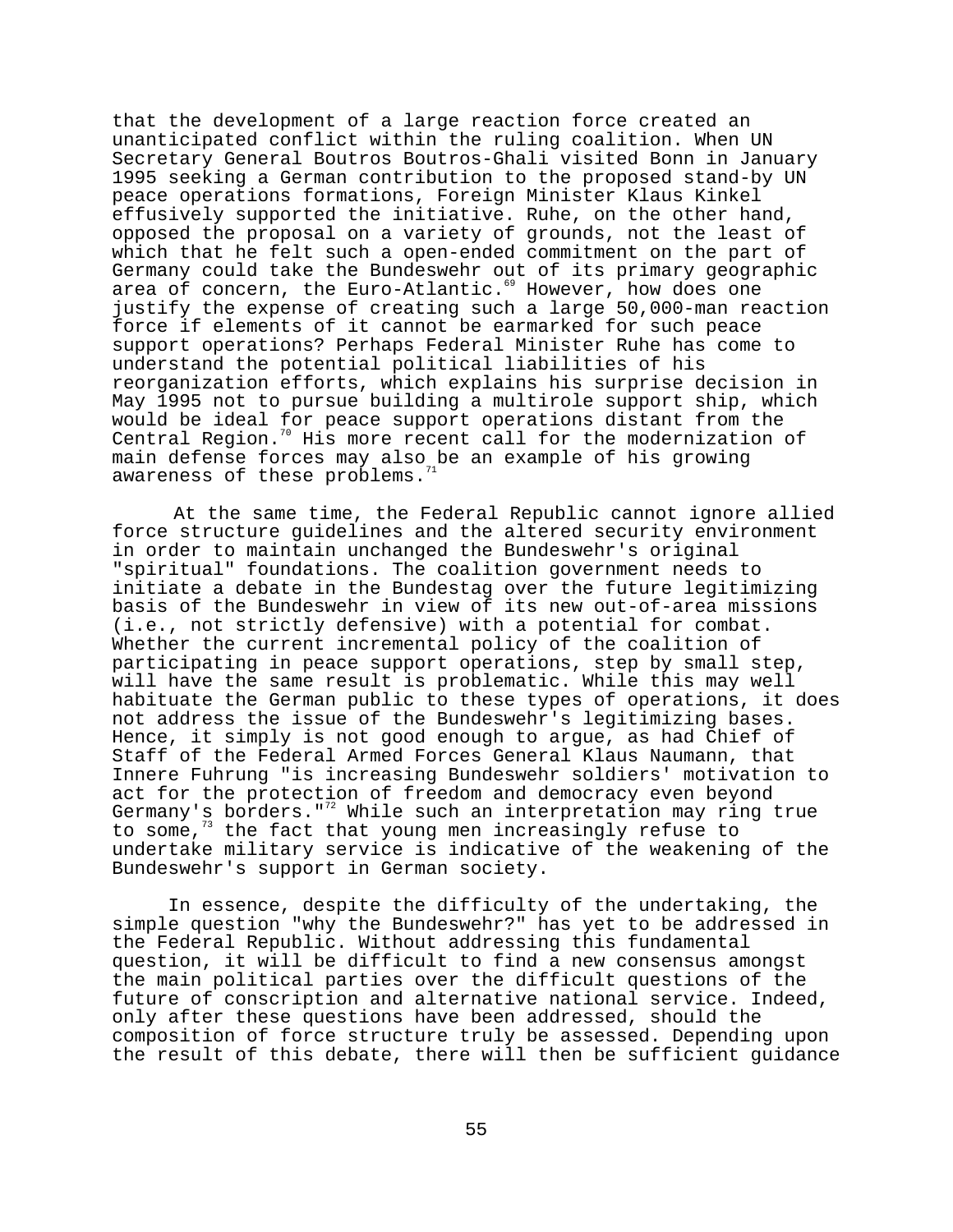that the development of a large reaction force created an unanticipated conflict within the ruling coalition. When UN Secretary General Boutros Boutros-Ghali visited Bonn in January 1995 seeking a German contribution to the proposed stand-by UN peace operations formations, Foreign Minister Klaus Kinkel effusively supported the initiative. Ruhe, on the other hand, opposed the proposal on a variety of grounds, not the least of which that he felt such a open-ended commitment on the part of Germany could take the Bundeswehr out of its primary geographic area of concern, the Euro-Atlantic.<sup>69</sup> However, how does one justify the expense of creating such a large 50,000-man reaction force if elements of it cannot be earmarked for such peace support operations? Perhaps Federal Minister Ruhe has come to understand the potential political liabilities of his reorganization efforts, which explains his surprise decision in May 1995 not to pursue building a multirole support ship, which would be ideal for peace support operations distant from the Central Region.<sup>70</sup> His more recent call for the modernization of main defense forces may also be an example of his growing awareness of these problems.

At the same time, the Federal Republic cannot ignore allied force structure guidelines and the altered security environment in order to maintain unchanged the Bundeswehr's original "spiritual" foundations. The coalition government needs to initiate a debate in the Bundestag over the future legitimizing basis of the Bundeswehr in view of its new out-of-area missions (i.e., not strictly defensive) with a potential for combat. Whether the current incremental policy of the coalition of participating in peace support operations, step by small step, will have the same result is problematic. While this may well habituate the German public to these types of operations, it does not address the issue of the Bundeswehr's legitimizing bases. Hence, it simply is not good enough to argue, as had Chief of Staff of the Federal Armed Forces General Klaus Naumann, that Innere Fuhrung "is increasing Bundeswehr soldiers' motivation to act for the protection of freedom and democracy even beyond Germany's borders. "<sup>72</sup> While such an interpretation may ring true to some, $7^3$  the fact that young men increasingly refuse to undertake military service is indicative of the weakening of the Bundeswehr's support in German society.

In essence, despite the difficulty of the undertaking, the simple question "why the Bundeswehr?" has yet to be addressed in the Federal Republic. Without addressing this fundamental question, it will be difficult to find a new consensus amongst the main political parties over the difficult questions of the future of conscription and alternative national service. Indeed, only after these questions have been addressed, should the composition of force structure truly be assessed. Depending upon the result of this debate, there will then be sufficient guidance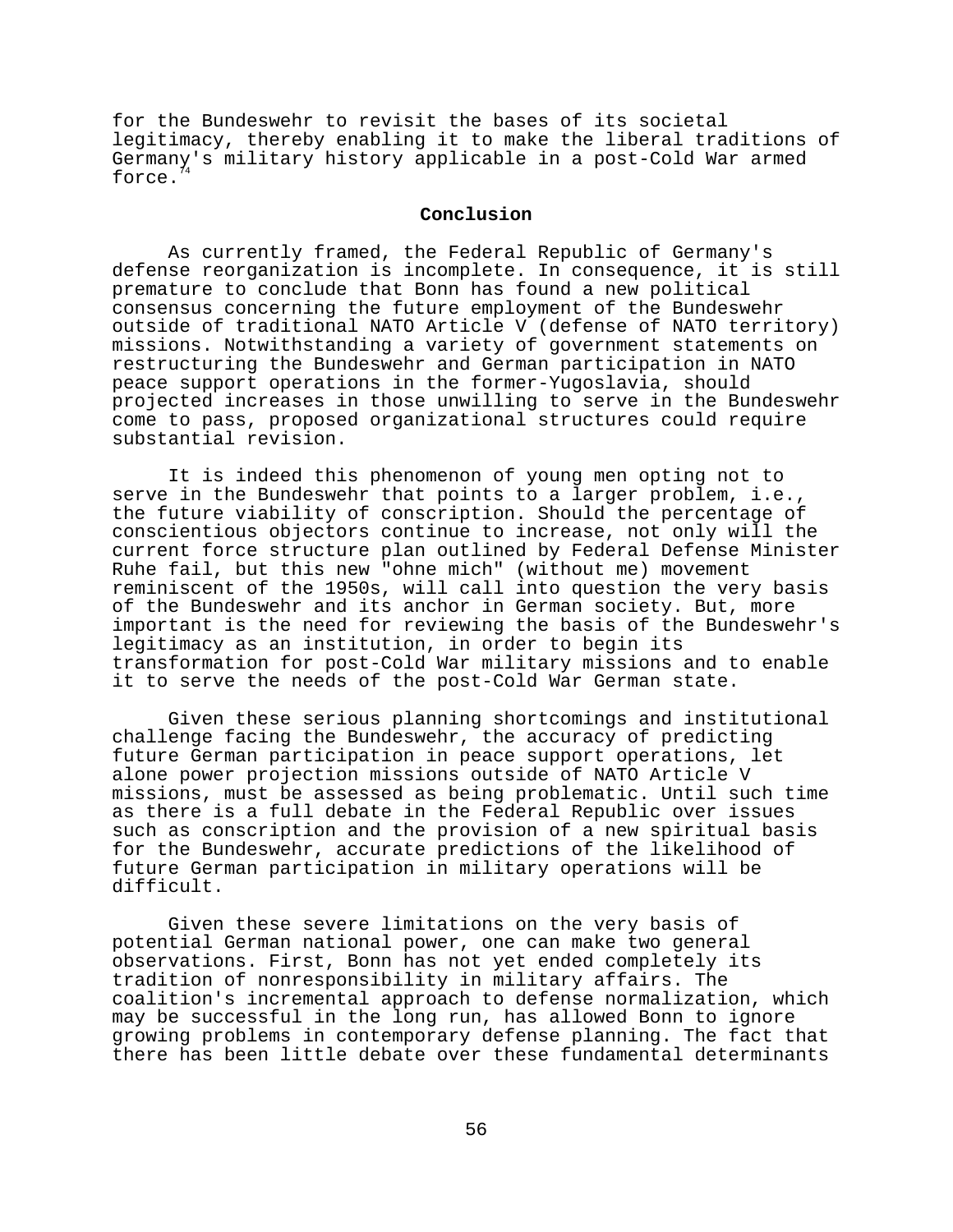for the Bundeswehr to revisit the bases of its societal legitimacy, thereby enabling it to make the liberal traditions of Germany's military history applicable in a post-Cold War armed force.

# **Conclusion**

As currently framed, the Federal Republic of Germany's defense reorganization is incomplete. In consequence, it is still premature to conclude that Bonn has found a new political consensus concerning the future employment of the Bundeswehr outside of traditional NATO Article V (defense of NATO territory) missions. Notwithstanding a variety of government statements on restructuring the Bundeswehr and German participation in NATO peace support operations in the former-Yugoslavia, should projected increases in those unwilling to serve in the Bundeswehr come to pass, proposed organizational structures could require substantial revision.

It is indeed this phenomenon of young men opting not to serve in the Bundeswehr that points to a larger problem, i.e., the future viability of conscription. Should the percentage of conscientious objectors continue to increase, not only will the current force structure plan outlined by Federal Defense Minister Ruhe fail, but this new "ohne mich" (without me) movement reminiscent of the 1950s, will call into question the very basis of the Bundeswehr and its anchor in German society. But, more important is the need for reviewing the basis of the Bundeswehr's legitimacy as an institution, in order to begin its transformation for post-Cold War military missions and to enable it to serve the needs of the post-Cold War German state.

Given these serious planning shortcomings and institutional challenge facing the Bundeswehr, the accuracy of predicting future German participation in peace support operations, let alone power projection missions outside of NATO Article V missions, must be assessed as being problematic. Until such time as there is a full debate in the Federal Republic over issues such as conscription and the provision of a new spiritual basis for the Bundeswehr, accurate predictions of the likelihood of future German participation in military operations will be difficult.

Given these severe limitations on the very basis of potential German national power, one can make two general observations. First, Bonn has not yet ended completely its tradition of nonresponsibility in military affairs. The coalition's incremental approach to defense normalization, which may be successful in the long run, has allowed Bonn to ignore growing problems in contemporary defense planning. The fact that there has been little debate over these fundamental determinants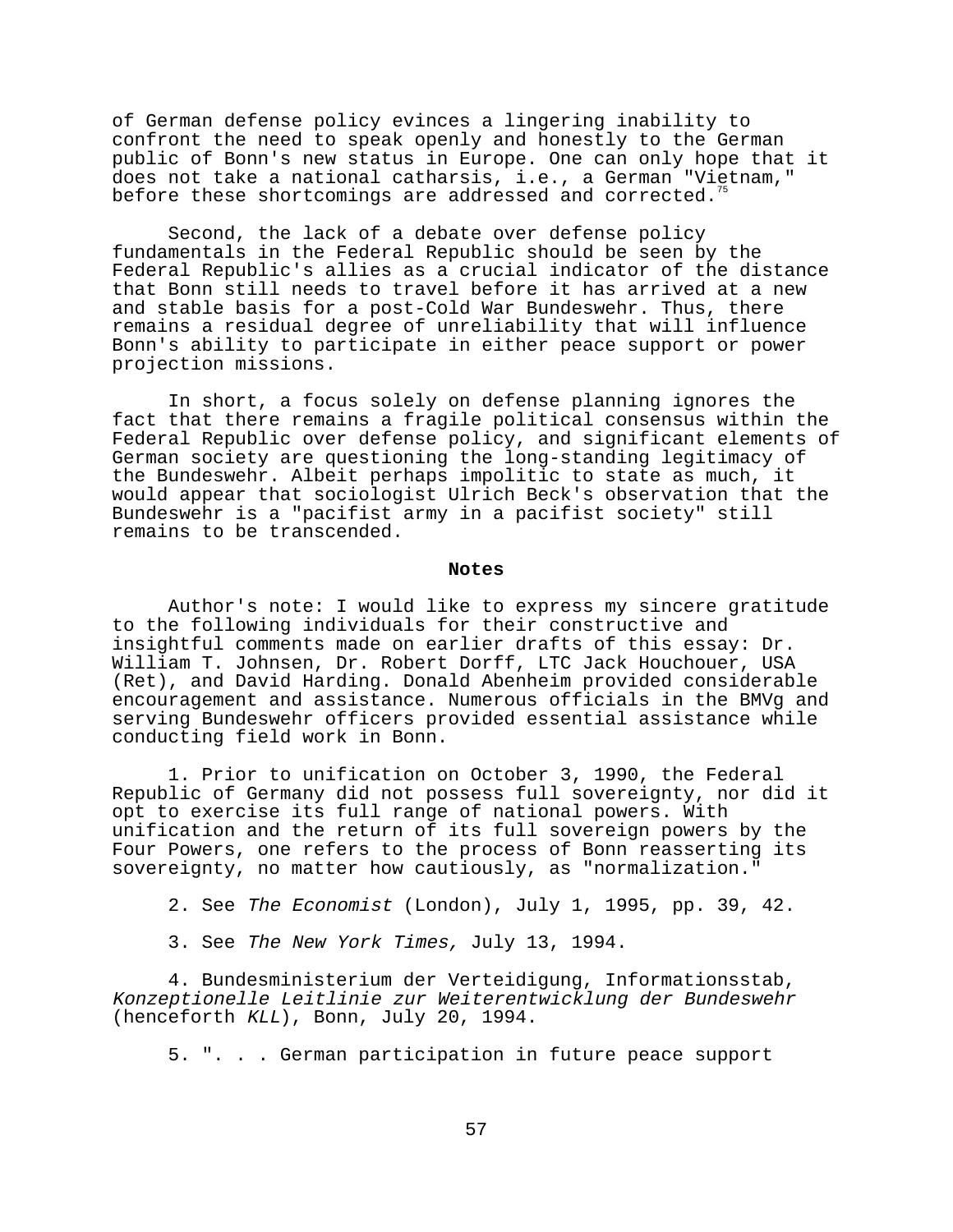of German defense policy evinces a lingering inability to confront the need to speak openly and honestly to the German public of Bonn's new status in Europe. One can only hope that it does not take a national catharsis, i.e., a German "Vietnam," before these shortcomings are addressed and corrected.<sup>7</sup>

Second, the lack of a debate over defense policy fundamentals in the Federal Republic should be seen by the Federal Republic's allies as a crucial indicator of the distance that Bonn still needs to travel before it has arrived at a new and stable basis for a post-Cold War Bundeswehr. Thus, there remains a residual degree of unreliability that will influence Bonn's ability to participate in either peace support or power projection missions.

In short, a focus solely on defense planning ignores the fact that there remains a fragile political consensus within the Federal Republic over defense policy, and significant elements of German society are questioning the long-standing legitimacy of the Bundeswehr. Albeit perhaps impolitic to state as much, it would appear that sociologist Ulrich Beck's observation that the Bundeswehr is a "pacifist army in a pacifist society" still remains to be transcended.

#### **Notes**

Author's note: I would like to express my sincere gratitude to the following individuals for their constructive and insightful comments made on earlier drafts of this essay: Dr. William T. Johnsen, Dr. Robert Dorff, LTC Jack Houchouer, USA (Ret), and David Harding. Donald Abenheim provided considerable encouragement and assistance. Numerous officials in the BMVg and serving Bundeswehr officers provided essential assistance while conducting field work in Bonn.

1. Prior to unification on October 3, 1990, the Federal Republic of Germany did not possess full sovereignty, nor did it opt to exercise its full range of national powers. With unification and the return of its full sovereign powers by the Four Powers, one refers to the process of Bonn reasserting its sovereignty, no matter how cautiously, as "normalization."

2. See The Economist (London), July 1, 1995, pp. 39, 42.

3. See The New York Times, July 13, 1994.

4. Bundesministerium der Verteidigung, Informationsstab, Konzeptionelle Leitlinie zur Weiterentwicklung der Bundeswehr (henceforth KLL), Bonn, July 20, 1994.

5. ". . . German participation in future peace support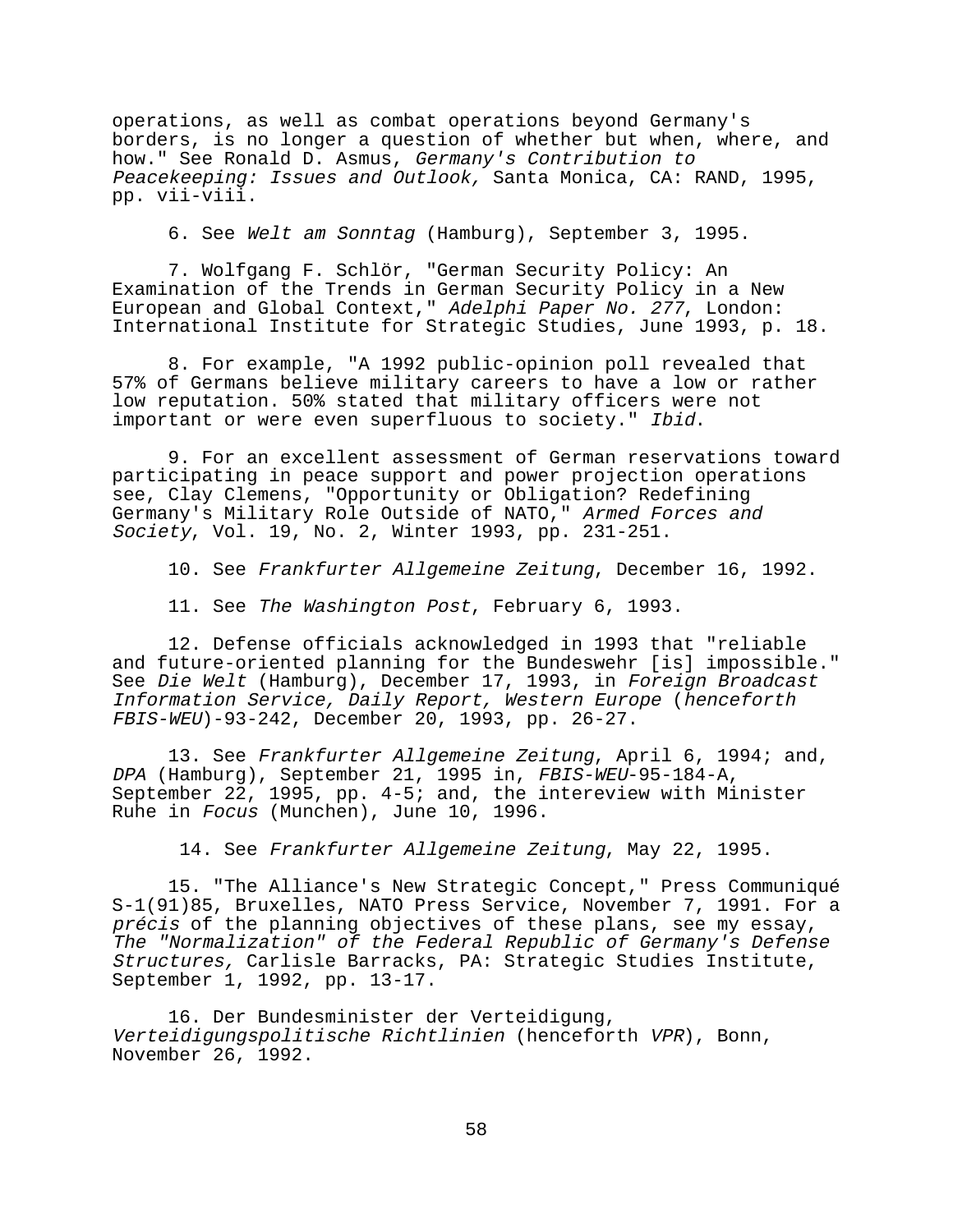operations, as well as combat operations beyond Germany's borders, is no longer a question of whether but when, where, and how." See Ronald D. Asmus, Germany's Contribution to Peacekeeping: Issues and Outlook, Santa Monica, CA: RAND, 1995, pp. vii-viii.

6. See Welt am Sonntag (Hamburg), September 3, 1995.

7. Wolfgang F. Schlör, "German Security Policy: An Examination of the Trends in German Security Policy in a New European and Global Context," Adelphi Paper No. 277, London: International Institute for Strategic Studies, June 1993, p. 18.

8. For example, "A 1992 public-opinion poll revealed that 57% of Germans believe military careers to have a low or rather low reputation. 50% stated that military officers were not important or were even superfluous to society." Ibid.

9. For an excellent assessment of German reservations toward participating in peace support and power projection operations see, Clay Clemens, "Opportunity or Obligation? Redefining Germany's Military Role Outside of NATO," Armed Forces and Society, Vol. 19, No. 2, Winter 1993, pp. 231-251.

10. See Frankfurter Allgemeine Zeitung, December 16, 1992.

11. See The Washington Post, February 6, 1993.

12. Defense officials acknowledged in 1993 that "reliable and future-oriented planning for the Bundeswehr [is] impossible." See Die Welt (Hamburg), December 17, 1993, in Foreign Broadcast Information Service, Daily Report, Western Europe (henceforth FBIS-WEU)-93-242, December 20, 1993, pp. 26-27.

13. See Frankfurter Allgemeine Zeitung, April 6, 1994; and, DPA (Hamburg), September 21, 1995 in, FBIS-WEU-95-184-A, September 22, 1995, pp. 4-5; and, the intereview with Minister Ruhe in Focus (Munchen), June 10, 1996.

14. See Frankfurter Allgemeine Zeitung, May 22, 1995.

15. "The Alliance's New Strategic Concept," Press Communiqué S-1(91)85, Bruxelles, NATO Press Service, November 7, 1991. For a précis of the planning objectives of these plans, see my essay, The "Normalization" of the Federal Republic of Germany's Defense Structures, Carlisle Barracks, PA: Strategic Studies Institute, September 1, 1992, pp. 13-17.

16. Der Bundesminister der Verteidigung, Verteidigungspolitische Richtlinien (henceforth VPR), Bonn, November 26, 1992.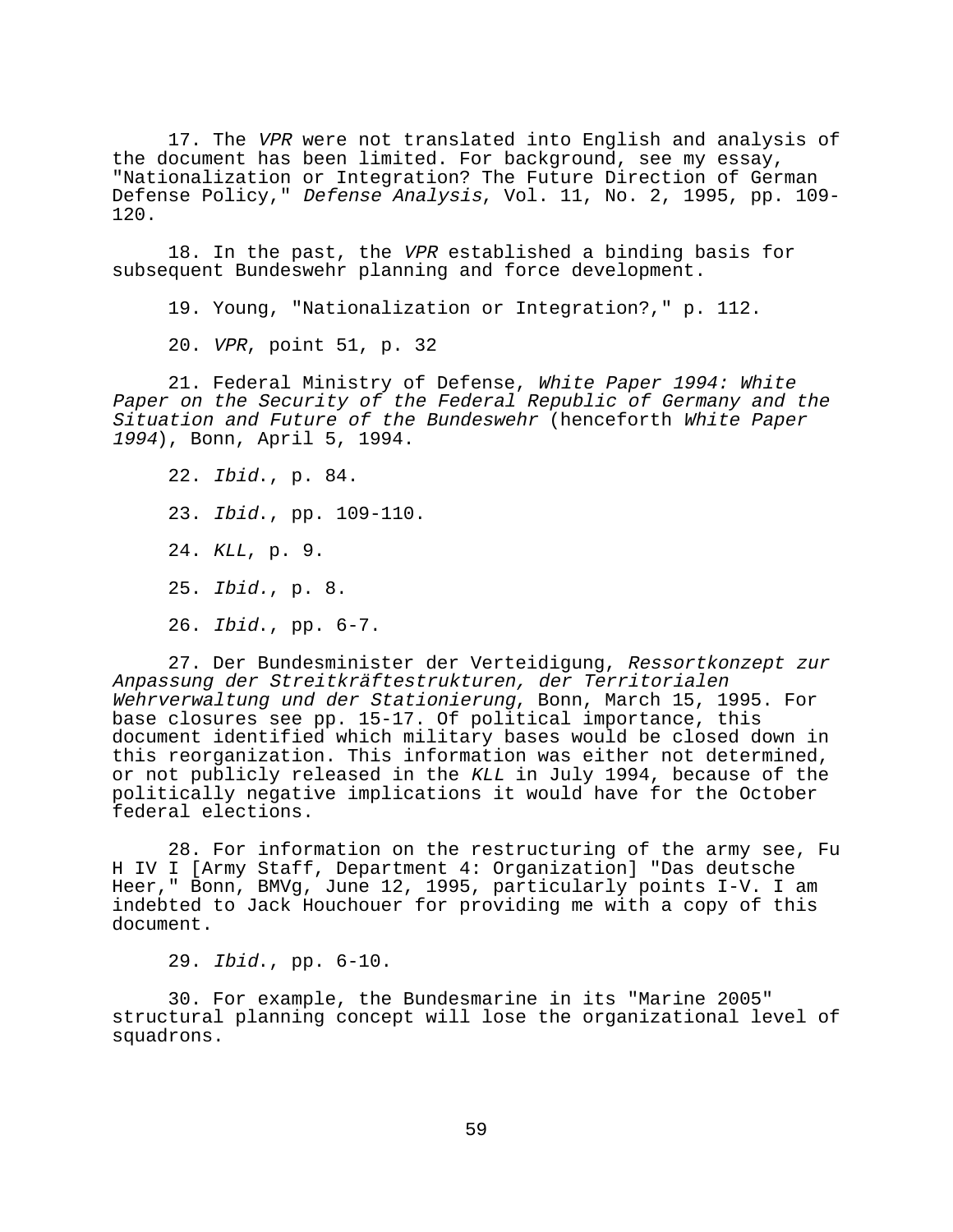17. The VPR were not translated into English and analysis of the document has been limited. For background, see my essay, "Nationalization or Integration? The Future Direction of German Defense Policy," Defense Analysis, Vol. 11, No. 2, 1995, pp. 109-120.

18. In the past, the VPR established a binding basis for subsequent Bundeswehr planning and force development.

19. Young, "Nationalization or Integration?," p. 112.

20. VPR, point 51, p. 32

21. Federal Ministry of Defense, White Paper 1994: White Paper on the Security of the Federal Republic of Germany and the Situation and Future of the Bundeswehr (henceforth White Paper <sup>1994</sup>), Bonn, April 5, 1994.

22. Ibid., p. 84. 23. Ibid., pp. 109-110. 24. KLL, p. 9. 25. Ibid., p. 8. 26. Ibid., pp. 6-7.

27. Der Bundesminister der Verteidigung, Ressortkonzept zur Anpassung der Streitkräftestrukturen, der Territorialen Wehrverwaltung und der Stationierung, Bonn, March 15, 1995. For base closures see pp. 15-17. Of political importance, this document identified which military bases would be closed down in this reorganization. This information was either not determined, or not publicly released in the KLL in July 1994, because of the politically negative implications it would have for the October federal elections.

28. For information on the restructuring of the army see, Fu H IV I [Army Staff, Department 4: Organization] "Das deutsche Heer," Bonn, BMVg, June 12, 1995, particularly points I-V. I am indebted to Jack Houchouer for providing me with a copy of this document.

29. Ibid., pp. 6-10.

30. For example, the Bundesmarine in its "Marine 2005" structural planning concept will lose the organizational level of squadrons.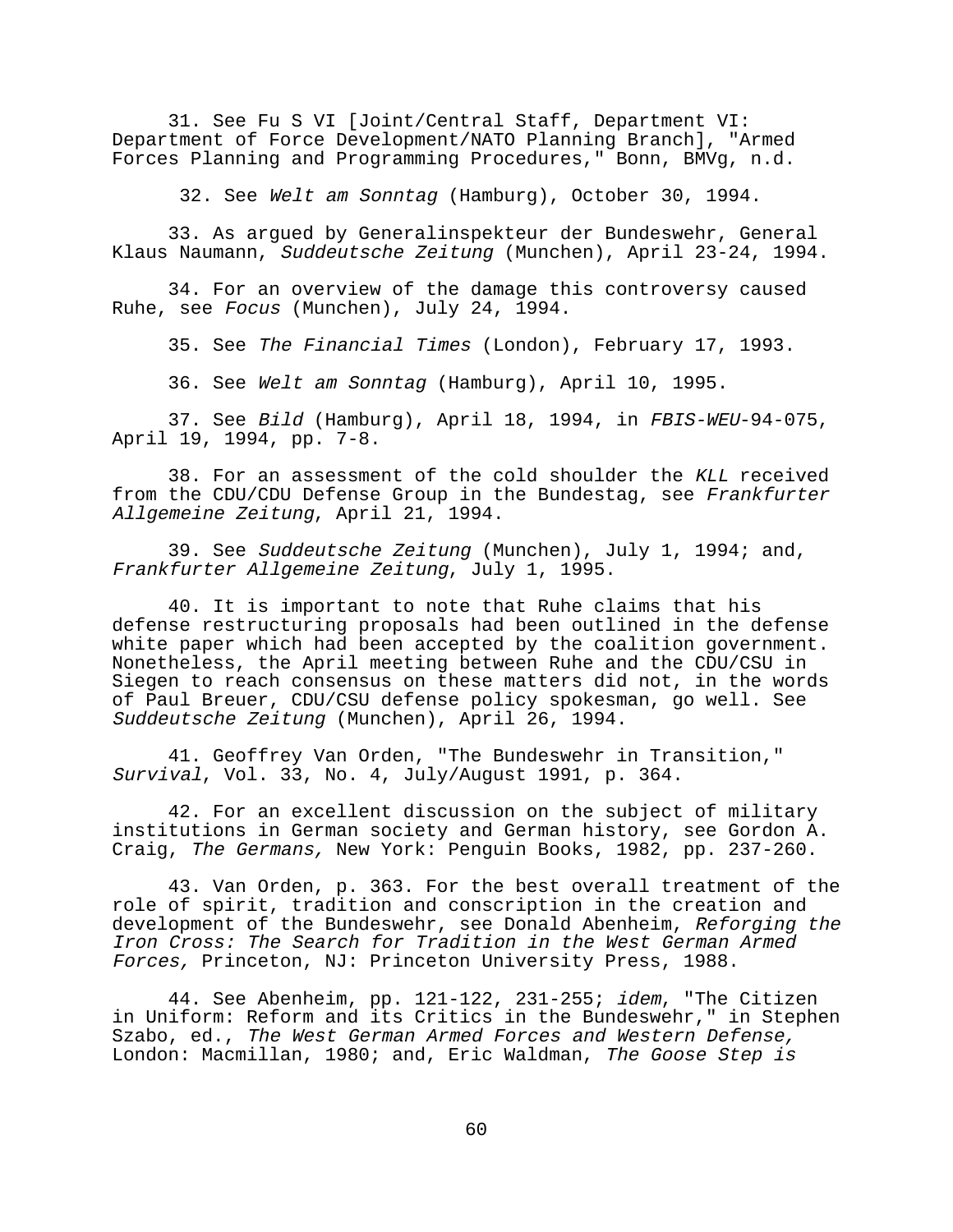31. See Fu S VI [Joint/Central Staff, Department VI: Department of Force Development/NATO Planning Branch], "Armed Forces Planning and Programming Procedures," Bonn, BMVg, n.d.

32. See Welt am Sonntag (Hamburg), October 30, 1994.

33. As argued by Generalinspekteur der Bundeswehr, General Klaus Naumann, Suddeutsche Zeitung (Munchen), April 23-24, 1994.

34. For an overview of the damage this controversy caused Ruhe, see Focus (Munchen), July 24, 1994.

35. See The Financial Times (London), February 17, 1993.

36. See Welt am Sonntag (Hamburg), April 10, 1995.

37. See Bild (Hamburg), April 18, 1994, in FBIS-WEU-94-075, April 19, 1994, pp. 7-8.

38. For an assessment of the cold shoulder the KLL received from the CDU/CDU Defense Group in the Bundestag, see Frankfurter Allgemeine Zeitung, April 21, 1994.

39. See Suddeutsche Zeitung (Munchen), July 1, 1994; and, Frankfurter Allgemeine Zeitung, July 1, 1995.

40. It is important to note that Ruhe claims that his defense restructuring proposals had been outlined in the defense white paper which had been accepted by the coalition government. Nonetheless, the April meeting between Ruhe and the CDU/CSU in Siegen to reach consensus on these matters did not, in the words of Paul Breuer, CDU/CSU defense policy spokesman, go well. See Suddeutsche Zeitung (Munchen), April 26, 1994.

41. Geoffrey Van Orden, "The Bundeswehr in Transition," Survival, Vol. 33, No. 4, July/August 1991, p. 364.

42. For an excellent discussion on the subject of military institutions in German society and German history, see Gordon A. Craig, The Germans, New York: Penguin Books, 1982, pp. 237-260.

43. Van Orden, p. 363. For the best overall treatment of the role of spirit, tradition and conscription in the creation and development of the Bundeswehr, see Donald Abenheim, Reforging the Iron Cross: The Search for Tradition in the West German Armed Forces, Princeton, NJ: Princeton University Press, 1988.

44. See Abenheim, pp. 121-122, 231-255; idem, "The Citizen in Uniform: Reform and its Critics in the Bundeswehr," in Stephen Szabo, ed., The West German Armed Forces and Western Defense, London: Macmillan, 1980; and, Eric Waldman, The Goose Step is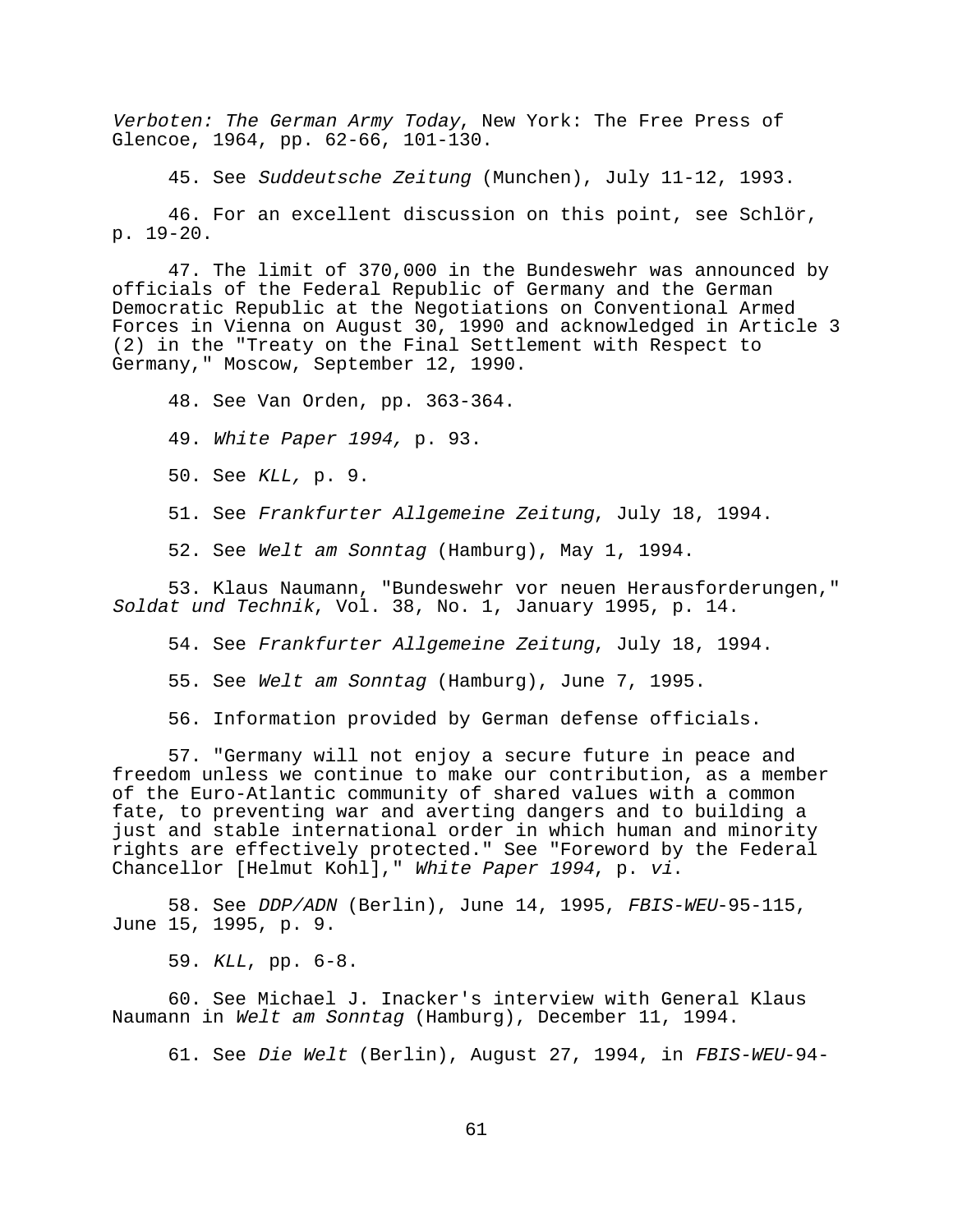Verboten: The German Army Today, New York: The Free Press of Glencoe, 1964, pp. 62-66, 101-130.

45. See Suddeutsche Zeitung (Munchen), July 11-12, 1993.

46. For an excellent discussion on this point, see Schlör, p. 19-20.

47. The limit of 370,000 in the Bundeswehr was announced by officials of the Federal Republic of Germany and the German Democratic Republic at the Negotiations on Conventional Armed Forces in Vienna on August 30, 1990 and acknowledged in Article 3 (2) in the "Treaty on the Final Settlement with Respect to Germany," Moscow, September 12, 1990.

48. See Van Orden, pp. 363-364.

49. White Paper 1994, p. 93.

50. See KLL, p. 9.

51. See Frankfurter Allgemeine Zeitung, July 18, 1994.

52. See Welt am Sonntag (Hamburg), May 1, 1994.

53. Klaus Naumann, "Bundeswehr vor neuen Herausforderungen," Soldat und Technik, Vol. 38, No. 1, January 1995, p. 14.

54. See Frankfurter Allgemeine Zeitung, July 18, 1994.

55. See Welt am Sonntag (Hamburg), June 7, 1995.

56. Information provided by German defense officials.

57. "Germany will not enjoy a secure future in peace and freedom unless we continue to make our contribution, as a member of the Euro-Atlantic community of shared values with a common fate, to preventing war and averting dangers and to building a just and stable international order in which human and minority rights are effectively protected." See "Foreword by the Federal Chancellor [Helmut Kohl]," White Paper 1994, p. vi.

58. See DDP/ADN (Berlin), June 14, 1995, FBIS-WEU-95-115, June 15, 1995, p. 9.

59. KLL, pp. 6-8.

60. See Michael J. Inacker's interview with General Klaus Naumann in Welt am Sonntag (Hamburg), December 11, 1994.

61. See Die Welt (Berlin), August 27, 1994, in FBIS-WEU-94-

61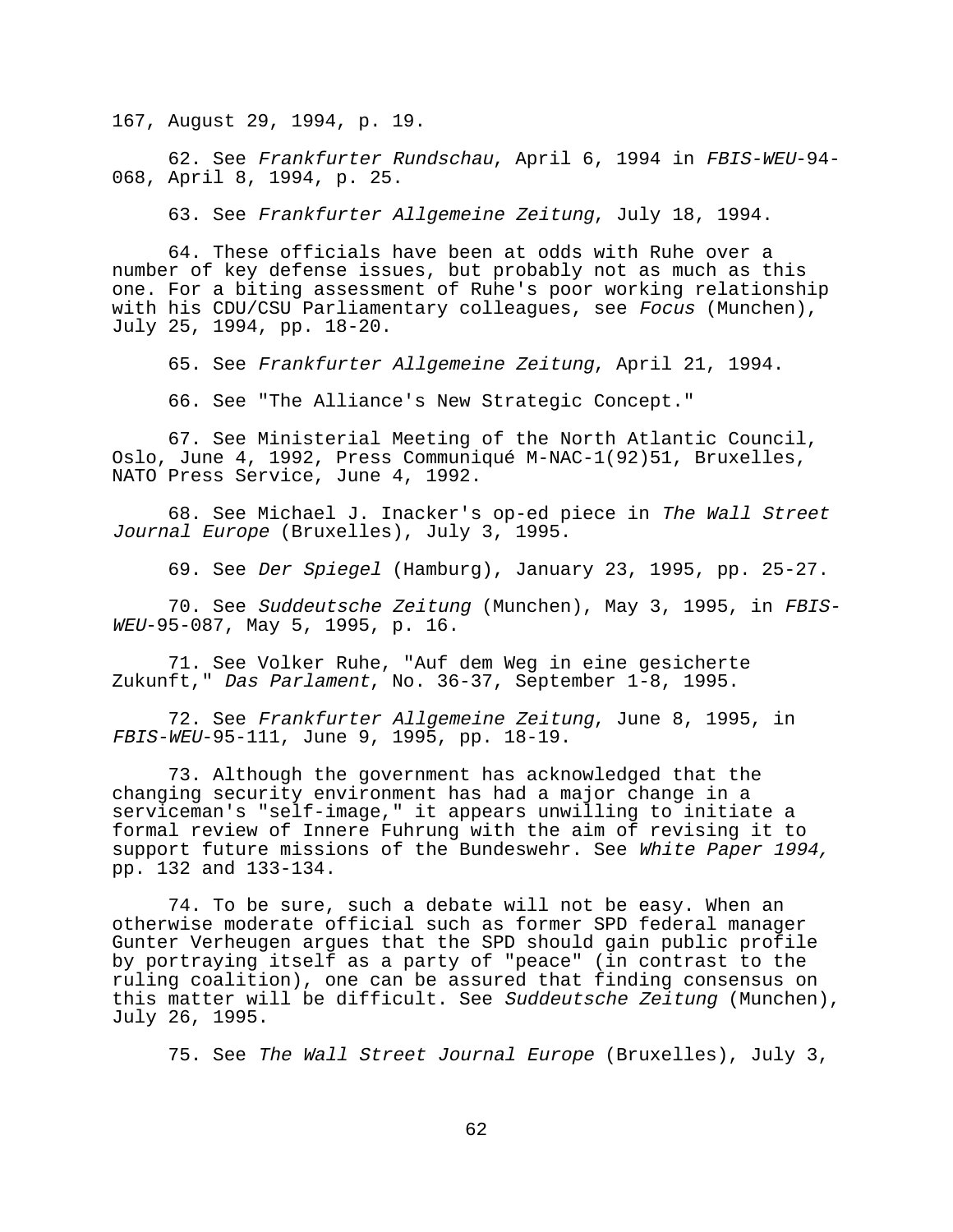167, August 29, 1994, p. 19.

62. See Frankfurter Rundschau, April 6, 1994 in FBIS-WEU-94- 068, April 8, 1994, p. 25.

63. See Frankfurter Allgemeine Zeitung, July 18, 1994.

64. These officials have been at odds with Ruhe over a number of key defense issues, but probably not as much as this one. For a biting assessment of Ruhe's poor working relationship with his CDU/CSU Parliamentary colleagues, see Focus (Munchen), July 25, 1994, pp. 18-20.

65. See Frankfurter Allgemeine Zeitung, April 21, 1994.

66. See "The Alliance's New Strategic Concept."

67. See Ministerial Meeting of the North Atlantic Council, Oslo, June 4, 1992, Press Communiqué M-NAC-1(92)51, Bruxelles, NATO Press Service, June 4, 1992.

68. See Michael J. Inacker's op-ed piece in The Wall Street Journal Europe (Bruxelles), July 3, 1995.

69. See Der Spiegel (Hamburg), January 23, 1995, pp. 25-27.

70. See Suddeutsche Zeitung (Munchen), May 3, 1995, in FBIS-WEU-95-087, May 5, 1995, p. 16.

71. See Volker Ruhe, "Auf dem Weg in eine gesicherte Zukunft," Das Parlament, No. 36-37, September 1-8, 1995.

72. See Frankfurter Allgemeine Zeitung, June 8, 1995, in FBIS-WEU-95-111, June 9, 1995, pp. 18-19.

73. Although the government has acknowledged that the changing security environment has had a major change in a serviceman's "self-image," it appears unwilling to initiate a formal review of Innere Fuhrung with the aim of revising it to support future missions of the Bundeswehr. See White Paper 1994, pp. 132 and 133-134.

74. To be sure, such a debate will not be easy. When an otherwise moderate official such as former SPD federal manager Gunter Verheugen argues that the SPD should gain public profile by portraying itself as a party of "peace" (in contrast to the ruling coalition), one can be assured that finding consensus on this matter will be difficult. See Suddeutsche Zeitung (Munchen), July 26, 1995.

75. See The Wall Street Journal Europe (Bruxelles), July 3,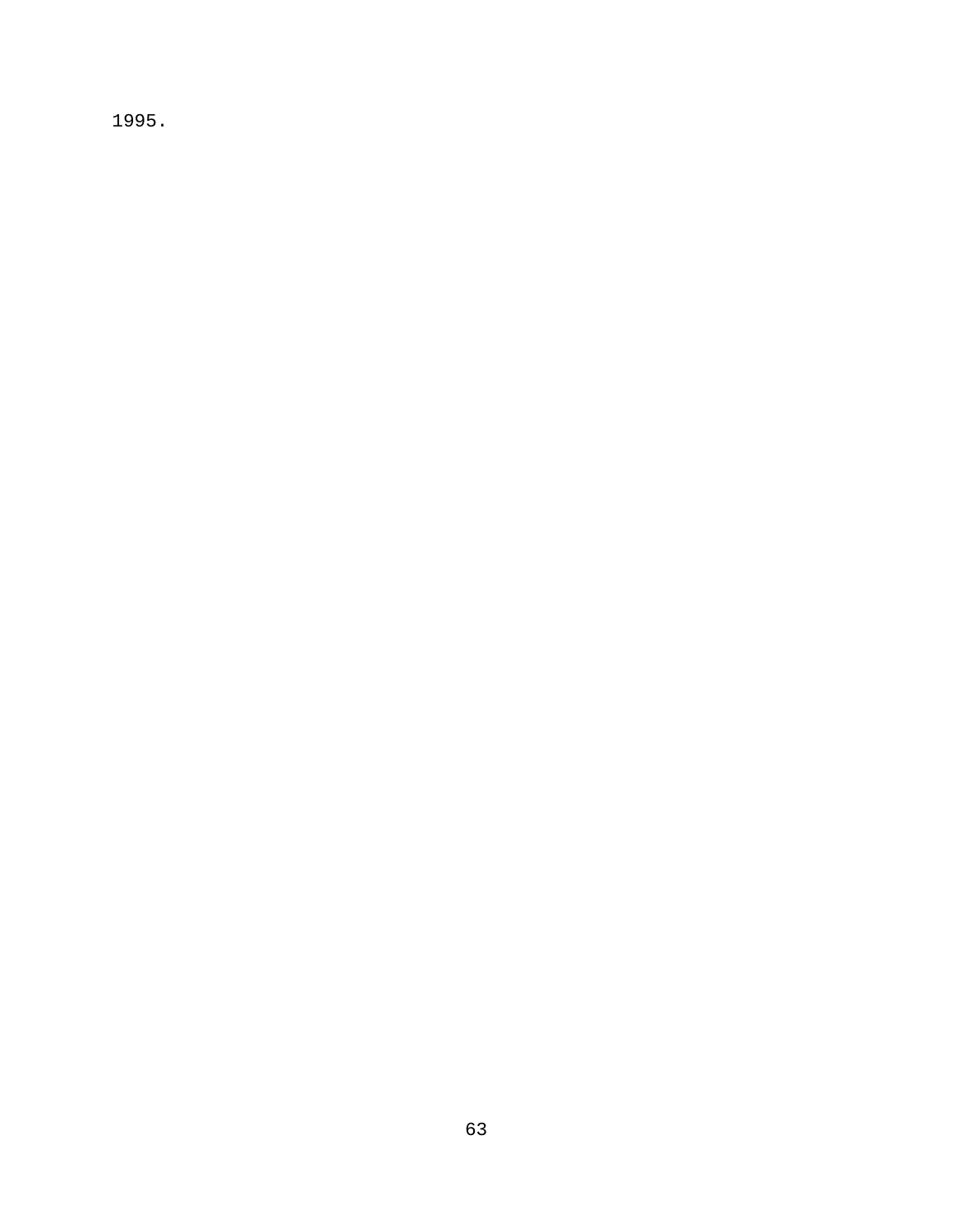1995.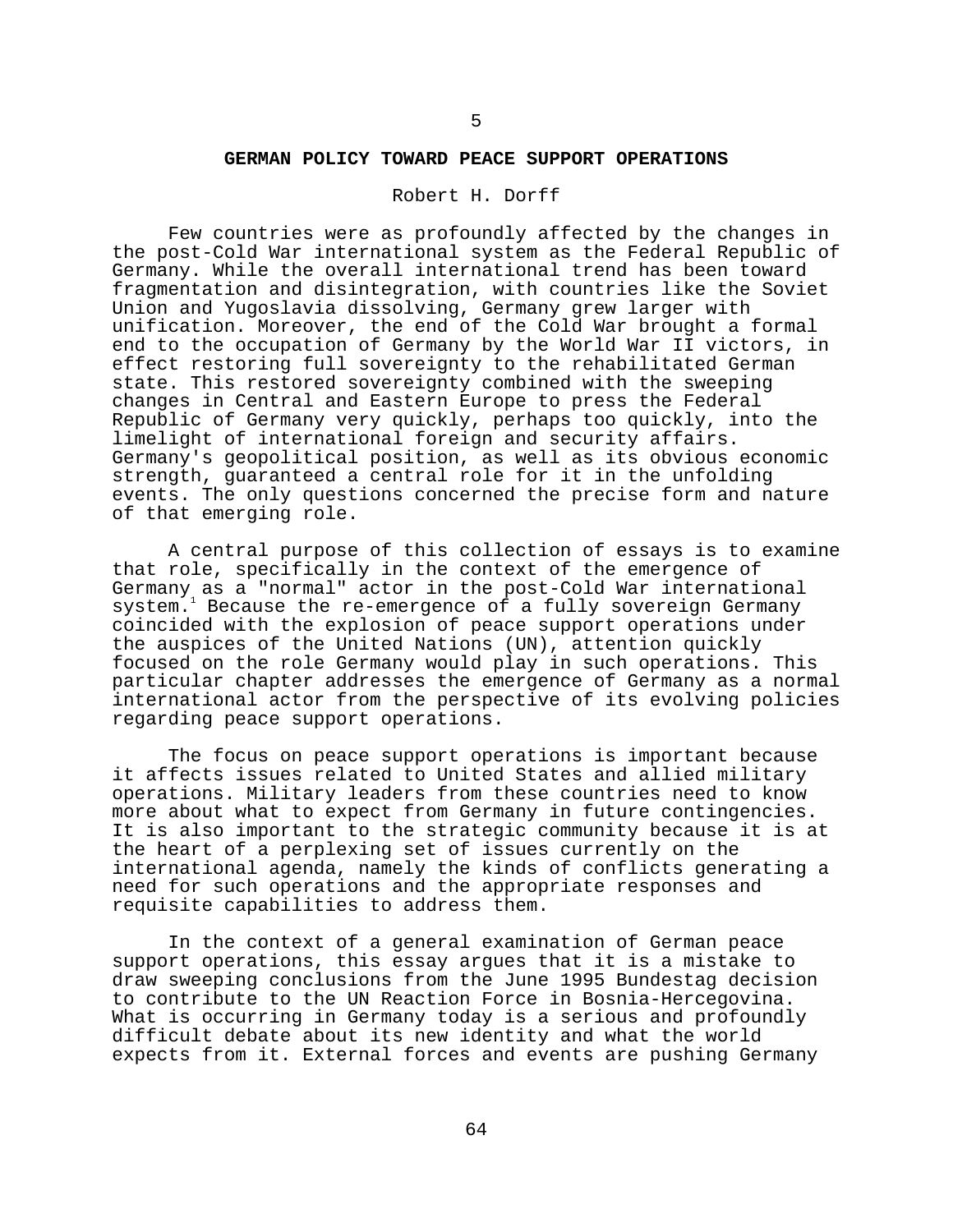#### **GERMAN POLICY TOWARD PEACE SUPPORT OPERATIONS**

# Robert H. Dorff

Few countries were as profoundly affected by the changes in the post-Cold War international system as the Federal Republic of Germany. While the overall international trend has been toward fragmentation and disintegration, with countries like the Soviet Union and Yugoslavia dissolving, Germany grew larger with unification. Moreover, the end of the Cold War brought a formal end to the occupation of Germany by the World War II victors, in effect restoring full sovereignty to the rehabilitated German state. This restored sovereignty combined with the sweeping changes in Central and Eastern Europe to press the Federal Republic of Germany very quickly, perhaps too quickly, into the limelight of international foreign and security affairs. Germany's geopolitical position, as well as its obvious economic strength, guaranteed a central role for it in the unfolding events. The only questions concerned the precise form and nature of that emerging role.

A central purpose of this collection of essays is to examine that role, specifically in the context of the emergence of Germany as a "normal" actor in the post-Cold War international system.<sup>1</sup> Because the re-emergence of a fully sovereign Germany coincided with the explosion of peace support operations under the auspices of the United Nations (UN), attention quickly focused on the role Germany would play in such operations. This particular chapter addresses the emergence of Germany as a normal international actor from the perspective of its evolving policies regarding peace support operations.

The focus on peace support operations is important because it affects issues related to United States and allied military operations. Military leaders from these countries need to know more about what to expect from Germany in future contingencies. It is also important to the strategic community because it is at the heart of a perplexing set of issues currently on the international agenda, namely the kinds of conflicts generating a need for such operations and the appropriate responses and requisite capabilities to address them.

In the context of a general examination of German peace support operations, this essay argues that it is a mistake to draw sweeping conclusions from the June 1995 Bundestag decision to contribute to the UN Reaction Force in Bosnia-Hercegovina. What is occurring in Germany today is a serious and profoundly difficult debate about its new identity and what the world expects from it. External forces and events are pushing Germany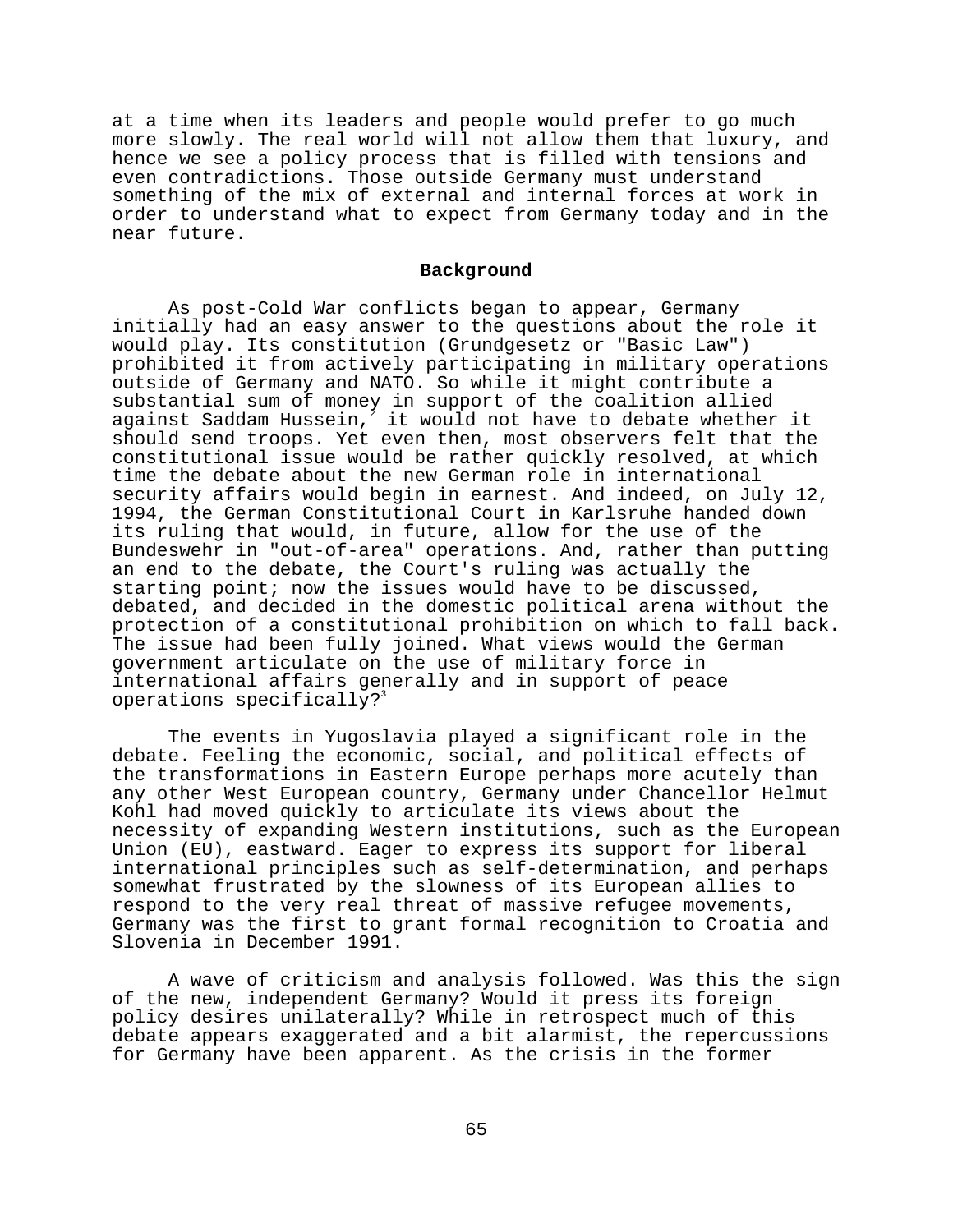at a time when its leaders and people would prefer to go much more slowly. The real world will not allow them that luxury, and hence we see a policy process that is filled with tensions and even contradictions. Those outside Germany must understand something of the mix of external and internal forces at work in order to understand what to expect from Germany today and in the near future.

# **Background**

As post-Cold War conflicts began to appear, Germany initially had an easy answer to the questions about the role it would play. Its constitution (Grundgesetz or "Basic Law") prohibited it from actively participating in military operations outside of Germany and NATO. So while it might contribute a substantial sum of money in support of the coalition allied against Saddam Hussein, $^{\bar{z}}$  it would not have to debate whether it should send troops. Yet even then, most observers felt that the constitutional issue would be rather quickly resolved, at which time the debate about the new German role in international security affairs would begin in earnest. And indeed, on July 12, 1994, the German Constitutional Court in Karlsruhe handed down its ruling that would, in future, allow for the use of the Bundeswehr in "out-of-area" operations. And, rather than putting an end to the debate, the Court's ruling was actually the starting point; now the issues would have to be discussed, debated, and decided in the domestic political arena without the protection of a constitutional prohibition on which to fall back. The issue had been fully joined. What views would the German government articulate on the use of military force in international affairs generally and in support of peace operations specifically?<sup>3</sup>

The events in Yugoslavia played a significant role in the debate. Feeling the economic, social, and political effects of the transformations in Eastern Europe perhaps more acutely than any other West European country, Germany under Chancellor Helmut Kohl had moved quickly to articulate its views about the necessity of expanding Western institutions, such as the European Union (EU), eastward. Eager to express its support for liberal international principles such as self-determination, and perhaps somewhat frustrated by the slowness of its European allies to respond to the very real threat of massive refugee movements, Germany was the first to grant formal recognition to Croatia and Slovenia in December 1991.

A wave of criticism and analysis followed. Was this the sign of the new, independent Germany? Would it press its foreign policy desires unilaterally? While in retrospect much of this debate appears exaggerated and a bit alarmist, the repercussions for Germany have been apparent. As the crisis in the former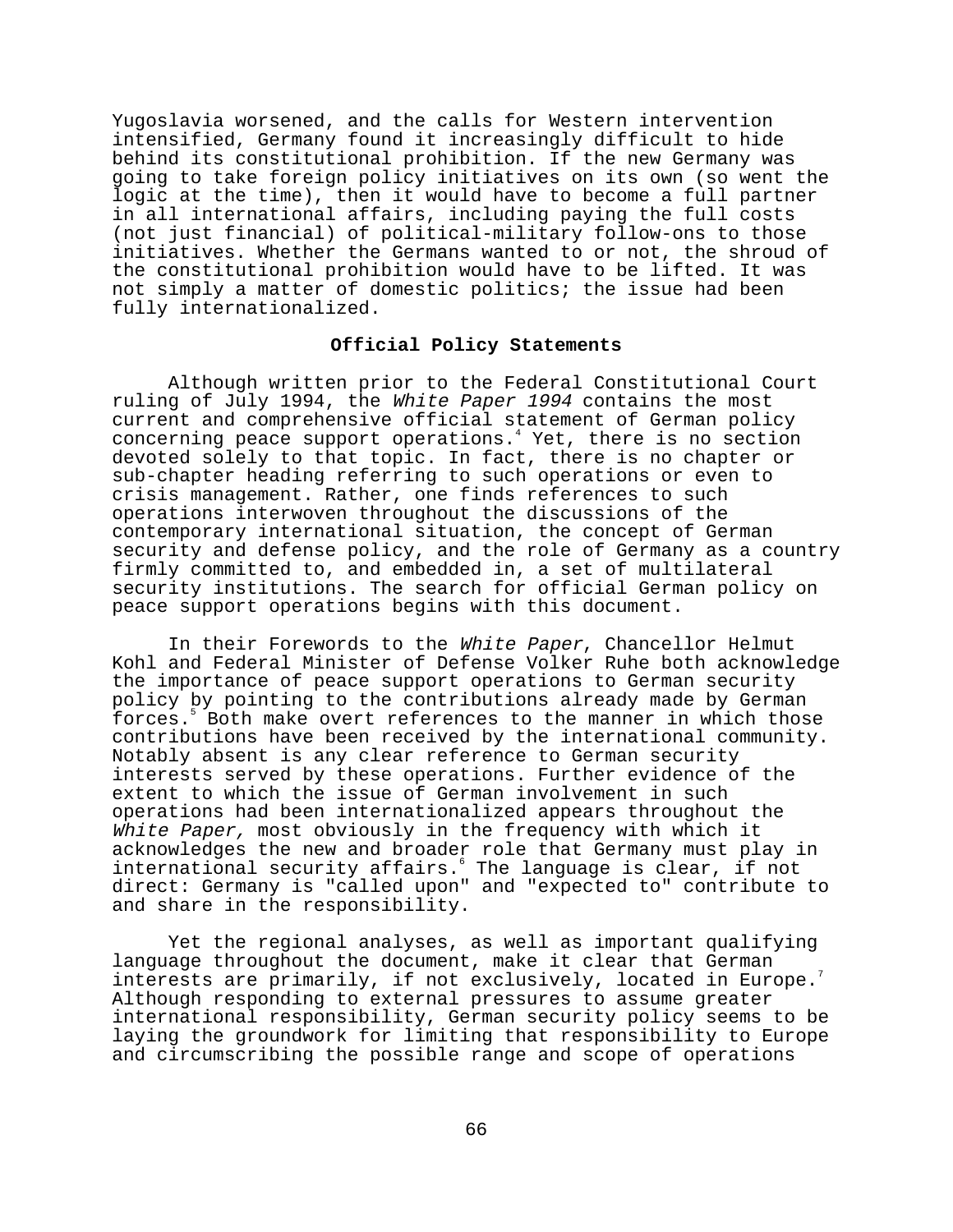Yugoslavia worsened, and the calls for Western intervention intensified, Germany found it increasingly difficult to hide behind its constitutional prohibition. If the new Germany was going to take foreign policy initiatives on its own (so went the logic at the time), then it would have to become a full partner in all international affairs, including paying the full costs (not just financial) of political-military follow-ons to those initiatives. Whether the Germans wanted to or not, the shroud of the constitutional prohibition would have to be lifted. It was not simply a matter of domestic politics; the issue had been fully internationalized.

### **Official Policy Statements**

Although written prior to the Federal Constitutional Court ruling of July 1994, the White Paper 1994 contains the most current and comprehensive official statement of German policy concerning peace support operations.<sup>4</sup> Yet, there is no section devoted solely to that topic. In fact, there is no chapter or sub-chapter heading referring to such operations or even to crisis management. Rather, one finds references to such operations interwoven throughout the discussions of the contemporary international situation, the concept of German security and defense policy, and the role of Germany as a country firmly committed to, and embedded in, a set of multilateral security institutions. The search for official German policy on peace support operations begins with this document.

In their Forewords to the White Paper, Chancellor Helmut Kohl and Federal Minister of Defense Volker Ruhe both acknowledge the importance of peace support operations to German security policy by pointing to the contributions already made by German forces.<sup>5</sup> Both make overt references to the manner in which those contributions have been received by the international community. Notably absent is any clear reference to German security interests served by these operations. Further evidence of the extent to which the issue of German involvement in such operations had been internationalized appears throughout the White Paper, most obviously in the frequency with which it acknowledges the new and broader role that Germany must play in international security affairs. The language is clear, if not direct: Germany is "called upon" and "expected to" contribute to and share in the responsibility.

Yet the regional analyses, as well as important qualifying language throughout the document, make it clear that German interests are primarily, if not exclusively, located in Europe.<sup>7</sup> Although responding to external pressures to assume greater international responsibility, German security policy seems to be laying the groundwork for limiting that responsibility to Europe and circumscribing the possible range and scope of operations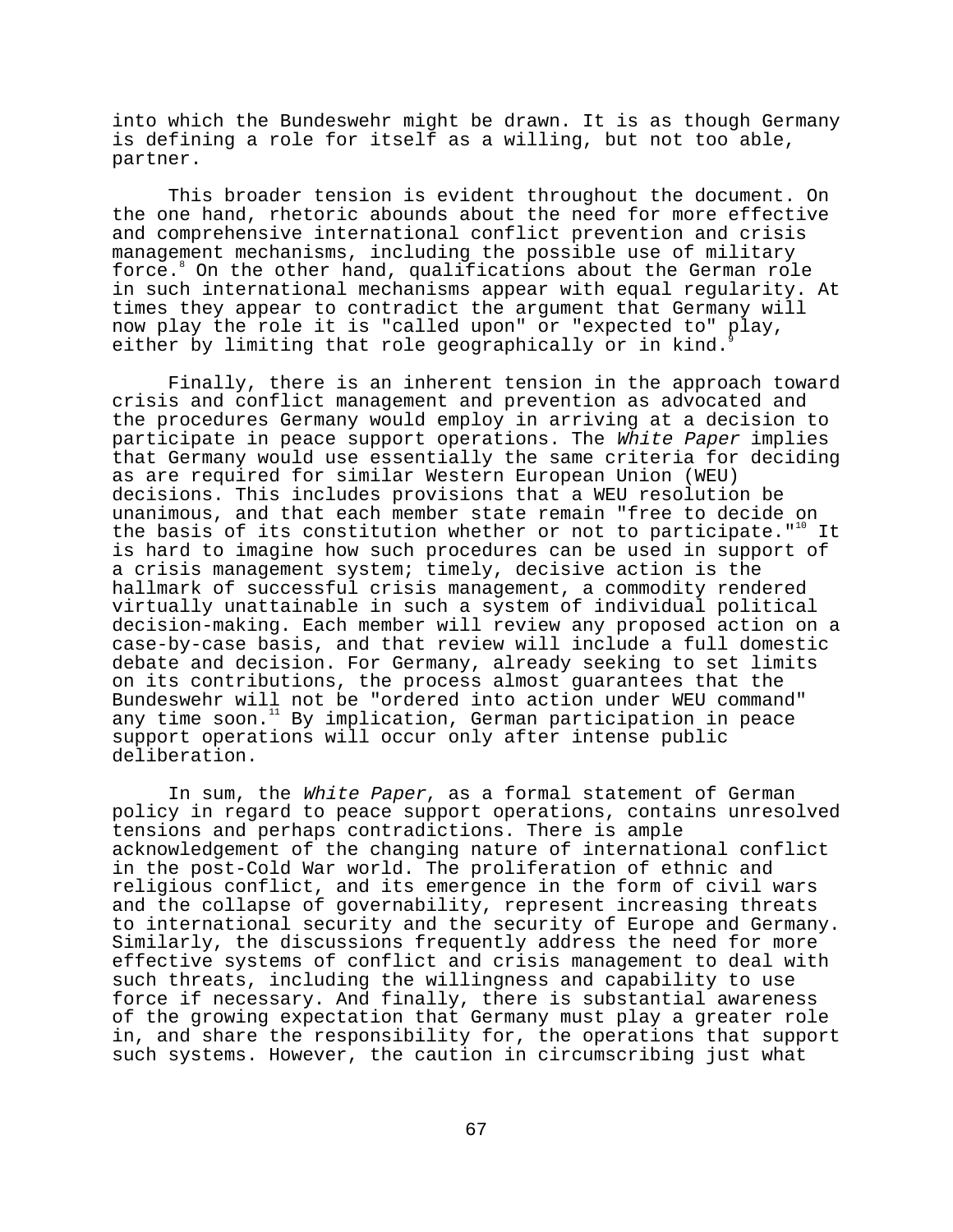into which the Bundeswehr might be drawn. It is as though Germany is defining a role for itself as a willing, but not too able, partner.

This broader tension is evident throughout the document. On the one hand, rhetoric abounds about the need for more effective and comprehensive international conflict prevention and crisis management mechanisms, including the possible use of military force.<sup>8</sup> On the other hand, qualifications about the German role in such international mechanisms appear with equal regularity. At times they appear to contradict the argument that Germany will now play the role it is "called upon" or "expected to" play, either by limiting that role geographically or in kind.

Finally, there is an inherent tension in the approach toward crisis and conflict management and prevention as advocated and the procedures Germany would employ in arriving at a decision to participate in peace support operations. The White Paper implies that Germany would use essentially the same criteria for deciding as are required for similar Western European Union (WEU) decisions. This includes provisions that a WEU resolution be unanimous, and that each member state remain "free to decide on the basis of its constitution whether or not to participate."<sup>10</sup> It is hard to imagine how such procedures can be used in support of a crisis management system; timely, decisive action is the hallmark of successful crisis management, a commodity rendered virtually unattainable in such a system of individual political decision-making. Each member will review any proposed action on a case-by-case basis, and that review will include a full domestic debate and decision. For Germany, already seeking to set limits on its contributions, the process almost guarantees that the Bundeswehr will not be "ordered into action under WEU command" any time soon.<sup>11</sup> By implication, German participation in peace support operations will occur only after intense public deliberation.

In sum, the White Paper, as a formal statement of German policy in regard to peace support operations, contains unresolved tensions and perhaps contradictions. There is ample acknowledgement of the changing nature of international conflict in the post-Cold War world. The proliferation of ethnic and religious conflict, and its emergence in the form of civil wars and the collapse of governability, represent increasing threats to international security and the security of Europe and Germany. Similarly, the discussions frequently address the need for more effective systems of conflict and crisis management to deal with such threats, including the willingness and capability to use force if necessary. And finally, there is substantial awareness of the growing expectation that Germany must play a greater role in, and share the responsibility for, the operations that support such systems. However, the caution in circumscribing just what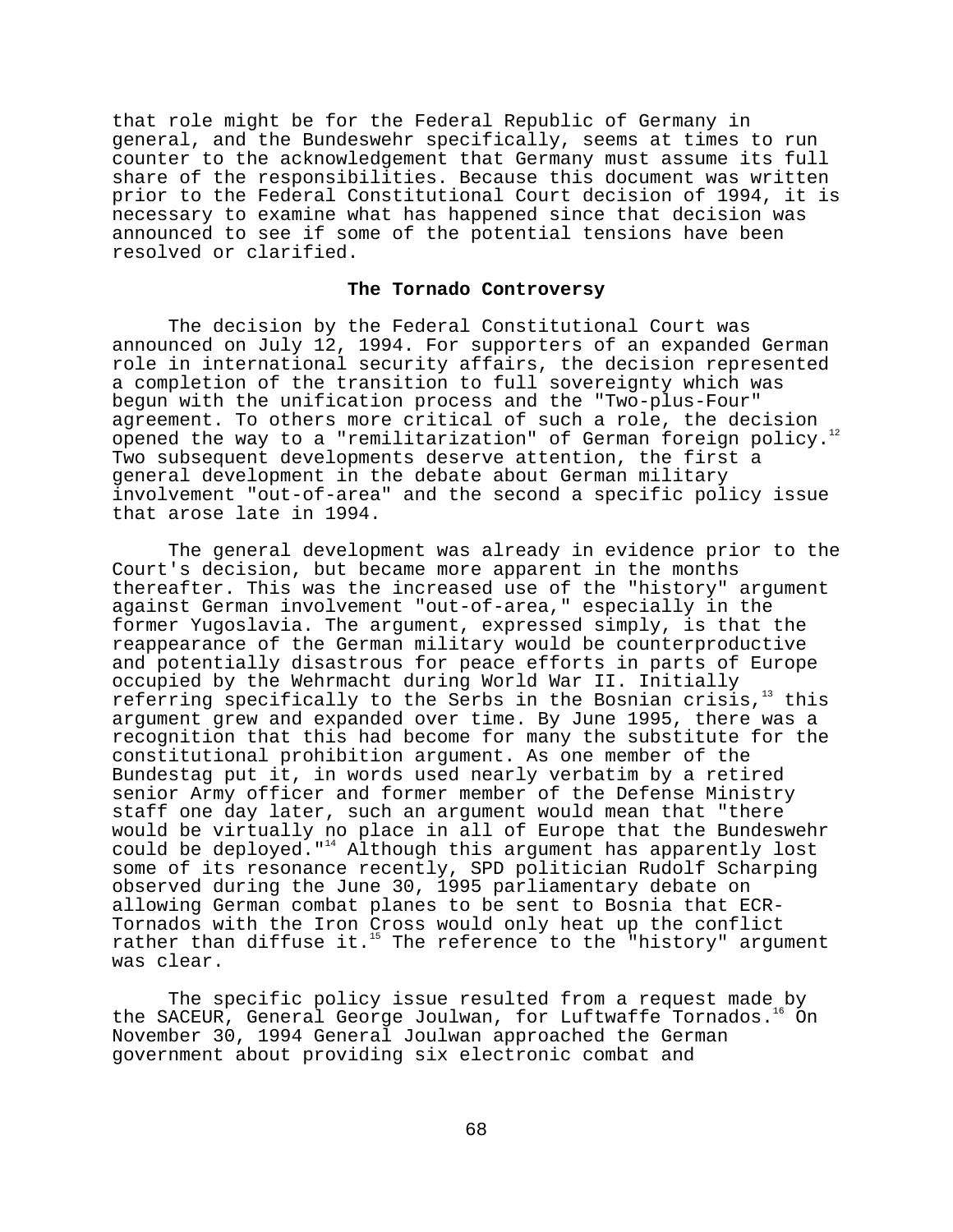that role might be for the Federal Republic of Germany in general, and the Bundeswehr specifically, seems at times to run counter to the acknowledgement that Germany must assume its full share of the responsibilities. Because this document was written prior to the Federal Constitutional Court decision of 1994, it is necessary to examine what has happened since that decision was announced to see if some of the potential tensions have been resolved or clarified.

## **The Tornado Controversy**

The decision by the Federal Constitutional Court was announced on July 12, 1994. For supporters of an expanded German role in international security affairs, the decision represented a completion of the transition to full sovereignty which was begun with the unification process and the "Two-plus-Four" agreement. To others more critical of such a role, the decision opened the way to a "remilitarization" of German foreign policy. Two subsequent developments deserve attention, the first a general development in the debate about German military involvement "out-of-area" and the second a specific policy issue that arose late in 1994.

The general development was already in evidence prior to the Court's decision, but became more apparent in the months thereafter. This was the increased use of the "history" argument against German involvement "out-of-area," especially in the former Yugoslavia. The argument, expressed simply, is that the reappearance of the German military would be counterproductive and potentially disastrous for peace efforts in parts of Europe occupied by the Wehrmacht during World War II. Initially referring specifically to the Serbs in the Bosnian crisis,  $\frac{13}{11}$  this argument grew and expanded over time. By June 1995, there was a recognition that this had become for many the substitute for the constitutional prohibition argument. As one member of the Bundestag put it, in words used nearly verbatim by a retired senior Army officer and former member of the Defense Ministry staff one day later, such an argument would mean that "there would be virtually no place in all of Europe that the Bundeswehr could be deployed."14 Although this argument has apparently lost some of its resonance recently, SPD politician Rudolf Scharping observed during the June 30, 1995 parliamentary debate on allowing German combat planes to be sent to Bosnia that ECR-Tornados with the Iron Cross would only heat up the conflict rather than diffuse it.<sup>15</sup> The reference to the "history" argument was clear.

The specific policy issue resulted from a request made by the SACEUR, General George Joulwan, for Luftwaffe Tornados.<sup>16</sup> On November 30, 1994 General Joulwan approached the German government about providing six electronic combat and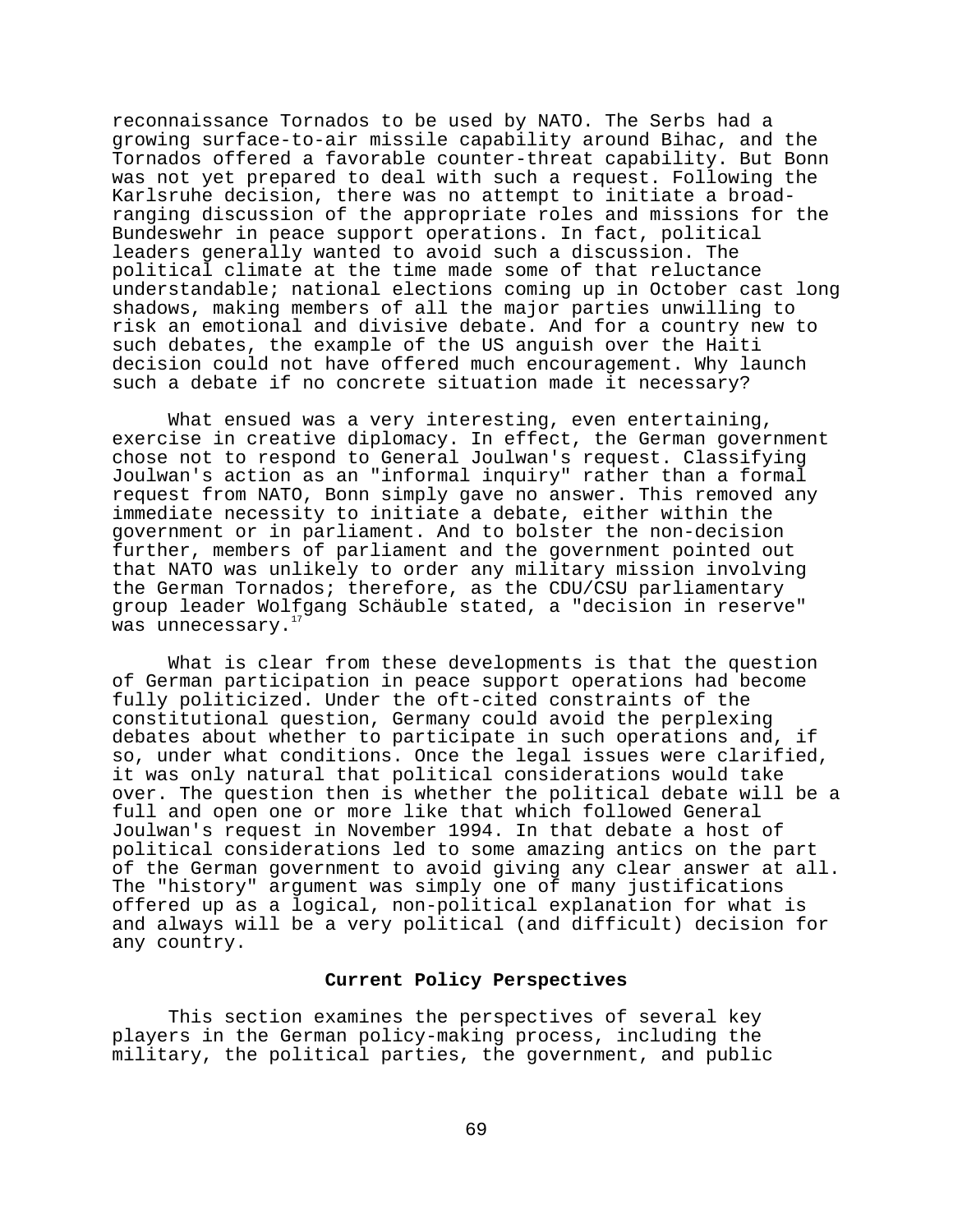reconnaissance Tornados to be used by NATO. The Serbs had a growing surface-to-air missile capability around Bihac, and the Tornados offered a favorable counter-threat capability. But Bonn was not yet prepared to deal with such a request. Following the Karlsruhe decision, there was no attempt to initiate a broadranging discussion of the appropriate roles and missions for the Bundeswehr in peace support operations. In fact, political leaders generally wanted to avoid such a discussion. The political climate at the time made some of that reluctance understandable; national elections coming up in October cast long shadows, making members of all the major parties unwilling to risk an emotional and divisive debate. And for a country new to such debates, the example of the US anguish over the Haiti decision could not have offered much encouragement. Why launch such a debate if no concrete situation made it necessary?

What ensued was a very interesting, even entertaining, exercise in creative diplomacy. In effect, the German government chose not to respond to General Joulwan's request. Classifying Joulwan's action as an "informal inquiry" rather than a formal request from NATO, Bonn simply gave no answer. This removed any immediate necessity to initiate a debate, either within the government or in parliament. And to bolster the non-decision further, members of parliament and the government pointed out that NATO was unlikely to order any military mission involving the German Tornados; therefore, as the CDU/CSU parliamentary group leader Wolfgang Schäuble stated, a "decision in reserve" was unnecessary.

What is clear from these developments is that the question of German participation in peace support operations had become fully politicized. Under the oft-cited constraints of the constitutional question, Germany could avoid the perplexing debates about whether to participate in such operations and, if so, under what conditions. Once the legal issues were clarified, it was only natural that political considerations would take over. The question then is whether the political debate will be a full and open one or more like that which followed General Joulwan's request in November 1994. In that debate a host of political considerations led to some amazing antics on the part of the German government to avoid giving any clear answer at all. The "history" argument was simply one of many justifications offered up as a logical, non-political explanation for what is and always will be a very political (and difficult) decision for any country.

# **Current Policy Perspectives**

This section examines the perspectives of several key players in the German policy-making process, including the military, the political parties, the government, and public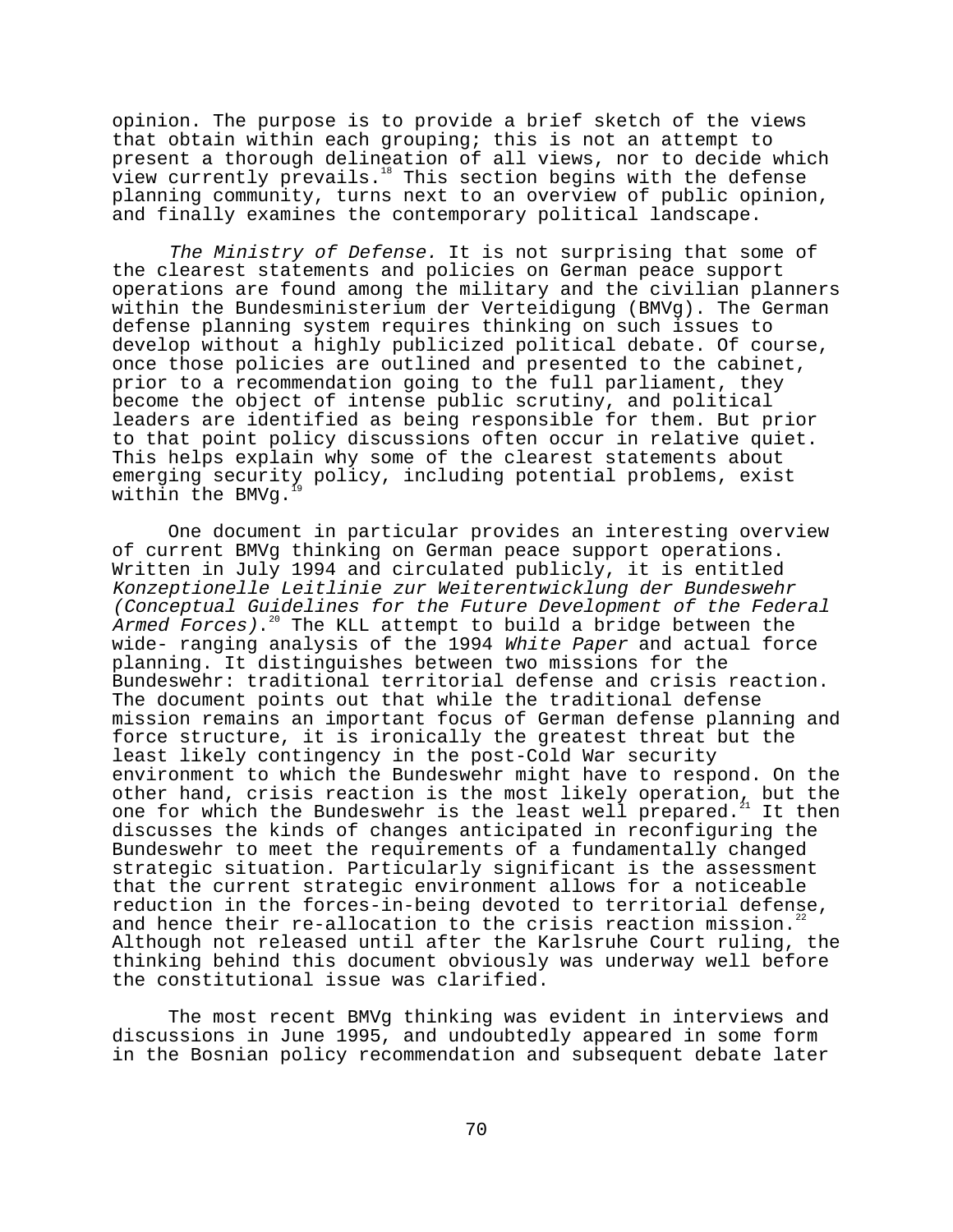opinion. The purpose is to provide a brief sketch of the views that obtain within each grouping; this is not an attempt to present a thorough delineation of all views, nor to decide which view currently prevails.<sup>18</sup> This section begins with the defense planning community, turns next to an overview of public opinion, and finally examines the contemporary political landscape.

The Ministry of Defense. It is not surprising that some of the clearest statements and policies on German peace support operations are found among the military and the civilian planners within the Bundesministerium der Verteidigung (BMVg). The German defense planning system requires thinking on such issues to develop without a highly publicized political debate. Of course, once those policies are outlined and presented to the cabinet, prior to a recommendation going to the full parliament, they become the object of intense public scrutiny, and political leaders are identified as being responsible for them. But prior to that point policy discussions often occur in relative quiet. This helps explain why some of the clearest statements about emerging security policy, including potential problems, exist within the BMVg.

One document in particular provides an interesting overview of current BMVg thinking on German peace support operations. Written in July 1994 and circulated publicly, it is entitled Konzeptionelle Leitlinie zur Weiterentwicklung der Bundeswehr (Conceptual Guidelines for the Future Development of the Federal Armed Forces).<sup>20</sup> The KLL attempt to build a bridge between the wide- ranging analysis of the 1994 White Paper and actual force planning. It distinguishes between two missions for the Bundeswehr: traditional territorial defense and crisis reaction. The document points out that while the traditional defense mission remains an important focus of German defense planning and force structure, it is ironically the greatest threat but the least likely contingency in the post-Cold War security environment to which the Bundeswehr might have to respond. On the other hand, crisis reaction is the most likely operation, but the one for which the Bundeswehr is the least well prepared.<sup>21</sup> It then discusses the kinds of changes anticipated in reconfiguring the Bundeswehr to meet the requirements of a fundamentally changed strategic situation. Particularly significant is the assessment that the current strategic environment allows for a noticeable reduction in the forces-in-being devoted to territorial defense, and hence their re-allocation to the crisis reaction mission.<sup>2</sup> Although not released until after the Karlsruhe Court ruling, the thinking behind this document obviously was underway well before the constitutional issue was clarified.

The most recent BMVg thinking was evident in interviews and discussions in June 1995, and undoubtedly appeared in some form in the Bosnian policy recommendation and subsequent debate later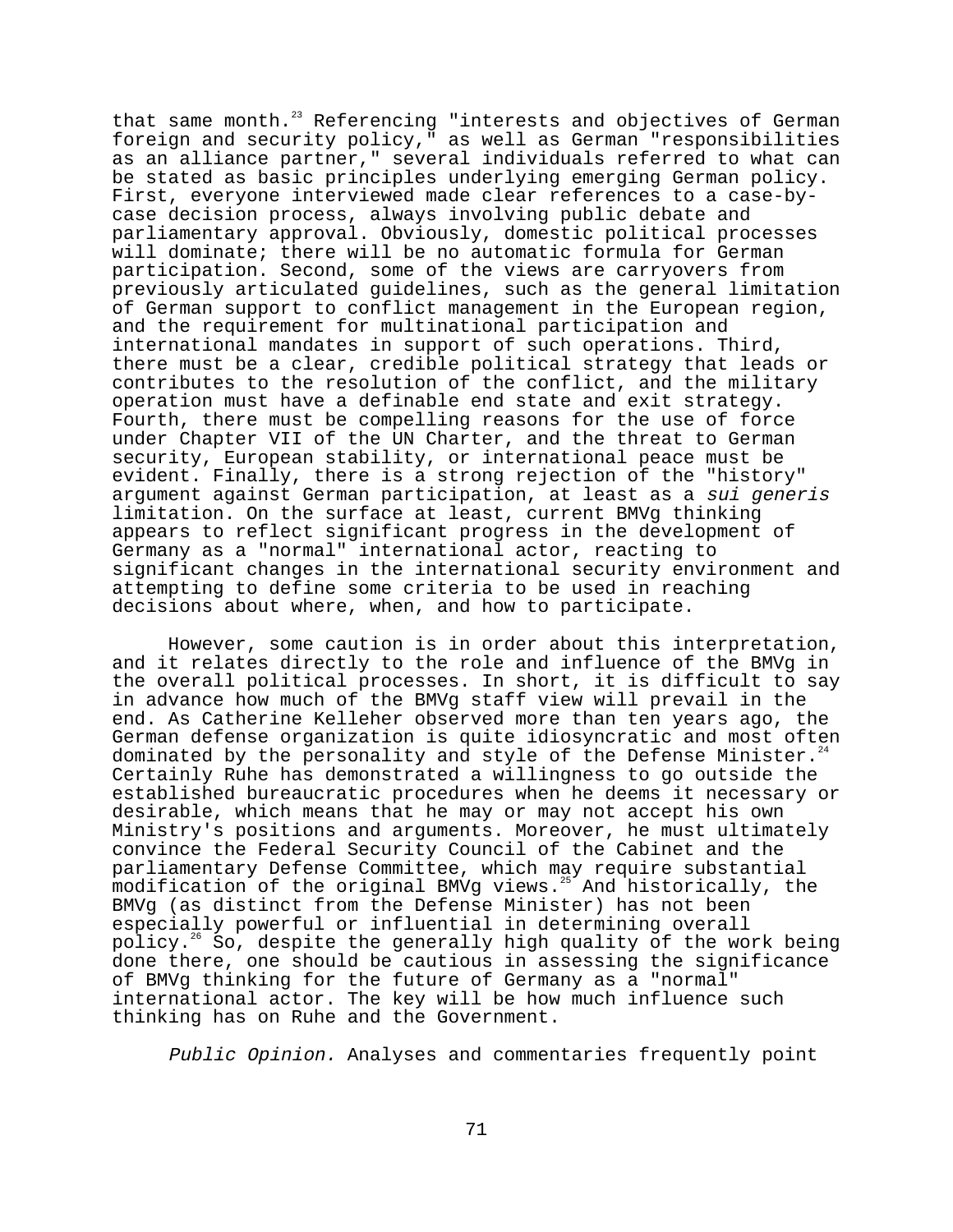that same month.<sup>23</sup> Referencing "interests and objectives of German foreign and security policy," as well as German "responsibilities as an alliance partner," several individuals referred to what can be stated as basic principles underlying emerging German policy. First, everyone interviewed made clear references to a case-bycase decision process, always involving public debate and parliamentary approval. Obviously, domestic political processes will dominate; there will be no automatic formula for German participation. Second, some of the views are carryovers from previously articulated guidelines, such as the general limitation of German support to conflict management in the European region, and the requirement for multinational participation and international mandates in support of such operations. Third, there must be a clear, credible political strategy that leads or contributes to the resolution of the conflict, and the military operation must have a definable end state and exit strategy. Fourth, there must be compelling reasons for the use of force under Chapter VII of the UN Charter, and the threat to German security, European stability, or international peace must be evident. Finally, there is a strong rejection of the "history" argument against German participation, at least as a sui generis limitation. On the surface at least, current BMVg thinking appears to reflect significant progress in the development of Germany as a "normal" international actor, reacting to significant changes in the international security environment and attempting to define some criteria to be used in reaching decisions about where, when, and how to participate.

However, some caution is in order about this interpretation, and it relates directly to the role and influence of the BMVg in the overall political processes. In short, it is difficult to say in advance how much of the BMVg staff view will prevail in the end. As Catherine Kelleher observed more than ten years ago, the German defense organization is quite idiosyncratic and most often dominated by the personality and style of the Defense Minister.<sup>2</sup> Certainly Ruhe has demonstrated a willingness to go outside the established bureaucratic procedures when he deems it necessary or desirable, which means that he may or may not accept his own Ministry's positions and arguments. Moreover, he must ultimately convince the Federal Security Council of the Cabinet and the parliamentary Defense Committee, which may require substantial modification of the original BMVg views.<sup>25</sup> And historically, the BMVg (as distinct from the Defense Minister) has not been especially powerful or influential in determining overall policy.26 So, despite the generally high quality of the work being done there, one should be cautious in assessing the significance of BMVg thinking for the future of Germany as a "normal" international actor. The key will be how much influence such thinking has on Ruhe and the Government.

Public Opinion. Analyses and commentaries frequently point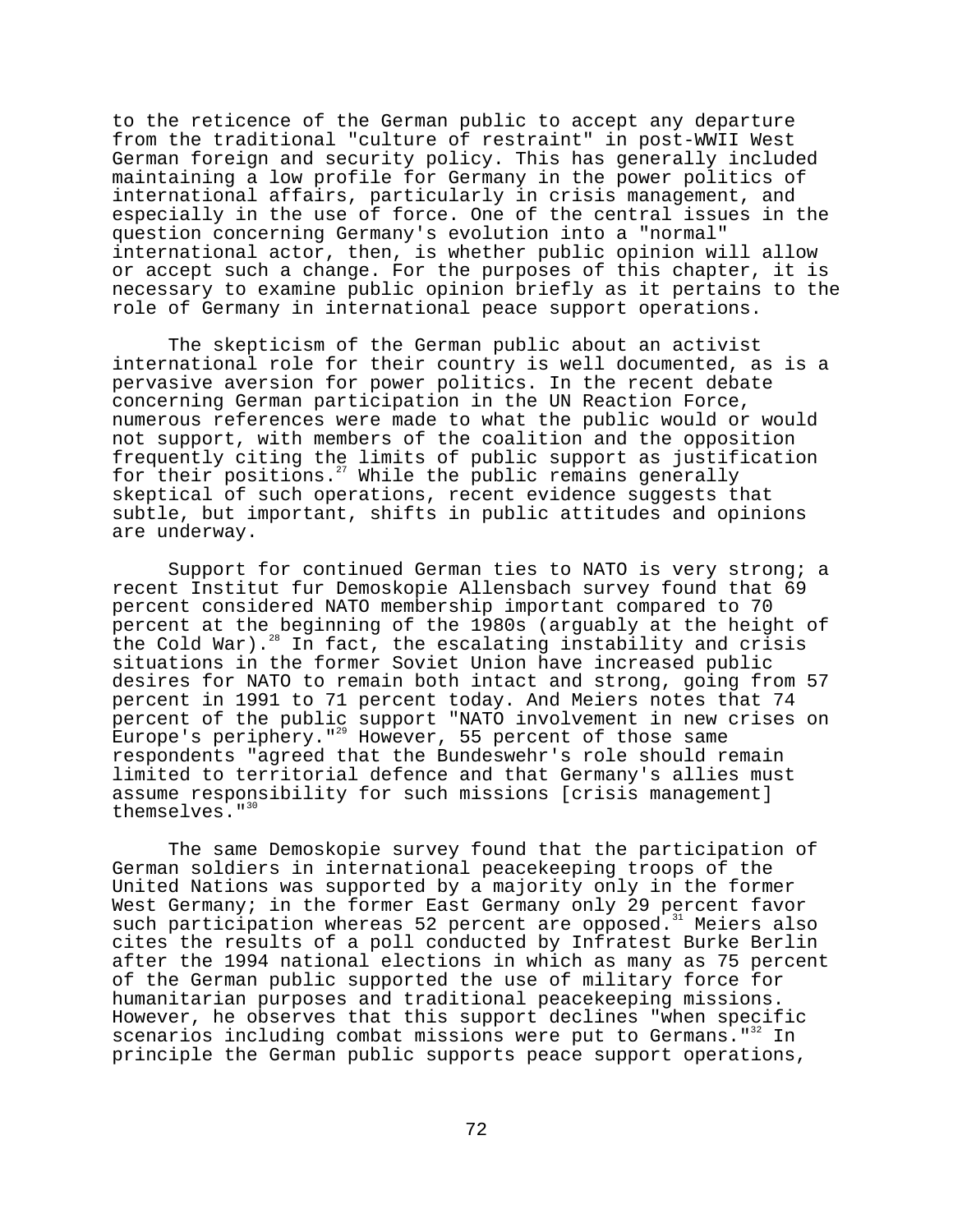to the reticence of the German public to accept any departure from the traditional "culture of restraint" in post-WWII West German foreign and security policy. This has generally included maintaining a low profile for Germany in the power politics of international affairs, particularly in crisis management, and especially in the use of force. One of the central issues in the question concerning Germany's evolution into a "normal" international actor, then, is whether public opinion will allow or accept such a change. For the purposes of this chapter, it is necessary to examine public opinion briefly as it pertains to the role of Germany in international peace support operations.

The skepticism of the German public about an activist international role for their country is well documented, as is a pervasive aversion for power politics. In the recent debate concerning German participation in the UN Reaction Force, numerous references were made to what the public would or would not support, with members of the coalition and the opposition frequently citing the limits of public support as justification for their positions.<sup>27</sup> While the public remains generally skeptical of such operations, recent evidence suggests that subtle, but important, shifts in public attitudes and opinions are underway.

Support for continued German ties to NATO is very strong; a recent Institut fur Demoskopie Allensbach survey found that 69 percent considered NATO membership important compared to 70 percent at the beginning of the 1980s (arguably at the height of the Cold War).<sup>28</sup> In fact, the escalating instability and crisis situations in the former Soviet Union have increased public desires for NATO to remain both intact and strong, going from 57 percent in 1991 to 71 percent today. And Meiers notes that 74 percent of the public support "NATO involvement in new crises on Europe's periphery."<sup>29</sup> However, 55 percent of those same respondents "agreed that the Bundeswehr's role should remain limited to territorial defence and that Germany's allies must assume responsibility for such missions [crisis management] themselves."<sup>30</sup>

The same Demoskopie survey found that the participation of German soldiers in international peacekeeping troops of the United Nations was supported by a majority only in the former West Germany; in the former East Germany only 29 percent favor such participation whereas 52 percent are opposed.<sup>31</sup> Meiers also cites the results of a poll conducted by Infratest Burke Berlin after the 1994 national elections in which as many as 75 percent of the German public supported the use of military force for humanitarian purposes and traditional peacekeeping missions. However, he observes that this support declines "when specific scenarios including combat missions were put to Germans."<sup>32</sup> In principle the German public supports peace support operations,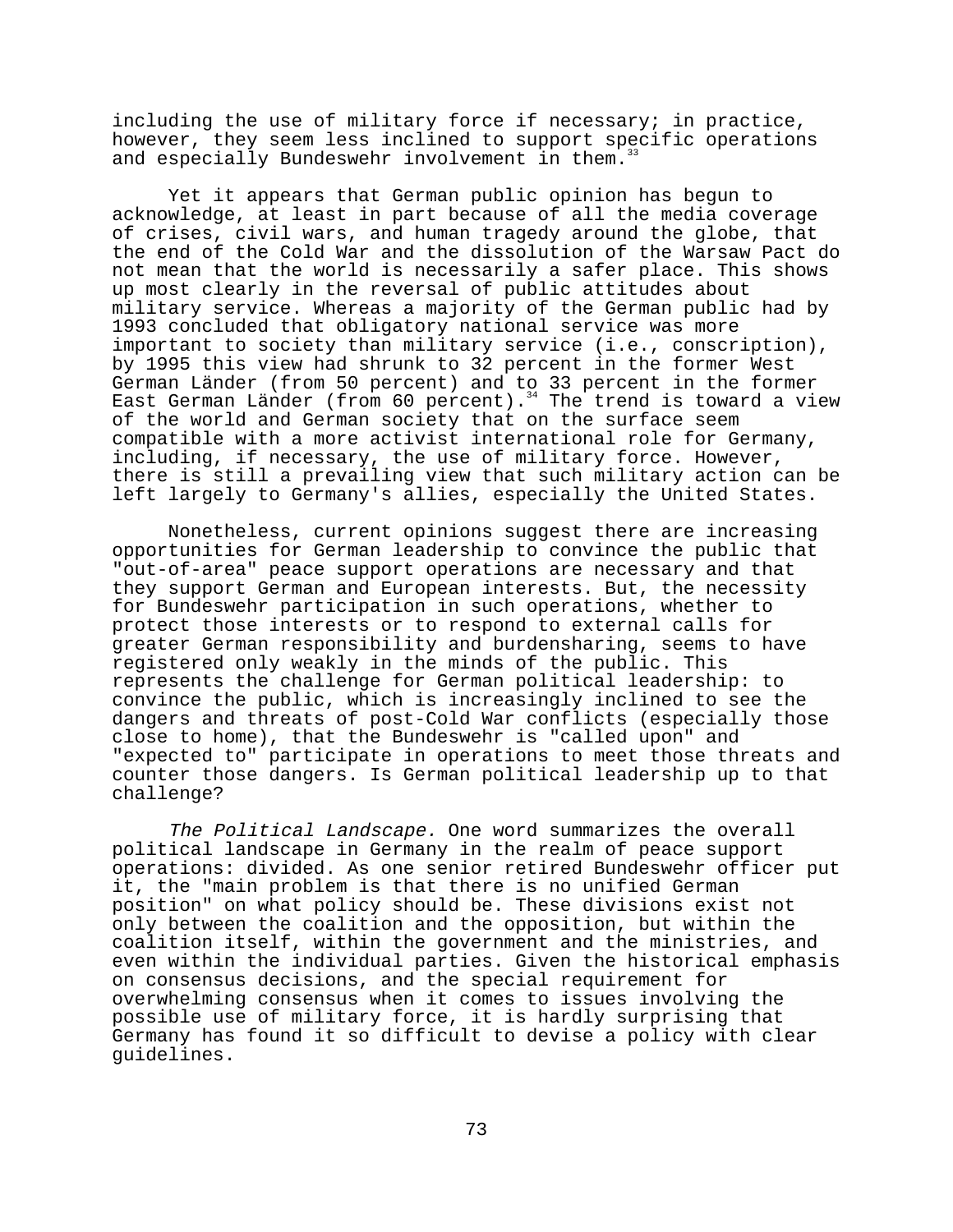including the use of military force if necessary; in practice, however, they seem less inclined to support specific operations and especially Bundeswehr involvement in them.<sup>3</sup>

Yet it appears that German public opinion has begun to acknowledge, at least in part because of all the media coverage of crises, civil wars, and human tragedy around the globe, that the end of the Cold War and the dissolution of the Warsaw Pact do not mean that the world is necessarily a safer place. This shows up most clearly in the reversal of public attitudes about military service. Whereas a majority of the German public had by 1993 concluded that obligatory national service was more important to society than military service (i.e., conscription), by 1995 this view had shrunk to 32 percent in the former West German Länder (from 50 percent) and to 33 percent in the former East German Länder (from 60 percent). $34$  The trend is toward a view of the world and German society that on the surface seem compatible with a more activist international role for Germany, including, if necessary, the use of military force. However, there is still a prevailing view that such military action can be left largely to Germany's allies, especially the United States.

Nonetheless, current opinions suggest there are increasing opportunities for German leadership to convince the public that "out-of-area" peace support operations are necessary and that they support German and European interests. But, the necessity for Bundeswehr participation in such operations, whether to protect those interests or to respond to external calls for greater German responsibility and burdensharing, seems to have registered only weakly in the minds of the public. This represents the challenge for German political leadership: to convince the public, which is increasingly inclined to see the dangers and threats of post-Cold War conflicts (especially those close to home), that the Bundeswehr is "called upon" and "expected to" participate in operations to meet those threats and counter those dangers. Is German political leadership up to that challenge?

The Political Landscape. One word summarizes the overall political landscape in Germany in the realm of peace support operations: divided. As one senior retired Bundeswehr officer put it, the "main problem is that there is no unified German position" on what policy should be. These divisions exist not only between the coalition and the opposition, but within the coalition itself, within the government and the ministries, and even within the individual parties. Given the historical emphasis on consensus decisions, and the special requirement for overwhelming consensus when it comes to issues involving the possible use of military force, it is hardly surprising that Germany has found it so difficult to devise a policy with clear guidelines.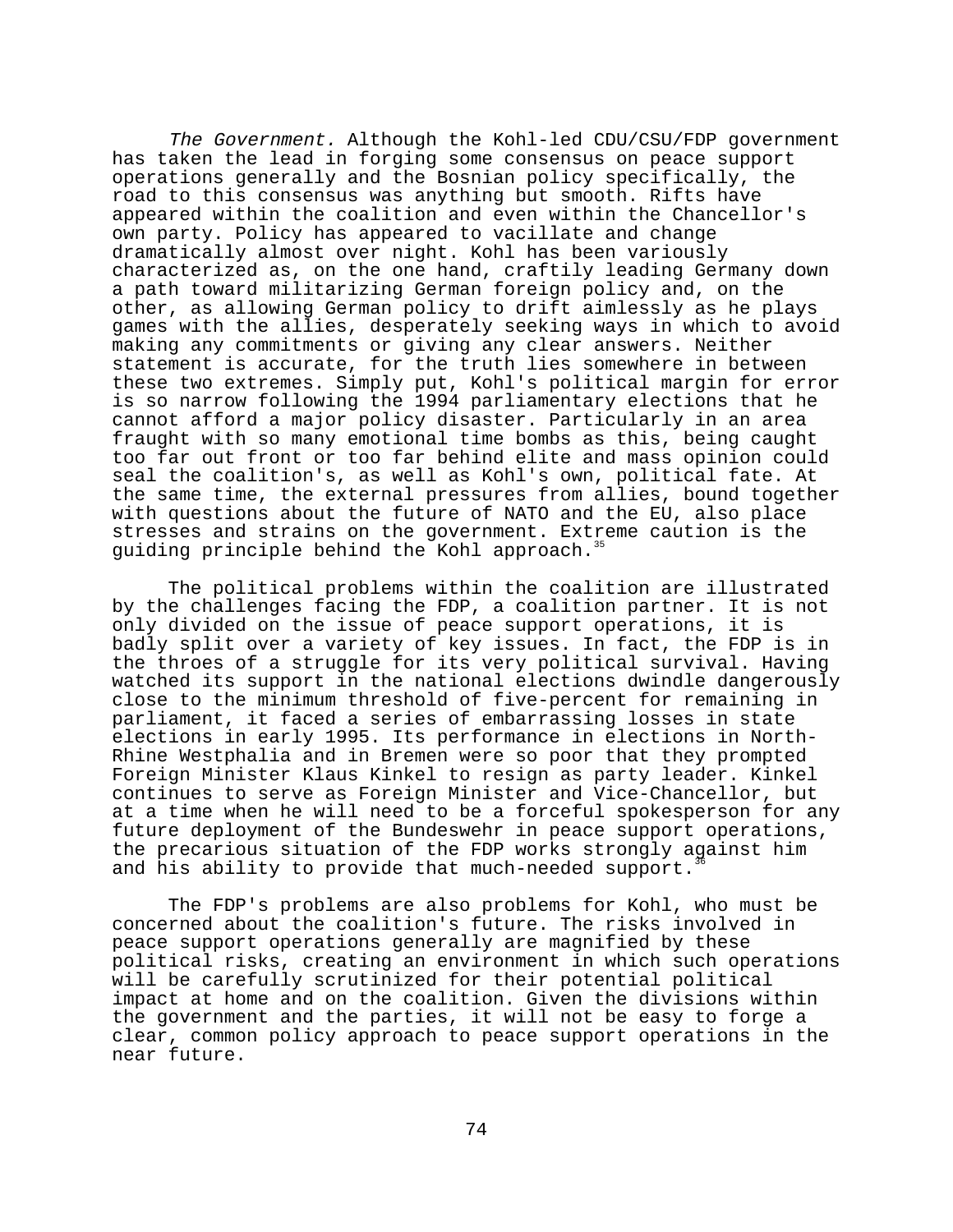The Government. Although the Kohl-led CDU/CSU/FDP government has taken the lead in forging some consensus on peace support operations generally and the Bosnian policy specifically, the road to this consensus was anything but smooth. Rifts have appeared within the coalition and even within the Chancellor's own party. Policy has appeared to vacillate and change dramatically almost over night. Kohl has been variously characterized as, on the one hand, craftily leading Germany down a path toward militarizing German foreign policy and, on the other, as allowing German policy to drift aimlessly as he plays games with the allies, desperately seeking ways in which to avoid making any commitments or giving any clear answers. Neither statement is accurate, for the truth lies somewhere in between these two extremes. Simply put, Kohl's political margin for error is so narrow following the 1994 parliamentary elections that he cannot afford a major policy disaster. Particularly in an area fraught with so many emotional time bombs as this, being caught too far out front or too far behind elite and mass opinion could seal the coalition's, as well as Kohl's own, political fate. At the same time, the external pressures from allies, bound together with questions about the future of NATO and the EU, also place stresses and strains on the government. Extreme caution is the guiding principle behind the Kohl approach.<sup>35</sup>

The political problems within the coalition are illustrated by the challenges facing the FDP, a coalition partner. It is not only divided on the issue of peace support operations, it is badly split over a variety of key issues. In fact, the FDP is in the throes of a struggle for its very political survival. Having watched its support in the national elections dwindle dangerously close to the minimum threshold of five-percent for remaining in parliament, it faced a series of embarrassing losses in state elections in early 1995. Its performance in elections in North-Rhine Westphalia and in Bremen were so poor that they prompted Foreign Minister Klaus Kinkel to resign as party leader. Kinkel continues to serve as Foreign Minister and Vice-Chancellor, but at a time when he will need to be a forceful spokesperson for any future deployment of the Bundeswehr in peace support operations, the precarious situation of the FDP works strongly against him and his ability to provide that much-needed support.

The FDP's problems are also problems for Kohl, who must be concerned about the coalition's future. The risks involved in peace support operations generally are magnified by these political risks, creating an environment in which such operations will be carefully scrutinized for their potential political impact at home and on the coalition. Given the divisions within the government and the parties, it will not be easy to forge a clear, common policy approach to peace support operations in the near future.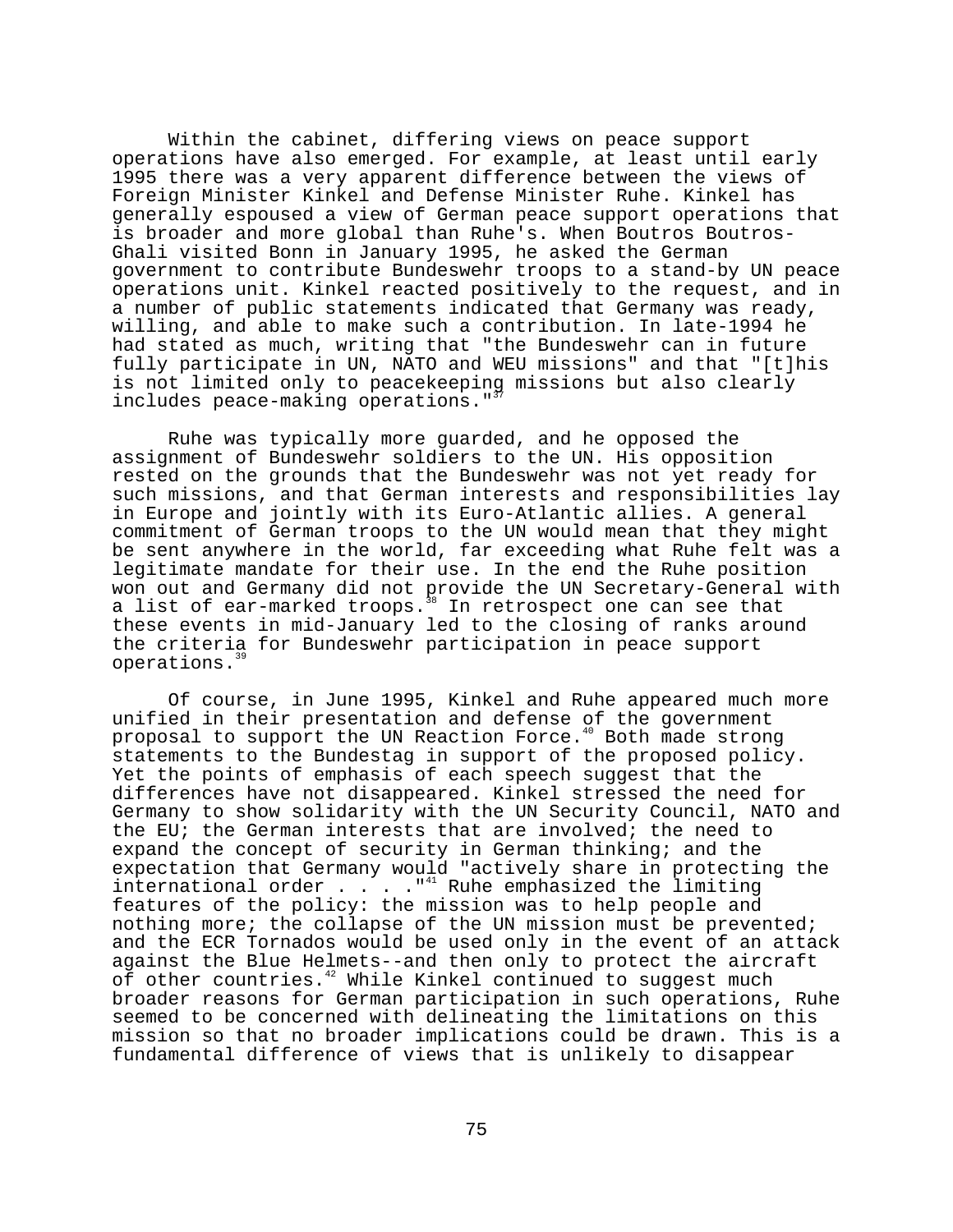Within the cabinet, differing views on peace support operations have also emerged. For example, at least until early 1995 there was a very apparent difference between the views of Foreign Minister Kinkel and Defense Minister Ruhe. Kinkel has generally espoused a view of German peace support operations that is broader and more global than Ruhe's. When Boutros Boutros-Ghali visited Bonn in January 1995, he asked the German government to contribute Bundeswehr troops to a stand-by UN peace operations unit. Kinkel reacted positively to the request, and in a number of public statements indicated that Germany was ready, willing, and able to make such a contribution. In late-1994 he had stated as much, writing that "the Bundeswehr can in future fully participate in UN, NATO and WEU missions" and that "[t]his is not limited only to peacekeeping missions but also clearly includes peace-making operations."<sup>3</sup>

Ruhe was typically more guarded, and he opposed the assignment of Bundeswehr soldiers to the UN. His opposition rested on the grounds that the Bundeswehr was not yet ready for such missions, and that German interests and responsibilities lay in Europe and jointly with its Euro-Atlantic allies. A general commitment of German troops to the UN would mean that they might be sent anywhere in the world, far exceeding what Ruhe felt was a legitimate mandate for their use. In the end the Ruhe position won out and Germany did not provide the UN Secretary-General with a list of ear-marked troops.<sup>38</sup> In retrospect one can see that these events in mid-January led to the closing of ranks around the criteria for Bundeswehr participation in peace support operations.<sup>39</sup>

Of course, in June 1995, Kinkel and Ruhe appeared much more unified in their presentation and defense of the government proposal to support the UN Reaction Force.<sup>40</sup> Both made strong statements to the Bundestag in support of the proposed policy. Yet the points of emphasis of each speech suggest that the differences have not disappeared. Kinkel stressed the need for Germany to show solidarity with the UN Security Council, NATO and the EU; the German interests that are involved; the need to expand the concept of security in German thinking; and the expectation that Germany would "actively share in protecting the international order . . . . "<sup>41</sup> Ruhe emphasized the limiting features of the policy: the mission was to help people and nothing more; the collapse of the UN mission must be prevented; and the ECR Tornados would be used only in the event of an attack against the Blue Helmets--and then only to protect the aircraft of other countries.<sup>42</sup> While Kinkel continued to suggest much broader reasons for German participation in such operations, Ruhe seemed to be concerned with delineating the limitations on this mission so that no broader implications could be drawn. This is a fundamental difference of views that is unlikely to disappear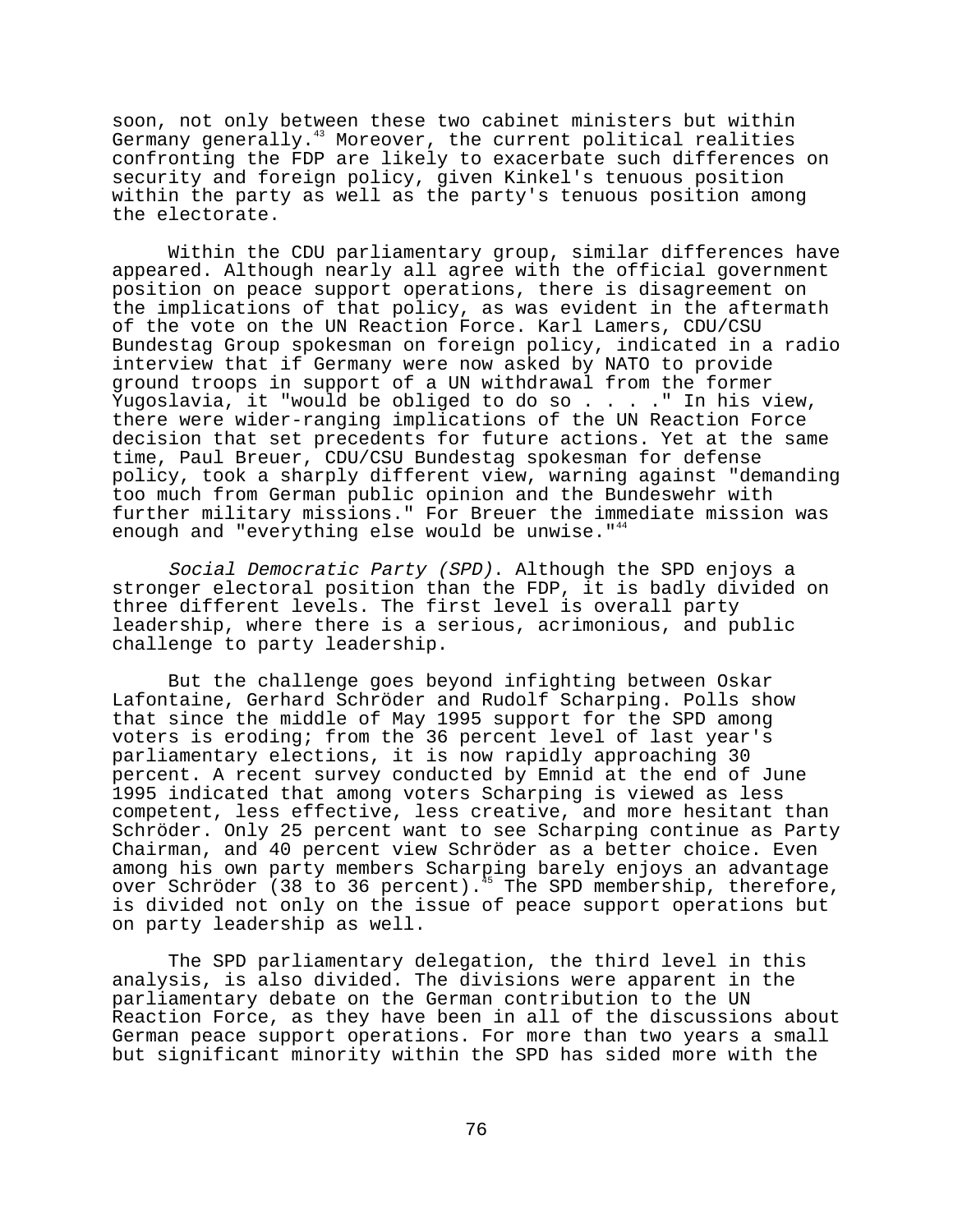soon, not only between these two cabinet ministers but within Germany generally.<sup>43</sup> Moreover, the current political realities confronting the FDP are likely to exacerbate such differences on security and foreign policy, given Kinkel's tenuous position within the party as well as the party's tenuous position among the electorate.

Within the CDU parliamentary group, similar differences have appeared. Although nearly all agree with the official government position on peace support operations, there is disagreement on the implications of that policy, as was evident in the aftermath of the vote on the UN Reaction Force. Karl Lamers, CDU/CSU Bundestag Group spokesman on foreign policy, indicated in a radio interview that if Germany were now asked by NATO to provide ground troops in support of a UN withdrawal from the former Yugoslavia, it "would be obliged to do so . . . . " In his view, there were wider-ranging implications of the UN Reaction Force decision that set precedents for future actions. Yet at the same time, Paul Breuer, CDU/CSU Bundestag spokesman for defense policy, took a sharply different view, warning against "demanding too much from German public opinion and the Bundeswehr with further military missions." For Breuer the immediate mission was enough and "everything else would be unwise." $44$ 

Social Democratic Party (SPD). Although the SPD enjoys a stronger electoral position than the FDP, it is badly divided on three different levels. The first level is overall party leadership, where there is a serious, acrimonious, and public challenge to party leadership.

But the challenge goes beyond infighting between Oskar Lafontaine, Gerhard Schröder and Rudolf Scharping. Polls show that since the middle of May 1995 support for the SPD among voters is eroding; from the 36 percent level of last year's parliamentary elections, it is now rapidly approaching 30 percent. A recent survey conducted by Emnid at the end of June 1995 indicated that among voters Scharping is viewed as less competent, less effective, less creative, and more hesitant than Schröder. Only 25 percent want to see Scharping continue as Party Chairman, and 40 percent view Schröder as a better choice. Even among his own party members Scharping barely enjoys an advantage over Schröder (38 to 36 percent).<sup>45</sup> The SPD membership, therefore, is divided not only on the issue of peace support operations but on party leadership as well.

The SPD parliamentary delegation, the third level in this analysis, is also divided. The divisions were apparent in the parliamentary debate on the German contribution to the UN Reaction Force, as they have been in all of the discussions about German peace support operations. For more than two years a small but significant minority within the SPD has sided more with the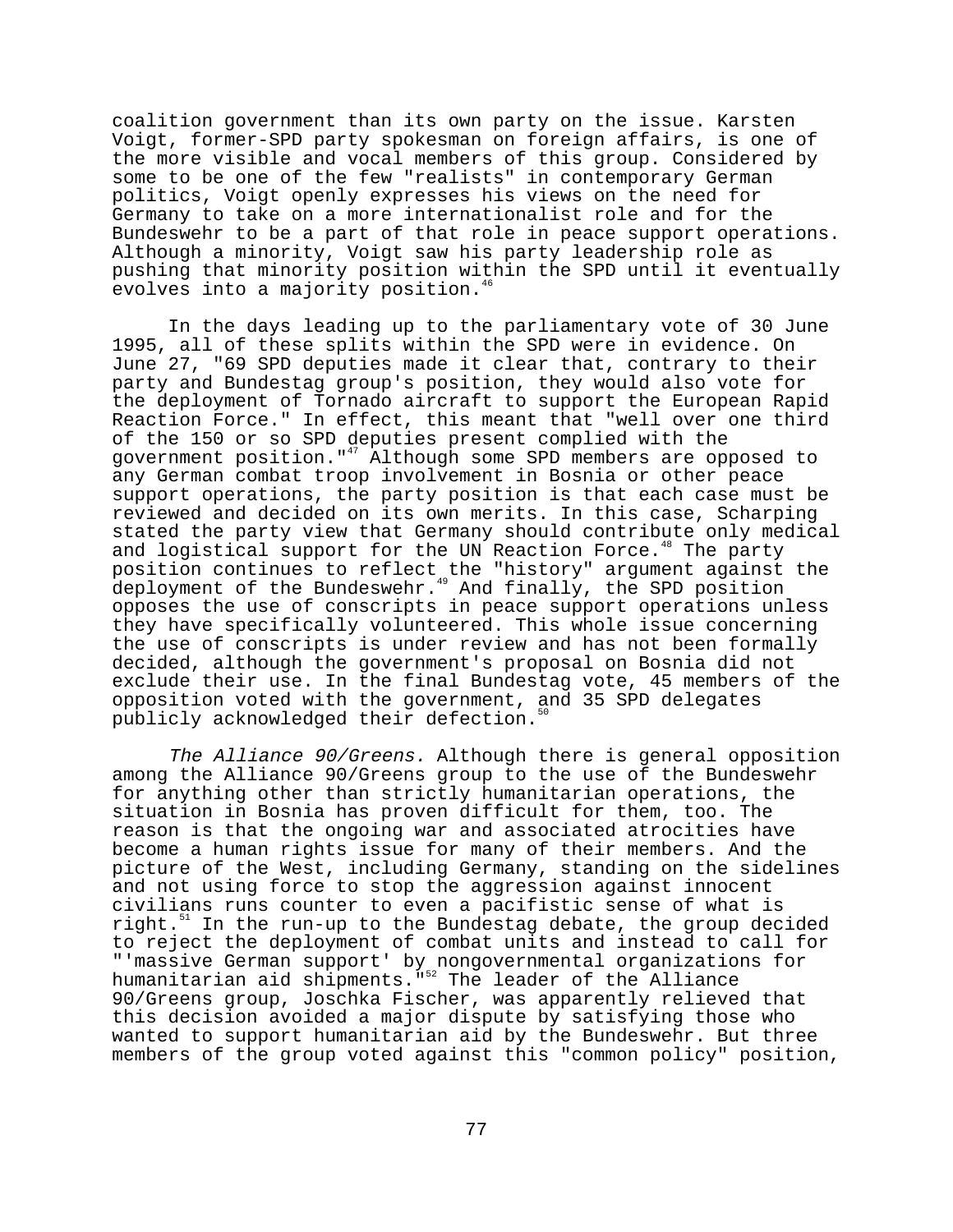coalition government than its own party on the issue. Karsten Voigt, former-SPD party spokesman on foreign affairs, is one of the more visible and vocal members of this group. Considered by some to be one of the few "realists" in contemporary German politics, Voigt openly expresses his views on the need for Germany to take on a more internationalist role and for the Bundeswehr to be a part of that role in peace support operations. Although a minority, Voigt saw his party leadership role as pushing that minority position within the SPD until it eventually evolves into a majority position.<sup>4</sup>

In the days leading up to the parliamentary vote of 30 June 1995, all of these splits within the SPD were in evidence. On June 27, "69 SPD deputies made it clear that, contrary to their party and Bundestag group's position, they would also vote for the deployment of Tornado aircraft to support the European Rapid Reaction Force." In effect, this meant that "well over one third of the 150 or so SPD deputies present complied with the government position."<sup>47</sup> Although some SPD members are opposed to any German combat troop involvement in Bosnia or other peace support operations, the party position is that each case must be reviewed and decided on its own merits. In this case, Scharping stated the party view that Germany should contribute only medical and logistical support for the UN Reaction Force.<sup>48</sup> The party position continues to reflect the "history" argument against the deployment of the Bundeswehr.<sup>49</sup> And finally, the SPD position opposes the use of conscripts in peace support operations unless they have specifically volunteered. This whole issue concerning the use of conscripts is under review and has not been formally decided, although the government's proposal on Bosnia did not exclude their use. In the final Bundestag vote, 45 members of the opposition voted with the government, and 35 SPD delegates publicly acknowledged their defection.<sup>5</sup>

The Alliance 90/Greens. Although there is general opposition among the Alliance 90/Greens group to the use of the Bundeswehr for anything other than strictly humanitarian operations, the situation in Bosnia has proven difficult for them, too. The reason is that the ongoing war and associated atrocities have become a human rights issue for many of their members. And the picture of the West, including Germany, standing on the sidelines and not using force to stop the aggression against innocent civilians runs counter to even a pacifistic sense of what is right.<sup>51</sup> In the run-up to the Bundestag debate, the group decided to reject the deployment of combat units and instead to call for "'massive German support' by nongovernmental organizations for humanitarian aid shipments."52 The leader of the Alliance 90/Greens group, Joschka Fischer, was apparently relieved that this decision avoided a major dispute by satisfying those who wanted to support humanitarian aid by the Bundeswehr. But three members of the group voted against this "common policy" position,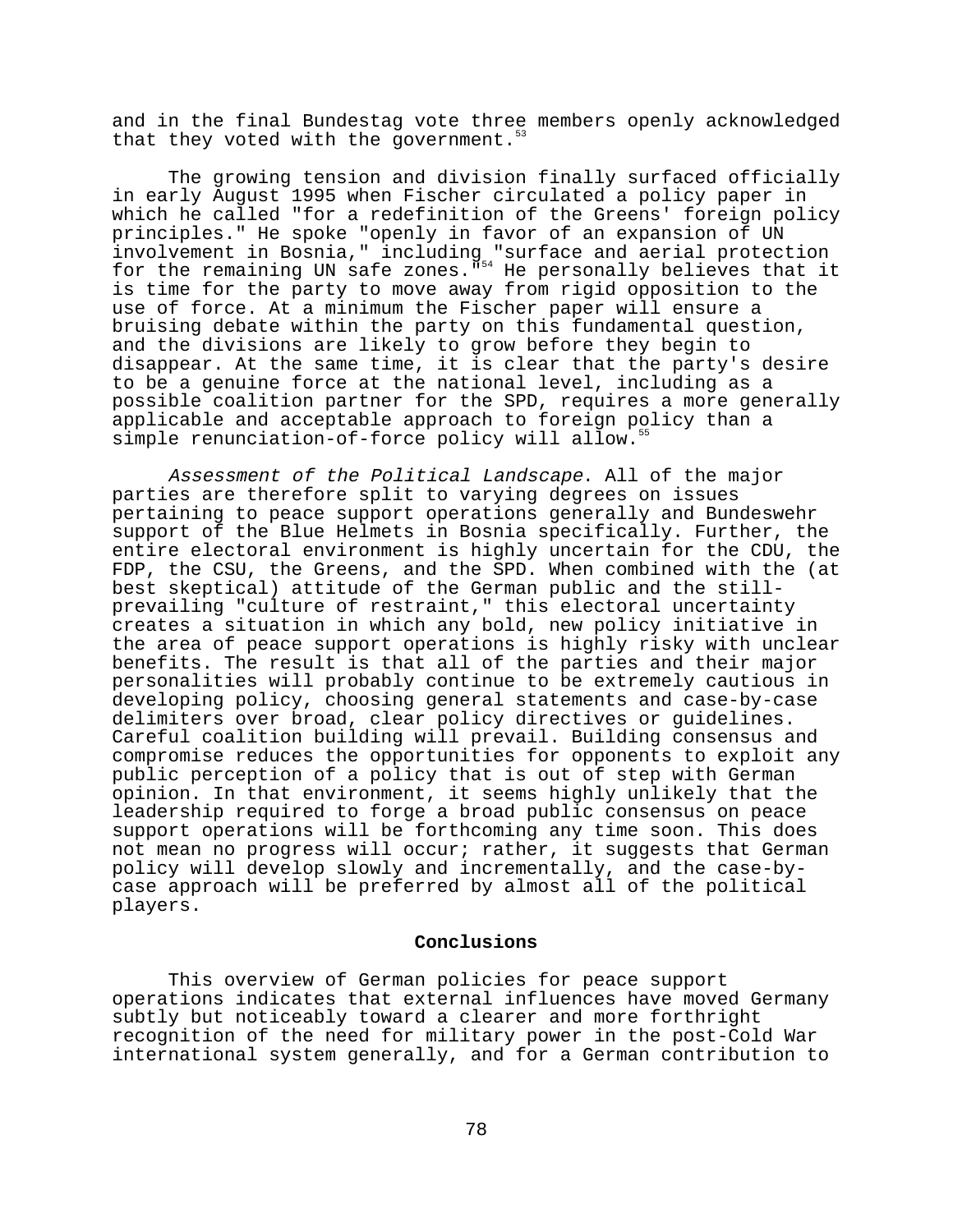and in the final Bundestag vote three members openly acknowledged that they voted with the government.

The growing tension and division finally surfaced officially in early August 1995 when Fischer circulated a policy paper in which he called "for a redefinition of the Greens' foreign policy principles." He spoke "openly in favor of an expansion of UN involvement in Bosnia," including "surface and aerial protection for the remaining UN safe zones. "<sup>54</sup> He personally believes that it is time for the party to move away from rigid opposition to the use of force. At a minimum the Fischer paper will ensure a bruising debate within the party on this fundamental question, and the divisions are likely to grow before they begin to disappear. At the same time, it is clear that the party's desire to be a genuine force at the national level, including as a possible coalition partner for the SPD, requires a more generally applicable and acceptable approach to foreign policy than a simple renunciation-of-force policy will allow.<sup>5</sup>

Assessment of the Political Landscape. All of the major parties are therefore split to varying degrees on issues pertaining to peace support operations generally and Bundeswehr support of the Blue Helmets in Bosnia specifically. Further, the entire electoral environment is highly uncertain for the CDU, the FDP, the CSU, the Greens, and the SPD. When combined with the (at best skeptical) attitude of the German public and the stillprevailing "culture of restraint," this electoral uncertainty creates a situation in which any bold, new policy initiative in the area of peace support operations is highly risky with unclear benefits. The result is that all of the parties and their major personalities will probably continue to be extremely cautious in developing policy, choosing general statements and case-by-case delimiters over broad, clear policy directives or guidelines. Careful coalition building will prevail. Building consensus and compromise reduces the opportunities for opponents to exploit any public perception of a policy that is out of step with German opinion. In that environment, it seems highly unlikely that the leadership required to forge a broad public consensus on peace support operations will be forthcoming any time soon. This does not mean no progress will occur; rather, it suggests that German policy will develop slowly and incrementally, and the case-bycase approach will be preferred by almost all of the political players.

#### **Conclusions**

This overview of German policies for peace support operations indicates that external influences have moved Germany subtly but noticeably toward a clearer and more forthright recognition of the need for military power in the post-Cold War international system generally, and for a German contribution to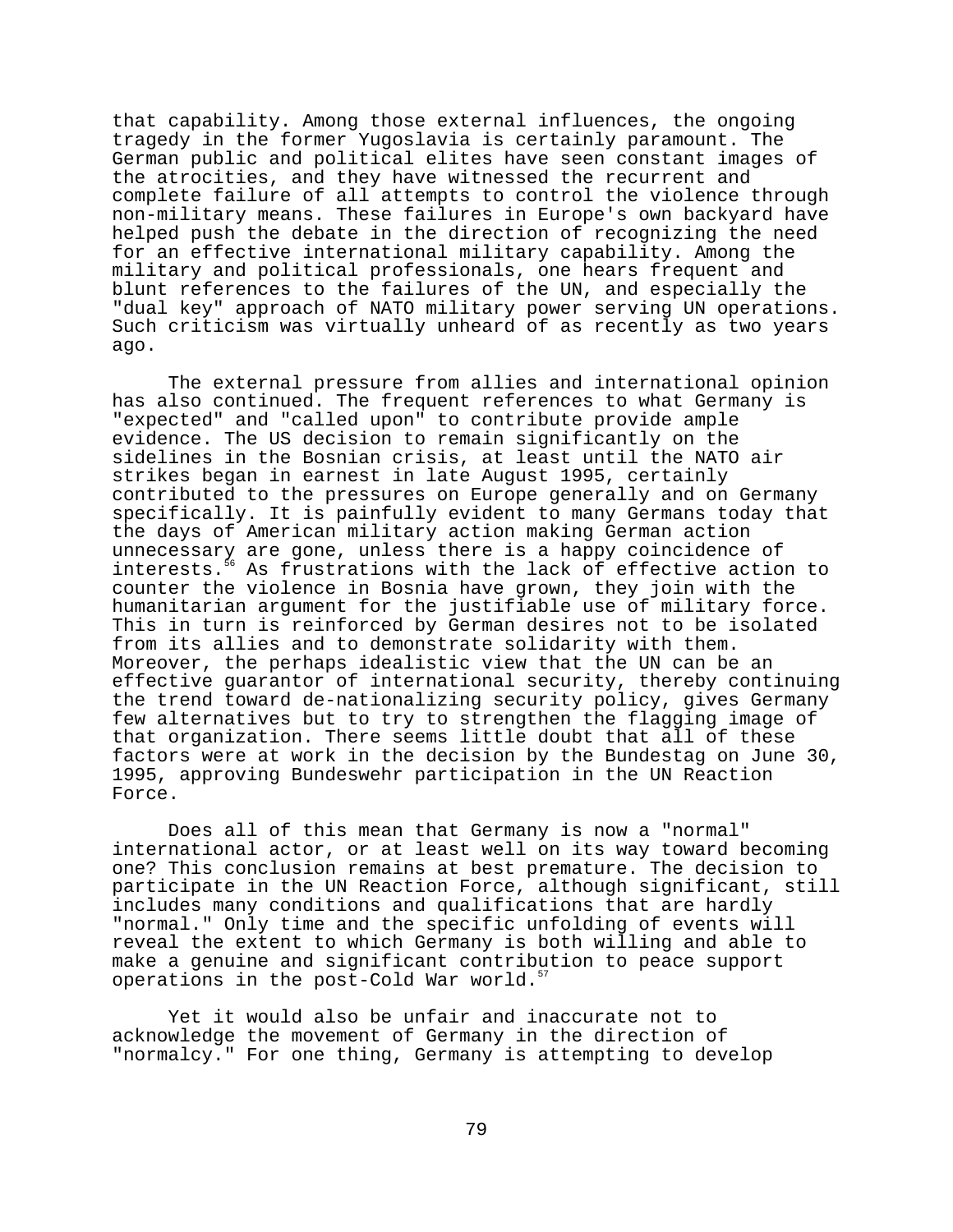that capability. Among those external influences, the ongoing tragedy in the former Yugoslavia is certainly paramount. The German public and political elites have seen constant images of the atrocities, and they have witnessed the recurrent and complete failure of all attempts to control the violence through non-military means. These failures in Europe's own backyard have helped push the debate in the direction of recognizing the need for an effective international military capability. Among the military and political professionals, one hears frequent and blunt references to the failures of the UN, and especially the "dual key" approach of NATO military power serving UN operations. Such criticism was virtually unheard of as recently as two years ago.

The external pressure from allies and international opinion has also continued. The frequent references to what Germany is "expected" and "called upon" to contribute provide ample evidence. The US decision to remain significantly on the sidelines in the Bosnian crisis, at least until the NATO air strikes began in earnest in late August 1995, certainly contributed to the pressures on Europe generally and on Germany specifically. It is painfully evident to many Germans today that the days of American military action making German action unnecessary are gone, unless there is a happy coincidence of interests.<sup>5</sup> As frustrations with the lack of effective action to counter the violence in Bosnia have grown, they join with the humanitarian argument for the justifiable use of military force. This in turn is reinforced by German desires not to be isolated from its allies and to demonstrate solidarity with them. Moreover, the perhaps idealistic view that the UN can be an effective guarantor of international security, thereby continuing the trend toward de-nationalizing security policy, gives Germany few alternatives but to try to strengthen the flagging image of that organization. There seems little doubt that all of these factors were at work in the decision by the Bundestag on June 30, 1995, approving Bundeswehr participation in the UN Reaction Force.

Does all of this mean that Germany is now a "normal" international actor, or at least well on its way toward becoming one? This conclusion remains at best premature. The decision to participate in the UN Reaction Force, although significant, still includes many conditions and qualifications that are hardly "normal." Only time and the specific unfolding of events will reveal the extent to which Germany is both willing and able to make a genuine and significant contribution to peace support operations in the post-Cold War world.<sup>5</sup>

Yet it would also be unfair and inaccurate not to acknowledge the movement of Germany in the direction of "normalcy." For one thing, Germany is attempting to develop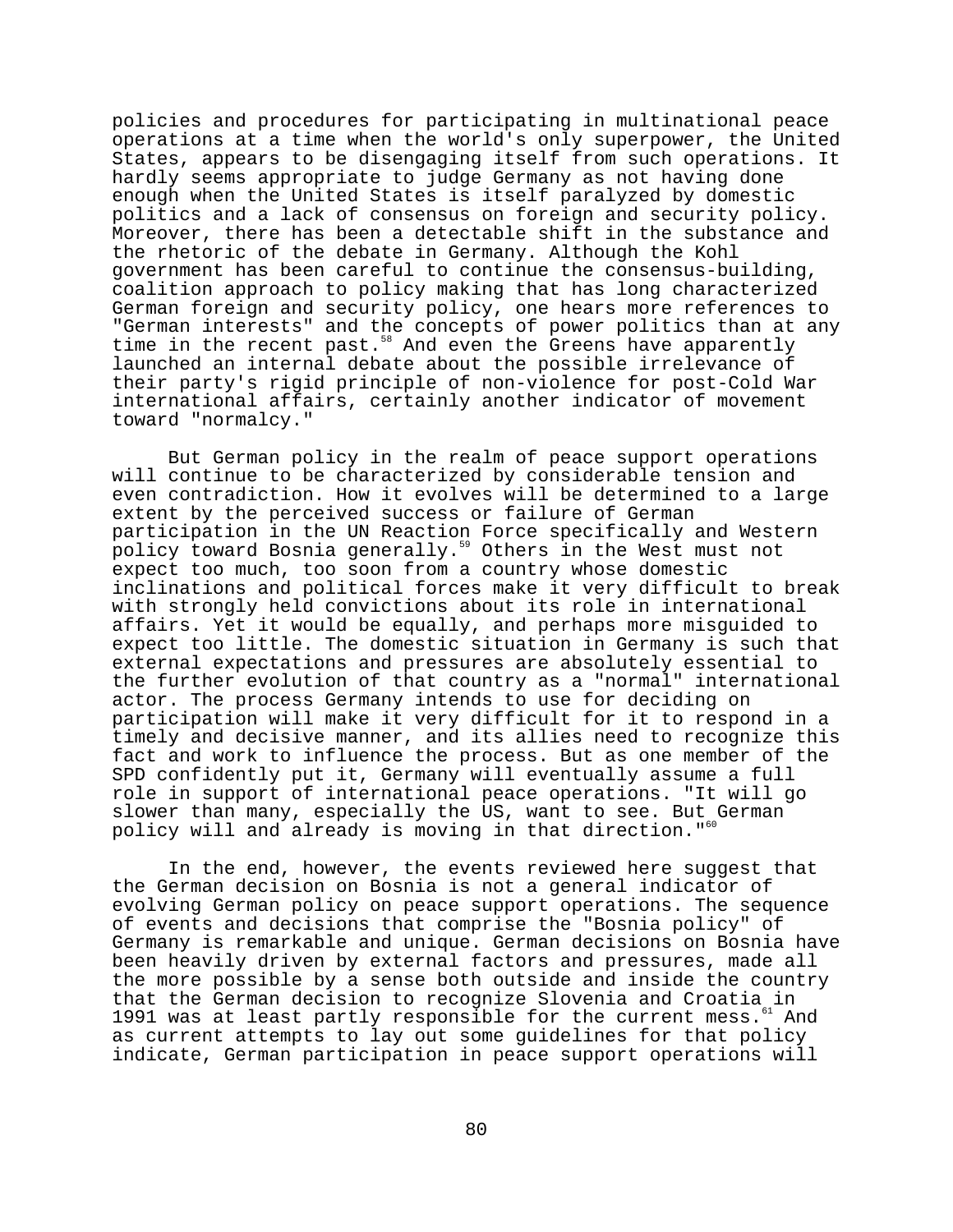policies and procedures for participating in multinational peace operations at a time when the world's only superpower, the United States, appears to be disengaging itself from such operations. It hardly seems appropriate to judge Germany as not having done enough when the United States is itself paralyzed by domestic politics and a lack of consensus on foreign and security policy. Moreover, there has been a detectable shift in the substance and the rhetoric of the debate in Germany. Although the Kohl government has been careful to continue the consensus-building, coalition approach to policy making that has long characterized German foreign and security policy, one hears more references to "German interests" and the concepts of power politics than at any time in the recent past.<sup>58</sup> And even the Greens have apparently launched an internal debate about the possible irrelevance of their party's rigid principle of non-violence for post-Cold War international affairs, certainly another indicator of movement toward "normalcy."

But German policy in the realm of peace support operations will continue to be characterized by considerable tension and even contradiction. How it evolves will be determined to a large extent by the perceived success or failure of German participation in the UN Reaction Force specifically and Western policy toward Bosnia generally.<sup>59</sup> Others in the West must not expect too much, too soon from a country whose domestic inclinations and political forces make it very difficult to break with strongly held convictions about its role in international affairs. Yet it would be equally, and perhaps more misguided to expect too little. The domestic situation in Germany is such that external expectations and pressures are absolutely essential to the further evolution of that country as a "normal" international actor. The process Germany intends to use for deciding on participation will make it very difficult for it to respond in a timely and decisive manner, and its allies need to recognize this fact and work to influence the process. But as one member of the SPD confidently put it, Germany will eventually assume a full role in support of international peace operations. "It will go slower than many, especially the US, want to see. But German policy will and already is moving in that direction."60

In the end, however, the events reviewed here suggest that the German decision on Bosnia is not a general indicator of evolving German policy on peace support operations. The sequence of events and decisions that comprise the "Bosnia policy" of Germany is remarkable and unique. German decisions on Bosnia have been heavily driven by external factors and pressures, made all the more possible by a sense both outside and inside the country that the German decision to recognize Slovenia and Croatia in<br>1991 was at least partly responsible for the current mess. <sup>1</sup> And 1991 was at least partly responsible for the current mess.<sup>61</sup> as current attempts to lay out some guidelines for that policy indicate, German participation in peace support operations will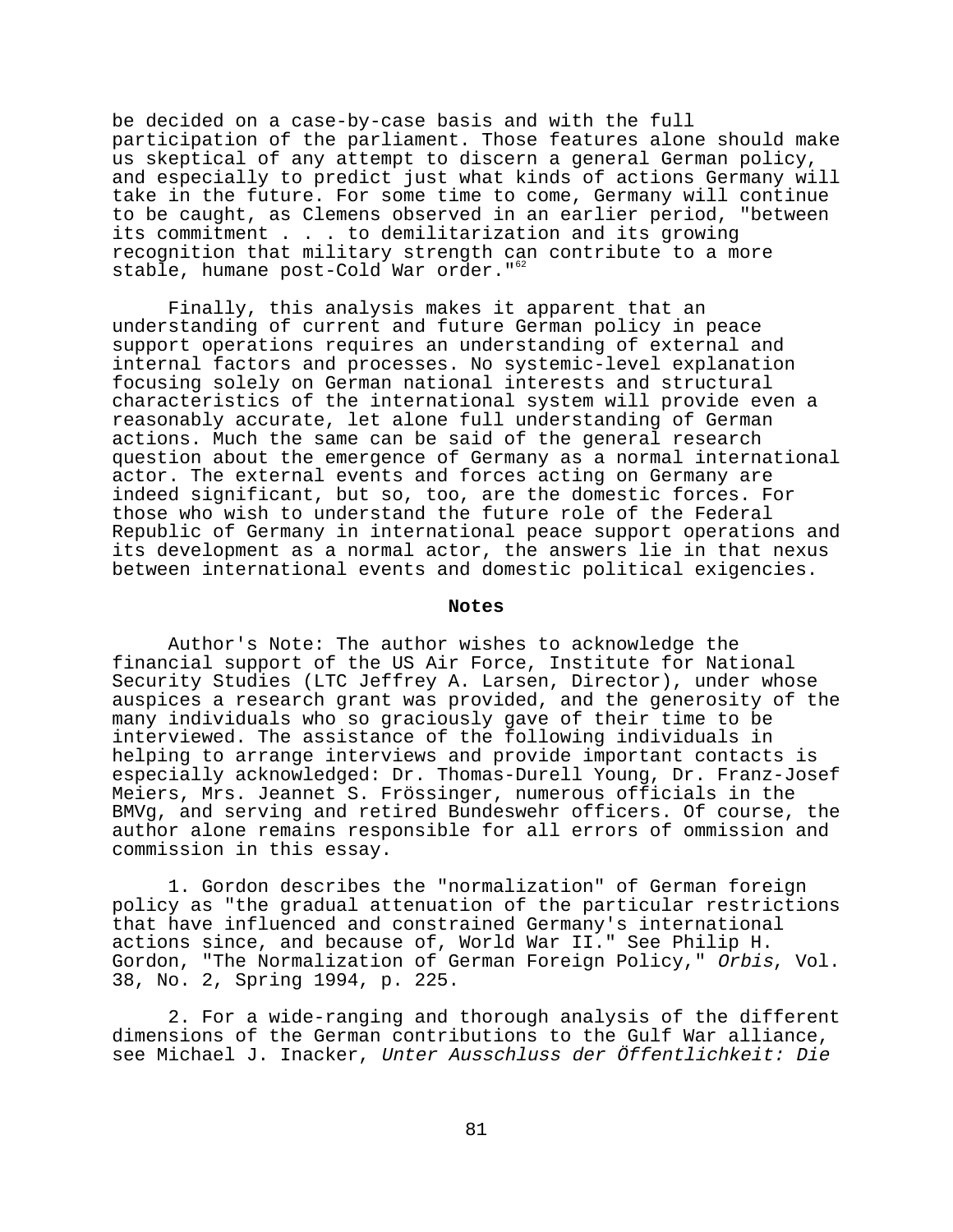be decided on a case-by-case basis and with the full participation of the parliament. Those features alone should make us skeptical of any attempt to discern a general German policy, and especially to predict just what kinds of actions Germany will take in the future. For some time to come, Germany will continue to be caught, as Clemens observed in an earlier period, "between its commitment . . . to demilitarization and its growing recognition that military strength can contribute to a more stable, humane post-Cold War order."<sup>62</sup>

Finally, this analysis makes it apparent that an understanding of current and future German policy in peace support operations requires an understanding of external and internal factors and processes. No systemic-level explanation focusing solely on German national interests and structural characteristics of the international system will provide even a reasonably accurate, let alone full understanding of German actions. Much the same can be said of the general research question about the emergence of Germany as a normal international actor. The external events and forces acting on Germany are indeed significant, but so, too, are the domestic forces. For those who wish to understand the future role of the Federal Republic of Germany in international peace support operations and its development as a normal actor, the answers lie in that nexus between international events and domestic political exigencies.

# **Notes**

Author's Note: The author wishes to acknowledge the financial support of the US Air Force, Institute for National Security Studies (LTC Jeffrey A. Larsen, Director), under whose auspices a research grant was provided, and the generosity of the many individuals who so graciously gave of their time to be interviewed. The assistance of the following individuals in helping to arrange interviews and provide important contacts is especially acknowledged: Dr. Thomas-Durell Young, Dr. Franz-Josef Meiers, Mrs. Jeannet S. Frössinger, numerous officials in the BMVg, and serving and retired Bundeswehr officers. Of course, the author alone remains responsible for all errors of ommission and commission in this essay.

1. Gordon describes the "normalization" of German foreign policy as "the gradual attenuation of the particular restrictions that have influenced and constrained Germany's international actions since, and because of, World War II." See Philip H. Gordon, "The Normalization of German Foreign Policy," Orbis, Vol. 38, No. 2, Spring 1994, p. 225.

2. For a wide-ranging and thorough analysis of the different dimensions of the German contributions to the Gulf War alliance, see Michael J. Inacker, Unter Ausschluss der Öffentlichkeit: Die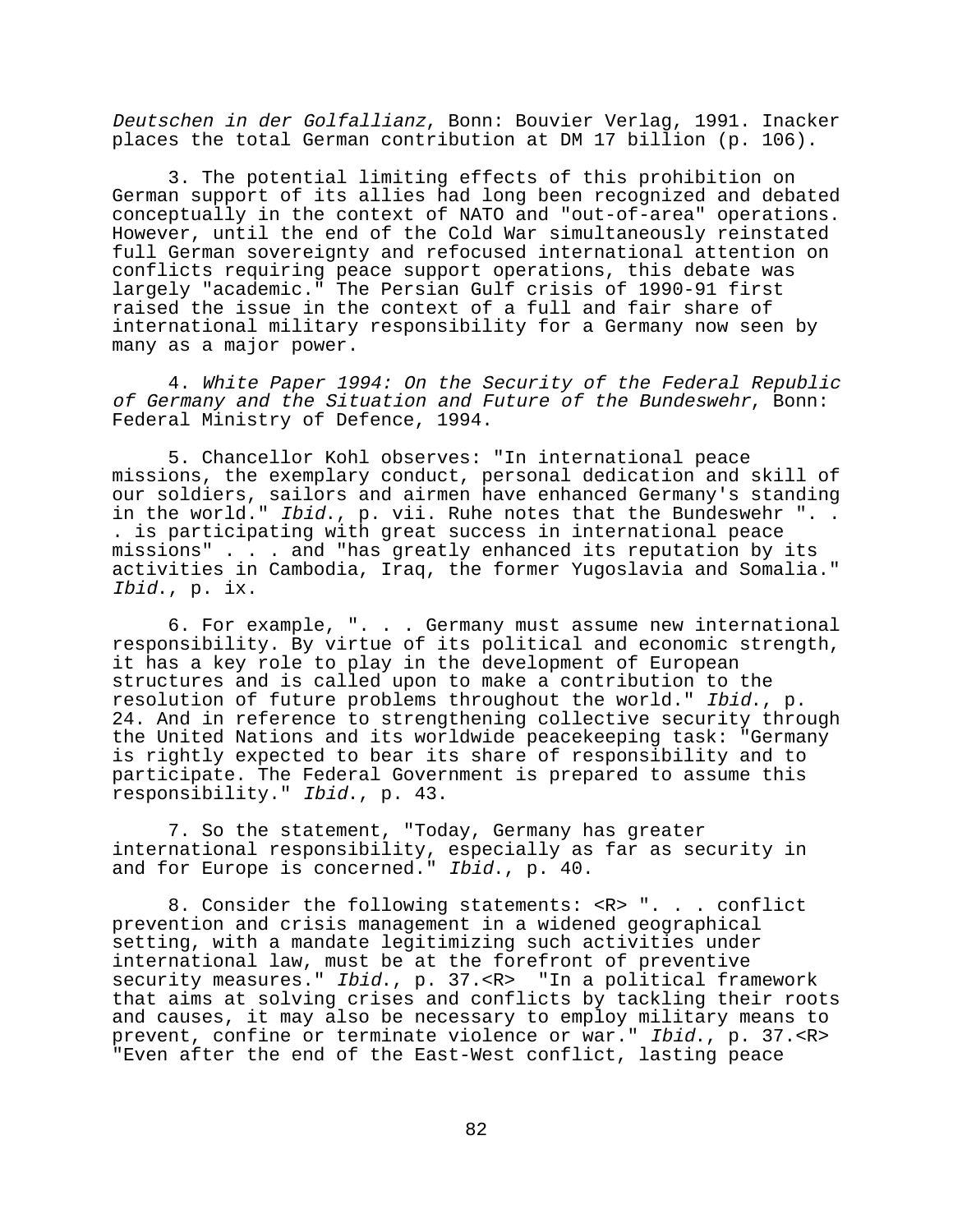Deutschen in der Golfallianz, Bonn: Bouvier Verlag, 1991. Inacker places the total German contribution at DM 17 billion (p. 106).

3. The potential limiting effects of this prohibition on German support of its allies had long been recognized and debated conceptually in the context of NATO and "out-of-area" operations. However, until the end of the Cold War simultaneously reinstated full German sovereignty and refocused international attention on conflicts requiring peace support operations, this debate was largely "academic." The Persian Gulf crisis of 1990-91 first raised the issue in the context of a full and fair share of international military responsibility for a Germany now seen by many as a major power.

4. White Paper 1994: On the Security of the Federal Republic of Germany and the Situation and Future of the Bundeswehr, Bonn: Federal Ministry of Defence, 1994.

5. Chancellor Kohl observes: "In international peace missions, the exemplary conduct, personal dedication and skill of our soldiers, sailors and airmen have enhanced Germany's standing in the world." Ibid., p. vii. Ruhe notes that the Bundeswehr ".. . is participating with great success in international peace missions" . . . and "has greatly enhanced its reputation by its activities in Cambodia, Iraq, the former Yugoslavia and Somalia." Ibid., p. ix.

6. For example, ". . . Germany must assume new international responsibility. By virtue of its political and economic strength, it has a key role to play in the development of European structures and is called upon to make a contribution to the resolution of future problems throughout the world." Ibid., p. 24. And in reference to strengthening collective security through the United Nations and its worldwide peacekeeping task: "Germany is rightly expected to bear its share of responsibility and to participate. The Federal Government is prepared to assume this responsibility." Ibid., p. 43.

7. So the statement, "Today, Germany has greater international responsibility, especially as far as security in and for Europe is concerned." Ibid., p. 40.

8. Consider the following statements: <R> ". . . conflict prevention and crisis management in a widened geographical setting, with a mandate legitimizing such activities under international law, must be at the forefront of preventive security measures." Ibid., p. 37.<R> "In a political framework that aims at solving crises and conflicts by tackling their roots and causes, it may also be necessary to employ military means to prevent, confine or terminate violence or war." Ibid., p. 37.<R> "Even after the end of the East-West conflict, lasting peace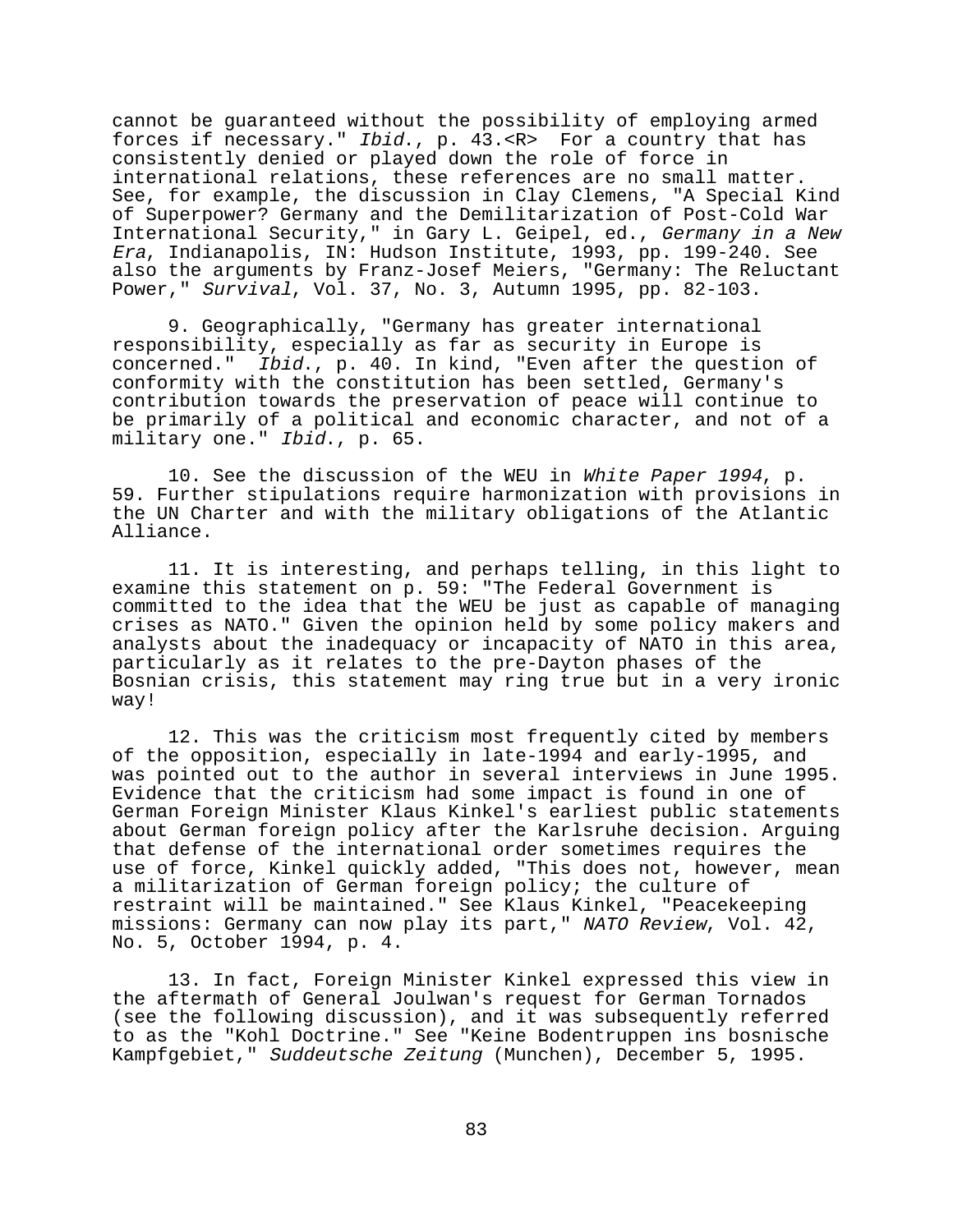cannot be guaranteed without the possibility of employing armed forces if necessary." Ibid., p. 43.<R> For a country that has consistently denied or played down the role of force in international relations, these references are no small matter. See, for example, the discussion in Clay Clemens, "A Special Kind of Superpower? Germany and the Demilitarization of Post-Cold War International Security," in Gary L. Geipel, ed., Germany in a New Era, Indianapolis, IN: Hudson Institute, 1993, pp. 199-240. See also the arguments by Franz-Josef Meiers, "Germany: The Reluctant Power," Survival, Vol. 37, No. 3, Autumn 1995, pp. 82-103.

9. Geographically, "Germany has greater international responsibility, especially as far as security in Europe is concerned." Ibid., p. 40. In kind, "Even after the question of conformity with the constitution has been settled, Germany's contribution towards the preservation of peace will continue to be primarily of a political and economic character, and not of a military one." Ibid., p. 65.

10. See the discussion of the WEU in White Paper 1994, p. 59. Further stipulations require harmonization with provisions in the UN Charter and with the military obligations of the Atlantic Alliance.

11. It is interesting, and perhaps telling, in this light to examine this statement on p. 59: "The Federal Government is committed to the idea that the WEU be just as capable of managing crises as NATO." Given the opinion held by some policy makers and analysts about the inadequacy or incapacity of NATO in this area, particularly as it relates to the pre-Dayton phases of the Bosnian crisis, this statement may ring true but in a very ironic way!

12. This was the criticism most frequently cited by members of the opposition, especially in late-1994 and early-1995, and was pointed out to the author in several interviews in June 1995. Evidence that the criticism had some impact is found in one of German Foreign Minister Klaus Kinkel's earliest public statements about German foreign policy after the Karlsruhe decision. Arguing that defense of the international order sometimes requires the use of force, Kinkel quickly added, "This does not, however, mean a militarization of German foreign policy; the culture of restraint will be maintained." See Klaus Kinkel, "Peacekeeping missions: Germany can now play its part," NATO Review, Vol. 42, No. 5, October 1994, p. 4.

13. In fact, Foreign Minister Kinkel expressed this view in the aftermath of General Joulwan's request for German Tornados (see the following discussion), and it was subsequently referred to as the "Kohl Doctrine." See "Keine Bodentruppen ins bosnische Kampfgebiet," Suddeutsche Zeitung (Munchen), December 5, 1995.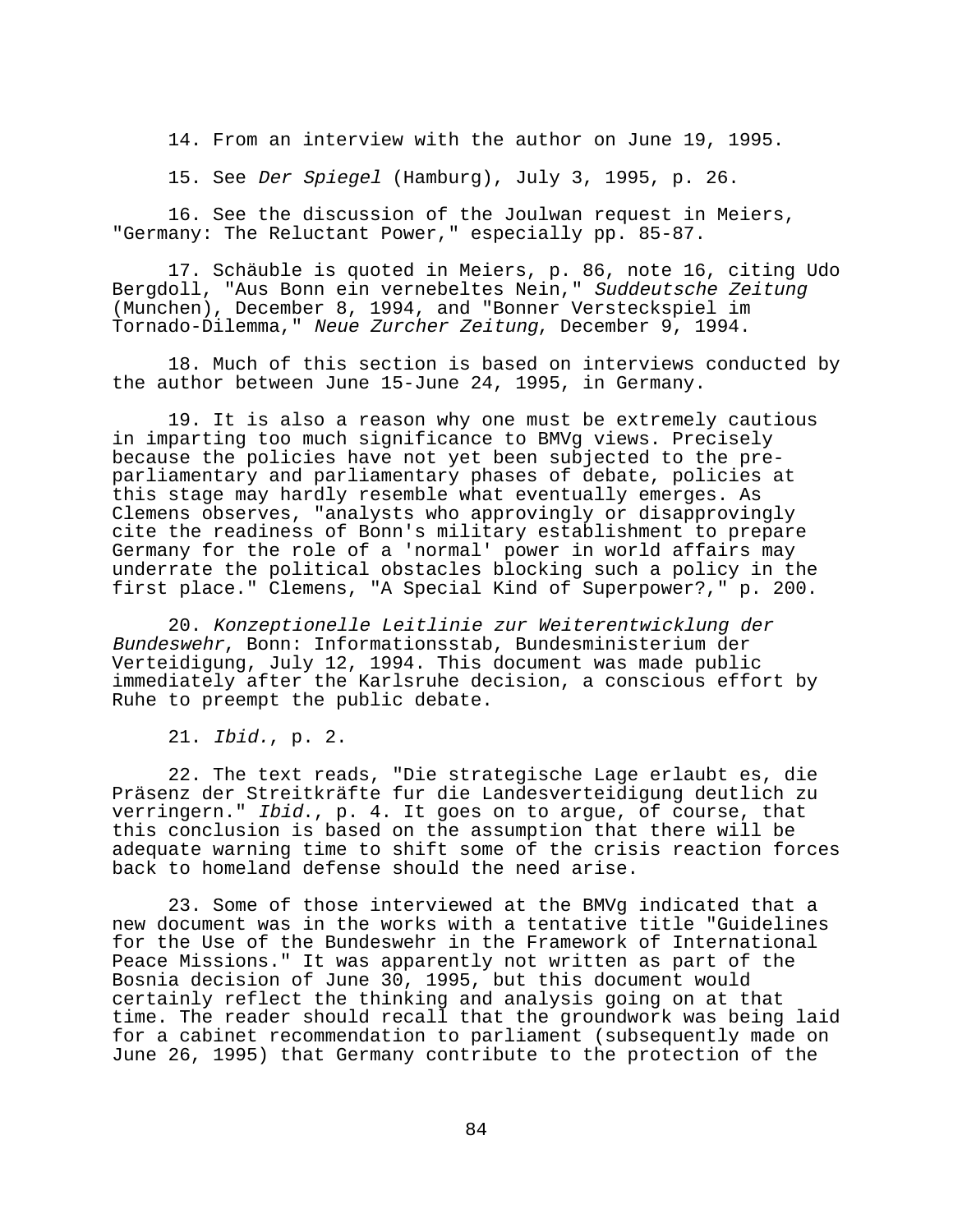14. From an interview with the author on June 19, 1995.

15. See Der Spiegel (Hamburg), July 3, 1995, p. 26.

16. See the discussion of the Joulwan request in Meiers, "Germany: The Reluctant Power," especially pp. 85-87.

17. Schäuble is quoted in Meiers, p. 86, note 16, citing Udo Bergdoll, "Aus Bonn ein vernebeltes Nein," Suddeutsche Zeitung (Munchen), December 8, 1994, and "Bonner Versteckspiel im Tornado-Dilemma," Neue Zurcher Zeitung, December 9, 1994.

18. Much of this section is based on interviews conducted by the author between June 15-June 24, 1995, in Germany.

19. It is also a reason why one must be extremely cautious in imparting too much significance to BMVg views. Precisely because the policies have not yet been subjected to the preparliamentary and parliamentary phases of debate, policies at this stage may hardly resemble what eventually emerges. As Clemens observes, "analysts who approvingly or disapprovingly cite the readiness of Bonn's military establishment to prepare Germany for the role of a 'normal' power in world affairs may underrate the political obstacles blocking such a policy in the first place." Clemens, "A Special Kind of Superpower?," p. 200.

20. Konzeptionelle Leitlinie zur Weiterentwicklung der Bundeswehr, Bonn: Informationsstab, Bundesministerium der Verteidigung, July 12, 1994. This document was made public immediately after the Karlsruhe decision, a conscious effort by Ruhe to preempt the public debate.

21. Ibid., p. 2.

22. The text reads, "Die strategische Lage erlaubt es, die Präsenz der Streitkräfte fur die Landesverteidigung deutlich zu verringern." Ibid., p. 4. It goes on to argue, of course, that this conclusion is based on the assumption that there will be adequate warning time to shift some of the crisis reaction forces back to homeland defense should the need arise.

23. Some of those interviewed at the BMVg indicated that a new document was in the works with a tentative title "Guidelines for the Use of the Bundeswehr in the Framework of International Peace Missions." It was apparently not written as part of the Bosnia decision of June 30, 1995, but this document would certainly reflect the thinking and analysis going on at that time. The reader should recall that the groundwork was being laid for a cabinet recommendation to parliament (subsequently made on June 26, 1995) that Germany contribute to the protection of the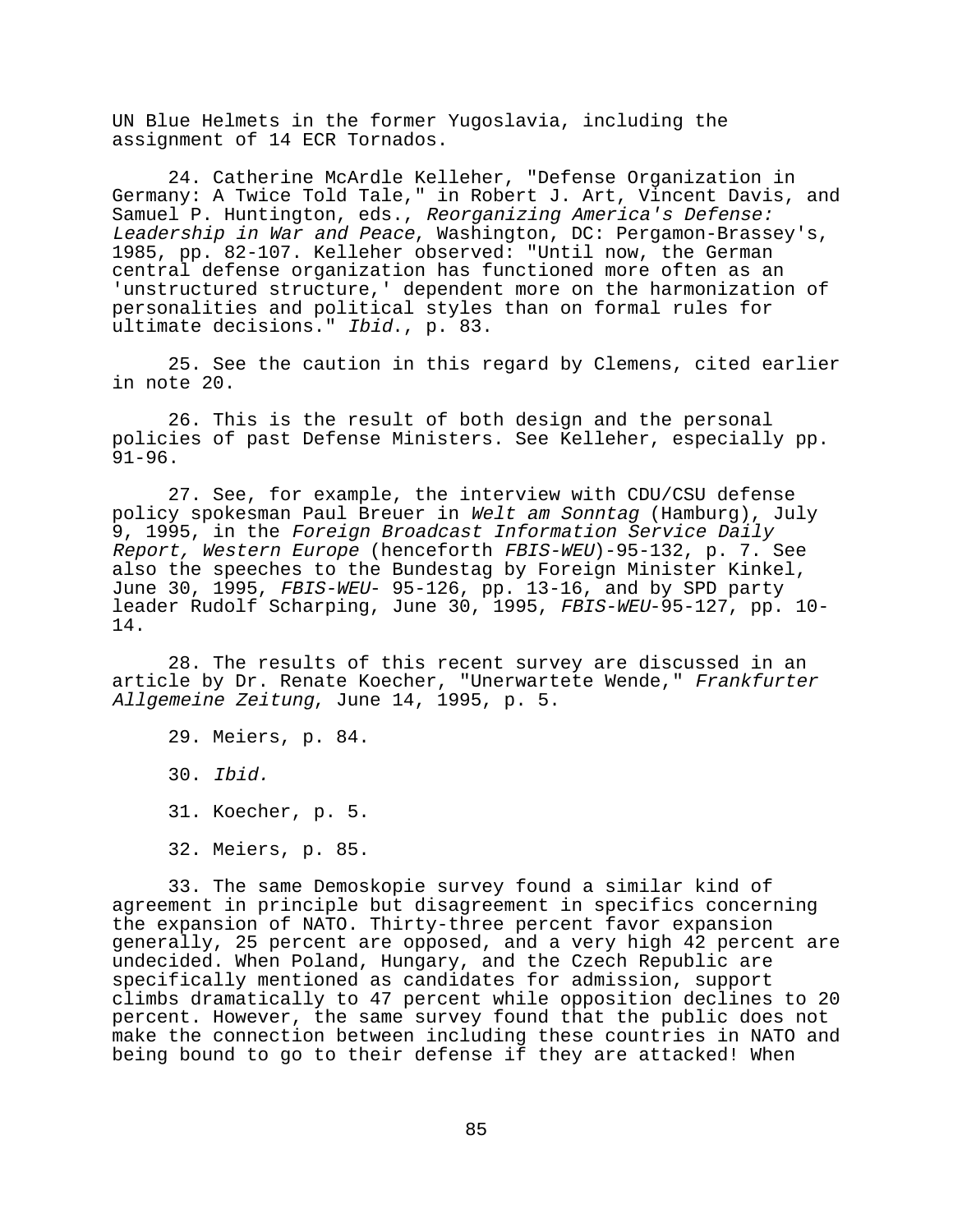UN Blue Helmets in the former Yugoslavia, including the assignment of 14 ECR Tornados.

24. Catherine McArdle Kelleher, "Defense Organization in Germany: A Twice Told Tale," in Robert J. Art, Vincent Davis, and Samuel P. Huntington, eds., Reorganizing America's Defense: Leadership in War and Peace, Washington, DC: Pergamon-Brassey's, 1985, pp. 82-107. Kelleher observed: "Until now, the German central defense organization has functioned more often as an 'unstructured structure,' dependent more on the harmonization of personalities and political styles than on formal rules for ultimate decisions." Ibid., p. 83.

25. See the caution in this regard by Clemens, cited earlier in note 20.

26. This is the result of both design and the personal policies of past Defense Ministers. See Kelleher, especially pp. 91-96.

27. See, for example, the interview with CDU/CSU defense policy spokesman Paul Breuer in Welt am Sonntag (Hamburg), July 9, 1995, in the Foreign Broadcast Information Service Daily Report, Western Europe (henceforth FBIS-WEU)-95-132, p. 7. See also the speeches to the Bundestag by Foreign Minister Kinkel, June 30, 1995, FBIS-WEU- 95-126, pp. 13-16, and by SPD party leader Rudolf Scharping, June 30, 1995, FBIS-WEU-95-127, pp. 10-14.

28. The results of this recent survey are discussed in an article by Dr. Renate Koecher, "Unerwartete Wende," Frankfurter Allgemeine Zeitung, June 14, 1995, p. 5.

29. Meiers, p. 84. 30. Ibid. 31. Koecher, p. 5. 32. Meiers, p. 85.

33. The same Demoskopie survey found a similar kind of agreement in principle but disagreement in specifics concerning the expansion of NATO. Thirty-three percent favor expansion generally, 25 percent are opposed, and a very high 42 percent are undecided. When Poland, Hungary, and the Czech Republic are specifically mentioned as candidates for admission, support climbs dramatically to 47 percent while opposition declines to 20 percent. However, the same survey found that the public does not make the connection between including these countries in NATO and being bound to go to their defense if they are attacked! When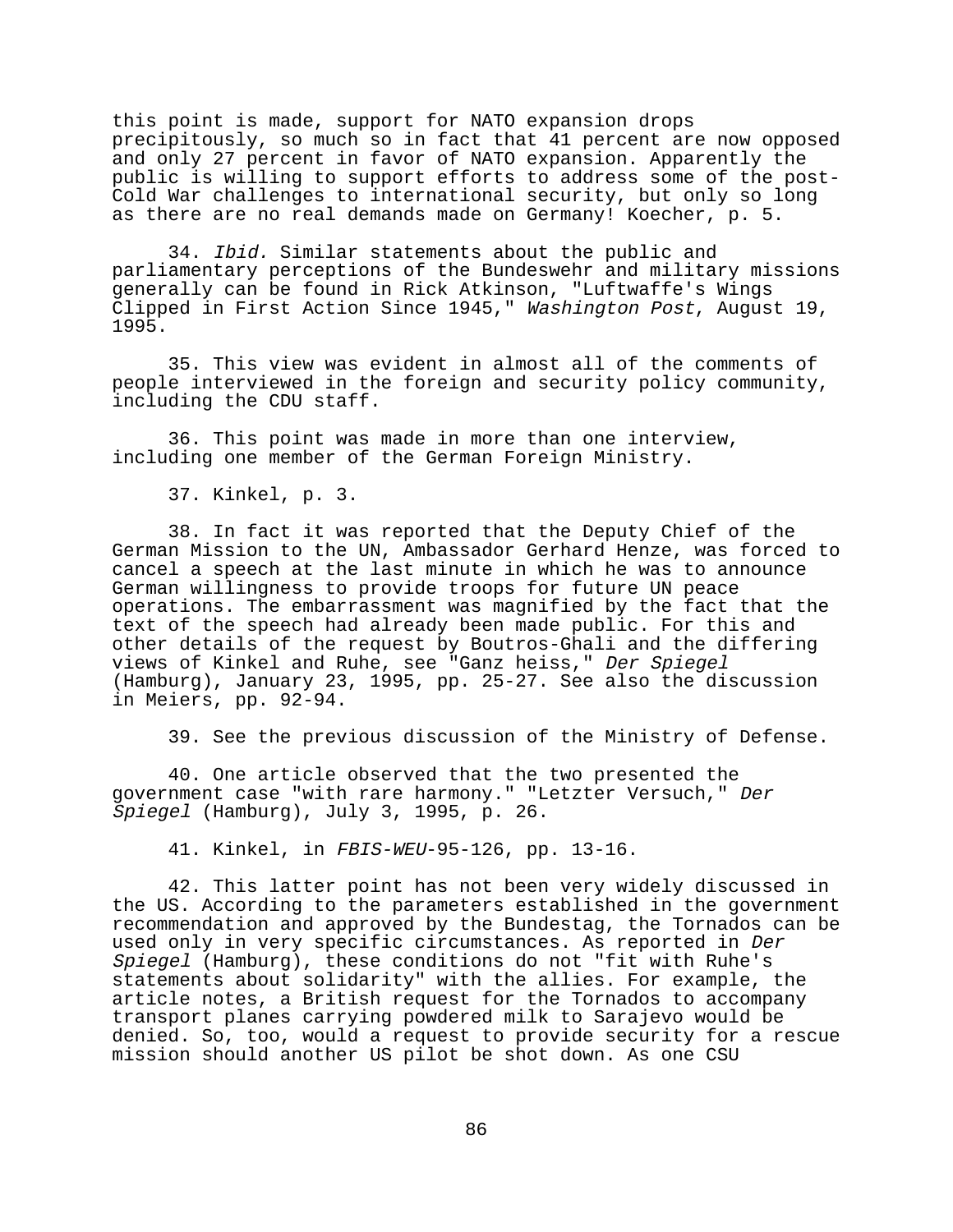this point is made, support for NATO expansion drops precipitously, so much so in fact that 41 percent are now opposed and only 27 percent in favor of NATO expansion. Apparently the public is willing to support efforts to address some of the post-Cold War challenges to international security, but only so long as there are no real demands made on Germany! Koecher, p. 5.

34. Ibid. Similar statements about the public and parliamentary perceptions of the Bundeswehr and military missions generally can be found in Rick Atkinson, "Luftwaffe's Wings Clipped in First Action Since 1945," Washington Post, August 19, 1995.

35. This view was evident in almost all of the comments of people interviewed in the foreign and security policy community, including the CDU staff.

36. This point was made in more than one interview, including one member of the German Foreign Ministry.

37. Kinkel, p. 3.

38. In fact it was reported that the Deputy Chief of the German Mission to the UN, Ambassador Gerhard Henze, was forced to cancel a speech at the last minute in which he was to announce German willingness to provide troops for future UN peace operations. The embarrassment was magnified by the fact that the text of the speech had already been made public. For this and other details of the request by Boutros-Ghali and the differing views of Kinkel and Ruhe, see "Ganz heiss," Der Spiegel (Hamburg), January 23, 1995, pp. 25-27. See also the discussion in Meiers, pp. 92-94.

39. See the previous discussion of the Ministry of Defense.

40. One article observed that the two presented the government case "with rare harmony." "Letzter Versuch," Der Spiegel (Hamburg), July 3, 1995, p. 26.

41. Kinkel, in FBIS-WEU-95-126, pp. 13-16.

42. This latter point has not been very widely discussed in the US. According to the parameters established in the government recommendation and approved by the Bundestag, the Tornados can be used only in very specific circumstances. As reported in Der Spiegel (Hamburg), these conditions do not "fit with Ruhe's statements about solidarity" with the allies. For example, the article notes, a British request for the Tornados to accompany transport planes carrying powdered milk to Sarajevo would be denied. So, too, would a request to provide security for a rescue mission should another US pilot be shot down. As one CSU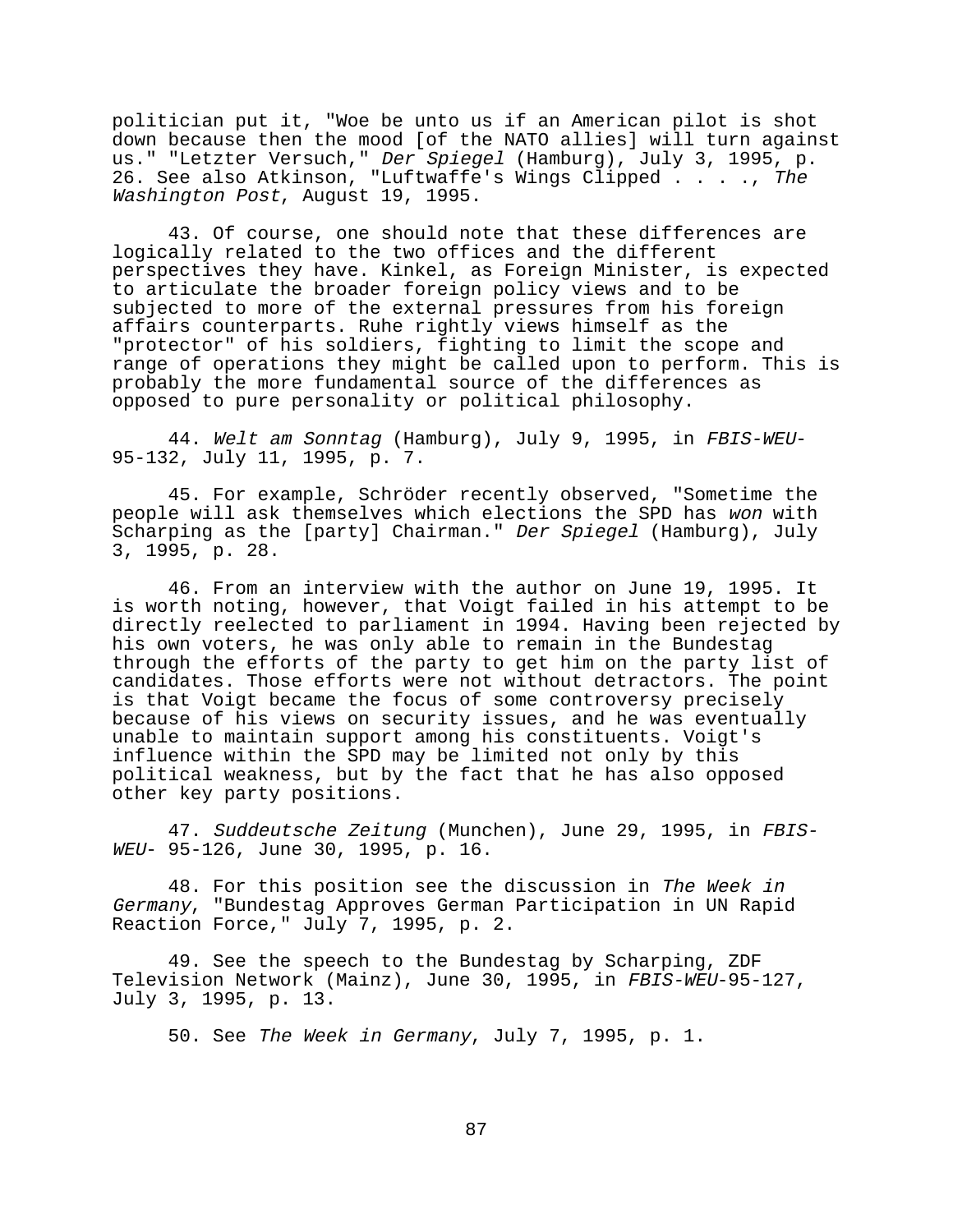politician put it, "Woe be unto us if an American pilot is shot down because then the mood [of the NATO allies] will turn against us." "Letzter Versuch," Der Spiegel (Hamburg), July 3, 1995, p. 26. See also Atkinson, "Luftwaffe's Wings Clipped . . . ., The Washington Post, August 19, 1995.

43. Of course, one should note that these differences are logically related to the two offices and the different perspectives they have. Kinkel, as Foreign Minister, is expected to articulate the broader foreign policy views and to be subjected to more of the external pressures from his foreign affairs counterparts. Ruhe rightly views himself as the "protector" of his soldiers, fighting to limit the scope and range of operations they might be called upon to perform. This is probably the more fundamental source of the differences as opposed to pure personality or political philosophy.

44. Welt am Sonntag (Hamburg), July 9, 1995, in FBIS-WEU-95-132, July 11, 1995, p. 7.

45. For example, Schröder recently observed, "Sometime the people will ask themselves which elections the SPD has won with Scharping as the [party] Chairman." Der Spiegel (Hamburg), July 3, 1995, p. 28.

46. From an interview with the author on June 19, 1995. It is worth noting, however, that Voigt failed in his attempt to be directly reelected to parliament in 1994. Having been rejected by his own voters, he was only able to remain in the Bundestag through the efforts of the party to get him on the party list of candidates. Those efforts were not without detractors. The point is that Voigt became the focus of some controversy precisely because of his views on security issues, and he was eventually unable to maintain support among his constituents. Voigt's influence within the SPD may be limited not only by this political weakness, but by the fact that he has also opposed other key party positions.

47. Suddeutsche Zeitung (Munchen), June 29, 1995, in FBIS-WEU- 95-126, June 30, 1995, p. 16.

48. For this position see the discussion in The Week in Germany, "Bundestag Approves German Participation in UN Rapid Reaction Force," July 7, 1995, p. 2.

49. See the speech to the Bundestag by Scharping, ZDF Television Network (Mainz), June 30, 1995, in FBIS-WEU-95-127, July 3, 1995, p. 13.

50. See The Week in Germany, July 7, 1995, p. 1.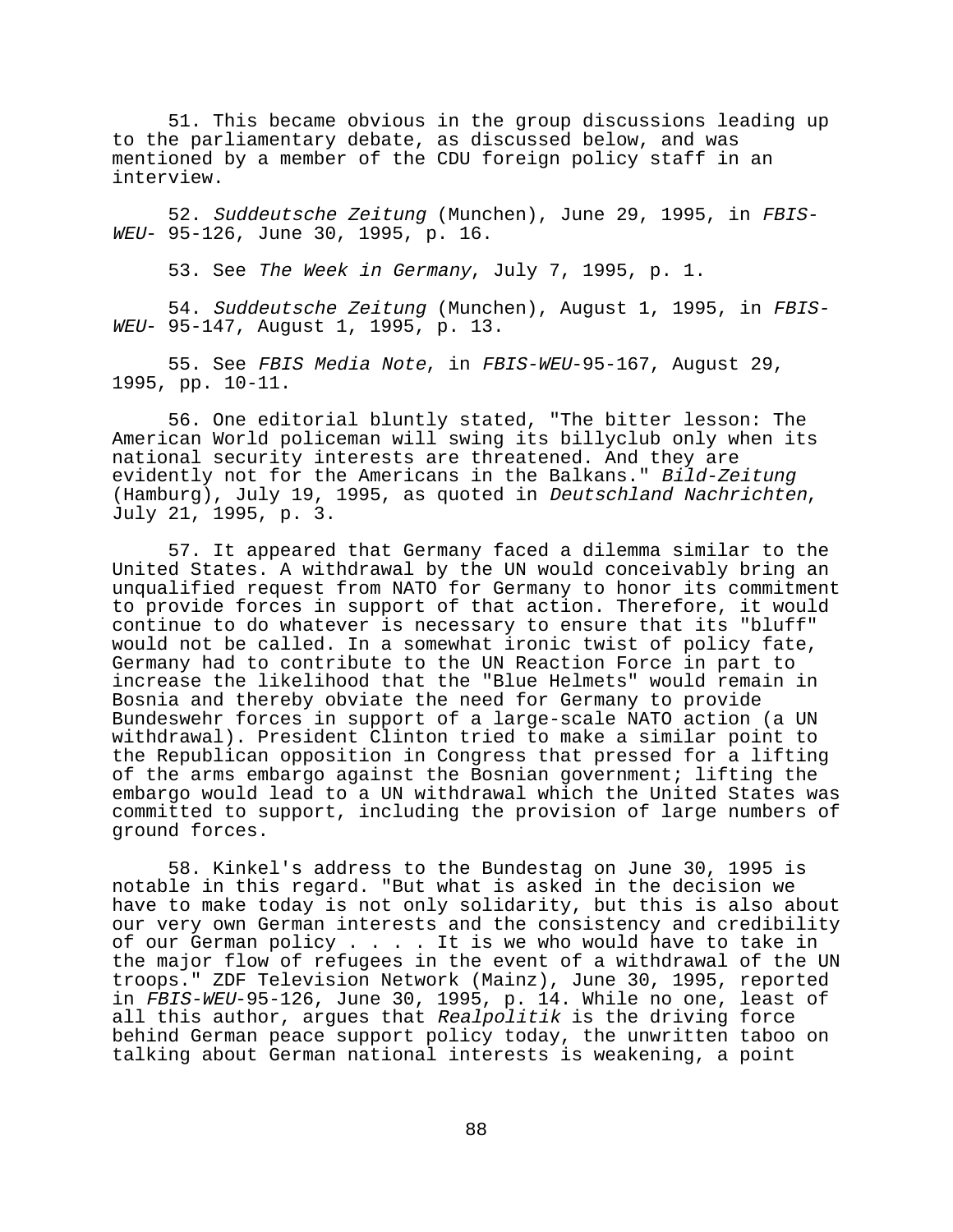51. This became obvious in the group discussions leading up to the parliamentary debate, as discussed below, and was mentioned by a member of the CDU foreign policy staff in an interview.

52. Suddeutsche Zeitung (Munchen), June 29, 1995, in FBIS-WEU- 95-126, June 30, 1995, p. 16.

53. See The Week in Germany, July 7, 1995, p. 1.

54. Suddeutsche Zeitung (Munchen), August 1, 1995, in FBIS-WEU- 95-147, August 1, 1995, p. 13.

55. See FBIS Media Note, in FBIS-WEU-95-167, August 29, 1995, pp. 10-11.

56. One editorial bluntly stated, "The bitter lesson: The American World policeman will swing its billyclub only when its national security interests are threatened. And they are evidently not for the Americans in the Balkans." Bild-Zeitung (Hamburg), July 19, 1995, as quoted in Deutschland Nachrichten, July 21, 1995, p. 3.

57. It appeared that Germany faced a dilemma similar to the United States. A withdrawal by the UN would conceivably bring an unqualified request from NATO for Germany to honor its commitment to provide forces in support of that action. Therefore, it would continue to do whatever is necessary to ensure that its "bluff" would not be called. In a somewhat ironic twist of policy fate, Germany had to contribute to the UN Reaction Force in part to increase the likelihood that the "Blue Helmets" would remain in Bosnia and thereby obviate the need for Germany to provide Bundeswehr forces in support of a large-scale NATO action (a UN withdrawal). President Clinton tried to make a similar point to the Republican opposition in Congress that pressed for a lifting of the arms embargo against the Bosnian government; lifting the embargo would lead to a UN withdrawal which the United States was committed to support, including the provision of large numbers of ground forces.

58. Kinkel's address to the Bundestag on June 30, 1995 is notable in this regard. "But what is asked in the decision we have to make today is not only solidarity, but this is also about our very own German interests and the consistency and credibility of our German policy . . . . It is we who would have to take in the major flow of refugees in the event of a withdrawal of the UN troops." ZDF Television Network (Mainz), June 30, 1995, reported in FBIS-WEU-95-126, June 30, 1995, p. 14. While no one, least of all this author, argues that Realpolitik is the driving force behind German peace support policy today, the unwritten taboo on talking about German national interests is weakening, a point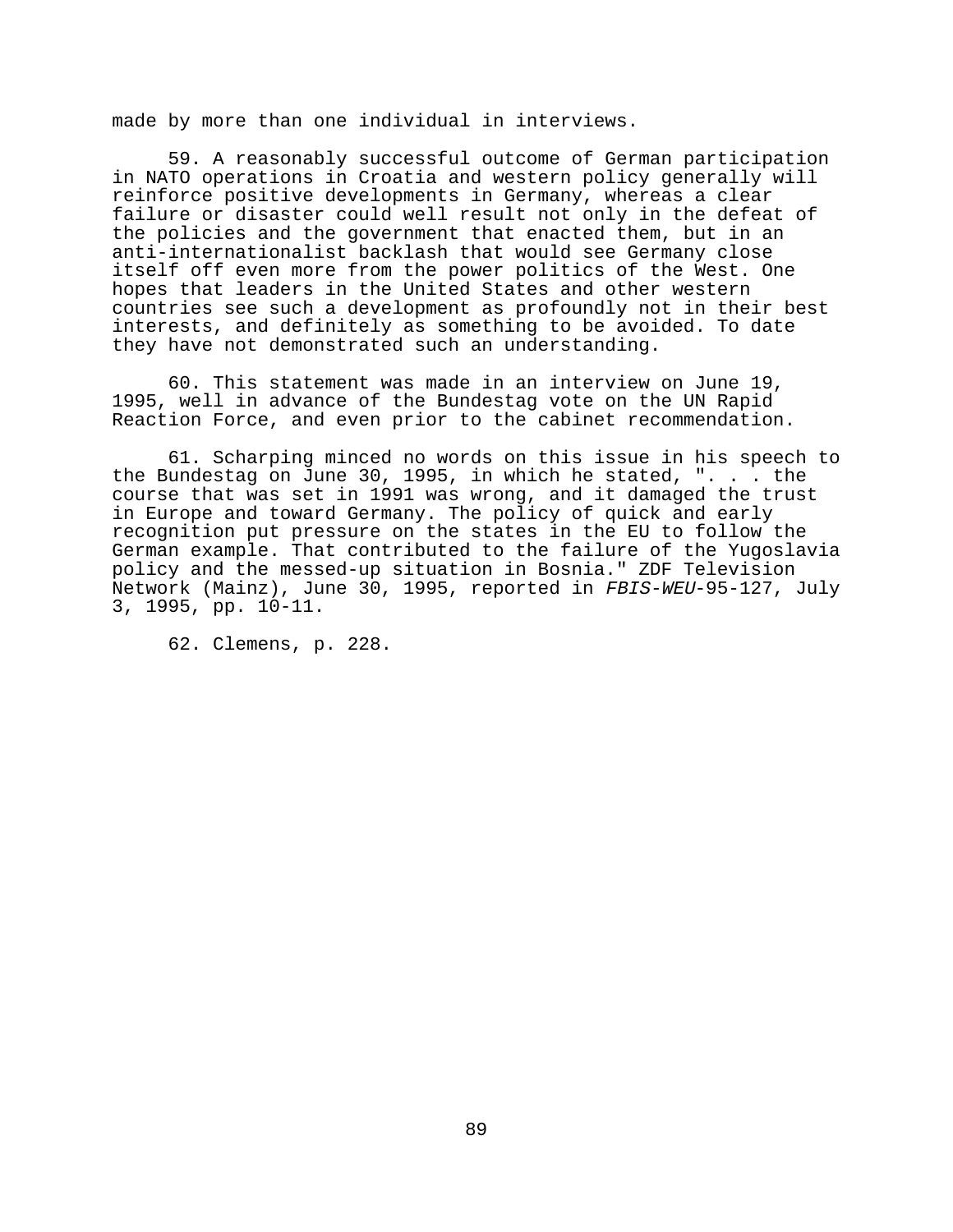made by more than one individual in interviews.

59. A reasonably successful outcome of German participation in NATO operations in Croatia and western policy generally will reinforce positive developments in Germany, whereas a clear failure or disaster could well result not only in the defeat of the policies and the government that enacted them, but in an anti-internationalist backlash that would see Germany close itself off even more from the power politics of the West. One hopes that leaders in the United States and other western countries see such a development as profoundly not in their best interests, and definitely as something to be avoided. To date they have not demonstrated such an understanding.

60. This statement was made in an interview on June 19, 1995, well in advance of the Bundestag vote on the UN Rapid Reaction Force, and even prior to the cabinet recommendation.

61. Scharping minced no words on this issue in his speech to the Bundestag on June 30, 1995, in which he stated, ". . . the course that was set in 1991 was wrong, and it damaged the trust in Europe and toward Germany. The policy of quick and early recognition put pressure on the states in the EU to follow the German example. That contributed to the failure of the Yugoslavia policy and the messed-up situation in Bosnia." ZDF Television Network (Mainz), June 30, 1995, reported in FBIS-WEU-95-127, July 3, 1995, pp. 10-11.

62. Clemens, p. 228.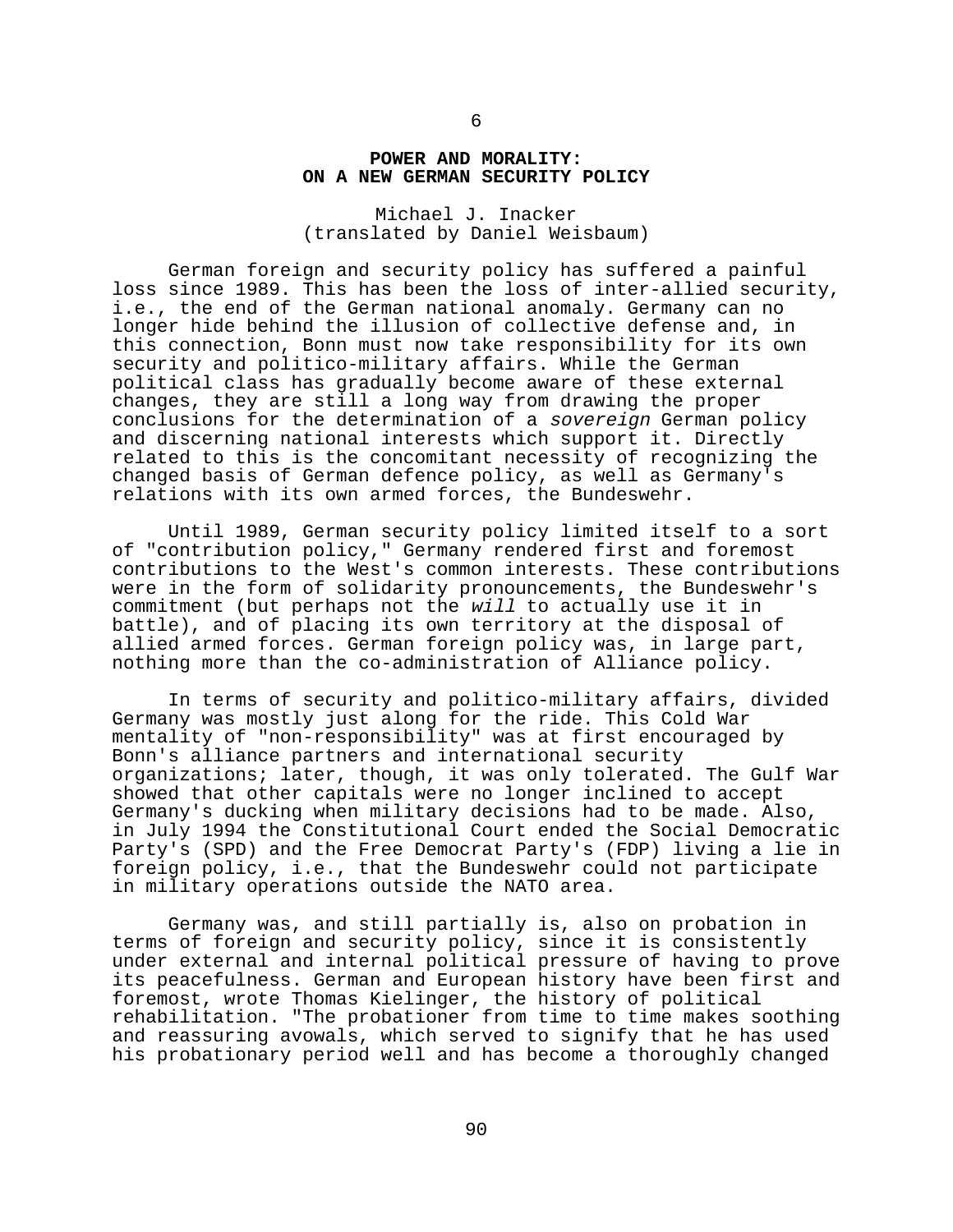## **POWER AND MORALITY: ON A NEW GERMAN SECURITY POLICY**

Michael J. Inacker (translated by Daniel Weisbaum)

German foreign and security policy has suffered a painful loss since 1989. This has been the loss of inter-allied security, i.e., the end of the German national anomaly. Germany can no longer hide behind the illusion of collective defense and, in this connection, Bonn must now take responsibility for its own security and politico-military affairs. While the German political class has gradually become aware of these external changes, they are still a long way from drawing the proper conclusions for the determination of a sovereign German policy and discerning national interests which support it. Directly related to this is the concomitant necessity of recognizing the changed basis of German defence policy, as well as Germany's relations with its own armed forces, the Bundeswehr.

Until 1989, German security policy limited itself to a sort of "contribution policy," Germany rendered first and foremost contributions to the West's common interests. These contributions were in the form of solidarity pronouncements, the Bundeswehr's commitment (but perhaps not the will to actually use it in battle), and of placing its own territory at the disposal of allied armed forces. German foreign policy was, in large part, nothing more than the co-administration of Alliance policy.

In terms of security and politico-military affairs, divided Germany was mostly just along for the ride. This Cold War mentality of "non-responsibility" was at first encouraged by Bonn's alliance partners and international security organizations; later, though, it was only tolerated. The Gulf War showed that other capitals were no longer inclined to accept Germany's ducking when military decisions had to be made. Also, in July 1994 the Constitutional Court ended the Social Democratic Party's (SPD) and the Free Democrat Party's (FDP) living a lie in foreign policy, i.e., that the Bundeswehr could not participate in military operations outside the NATO area.

Germany was, and still partially is, also on probation in terms of foreign and security policy, since it is consistently under external and internal political pressure of having to prove its peacefulness. German and European history have been first and foremost, wrote Thomas Kielinger, the history of political rehabilitation. "The probationer from time to time makes soothing and reassuring avowals, which served to signify that he has used his probationary period well and has become a thoroughly changed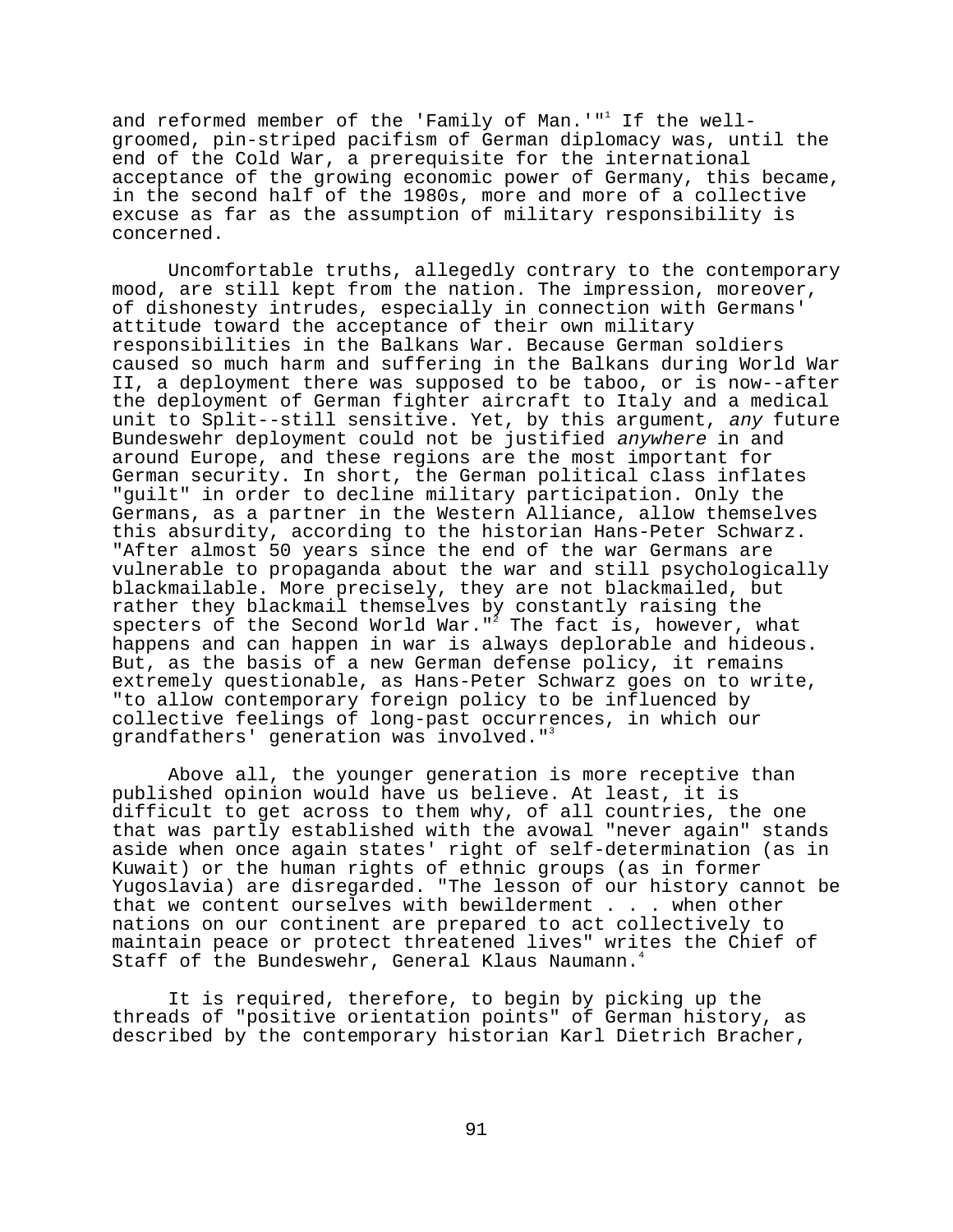and reformed member of the 'Family of Man.'"<sup>1</sup> If the wellgroomed, pin-striped pacifism of German diplomacy was, until the end of the Cold War, a prerequisite for the international acceptance of the growing economic power of Germany, this became, in the second half of the 1980s, more and more of a collective excuse as far as the assumption of military responsibility is concerned.

Uncomfortable truths, allegedly contrary to the contemporary mood, are still kept from the nation. The impression, moreover, of dishonesty intrudes, especially in connection with Germans' attitude toward the acceptance of their own military responsibilities in the Balkans War. Because German soldiers caused so much harm and suffering in the Balkans during World War II, a deployment there was supposed to be taboo, or is now--after the deployment of German fighter aircraft to Italy and a medical unit to Split--still sensitive. Yet, by this argument, any future Bundeswehr deployment could not be justified anywhere in and around Europe, and these regions are the most important for German security. In short, the German political class inflates "guilt" in order to decline military participation. Only the Germans, as a partner in the Western Alliance, allow themselves this absurdity, according to the historian Hans-Peter Schwarz. "After almost 50 years since the end of the war Germans are vulnerable to propaganda about the war and still psychologically blackmailable. More precisely, they are not blackmailed, but rather they blackmail themselves by constantly raising the specters of the Second World War." $^{\overline{2}}$  The fact is, however, what happens and can happen in war is always deplorable and hideous. But, as the basis of a new German defense policy, it remains extremely questionable, as Hans-Peter Schwarz goes on to write, "to allow contemporary foreign policy to be influenced by collective feelings of long-past occurrences, in which our grandfathers' generation was involved."<sup>3</sup>

Above all, the younger generation is more receptive than published opinion would have us believe. At least, it is difficult to get across to them why, of all countries, the one that was partly established with the avowal "never again" stands aside when once again states' right of self-determination (as in Kuwait) or the human rights of ethnic groups (as in former Yugoslavia) are disregarded. "The lesson of our history cannot be that we content ourselves with bewilderment . . . when other nations on our continent are prepared to act collectively to maintain peace or protect threatened lives" writes the Chief of Staff of the Bundeswehr, General Klaus Naumann.<sup>4</sup>

It is required, therefore, to begin by picking up the threads of "positive orientation points" of German history, as described by the contemporary historian Karl Dietrich Bracher,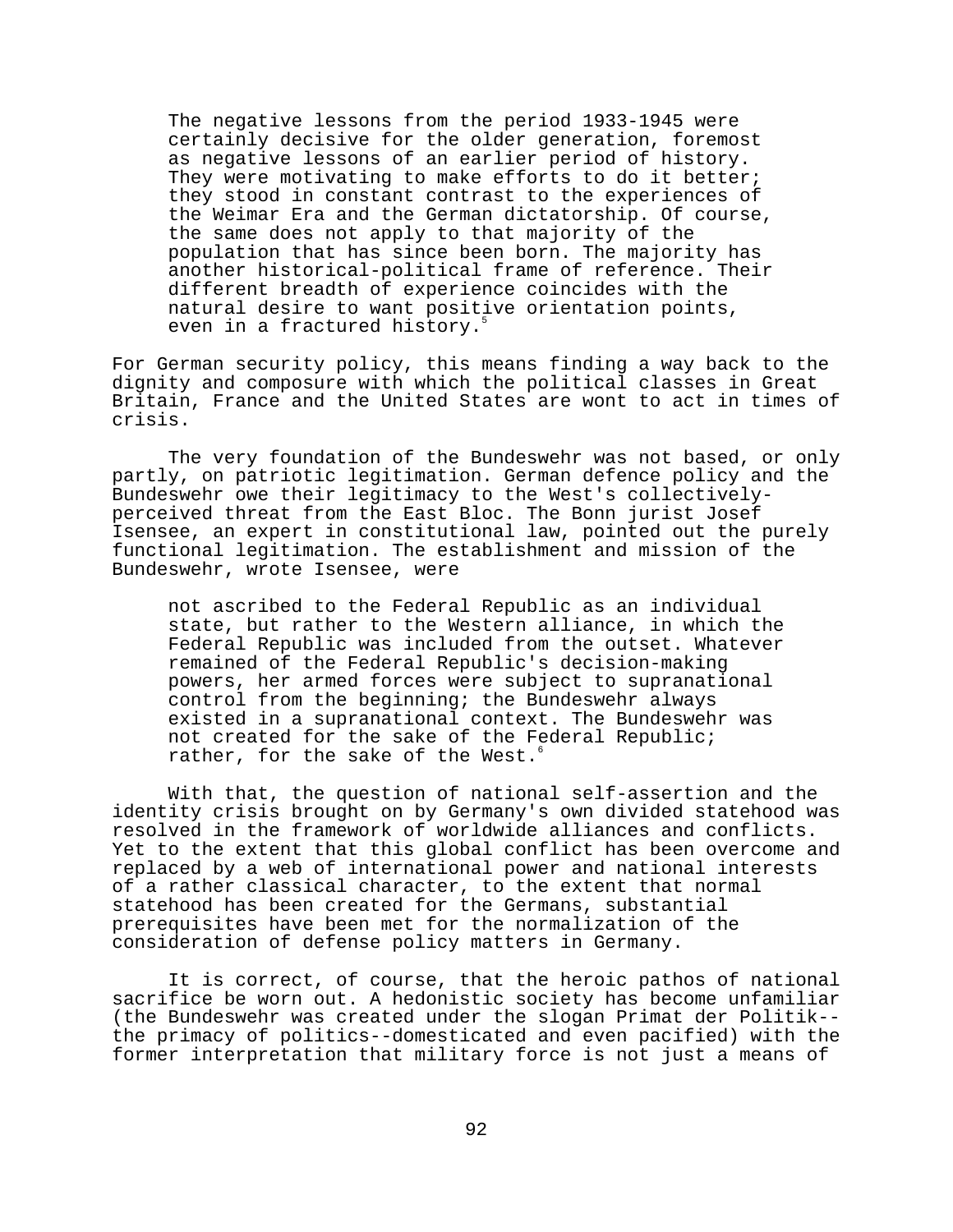The negative lessons from the period 1933-1945 were certainly decisive for the older generation, foremost as negative lessons of an earlier period of history. They were motivating to make efforts to do it better; they stood in constant contrast to the experiences of the Weimar Era and the German dictatorship. Of course, the same does not apply to that majority of the population that has since been born. The majority has another historical-political frame of reference. Their different breadth of experience coincides with the natural desire to want positive orientation points, even in a fractured history.<sup>5</sup>

For German security policy, this means finding a way back to the dignity and composure with which the political classes in Great Britain, France and the United States are wont to act in times of crisis.

The very foundation of the Bundeswehr was not based, or only partly, on patriotic legitimation. German defence policy and the Bundeswehr owe their legitimacy to the West's collectivelyperceived threat from the East Bloc. The Bonn jurist Josef Isensee, an expert in constitutional law, pointed out the purely functional legitimation. The establishment and mission of the Bundeswehr, wrote Isensee, were

not ascribed to the Federal Republic as an individual state, but rather to the Western alliance, in which the Federal Republic was included from the outset. Whatever remained of the Federal Republic's decision-making powers, her armed forces were subject to supranational control from the beginning; the Bundeswehr always existed in a supranational context. The Bundeswehr was not created for the sake of the Federal Republic; rather, for the sake of the West.<sup>6</sup>

With that, the question of national self-assertion and the identity crisis brought on by Germany's own divided statehood was resolved in the framework of worldwide alliances and conflicts. Yet to the extent that this global conflict has been overcome and replaced by a web of international power and national interests of a rather classical character, to the extent that normal statehood has been created for the Germans, substantial prerequisites have been met for the normalization of the consideration of defense policy matters in Germany.

It is correct, of course, that the heroic pathos of national sacrifice be worn out. A hedonistic society has become unfamiliar (the Bundeswehr was created under the slogan Primat der Politik- the primacy of politics--domesticated and even pacified) with the former interpretation that military force is not just a means of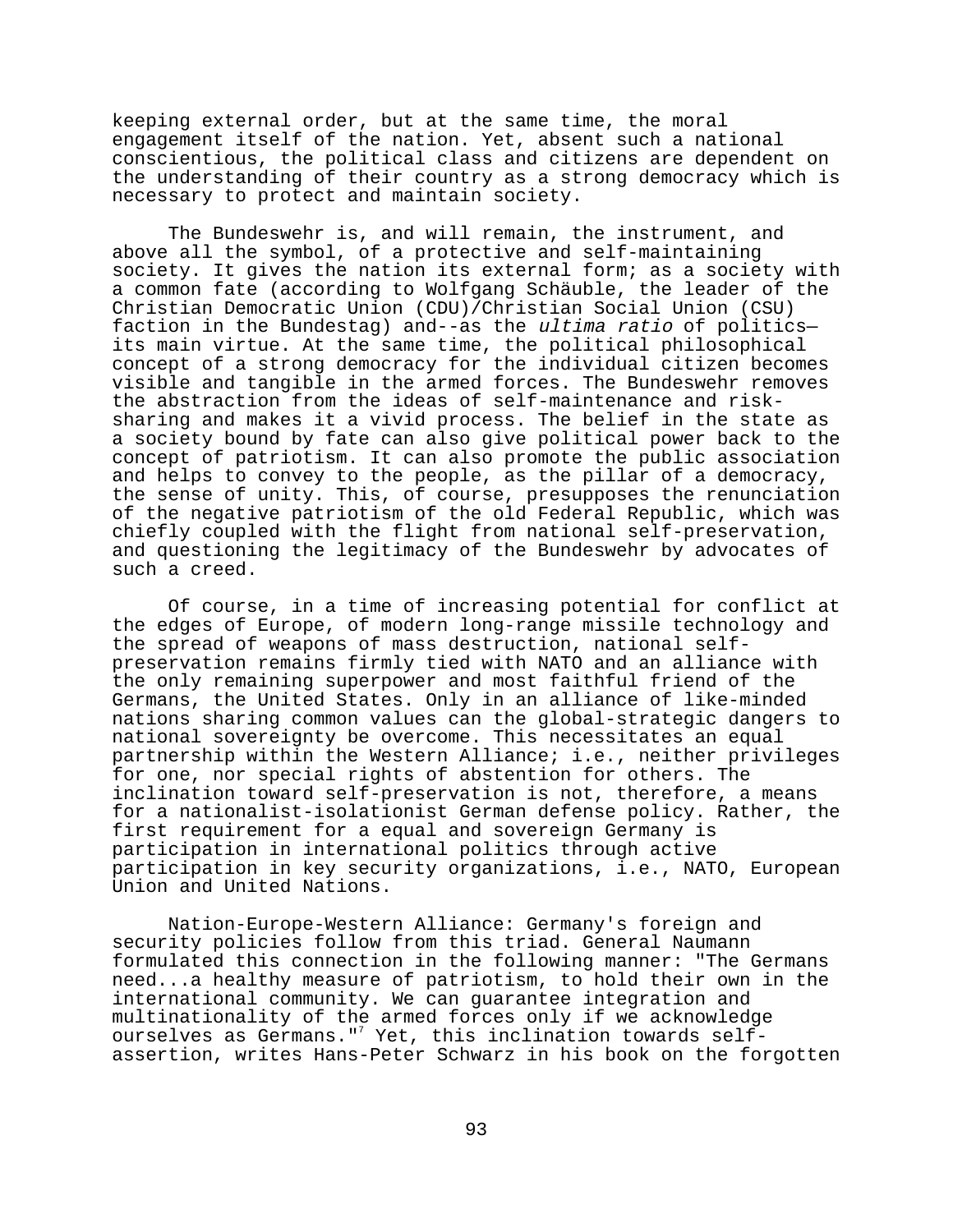keeping external order, but at the same time, the moral engagement itself of the nation. Yet, absent such a national conscientious, the political class and citizens are dependent on the understanding of their country as a strong democracy which is necessary to protect and maintain society.

The Bundeswehr is, and will remain, the instrument, and above all the symbol, of a protective and self-maintaining society. It gives the nation its external form; as a society with a common fate (according to Wolfgang Schäuble, the leader of the Christian Democratic Union (CDU)/Christian Social Union (CSU) faction in the Bundestag) and--as the ultima ratio of politics its main virtue. At the same time, the political philosophical concept of a strong democracy for the individual citizen becomes visible and tangible in the armed forces. The Bundeswehr removes the abstraction from the ideas of self-maintenance and risksharing and makes it a vivid process. The belief in the state as a society bound by fate can also give political power back to the concept of patriotism. It can also promote the public association and helps to convey to the people, as the pillar of a democracy, the sense of unity. This, of course, presupposes the renunciation of the negative patriotism of the old Federal Republic, which was chiefly coupled with the flight from national self-preservation, and questioning the legitimacy of the Bundeswehr by advocates of such a creed.

Of course, in a time of increasing potential for conflict at the edges of Europe, of modern long-range missile technology and the spread of weapons of mass destruction, national selfpreservation remains firmly tied with NATO and an alliance with the only remaining superpower and most faithful friend of the Germans, the United States. Only in an alliance of like-minded nations sharing common values can the global-strategic dangers to national sovereignty be overcome. This necessitates an equal partnership within the Western Alliance; i.e., neither privileges for one, nor special rights of abstention for others. The inclination toward self-preservation is not, therefore, a means for a nationalist-isolationist German defense policy. Rather, the first requirement for a equal and sovereign Germany is participation in international politics through active participation in key security organizations, i.e., NATO, European Union and United Nations.

Nation-Europe-Western Alliance: Germany's foreign and security policies follow from this triad. General Naumann formulated this connection in the following manner: "The Germans need...a healthy measure of patriotism, to hold their own in the international community. We can guarantee integration and multinationality of the armed forces only if we acknowledge ourselves as Germans."<sup>7</sup> Yet, this inclination towards selfassertion, writes Hans-Peter Schwarz in his book on the forgotten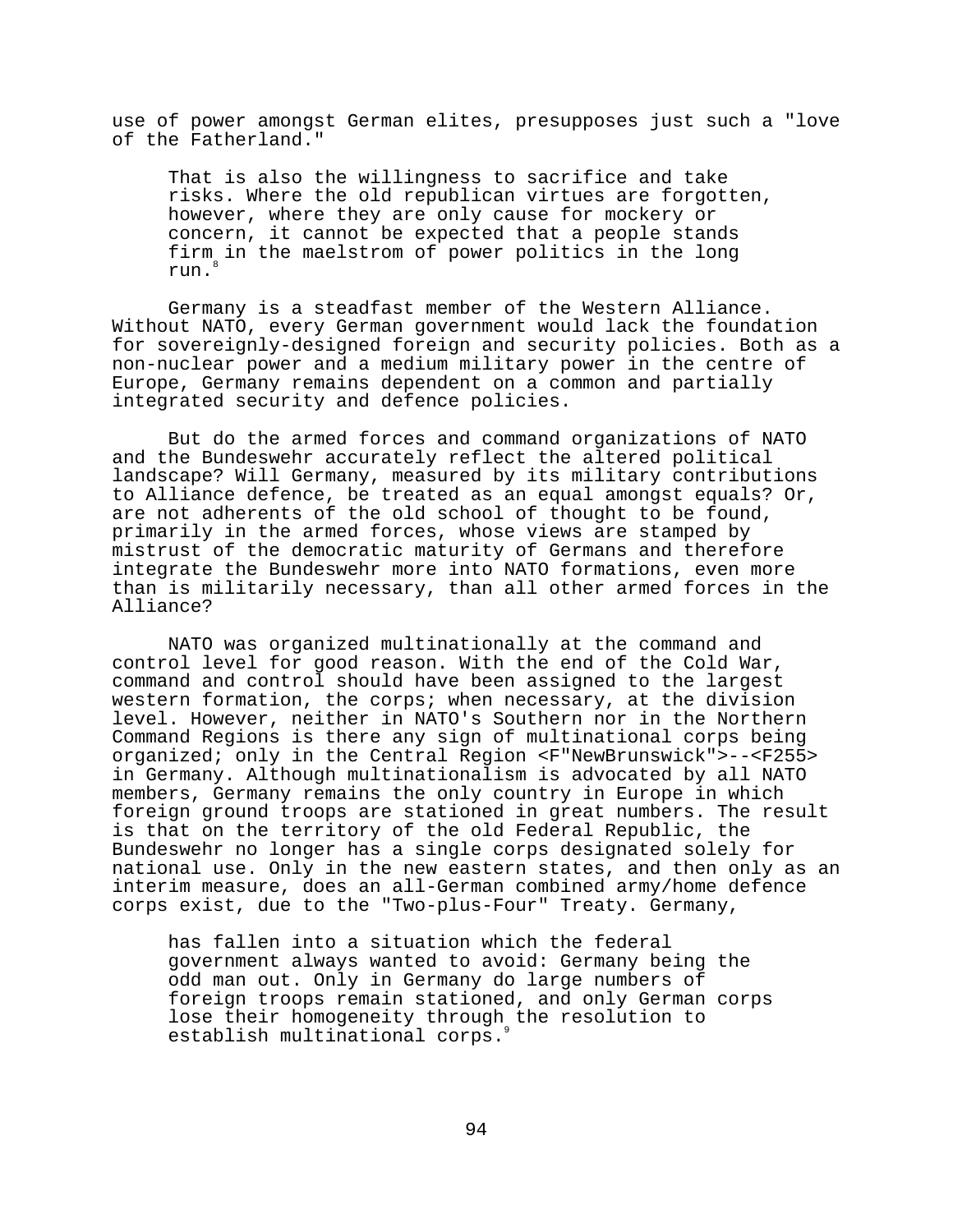use of power amongst German elites, presupposes just such a "love of the Fatherland."

That is also the willingness to sacrifice and take risks. Where the old republican virtues are forgotten, however, where they are only cause for mockery or concern, it cannot be expected that a people stands firm in the maelstrom of power politics in the long run.8

Germany is a steadfast member of the Western Alliance. Without NATO, every German government would lack the foundation for sovereignly-designed foreign and security policies. Both as a non-nuclear power and a medium military power in the centre of Europe, Germany remains dependent on a common and partially integrated security and defence policies.

But do the armed forces and command organizations of NATO and the Bundeswehr accurately reflect the altered political landscape? Will Germany, measured by its military contributions to Alliance defence, be treated as an equal amongst equals? Or, are not adherents of the old school of thought to be found, primarily in the armed forces, whose views are stamped by mistrust of the democratic maturity of Germans and therefore integrate the Bundeswehr more into NATO formations, even more than is militarily necessary, than all other armed forces in the Alliance?

NATO was organized multinationally at the command and control level for good reason. With the end of the Cold War, command and control should have been assigned to the largest western formation, the corps; when necessary, at the division level. However, neither in NATO's Southern nor in the Northern Command Regions is there any sign of multinational corps being organized; only in the Central Region <F"NewBrunswick">--<F255> in Germany. Although multinationalism is advocated by all NATO members, Germany remains the only country in Europe in which foreign ground troops are stationed in great numbers. The result is that on the territory of the old Federal Republic, the Bundeswehr no longer has a single corps designated solely for national use. Only in the new eastern states, and then only as an interim measure, does an all-German combined army/home defence corps exist, due to the "Two-plus-Four" Treaty. Germany,

has fallen into a situation which the federal government always wanted to avoid: Germany being the odd man out. Only in Germany do large numbers of foreign troops remain stationed, and only German corps lose their homogeneity through the resolution to establish multinational corps.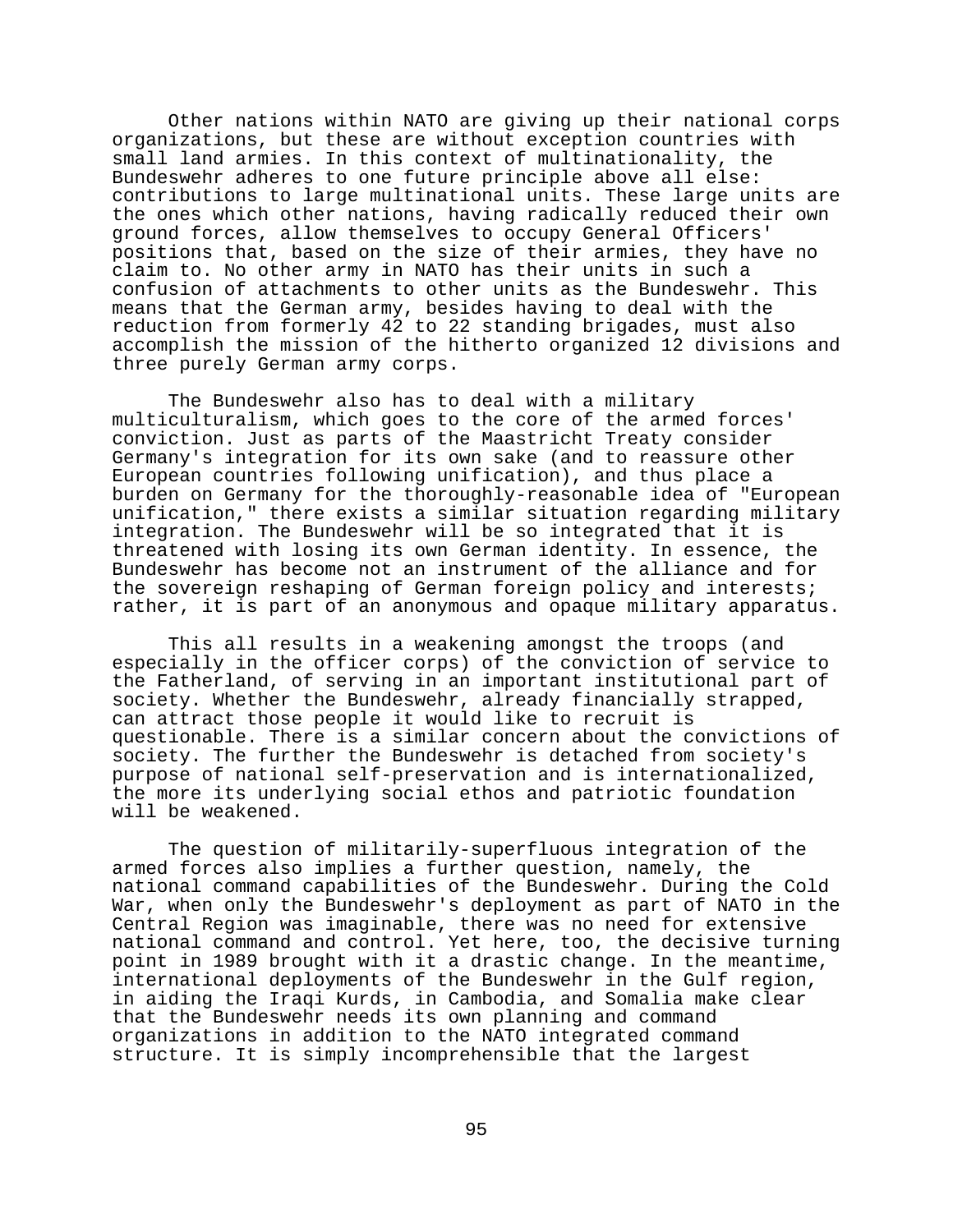Other nations within NATO are giving up their national corps organizations, but these are without exception countries with small land armies. In this context of multinationality, the Bundeswehr adheres to one future principle above all else: contributions to large multinational units. These large units are the ones which other nations, having radically reduced their own ground forces, allow themselves to occupy General Officers' positions that, based on the size of their armies, they have no claim to. No other army in NATO has their units in such a confusion of attachments to other units as the Bundeswehr. This means that the German army, besides having to deal with the reduction from formerly 42 to 22 standing brigades, must also accomplish the mission of the hitherto organized 12 divisions and three purely German army corps.

The Bundeswehr also has to deal with a military multiculturalism, which goes to the core of the armed forces' conviction. Just as parts of the Maastricht Treaty consider Germany's integration for its own sake (and to reassure other European countries following unification), and thus place a burden on Germany for the thoroughly-reasonable idea of "European unification," there exists a similar situation regarding military integration. The Bundeswehr will be so integrated that it is threatened with losing its own German identity. In essence, the Bundeswehr has become not an instrument of the alliance and for the sovereign reshaping of German foreign policy and interests; rather, it is part of an anonymous and opaque military apparatus.

This all results in a weakening amongst the troops (and especially in the officer corps) of the conviction of service to the Fatherland, of serving in an important institutional part of society. Whether the Bundeswehr, already financially strapped, can attract those people it would like to recruit is questionable. There is a similar concern about the convictions of society. The further the Bundeswehr is detached from society's purpose of national self-preservation and is internationalized, the more its underlying social ethos and patriotic foundation will be weakened.

The question of militarily-superfluous integration of the armed forces also implies a further question, namely, the national command capabilities of the Bundeswehr. During the Cold War, when only the Bundeswehr's deployment as part of NATO in the Central Region was imaginable, there was no need for extensive national command and control. Yet here, too, the decisive turning point in 1989 brought with it a drastic change. In the meantime, international deployments of the Bundeswehr in the Gulf region, in aiding the Iraqi Kurds, in Cambodia, and Somalia make clear that the Bundeswehr needs its own planning and command organizations in addition to the NATO integrated command structure. It is simply incomprehensible that the largest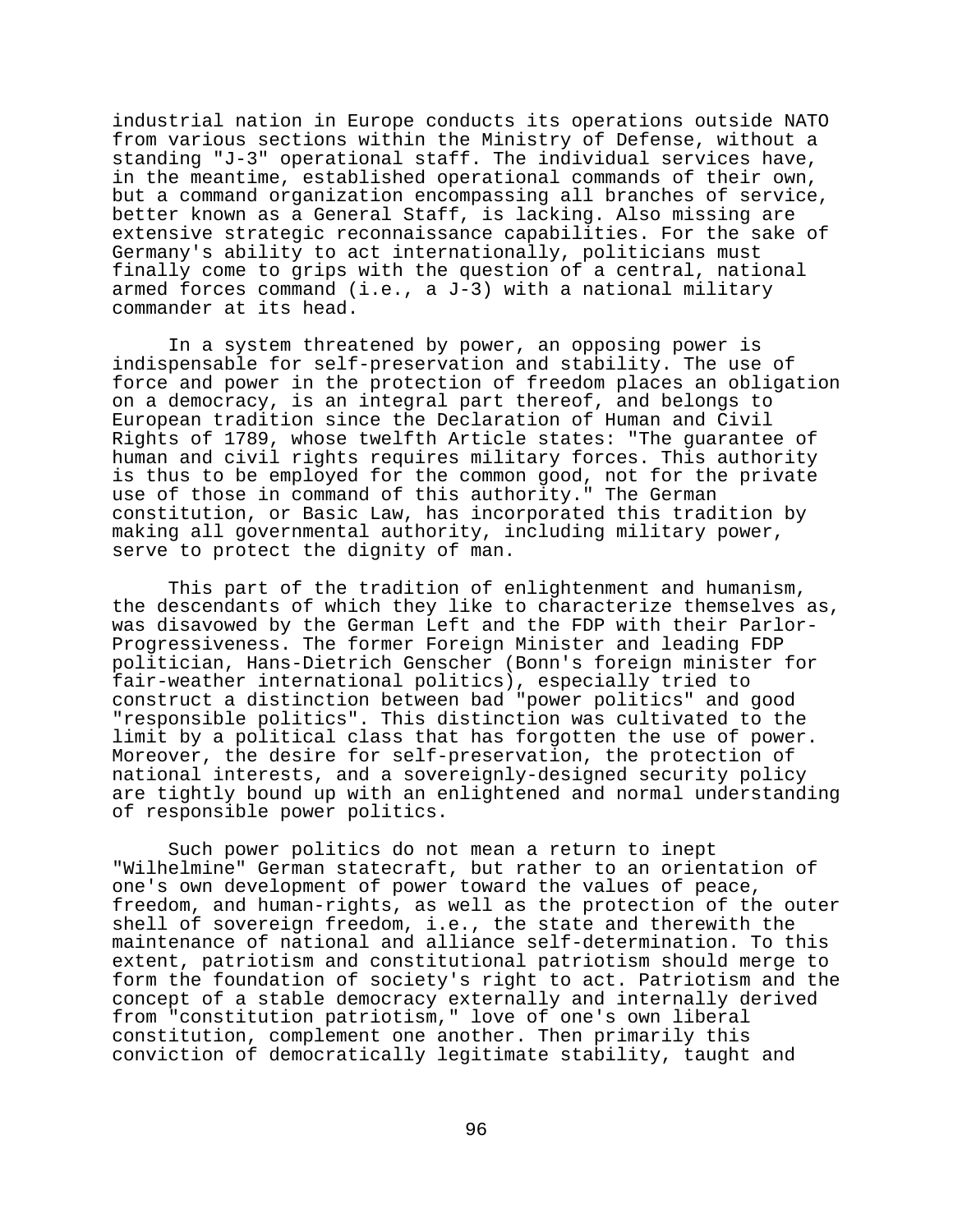industrial nation in Europe conducts its operations outside NATO from various sections within the Ministry of Defense, without a standing "J-3" operational staff. The individual services have, in the meantime, established operational commands of their own, but a command organization encompassing all branches of service, better known as a General Staff, is lacking. Also missing are extensive strategic reconnaissance capabilities. For the sake of Germany's ability to act internationally, politicians must finally come to grips with the question of a central, national armed forces command (i.e., a J-3) with a national military commander at its head.

In a system threatened by power, an opposing power is indispensable for self-preservation and stability. The use of force and power in the protection of freedom places an obligation on a democracy, is an integral part thereof, and belongs to European tradition since the Declaration of Human and Civil Rights of 1789, whose twelfth Article states: "The guarantee of human and civil rights requires military forces. This authority is thus to be employed for the common good, not for the private use of those in command of this authority." The German constitution, or Basic Law, has incorporated this tradition by making all governmental authority, including military power, serve to protect the dignity of man.

This part of the tradition of enlightenment and humanism, the descendants of which they like to characterize themselves as, was disavowed by the German Left and the FDP with their Parlor-Progressiveness. The former Foreign Minister and leading FDP politician, Hans-Dietrich Genscher (Bonn's foreign minister for fair-weather international politics), especially tried to construct a distinction between bad "power politics" and good "responsible politics". This distinction was cultivated to the limit by a political class that has forgotten the use of power. Moreover, the desire for self-preservation, the protection of national interests, and a sovereignly-designed security policy are tightly bound up with an enlightened and normal understanding of responsible power politics.

Such power politics do not mean a return to inept "Wilhelmine" German statecraft, but rather to an orientation of one's own development of power toward the values of peace, freedom, and human-rights, as well as the protection of the outer shell of sovereign freedom, i.e., the state and therewith the maintenance of national and alliance self-determination. To this extent, patriotism and constitutional patriotism should merge to form the foundation of society's right to act. Patriotism and the concept of a stable democracy externally and internally derived from "constitution patriotism," love of one's own liberal constitution, complement one another. Then primarily this conviction of democratically legitimate stability, taught and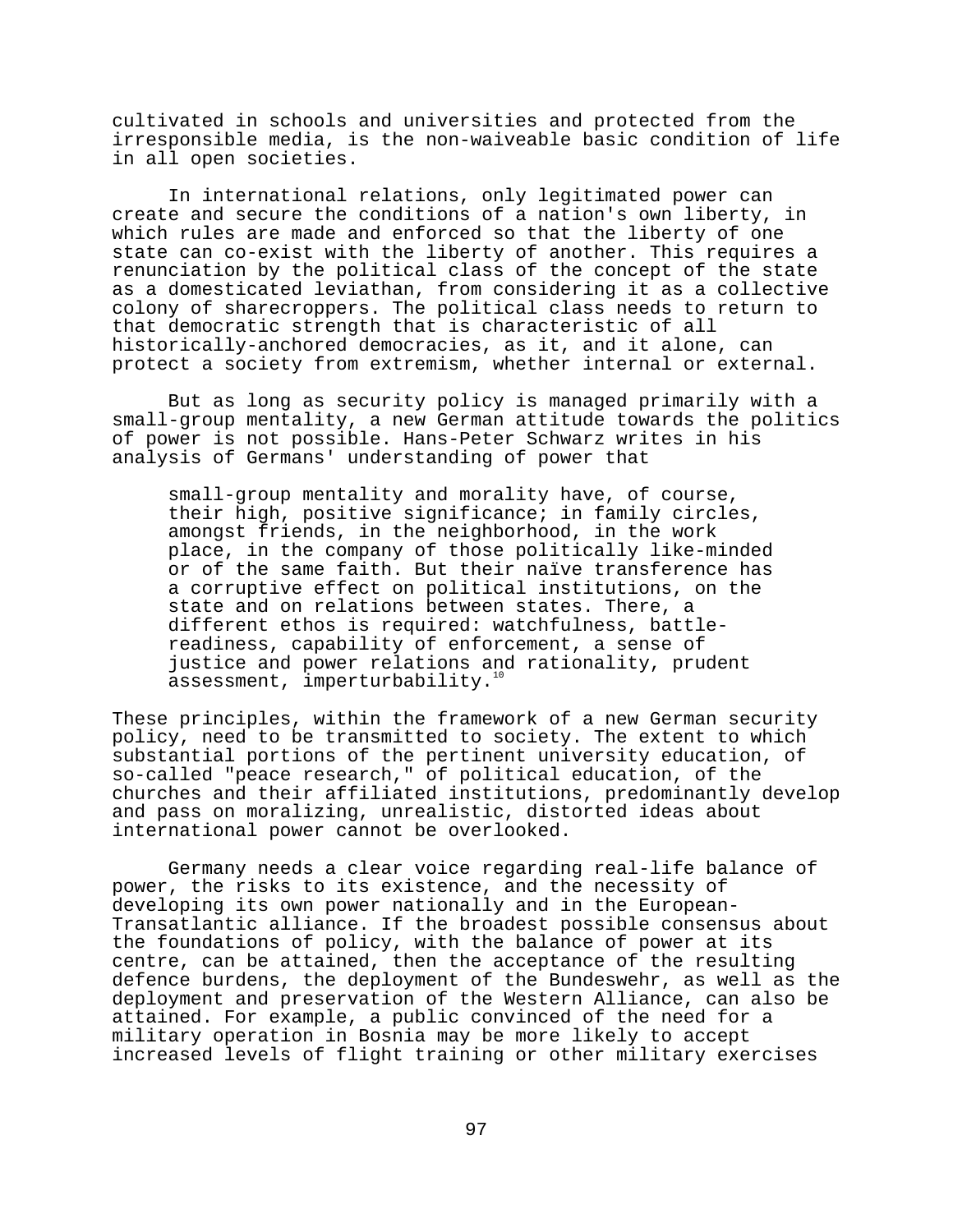cultivated in schools and universities and protected from the irresponsible media, is the non-waiveable basic condition of life in all open societies.

In international relations, only legitimated power can create and secure the conditions of a nation's own liberty, in which rules are made and enforced so that the liberty of one state can co-exist with the liberty of another. This requires a renunciation by the political class of the concept of the state as a domesticated leviathan, from considering it as a collective colony of sharecroppers. The political class needs to return to that democratic strength that is characteristic of all historically-anchored democracies, as it, and it alone, can protect a society from extremism, whether internal or external.

But as long as security policy is managed primarily with a small-group mentality, a new German attitude towards the politics of power is not possible. Hans-Peter Schwarz writes in his analysis of Germans' understanding of power that

small-group mentality and morality have, of course, their high, positive significance; in family circles, amongst friends, in the neighborhood, in the work place, in the company of those politically like-minded or of the same faith. But their naïve transference has a corruptive effect on political institutions, on the state and on relations between states. There, a different ethos is required: watchfulness, battlereadiness, capability of enforcement, a sense of justice and power relations and rationality, prudent assessment, imperturbability. $10$ 

These principles, within the framework of a new German security policy, need to be transmitted to society. The extent to which substantial portions of the pertinent university education, of so-called "peace research," of political education, of the churches and their affiliated institutions, predominantly develop and pass on moralizing, unrealistic, distorted ideas about international power cannot be overlooked.

Germany needs a clear voice regarding real-life balance of power, the risks to its existence, and the necessity of developing its own power nationally and in the European-Transatlantic alliance. If the broadest possible consensus about the foundations of policy, with the balance of power at its centre, can be attained, then the acceptance of the resulting defence burdens, the deployment of the Bundeswehr, as well as the deployment and preservation of the Western Alliance, can also be attained. For example, a public convinced of the need for a military operation in Bosnia may be more likely to accept increased levels of flight training or other military exercises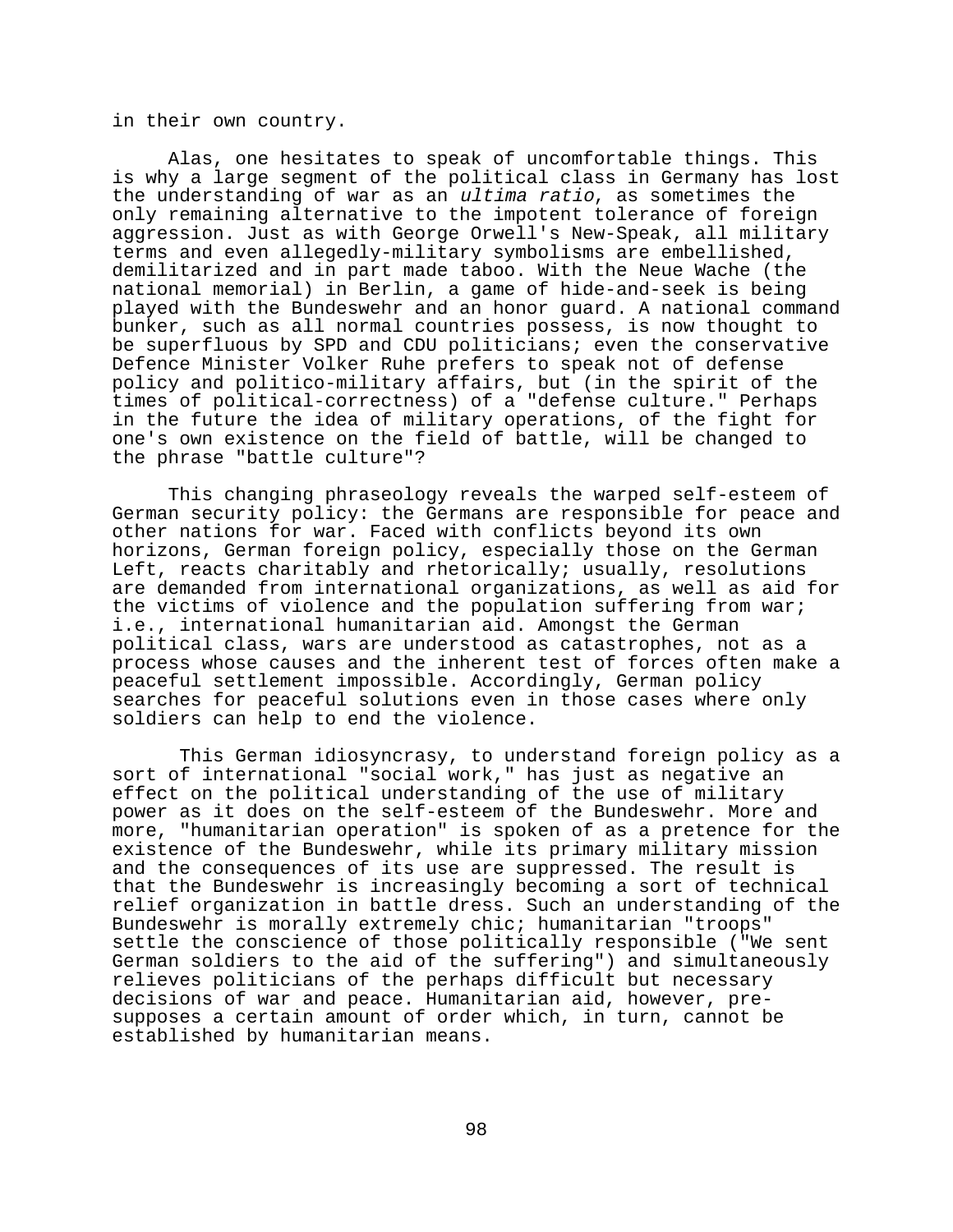in their own country.

Alas, one hesitates to speak of uncomfortable things. This is why a large segment of the political class in Germany has lost the understanding of war as an ultima ratio, as sometimes the only remaining alternative to the impotent tolerance of foreign aggression. Just as with George Orwell's New-Speak, all military terms and even allegedly-military symbolisms are embellished, demilitarized and in part made taboo. With the Neue Wache (the national memorial) in Berlin, a game of hide-and-seek is being played with the Bundeswehr and an honor guard. A national command bunker, such as all normal countries possess, is now thought to be superfluous by SPD and CDU politicians; even the conservative Defence Minister Volker Ruhe prefers to speak not of defense policy and politico-military affairs, but (in the spirit of the times of political-correctness) of a "defense culture." Perhaps in the future the idea of military operations, of the fight for one's own existence on the field of battle, will be changed to the phrase "battle culture"?

This changing phraseology reveals the warped self-esteem of German security policy: the Germans are responsible for peace and other nations for war. Faced with conflicts beyond its own horizons, German foreign policy, especially those on the German Left, reacts charitably and rhetorically; usually, resolutions are demanded from international organizations, as well as aid for the victims of violence and the population suffering from war; i.e., international humanitarian aid. Amongst the German political class, wars are understood as catastrophes, not as a process whose causes and the inherent test of forces often make a peaceful settlement impossible. Accordingly, German policy searches for peaceful solutions even in those cases where only soldiers can help to end the violence.

 This German idiosyncrasy, to understand foreign policy as a sort of international "social work," has just as negative an effect on the political understanding of the use of military power as it does on the self-esteem of the Bundeswehr. More and more, "humanitarian operation" is spoken of as a pretence for the existence of the Bundeswehr, while its primary military mission and the consequences of its use are suppressed. The result is that the Bundeswehr is increasingly becoming a sort of technical relief organization in battle dress. Such an understanding of the Bundeswehr is morally extremely chic; humanitarian "troops" settle the conscience of those politically responsible ("We sent German soldiers to the aid of the suffering") and simultaneously relieves politicians of the perhaps difficult but necessary decisions of war and peace. Humanitarian aid, however, presupposes a certain amount of order which, in turn, cannot be established by humanitarian means.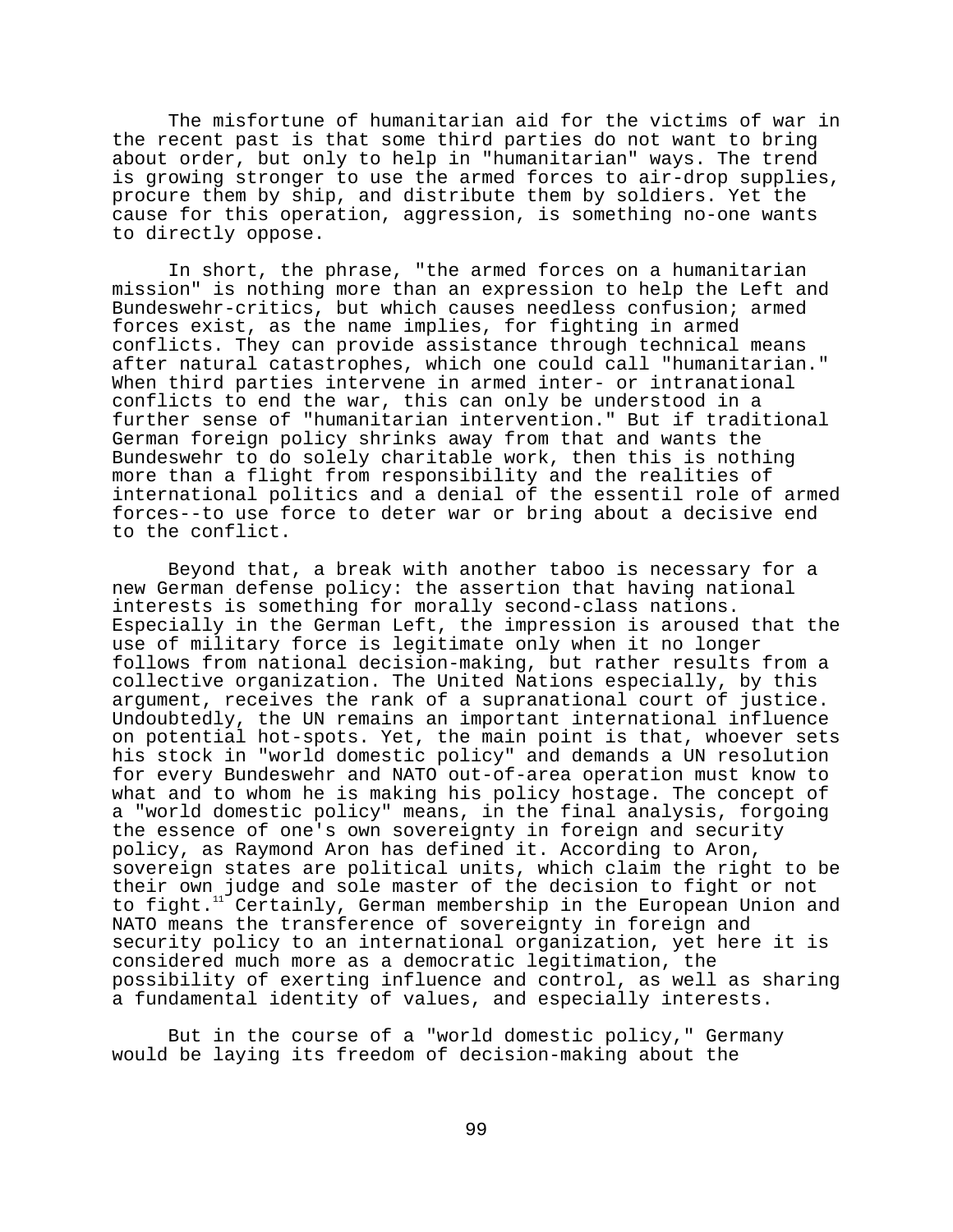The misfortune of humanitarian aid for the victims of war in the recent past is that some third parties do not want to bring about order, but only to help in "humanitarian" ways. The trend is growing stronger to use the armed forces to air-drop supplies, procure them by ship, and distribute them by soldiers. Yet the cause for this operation, aggression, is something no-one wants to directly oppose.

In short, the phrase, "the armed forces on a humanitarian mission" is nothing more than an expression to help the Left and Bundeswehr-critics, but which causes needless confusion; armed forces exist, as the name implies, for fighting in armed conflicts. They can provide assistance through technical means after natural catastrophes, which one could call "humanitarian." When third parties intervene in armed inter- or intranational conflicts to end the war, this can only be understood in a further sense of "humanitarian intervention." But if traditional German foreign policy shrinks away from that and wants the Bundeswehr to do solely charitable work, then this is nothing more than a flight from responsibility and the realities of international politics and a denial of the essentil role of armed forces--to use force to deter war or bring about a decisive end to the conflict.

Beyond that, a break with another taboo is necessary for a new German defense policy: the assertion that having national interests is something for morally second-class nations. Especially in the German Left, the impression is aroused that the use of military force is legitimate only when it no longer follows from national decision-making, but rather results from a collective organization. The United Nations especially, by this argument, receives the rank of a supranational court of justice. Undoubtedly, the UN remains an important international influence on potential hot-spots. Yet, the main point is that, whoever sets his stock in "world domestic policy" and demands a UN resolution for every Bundeswehr and NATO out-of-area operation must know to what and to whom he is making his policy hostage. The concept of a "world domestic policy" means, in the final analysis, forgoing the essence of one's own sovereignty in foreign and security policy, as Raymond Aron has defined it. According to Aron, sovereign states are political units, which claim the right to be their own judge and sole master of the decision to fight or not to fight.<sup>11</sup> Certainly, German membership in the European Union and NATO means the transference of sovereignty in foreign and security policy to an international organization, yet here it is considered much more as a democratic legitimation, the possibility of exerting influence and control, as well as sharing a fundamental identity of values, and especially interests.

But in the course of a "world domestic policy," Germany would be laying its freedom of decision-making about the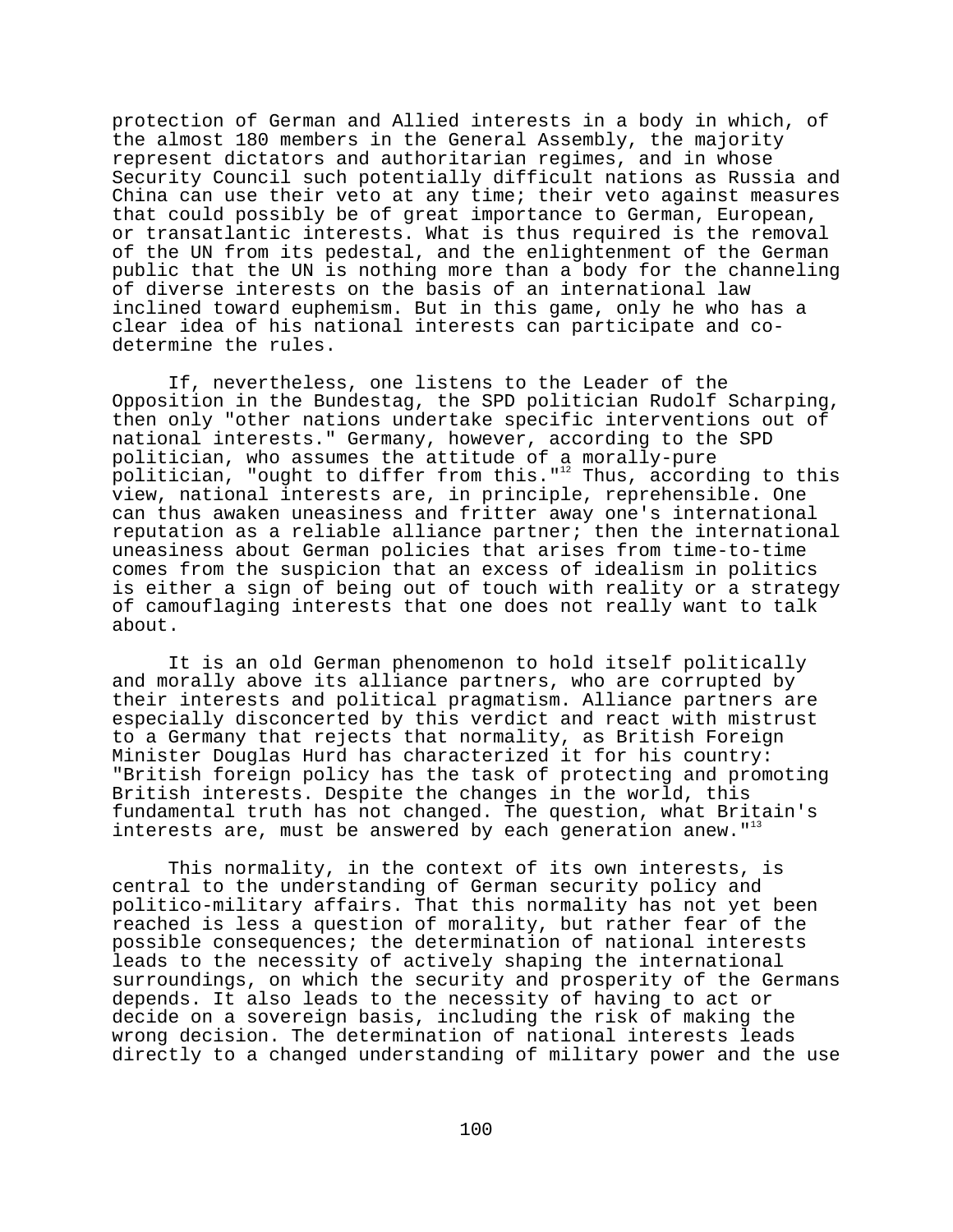protection of German and Allied interests in a body in which, of the almost 180 members in the General Assembly, the majority represent dictators and authoritarian regimes, and in whose Security Council such potentially difficult nations as Russia and China can use their veto at any time; their veto against measures that could possibly be of great importance to German, European, or transatlantic interests. What is thus required is the removal of the UN from its pedestal, and the enlightenment of the German public that the UN is nothing more than a body for the channeling of diverse interests on the basis of an international law inclined toward euphemism. But in this game, only he who has a clear idea of his national interests can participate and codetermine the rules.

If, nevertheless, one listens to the Leader of the Opposition in the Bundestag, the SPD politician Rudolf Scharping, then only "other nations undertake specific interventions out of national interests." Germany, however, according to the SPD politician, who assumes the attitude of a morally-pure politician, "ought to differ from this."<sup>12</sup> Thus, according to this view, national interests are, in principle, reprehensible. One can thus awaken uneasiness and fritter away one's international reputation as a reliable alliance partner; then the international uneasiness about German policies that arises from time-to-time comes from the suspicion that an excess of idealism in politics is either a sign of being out of touch with reality or a strategy of camouflaging interests that one does not really want to talk about.

It is an old German phenomenon to hold itself politically and morally above its alliance partners, who are corrupted by their interests and political pragmatism. Alliance partners are especially disconcerted by this verdict and react with mistrust to a Germany that rejects that normality, as British Foreign Minister Douglas Hurd has characterized it for his country: "British foreign policy has the task of protecting and promoting British interests. Despite the changes in the world, this fundamental truth has not changed. The question, what Britain's interests are, must be answered by each generation anew. $1^{13}$ 

This normality, in the context of its own interests, is central to the understanding of German security policy and politico-military affairs. That this normality has not yet been reached is less a question of morality, but rather fear of the possible consequences; the determination of national interests leads to the necessity of actively shaping the international surroundings, on which the security and prosperity of the Germans depends. It also leads to the necessity of having to act or decide on a sovereign basis, including the risk of making the wrong decision. The determination of national interests leads directly to a changed understanding of military power and the use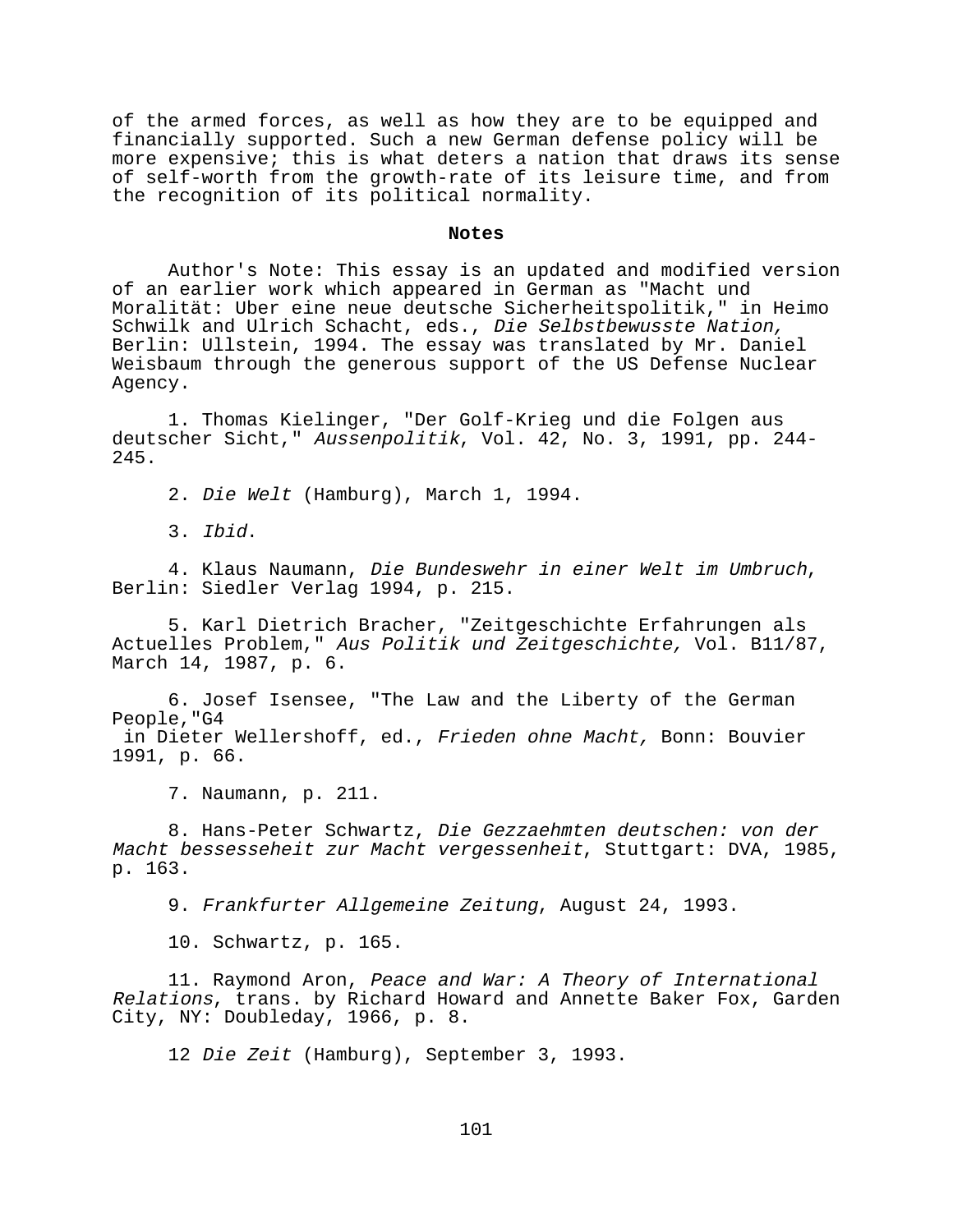of the armed forces, as well as how they are to be equipped and financially supported. Such a new German defense policy will be more expensive; this is what deters a nation that draws its sense of self-worth from the growth-rate of its leisure time, and from the recognition of its political normality.

## **Notes**

Author's Note: This essay is an updated and modified version of an earlier work which appeared in German as "Macht und Moralität: Uber eine neue deutsche Sicherheitspolitik," in Heimo Schwilk and Ulrich Schacht, eds., Die Selbstbewusste Nation, Berlin: Ullstein, 1994. The essay was translated by Mr. Daniel Weisbaum through the generous support of the US Defense Nuclear Agency.

1. Thomas Kielinger, "Der Golf-Krieg und die Folgen aus deutscher Sicht," Aussenpolitik, Vol. 42, No. 3, 1991, pp. 244- 245.

2. Die Welt (Hamburg), March 1, 1994.

3. Ibid.

4. Klaus Naumann, Die Bundeswehr in einer Welt im Umbruch, Berlin: Siedler Verlag 1994, p. 215.

5. Karl Dietrich Bracher, "Zeitgeschichte Erfahrungen als Actuelles Problem," Aus Politik und Zeitgeschichte, Vol. B11/87, March 14, 1987, p. 6.

6. Josef Isensee, "The Law and the Liberty of the German People,"G4 in Dieter Wellershoff, ed., Frieden ohne Macht, Bonn: Bouvier 1991, p. 66.

7. Naumann, p. 211.

8. Hans-Peter Schwartz, Die Gezzaehmten deutschen: von der Macht bessesseheit zur Macht vergessenheit, Stuttgart: DVA, 1985, p. 163.

9. Frankfurter Allgemeine Zeitung, August 24, 1993.

10. Schwartz, p. 165.

11. Raymond Aron, Peace and War: A Theory of International Relations, trans. by Richard Howard and Annette Baker Fox, Garden City, NY: Doubleday, 1966, p. 8.

12 Die Zeit (Hamburg), September 3, 1993.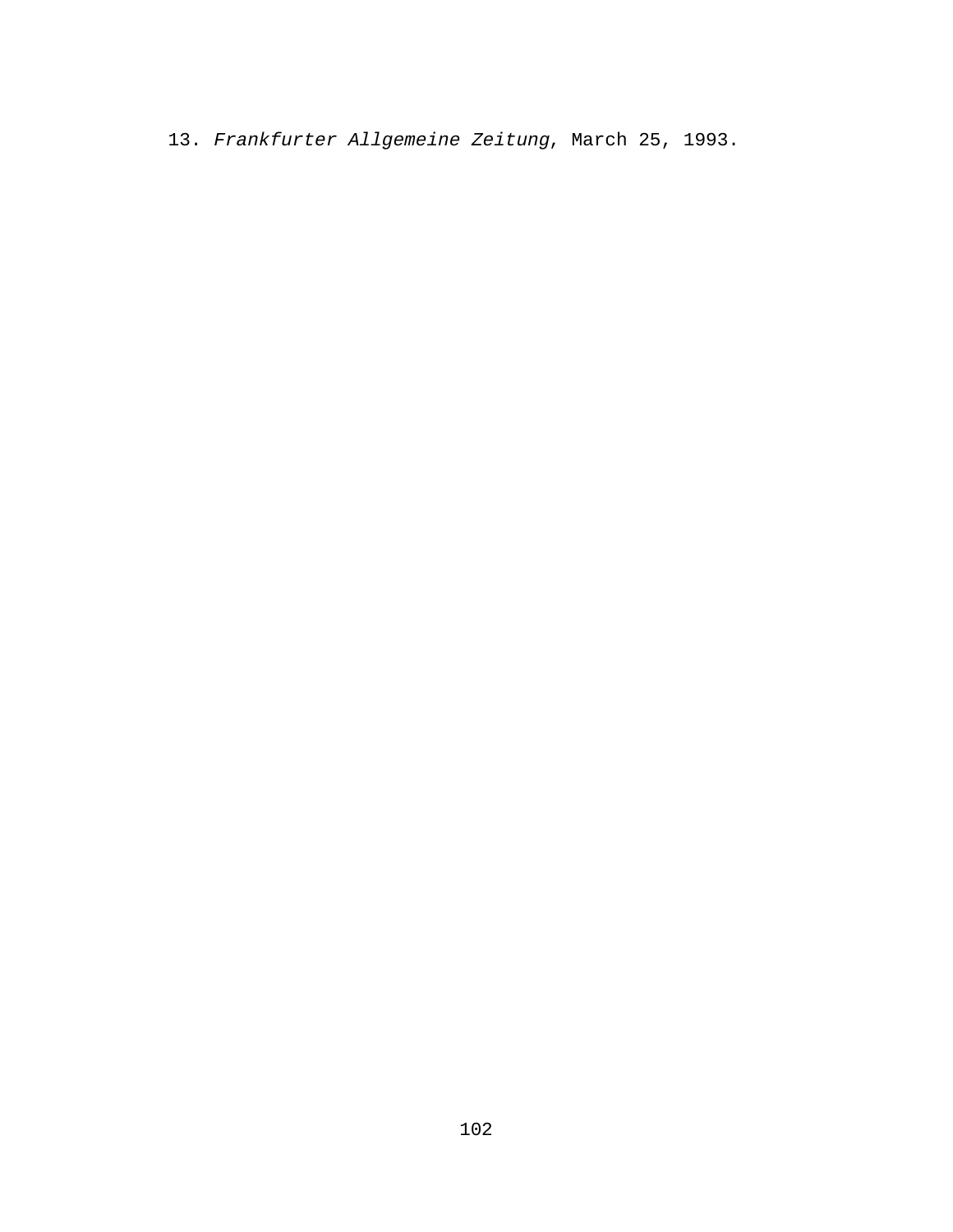13. Frankfurter Allgemeine Zeitung, March 25, 1993.